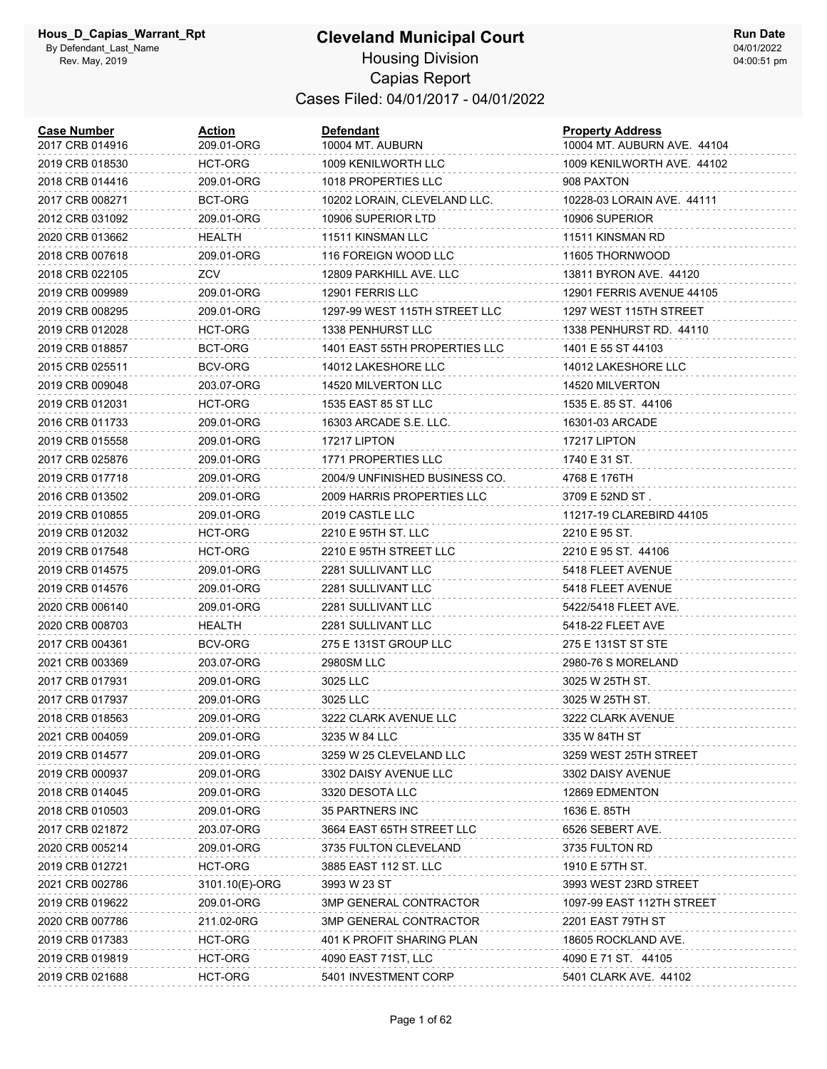#### **Cleveland Municipal Court** Housing Division Capias Report Cases Filed: 04/01/2017 - 04/01/2022

| <b>Case Number</b><br>2017 CRB 014916 | <b>Action</b><br>209.01-ORG | <b>Defendant</b><br>10004 MT. AUBURN | <b>Property Address</b><br>10004 MT. AUBURN AVE. 44104 |
|---------------------------------------|-----------------------------|--------------------------------------|--------------------------------------------------------|
| 2019 CRB 018530                       | HCT-ORG                     | 1009 KENILWORTH LLC                  | 1009 KENILWORTH AVE. 44102                             |
| 2018 CRB 014416                       | 209.01-ORG                  | 1018 PROPERTIES LLC                  | 908 PAXTON                                             |
| 2017 CRB 008271                       | <b>BCT-ORG</b>              | 10202 LORAIN, CLEVELAND LLC.         | 10228-03 LORAIN AVE. 44111                             |
| 2012 CRB 031092                       | 209.01-ORG                  | 10906 SUPERIOR LTD                   | 10906 SUPERIOR                                         |
| 2020 CRB 013662                       | HEALTH                      | 11511 KINSMAN LLC                    | 11511 KINSMAN RD                                       |
| 2018 CRB 007618                       | 209.01-ORG                  | 116 FOREIGN WOOD LLC                 | 11605 THORNWOOD                                        |
| 2018 CRB 022105                       | ZCV                         | 12809 PARKHILL AVE, LLC              | 13811 BYRON AVE. 44120                                 |
| 2019 CRB 009989                       | 209.01-ORG                  | 12901 FERRIS LLC                     | 12901 FERRIS AVENUE 44105                              |
| 2019 CRB 008295                       | 209.01-ORG                  | 1297-99 WEST 115TH STREET LLC        | 1297 WEST 115TH STREET                                 |
| 2019 CRB 012028                       | HCT-ORG                     | 1338 PENHURST LLC                    | 1338 PENHURST RD. 44110                                |
| 2019 CRB 018857                       | BCT-ORG                     | 1401 EAST 55TH PROPERTIES LLC        | 1401 E 55 ST 44103                                     |
| 2015 CRB 025511                       | BCV-ORG                     | 14012 LAKESHORE LLC                  | 14012 LAKESHORE LLC                                    |
| 2019 CRB 009048                       | 203.07-ORG                  | 14520 MILVERTON LLC                  | 14520 MILVERTON                                        |
| 2019 CRB 012031                       | HCT-ORG                     | 1535 EAST 85 ST LLC                  | 1535 E. 85 ST. 44106                                   |
| 2016 CRB 011733                       | 209.01-ORG                  | 16303 ARCADE S.E. LLC.               | 16301-03 ARCADE                                        |
| 2019 CRB 015558                       | 209.01-ORG                  | 17217 LIPTON                         | 17217 LIPTON                                           |
| 2017 CRB 025876                       | 209.01-ORG                  | <b>1771 PROPERTIES LLC</b>           | 1740 E 31 ST.                                          |
| 2019 CRB 017718                       | 209.01-ORG                  | 2004/9 UNFINISHED BUSINESS CO.       | 4768 E 176TH                                           |
| 2016 CRB 013502                       | 209.01-ORG                  | 2009 HARRIS PROPERTIES LLC           | 3709 E 52ND ST.                                        |
| 2019 CRB 010855                       | 209.01-ORG                  | 2019 CASTLE LLC                      | 11217-19 CLAREBIRD 44105                               |
| 2019 CRB 012032                       | HCT-ORG                     | 2210 E 95TH ST. LLC                  | 2210 E 95 ST.                                          |
| 2019 CRB 017548                       | HCT-ORG                     | 2210 E 95TH STREET LLC               | 2210 E 95 ST. 44106                                    |
| 2019 CRB 014575                       | 209.01-ORG                  | 2281 SULLIVANT LLC                   | 5418 FLEET AVENUE                                      |
| 2019 CRB 014576                       | 209.01-ORG                  | 2281 SULLIVANT LLC                   | 5418 FLEET AVENUE                                      |
| 2020 CRB 006140                       | 209.01-ORG                  | 2281 SULLIVANT LLC                   | 5422/5418 FLEET AVE.                                   |
| 2020 CRB 008703                       | HEALTH                      | 2281 SULLIVANT LLC                   | 5418-22 FLEET AVE                                      |
| 2017 CRB 004361                       | BCV-ORG                     | 275 E 131ST GROUP LLC                | 275 E 131ST ST STE                                     |
| 2021 CRB 003369                       | 203.07-ORG                  | <b>2980SM LLC</b>                    | 2980-76 S MORELAND                                     |
| 2017 CRB 017931                       | 209.01-ORG                  | 3025 LLC                             | 3025 W 25TH ST.                                        |
| 2017 CRB 017937                       | 209.01-ORG                  | 3025 LLC                             | 3025 W 25TH ST.                                        |
| 2018 CRB 018563                       | 209.01-ORG                  | 3222 CLARK AVENUE LLC                | 3222 CLARK AVENUE                                      |
| 2021 CRB 004059                       | 209.01-ORG                  | 3235 W 84 LLC                        | 335 W 84TH ST                                          |
| 2019 CRB 014577                       | 209.01-ORG                  | 3259 W 25 CLEVELAND LLC              | 3259 WEST 25TH STREET                                  |
| 2019 CRB 000937                       | 209.01-ORG                  | 3302 DAISY AVENUE LLC                | 3302 DAISY AVENUE                                      |
| 2018 CRB 014045                       | 209.01-ORG                  | 3320 DESOTA LLC                      | 12869 EDMENTON                                         |
| 2018 CRB 010503                       | 209.01-ORG                  | 35 PARTNERS INC                      | 1636 E. 85TH                                           |
| 2017 CRB 021872                       | 203.07-ORG                  | 3664 EAST 65TH STREET LLC            | 6526 SEBERT AVE.                                       |
| 2020 CRB 005214                       | 209.01-ORG                  | 3735 FULTON CLEVELAND                | 3735 FULTON RD                                         |
| 2019 CRB 012721                       | HCT-ORG                     | 3885 EAST 112 ST. LLC                | 1910 E 57TH ST.                                        |
| 2021 CRB 002786                       | 3101.10(E)-ORG              | 3993 W 23 ST                         | 3993 WEST 23RD STREET                                  |
| 2019 CRB 019622                       | 209.01-ORG                  | 3MP GENERAL CONTRACTOR               | 1097-99 EAST 112TH STREET                              |
| 2020 CRB 007786                       | 211.02-0RG                  | 3MP GENERAL CONTRACTOR               | 2201 EAST 79TH ST                                      |
| 2019 CRB 017383                       | HCT-ORG                     | 401 K PROFIT SHARING PLAN            | 18605 ROCKLAND AVE.                                    |
| 2019 CRB 019819                       | HCT-ORG                     | 4090 EAST 71ST, LLC                  | 4090 E 71 ST. 44105                                    |
| 2019 CRB 021688                       | HCT-ORG                     | 5401 INVESTMENT CORP                 | 5401 CLARK AVE. 44102                                  |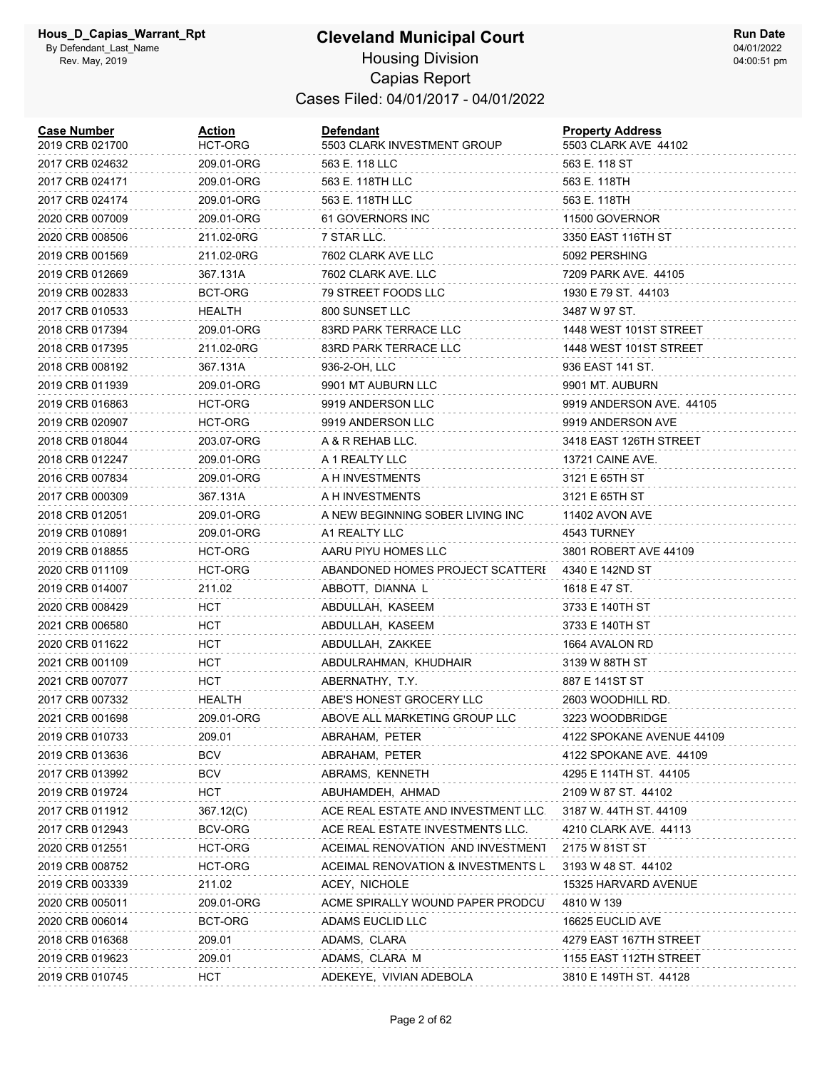| <b>Case Number</b><br>2019 CRB 021700 | <u>Action</u><br><b>HCT-ORG</b> | <b>Defendant</b><br>5503 CLARK INVESTMENT GROUP | <b>Property Address</b><br>5503 CLARK AVE 44102 |
|---------------------------------------|---------------------------------|-------------------------------------------------|-------------------------------------------------|
| 2017 CRB 024632                       | 209.01-ORG                      | 563 E. 118 LLC                                  | 563 E. 118 ST                                   |
| 2017 CRB 024171                       | 209.01-ORG                      | 563 E. 118TH LLC                                | 563 E. 118TH                                    |
| 2017 CRB 024174                       | 209.01-ORG                      | 563 E. 118TH LLC                                | 563 E. 118TH                                    |
| 2020 CRB 007009                       | 209.01-ORG                      | 61 GOVERNORS INC                                | 11500 GOVERNOR                                  |
| 2020 CRB 008506                       | 211.02-0RG                      | 7 STAR LLC.                                     | 3350 EAST 116TH ST                              |
| 2019 CRB 001569                       | 211.02-0RG                      | 7602 CLARK AVE LLC                              | 5092 PERSHING                                   |
| 2019 CRB 012669                       | 367.131A                        | 7602 CLARK AVE. LLC                             | 7209 PARK AVE, 44105                            |
| 2019 CRB 002833                       | BCT-ORG                         | 79 STREET FOODS LLC                             | 1930 E 79 ST. 44103                             |
| 2017 CRB 010533                       | HEALTH                          | 800 SUNSET LLC                                  | 3487 W 97 ST.                                   |
| 2018 CRB 017394                       | 209.01-ORG                      | 83RD PARK TERRACE LLC                           | 1448 WEST 101ST STREET                          |
| 2018 CRB 017395                       | 211.02-0RG                      | 83RD PARK TERRACE LLC                           | 1448 WEST 101ST STREET                          |
| 2018 CRB 008192                       | 367.131A                        | 936-2-OH, LLC                                   | 936 EAST 141 ST.                                |
| 2019 CRB 011939                       | 209.01-ORG                      | 9901 MT AUBURN LLC                              | 9901 MT. AUBURN                                 |
| 2019 CRB 016863                       | HCT-ORG                         | 9919 ANDERSON LLC                               | 9919 ANDERSON AVE. 44105                        |
| 2019 CRB 020907                       | HCT-ORG                         | 9919 ANDERSON LLC                               | 9919 ANDERSON AVE                               |
| 2018 CRB 018044                       | 203.07-ORG                      | A & R REHAB LLC.                                | 3418 EAST 126TH STREET                          |
| 2018 CRB 012247                       | 209.01-ORG                      | A 1 REALTY LLC                                  | <b>13721 CAINE AVE.</b>                         |
| 2016 CRB 007834                       | 209.01-ORG                      | A H INVESTMENTS                                 | 3121 E 65TH ST                                  |
| 2017 CRB 000309                       | 367.131A                        | A H INVESTMENTS                                 | 3121 E 65TH ST                                  |
| 2018 CRB 012051                       | 209.01-ORG                      | A NEW BEGINNING SOBER LIVING INC                | 11402 AVON AVE                                  |
| 2019 CRB 010891                       | 209.01-ORG                      | A1 REALTY LLC                                   | 4543 TURNEY                                     |
| 2019 CRB 018855                       | HCT-ORG                         | AARU PIYU HOMES LLC                             | 3801 ROBERT AVE 44109                           |
| 2020 CRB 011109                       | HCT-ORG                         | ABANDONED HOMES PROJECT SCATTERE                | 4340 E 142ND ST                                 |
| 2019 CRB 014007                       | 211.02                          | ABBOTT, DIANNA L                                | 1618 E 47 ST.                                   |
| 2020 CRB 008429                       | HCT                             | ABDULLAH, KASEEM                                | 3733 E 140TH ST                                 |
| 2021 CRB 006580                       | HCT                             | ABDULLAH, KASEEM                                | 3733 E 140TH ST                                 |
| 2020 CRB 011622                       | <b>HCT</b>                      | ABDULLAH, ZAKKEE                                | 1664 AVALON RD                                  |
| 2021 CRB 001109                       | HCT                             | ABDULRAHMAN, KHUDHAIR                           | 3139 W 88TH ST                                  |
| 2021 CRB 007077                       | <b>HCT</b>                      | ABERNATHY, T.Y.                                 | 887 E 141ST ST                                  |
| 2017 CRB 007332                       | HEALTH                          | ABE'S HONEST GROCERY LLC                        | 2603 WOODHILL RD.                               |
| 2021 CRB 001698                       | 209.01-ORG                      | ABOVE ALL MARKETING GROUP LLC                   | 3223 WOODBRIDGE                                 |
| 2019 CRB 010733                       | 209.01                          | ABRAHAM, PETER                                  | 4122 SPOKANE AVENUE 44109                       |
| 2019 CRB 013636                       | BCV                             | ABRAHAM, PETER                                  | 4122 SPOKANE AVE. 44109                         |
| 2017 CRB 013992                       | <b>BCV</b>                      | ABRAMS, KENNETH                                 | 4295 E 114TH ST. 44105                          |
| 2019 CRB 019724                       | HCT                             | ABUHAMDEH, AHMAD                                | 2109 W 87 ST. 44102                             |
| 2017 CRB 011912                       | 367.12(C)                       | ACE REAL ESTATE AND INVESTMENT LLC.             | 3187 W. 44TH ST. 44109                          |
| 2017 CRB 012943                       | BCV-ORG                         | ACE REAL ESTATE INVESTMENTS LLC.                | 4210 CLARK AVE. 44113                           |
| 2020 CRB 012551                       | HCT-ORG                         | ACEIMAL RENOVATION AND INVESTMENT               | 2175 W 81ST ST                                  |
| 2019 CRB 008752                       | HCT-ORG                         | ACEIMAL RENOVATION & INVESTMENTS L              | 3193 W 48 ST. 44102                             |
| 2019 CRB 003339                       | 211.02                          | ACEY, NICHOLE                                   | 15325 HARVARD AVENUE                            |
| 2020 CRB 005011                       | 209.01-ORG                      | ACME SPIRALLY WOUND PAPER PRODCU                | 4810 W 139                                      |
| 2020 CRB 006014                       | BCT-ORG                         | ADAMS EUCLID LLC                                | 16625 EUCLID AVE                                |
| 2018 CRB 016368                       | 209.01                          | ADAMS, CLARA                                    | 4279 EAST 167TH STREET                          |
| 2019 CRB 019623                       | 209.01                          | ADAMS, CLARA M                                  | 1155 EAST 112TH STREET                          |
| 2019 CRB 010745                       | <b>HCT</b>                      | ADEKEYE, VIVIAN ADEBOLA                         | 3810 E 149TH ST. 44128                          |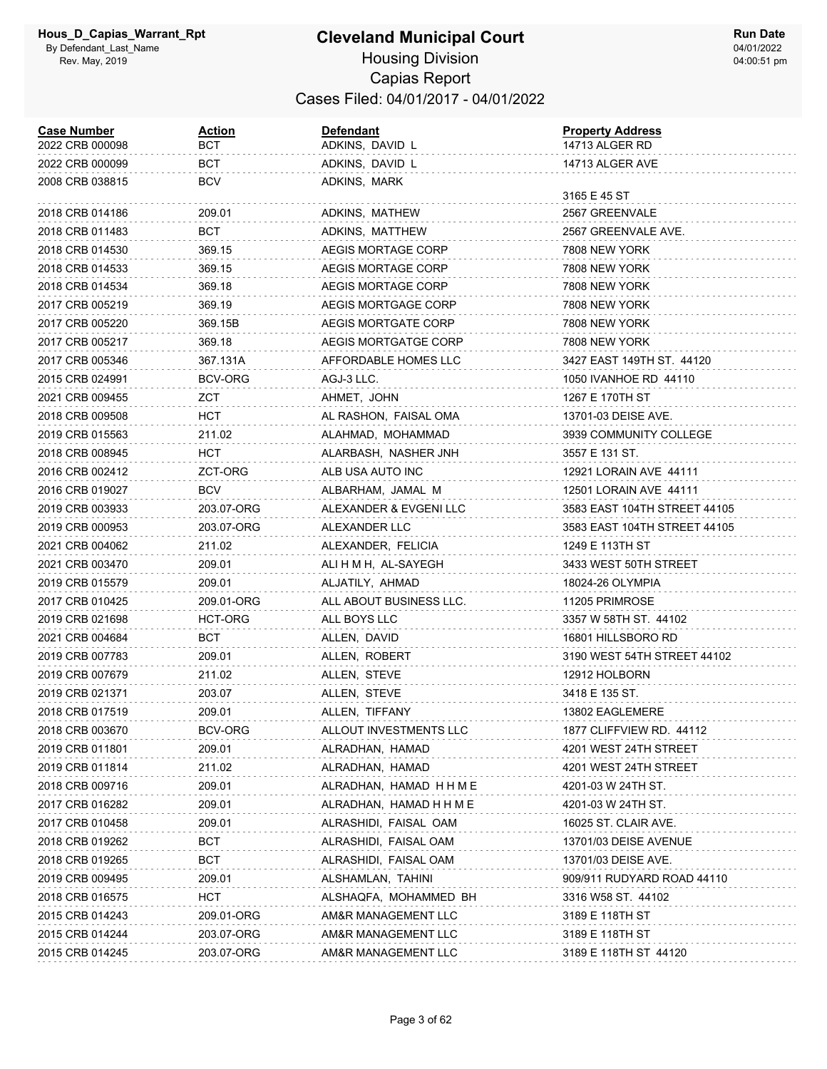| <b>Case Number</b><br>2022 CRB 000098 | <b>Action</b><br>BCT | <b>Defendant</b><br>ADKINS, DAVID L | <b>Property Address</b><br>14713 ALGER RD |
|---------------------------------------|----------------------|-------------------------------------|-------------------------------------------|
| 2022 CRB 000099                       | BCT                  | ADKINS, DAVID L                     | 14713 ALGER AVE                           |
| 2008 CRB 038815                       | BCV                  | ADKINS, MARK                        | 3165 E 45 ST                              |
| 2018 CRB 014186                       | 209.01               | ADKINS, MATHEW                      | 2567 GREENVALE                            |
| 2018 CRB 011483                       | BCT                  | ADKINS, MATTHEW                     | 2567 GREENVALE AVE.                       |
| 2018 CRB 014530                       | 369.15               | AEGIS MORTAGE CORP                  | 7808 NEW YORK                             |
| 2018 CRB 014533                       | 369.15               | AEGIS MORTAGE CORP                  | 7808 NEW YORK                             |
| 2018 CRB 014534                       | 369.18               | AEGIS MORTAGE CORP                  | 7808 NEW YORK                             |
| 2017 CRB 005219                       | 369.19               | AEGIS MORTGAGE CORP                 | 7808 NEW YORK                             |
| 2017 CRB 005220                       | 369.15B              | AEGIS MORTGATE CORP                 | 7808 NEW YORK                             |
| 2017 CRB 005217                       | 369.18               | AEGIS MORTGATGE CORP                | 7808 NEW YORK                             |
| 2017 CRB 005346                       | 367.131A             | AFFORDABLE HOMES LLC                | 3427 EAST 149TH ST. 44120                 |
| 2015 CRB 024991                       | BCV-ORG              | AGJ-3 LLC.                          | 1050 IVANHOE RD 44110                     |
| 2021 CRB 009455                       | ZCT                  | AHMET, JOHN                         | 1267 E 170TH ST                           |
| 2018 CRB 009508                       | нст                  | AL RASHON, FAISAL OMA               | 13701-03 DEISE AVE.                       |
| 2019 CRB 015563                       | 211.02               | ALAHMAD, MOHAMMAD                   | 3939 COMMUNITY COLLEGE                    |
| 2018 CRB 008945                       | нст                  | ALARBASH, NASHER JNH                | 3557 E 131 ST.                            |
| 2016 CRB 002412                       | ZCT-ORG              | ALB USA AUTO INC                    | 12921 LORAIN AVE 44111                    |
| 2016 CRB 019027                       | BCV                  | ALBARHAM, JAMAL M                   | 12501 LORAIN AVE 44111                    |
| 2019 CRB 003933                       | 203.07-ORG           | ALEXANDER & EVGENI LLC              | 3583 EAST 104TH STREET 44105              |
| 2019 CRB 000953                       | 203.07-ORG           | ALEXANDER LLC                       | 3583 EAST 104TH STREET 44105              |
| 2021 CRB 004062                       | 211.02               | ALEXANDER, FELICIA                  | 1249 E 113TH ST                           |
| 2021 CRB 003470                       | 209.01               | ALI H M H, AL-SAYEGH                | 3433 WEST 50TH STREET                     |
| 2019 CRB 015579                       | 209.01               | ALJATILY, AHMAD                     | 18024-26 OLYMPIA                          |
| 2017 CRB 010425                       | 209.01-ORG           | ALL ABOUT BUSINESS LLC.             | 11205 PRIMROSE                            |
| 2019 CRB 021698                       | HCT-ORG              | ALL BOYS LLC                        | 3357 W 58TH ST. 44102                     |
| 2021 CRB 004684                       | BCT                  | ALLEN, DAVID                        | 16801 HILLSBORO RD                        |
| 2019 CRB 007783                       | 209.01               | ALLEN, ROBERT                       | 3190 WEST 54TH STREET 44102               |
| 2019 CRB 007679                       | 211.02               | ALLEN, STEVE                        | 12912 HOLBORN                             |
| 2019 CRB 021371                       | 203.07               | ALLEN, STEVE                        | 3418 E 135 ST.                            |
| 2018 CRB 017519                       | 209.01               | ALLEN, TIFFANY                      | 13802 EAGLEMERE                           |
| 2018 CRB 003670                       | BCV-ORG              | ALLOUT INVESTMENTS LLC              | 1877 CLIFFVIEW RD. 44112                  |
| 2019 CRB 011801                       | 209.01               | ALRADHAN, HAMAD                     | 4201 WEST 24TH STREET                     |
| 2019 CRB 011814                       | 211.02               | ALRADHAN, HAMAD                     | 4201 WEST 24TH STREET                     |
| 2018 CRB 009716                       | 209.01               | ALRADHAN, HAMAD H H M E             | 4201-03 W 24TH ST.                        |
| 2017 CRB 016282                       | 209.01               | ALRADHAN, HAMAD H H M E             | 4201-03 W 24TH ST.                        |
| 2017 CRB 010458                       | 209.01               | ALRASHIDI, FAISAL OAM               | 16025 ST. CLAIR AVE.                      |
| 2018 CRB 019262                       | BCT                  | ALRASHIDI, FAISAL OAM               | 13701/03 DEISE AVENUE                     |
| 2018 CRB 019265                       | <b>BCT</b>           | ALRASHIDI, FAISAL OAM               | 13701/03 DEISE AVE.                       |
| 2019 CRB 009495                       | 209.01               | ALSHAMLAN, TAHINI                   | 909/911 RUDYARD ROAD 44110                |
| 2018 CRB 016575                       | нст                  | ALSHAQFA, MOHAMMED BH               | 3316 W58 ST. 44102                        |
| 2015 CRB 014243                       | 209.01-ORG           | AM&R MANAGEMENT LLC                 | 3189 E 118TH ST                           |
| 2015 CRB 014244                       | 203.07-ORG           | AM&R MANAGEMENT LLC                 | 3189 E 118TH ST                           |
| 2015 CRB 014245                       | 203.07-ORG           | AM&R MANAGEMENT LLC                 | 3189 E 118TH ST 44120                     |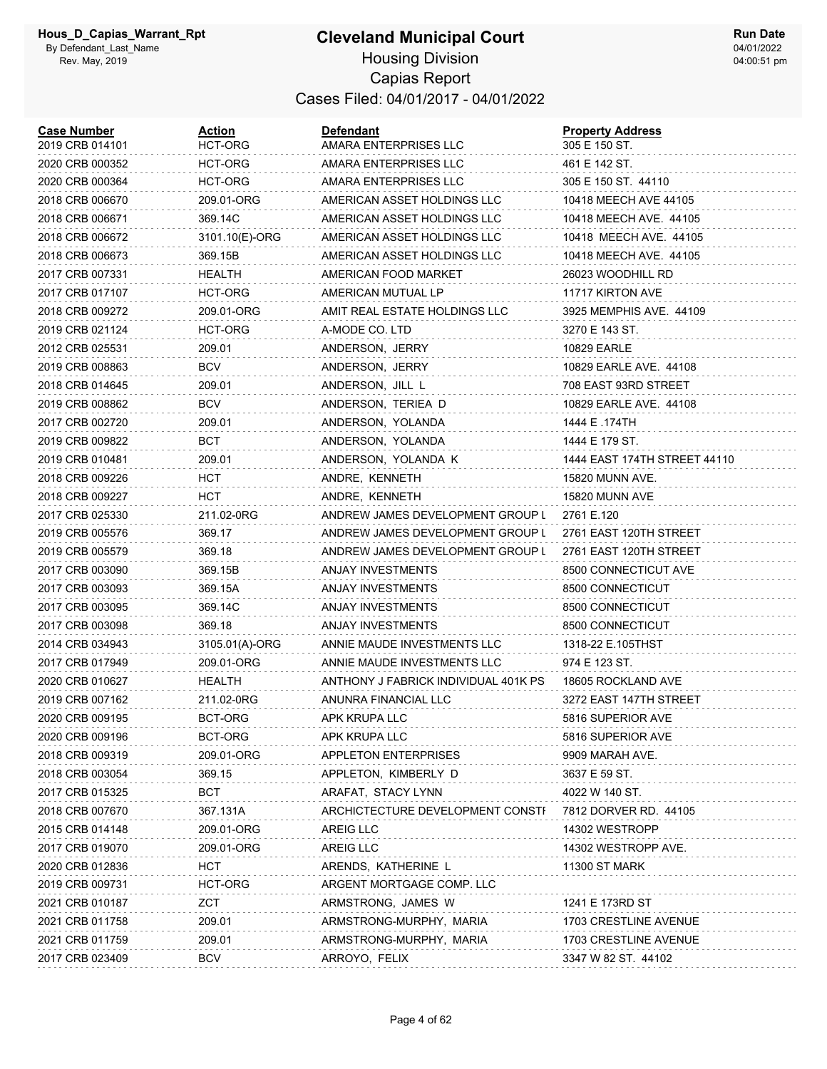#### **Cleveland Municipal Court** Housing Division Capias Report Cases Filed: 04/01/2017 - 04/01/2022

| <b>Case Number</b><br>2019 CRB 014101 | Action<br>HCT-ORG | <b>Defendant</b><br>AMARA ENTERPRISES LLC | <b>Property Address</b><br>305 E 150 ST. |
|---------------------------------------|-------------------|-------------------------------------------|------------------------------------------|
| 2020 CRB 000352                       | HCT-ORG           | AMARA ENTERPRISES LLC                     | 461 E 142 ST.                            |
| 2020 CRB 000364                       | HCT-ORG           | AMARA ENTERPRISES LLC                     | 305 E 150 ST. 44110                      |
| 2018 CRB 006670                       | 209.01-ORG        | AMERICAN ASSET HOLDINGS LLC               | 10418 MEECH AVE 44105                    |
| 2018 CRB 006671                       | 369.14C           | AMERICAN ASSET HOLDINGS LLC               | 10418 MEECH AVE. 44105                   |
| 2018 CRB 006672                       | 3101.10(E)-ORG    | AMERICAN ASSET HOLDINGS LLC               | 10418 MEECH AVE. 44105                   |
| 2018 CRB 006673                       | 369.15B           | AMERICAN ASSET HOLDINGS LLC               | 10418 MEECH AVE. 44105                   |
| 2017 CRB 007331                       | HEALTH            | AMERICAN FOOD MARKET                      | 26023 WOODHILL RD                        |
| 2017 CRB 017107                       | HCT-ORG           | AMERICAN MUTUAL LP                        | 11717 KIRTON AVE                         |
| 2018 CRB 009272                       | 209.01-ORG        | AMIT REAL ESTATE HOLDINGS LLC             | 3925 MEMPHIS AVE. 44109                  |
| 2019 CRB 021124                       | HCT-ORG           | A-MODE CO. LTD                            | 3270 E 143 ST.                           |
| 2012 CRB 025531                       | 209.01            | ANDERSON, JERRY                           | <b>10829 EARLE</b>                       |
| 2019 CRB 008863                       | <b>BCV</b>        | ANDERSON, JERRY                           | 10829 EARLE AVE. 44108                   |
| 2018 CRB 014645                       | 209.01            | ANDERSON, JILL L                          | 708 EAST 93RD STREET                     |
| 2019 CRB 008862                       | <b>BCV</b>        | ANDERSON, TERIEA D                        | 10829 EARLE AVE. 44108                   |
| 2017 CRB 002720                       | 209.01            | ANDERSON, YOLANDA                         | 1444 E .174TH                            |
| 2019 CRB 009822                       | BCT               | ANDERSON, YOLANDA                         | 1444 E 179 ST.                           |
| 2019 CRB 010481                       | 209.01            | ANDERSON, YOLANDA K                       | 1444 EAST 174TH STREET 44110             |
| 2018 CRB 009226                       | нст               | ANDRE, KENNETH                            | 15820 MUNN AVE.                          |
| 2018 CRB 009227                       | нст               | ANDRE, KENNETH                            | 15820 MUNN AVE                           |
| 2017 CRB 025330                       | 211.02-0RG        | ANDREW JAMES DEVELOPMENT GROUP L          | 2761 E.120                               |
| 2019 CRB 005576                       | 369.17            | ANDREW JAMES DEVELOPMENT GROUP L          | 2761 EAST 120TH STREET                   |
| 2019 CRB 005579                       | 369.18            | ANDREW JAMES DEVELOPMENT GROUP L          | 2761 EAST 120TH STREET                   |
| 2017 CRB 003090                       | 369.15B           | ANJAY INVESTMENTS                         | 8500 CONNECTICUT AVE                     |
| 2017 CRB 003093                       | 369.15A           | <b>ANJAY INVESTMENTS</b>                  | 8500 CONNECTICUT                         |
| 2017 CRB 003095                       | 369.14C           | <b>ANJAY INVESTMENTS</b>                  | 8500 CONNECTICUT                         |
| 2017 CRB 003098                       | 369.18            | <b>ANJAY INVESTMENTS</b>                  | 8500 CONNECTICUT                         |
| 2014 CRB 034943                       | 3105.01(A)-ORG    | ANNIE MAUDE INVESTMENTS LLC               | 1318-22 E.105THST                        |
| 2017 CRB 017949                       | 209.01-ORG        | ANNIE MAUDE INVESTMENTS LLC               | 974 E 123 ST.                            |
| 2020 CRB 010627                       | HEALTH            | ANTHONY J FABRICK INDIVIDUAL 401K PS      | 18605 ROCKLAND AVE                       |
| 2019 CRB 007162                       | 211.02-0RG        | ANUNRA FINANCIAL LLC                      | 3272 EAST 147TH STREET                   |
| 2020 CRB 009195                       | BCT-ORG           | APK KRUPA LLC                             | 5816 SUPERIOR AVE                        |
| 2020 CRB 009196                       | BCT-ORG           | APK KRUPA LLC                             | 5816 SUPERIOR AVE                        |
| 2018 CRB 009319                       | 209.01-ORG        | <b>APPLETON ENTERPRISES</b>               | 9909 MARAH AVE.                          |
| 2018 CRB 003054                       | 369.15            | APPLETON, KIMBERLY D                      | 3637 E 59 ST.                            |
| 2017 CRB 015325                       | BCT               | ARAFAT, STACY LYNN                        | 4022 W 140 ST.                           |
| 2018 CRB 007670                       | 367.131A          | ARCHICTECTURE DEVELOPMENT CONSTF          | 7812 DORVER RD. 44105                    |
| 2015 CRB 014148                       | 209.01-ORG        | <b>AREIG LLC</b>                          | 14302 WESTROPP                           |
| 2017 CRB 019070                       | 209.01-ORG        | AREIG LLC                                 | 14302 WESTROPP AVE.                      |
| 2020 CRB 012836                       | <b>HCT</b>        | ARENDS, KATHERINE L                       | <b>11300 ST MARK</b>                     |
| 2019 CRB 009731                       | HCT-ORG           | ARGENT MORTGAGE COMP. LLC                 |                                          |
| 2021 CRB 010187                       | ZCT               | ARMSTRONG, JAMES W                        | 1241 E 173RD ST                          |
| 2021 CRB 011758                       | 209.01            | ARMSTRONG-MURPHY, MARIA                   | 1703 CRESTLINE AVENUE                    |
| 2021 CRB 011759                       | 209.01            | ARMSTRONG-MURPHY, MARIA                   | 1703 CRESTLINE AVENUE                    |
| 2017 CRB 023409                       | <b>BCV</b>        | ARROYO, FELIX                             | 3347 W 82 ST. 44102                      |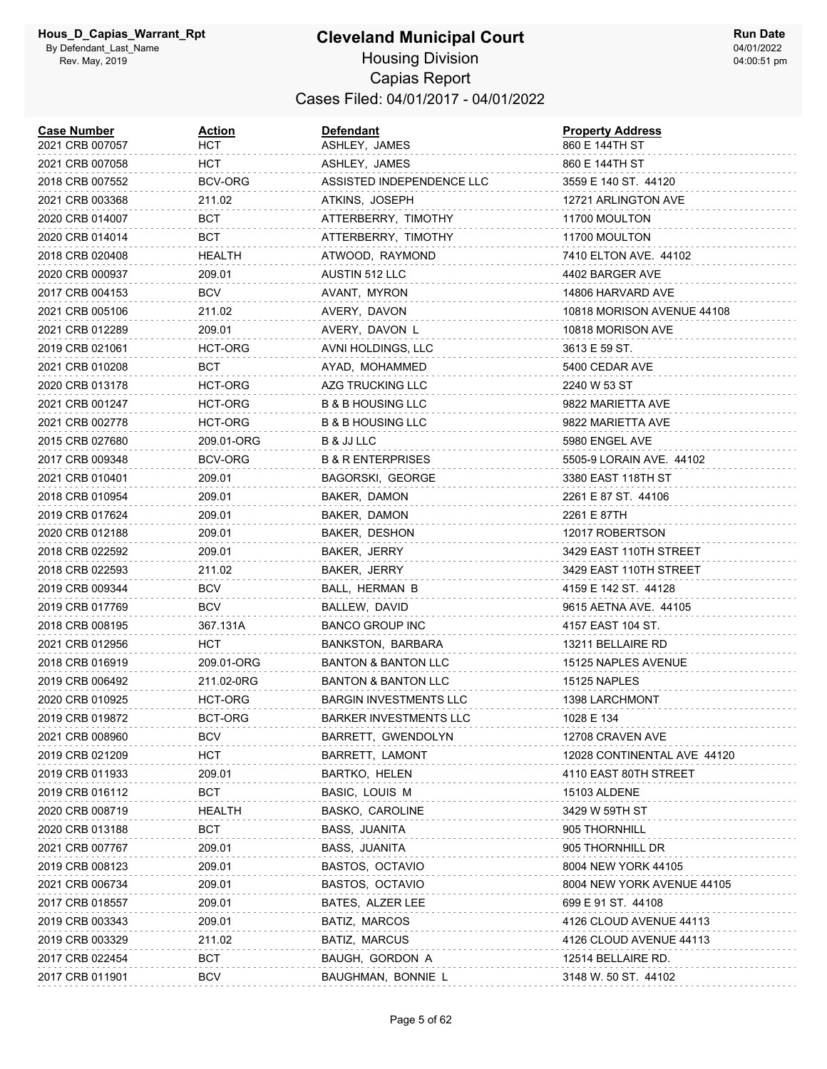| <b>Case Number</b><br>2021 CRB 007057 | <u>Action</u><br>нст | Defendant<br>ASHLEY, JAMES     | <b>Property Address</b><br>860 E 144TH ST |
|---------------------------------------|----------------------|--------------------------------|-------------------------------------------|
| 2021 CRB 007058                       | HCT                  | ASHLEY, JAMES                  | 860 E 144TH ST                            |
| 2018 CRB 007552                       | BCV-ORG              | ASSISTED INDEPENDENCE LLC      | 3559 E 140 ST. 44120                      |
| 2021 CRB 003368                       | 211.02               | ATKINS, JOSEPH                 | 12721 ARLINGTON AVE                       |
| 2020 CRB 014007                       | вст                  | ATTERBERRY, TIMOTHY            | 11700 MOULTON                             |
| 2020 CRB 014014                       | BCT                  | ATTERBERRY, TIMOTHY            | 11700 MOULTON                             |
| 2018 CRB 020408                       | HEALTH               | ATWOOD, RAYMOND                | 7410 ELTON AVE. 44102                     |
| 2020 CRB 000937                       | 209.01               | AUSTIN 512 LLC                 | 4402 BARGER AVE                           |
| 2017 CRB 004153                       | <b>BCV</b>           | AVANT, MYRON                   | 14806 HARVARD AVE                         |
| 2021 CRB 005106                       | 211.02               | AVERY, DAVON                   | 10818 MORISON AVENUE 44108                |
| 2021 CRB 012289                       | 209.01               | AVERY, DAVON L                 | 10818 MORISON AVE                         |
| 2019 CRB 021061                       | HCT-ORG              | AVNI HOLDINGS, LLC             | 3613 E 59 ST.                             |
| 2021 CRB 010208                       | <b>BCT</b>           | AYAD, MOHAMMED                 | 5400 CEDAR AVE                            |
| 2020 CRB 013178                       | <b>HCT-ORG</b>       | AZG TRUCKING LLC               | 2240 W 53 ST                              |
| 2021 CRB 001247                       | HCT-ORG              | B & B HOUSING LLC              | 9822 MARIETTA AVE                         |
| 2021 CRB 002778                       | HCT-ORG              | <b>B &amp; B HOUSING LLC</b>   | 9822 MARIETTA AVE                         |
| 2015 CRB 027680                       | 209.01-ORG           | B & JJ LLC                     | 5980 ENGEL AVE                            |
| 2017 CRB 009348                       | BCV-ORG              | <b>B &amp; R ENTERPRISES</b>   | 5505-9 LORAIN AVE. 44102                  |
| 2021 CRB 010401                       | 209.01               | BAGORSKI, GEORGE               | 3380 EAST 118TH ST                        |
| 2018 CRB 010954                       | 209.01               | BAKER, DAMON                   | 2261 E 87 ST. 44106                       |
| 2019 CRB 017624                       | 209.01               | BAKER, DAMON                   | 2261 E 87TH                               |
| 2020 CRB 012188                       | 209.01               | BAKER, DESHON                  | 12017 ROBERTSON                           |
| 2018 CRB 022592                       | 209.01               | BAKER, JERRY                   | 3429 EAST 110TH STREET                    |
| 2018 CRB 022593                       | 211.02               | BAKER, JERRY                   | 3429 EAST 110TH STREET                    |
| 2019 CRB 009344                       | BCV                  | BALL, HERMAN B                 | 4159 E 142 ST. 44128                      |
| 2019 CRB 017769                       | <b>BCV</b>           | BALLEW, DAVID                  | 9615 AETNA AVE. 44105                     |
| 2018 CRB 008195                       | 367.131A             | <b>BANCO GROUP INC</b>         | 4157 EAST 104 ST.                         |
| 2021 CRB 012956                       | <b>HCT</b>           | BANKSTON, BARBARA              | 13211 BELLAIRE RD                         |
| 2018 CRB 016919                       | 209.01-ORG           | <b>BANTON &amp; BANTON LLC</b> | 15125 NAPLES AVENUE                       |
| 2019 CRB 006492                       | 211.02-0RG           | BANTON & BANTON LLC            | 15125 NAPLES                              |
| 2020 CRB 010925                       | HCT-ORG              | <b>BARGIN INVESTMENTS LLC</b>  | 1398 LARCHMONT                            |
| 2019 CRB 019872                       | BCT-ORG              | <b>BARKER INVESTMENTS LLC</b>  | 1028 E 134                                |
| 2021 CRB 008960                       | <b>BCV</b>           | BARRETT, GWENDOLYN             | 12708 CRAVEN AVE                          |
| 2019 CRB 021209                       | <b>HCT</b>           | BARRETT, LAMONT                | 12028 CONTINENTAL AVE 44120               |
| 2019 CRB 011933                       | 209.01               | BARTKO, HELEN                  | 4110 EAST 80TH STREET                     |
| 2019 CRB 016112                       | <b>BCT</b>           | BASIC, LOUIS M                 | 15103 ALDENE                              |
| 2020 CRB 008719                       | <b>HEALTH</b>        | BASKO, CAROLINE                | 3429 W 59TH ST                            |
| 2020 CRB 013188                       | <b>BCT</b>           | BASS, JUANITA                  | 905 THORNHILL                             |
| 2021 CRB 007767                       | 209.01               | BASS, JUANITA                  | 905 THORNHILL DR                          |
| 2019 CRB 008123                       | 209.01               | BASTOS, OCTAVIO                | 8004 NEW YORK 44105                       |
| 2021 CRB 006734                       | 209.01               | BASTOS, OCTAVIO                | 8004 NEW YORK AVENUE 44105                |
| 2017 CRB 018557                       | 209.01               | BATES, ALZER LEE               | 699 E 91 ST. 44108                        |
| 2019 CRB 003343                       | 209.01               | BATIZ, MARCOS                  | 4126 CLOUD AVENUE 44113                   |
| 2019 CRB 003329                       | 211.02               | BATIZ, MARCUS                  | 4126 CLOUD AVENUE 44113                   |
| 2017 CRB 022454                       | <b>BCT</b>           | BAUGH, GORDON A                | 12514 BELLAIRE RD.                        |
| 2017 CRB 011901                       | BCV                  | BAUGHMAN, BONNIE L             | 3148 W. 50 ST. 44102                      |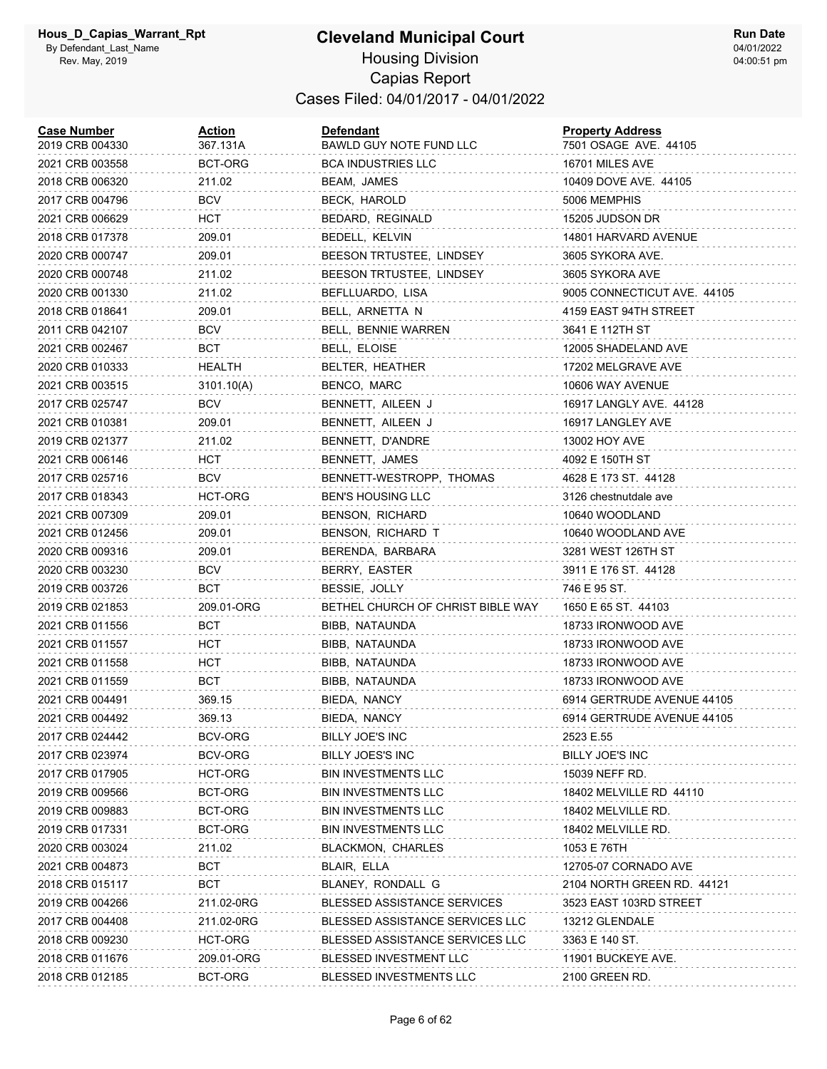| <b>Case Number</b><br>2019 CRB 004330 | <u>Action</u><br>367.131A | <b>Defendant</b><br>BAWLD GUY NOTE FUND LLC | <b>Property Address</b><br>7501 OSAGE AVE. 44105 |
|---------------------------------------|---------------------------|---------------------------------------------|--------------------------------------------------|
| 2021 CRB 003558                       | BCT-ORG                   | <b>BCA INDUSTRIES LLC</b>                   | 16701 MILES AVE                                  |
| 2018 CRB 006320                       | 211.02                    | BEAM, JAMES                                 | 10409 DOVE AVE. 44105                            |
| 2017 CRB 004796                       | BCV                       | BECK, HAROLD                                | 5006 MEMPHIS                                     |
| 2021 CRB 006629                       | HCT                       | BEDARD, REGINALD                            | 15205 JUDSON DR                                  |
| 2018 CRB 017378                       | 209.01                    | BEDELL, KELVIN                              | 14801 HARVARD AVENUE                             |
| 2020 CRB 000747                       | 209.01                    | BEESON TRTUSTEE, LINDSEY                    | 3605 SYKORA AVE.                                 |
| 2020 CRB 000748                       | 211.02                    | BEESON TRTUSTEE, LINDSEY                    | 3605 SYKORA AVE                                  |
| 2020 CRB 001330                       | 211.02                    | BEFLLUARDO, LISA                            | 9005 CONNECTICUT AVE. 44105                      |
| 2018 CRB 018641                       | 209.01                    | BELL, ARNETTA N                             | 4159 EAST 94TH STREET                            |
| 2011 CRB 042107                       | <b>BCV</b>                | BELL, BENNIE WARREN                         | 3641 E 112TH ST                                  |
| 2021 CRB 002467                       | BCT                       | BELL, ELOISE                                | 12005 SHADELAND AVE                              |
| 2020 CRB 010333                       | HEALTH                    | BELTER, HEATHER                             | 17202 MELGRAVE AVE                               |
| 2021 CRB 003515                       | 3101.10(A)                | BENCO, MARC                                 | 10606 WAY AVENUE                                 |
| 2017 CRB 025747                       | BCV                       | BENNETT, AILEEN J                           | 16917 LANGLY AVE. 44128                          |
| 2021 CRB 010381                       | 209.01                    | BENNETT, AILEEN J                           | 16917 LANGLEY AVE                                |
| 2019 CRB 021377                       | 211.02                    | BENNETT, D'ANDRE                            | 13002 HOY AVE                                    |
| 2021 CRB 006146                       | HCT                       | BENNETT, JAMES                              | 4092 E 150TH ST                                  |
| 2017 CRB 025716                       | BCV                       | BENNETT-WESTROPP, THOMAS                    | 4628 E 173 ST. 44128                             |
| 2017 CRB 018343                       | <b>HCT-ORG</b>            | <b>BEN'S HOUSING LLC</b>                    | 3126 chestnutdale ave                            |
| 2021 CRB 007309                       | 209.01                    | BENSON, RICHARD                             | 10640 WOODLAND                                   |
| 2021 CRB 012456                       | 209.01                    | BENSON, RICHARD T                           | 10640 WOODLAND AVE                               |
| 2020 CRB 009316                       | 209.01                    | BERENDA, BARBARA                            | 3281 WEST 126TH ST                               |
| 2020 CRB 003230                       | <b>BCV</b>                | BERRY, EASTER                               | 3911 E 176 ST. 44128                             |
| 2019 CRB 003726                       | <b>BCT</b>                | BESSIE, JOLLY                               | 746 E 95 ST.                                     |
| 2019 CRB 021853                       | 209.01-ORG                | BETHEL CHURCH OF CHRIST BIBLE WAY           | 1650 E 65 ST. 44103                              |
| 2021 CRB 011556                       | BCT                       | BIBB, NATAUNDA                              | 18733 IRONWOOD AVE                               |
| 2021 CRB 011557                       | HCT                       | BIBB, NATAUNDA                              | 18733 IRONWOOD AVE                               |
| 2021 CRB 011558                       | HCT                       | BIBB, NATAUNDA                              | 18733 IRONWOOD AVE                               |
| 2021 CRB 011559                       | BCT                       | BIBB, NATAUNDA                              | 18733 IRONWOOD AVE                               |
| 2021 CRB 004491                       | 369.15                    | BIEDA, NANCY                                | 6914 GERTRUDE AVENUE 44105                       |
| 2021 CRB 004492                       | 369.13                    | BIEDA, NANCY                                | 6914 GERTRUDE AVENUE 44105                       |
| 2017 CRB 024442                       | BCV-ORG                   | BILLY JOE'S INC                             | 2523 E.55                                        |
| 2017 CRB 023974                       | BCV-ORG                   | BILLY JOES'S INC                            | <b>BILLY JOE'S INC</b>                           |
| 2017 CRB 017905                       | HCT-ORG                   | <b>BIN INVESTMENTS LLC</b>                  | 15039 NEFF RD.                                   |
| 2019 CRB 009566                       | BCT-ORG                   | BIN INVESTMENTS LLC                         | 18402 MELVILLE RD 44110                          |
| 2019 CRB 009883                       | BCT-ORG                   | BIN INVESTMENTS LLC                         | 18402 MELVILLE RD.                               |
| 2019 CRB 017331                       | BCT-ORG                   | <b>BIN INVESTMENTS LLC</b>                  | 18402 MELVILLE RD.                               |
| 2020 CRB 003024                       | 211.02                    | <b>BLACKMON, CHARLES</b>                    | 1053 E 76TH                                      |
| 2021 CRB 004873                       | <b>BCT</b>                | BLAIR, ELLA                                 | 12705-07 CORNADO AVE                             |
| 2018 CRB 015117                       | BCT                       | BLANEY, RONDALL G                           | 2104 NORTH GREEN RD. 44121                       |
| 2019 CRB 004266                       | 211.02-0RG                | <b>BLESSED ASSISTANCE SERVICES</b>          | 3523 EAST 103RD STREET                           |
| 2017 CRB 004408                       | 211.02-0RG                | BLESSED ASSISTANCE SERVICES LLC             | 13212 GLENDALE                                   |
| 2018 CRB 009230                       | HCT-ORG                   | BLESSED ASSISTANCE SERVICES LLC             | 3363 E 140 ST.                                   |
| 2018 CRB 011676                       | 209.01-ORG                | <b>BLESSED INVESTMENT LLC</b>               | 11901 BUCKEYE AVE.                               |
| 2018 CRB 012185                       | BCT-ORG                   | BLESSED INVESTMENTS LLC                     | 2100 GREEN RD.                                   |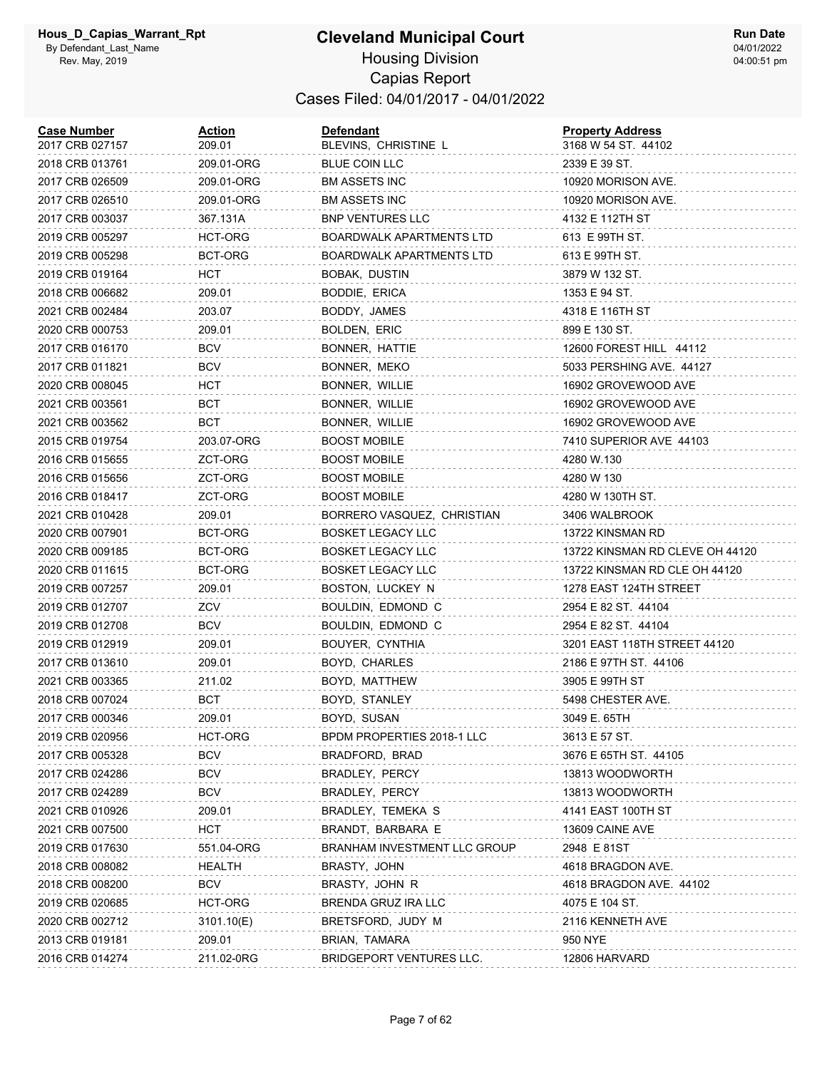| <b>Case Number</b><br>2017 CRB 027157 | <u>Action</u><br>209.01 | <b>Defendant</b><br>BLEVINS, CHRISTINE L | <b>Property Address</b><br>3168 W 54 ST. 44102 |
|---------------------------------------|-------------------------|------------------------------------------|------------------------------------------------|
| 2018 CRB 013761                       | 209.01-ORG              | <b>BLUE COIN LLC</b>                     | 2339 E 39 ST.                                  |
| 2017 CRB 026509                       | 209.01-ORG              | <b>BM ASSETS INC</b>                     | 10920 MORISON AVE.                             |
| 2017 CRB 026510                       | 209.01-ORG              | <b>BM ASSETS INC</b>                     | 10920 MORISON AVE.                             |
| 2017 CRB 003037                       | 367.131A                | <b>BNP VENTURES LLC</b>                  | 4132 E 112TH ST                                |
| 2019 CRB 005297                       | HCT-ORG                 | BOARDWALK APARTMENTS LTD                 | 613 E 99TH ST.                                 |
| 2019 CRB 005298                       | BCT-ORG                 | <b>BOARDWALK APARTMENTS LTD</b>          | 613 E 99TH ST.                                 |
| 2019 CRB 019164                       | HCT                     | BOBAK, DUSTIN                            | 3879 W 132 ST.                                 |
| 2018 CRB 006682                       | 209.01                  | BODDIE, ERICA                            | 1353 E 94 ST.                                  |
| 2021 CRB 002484                       | 203.07                  | BODDY, JAMES                             | 4318 E 116TH ST                                |
| 2020 CRB 000753                       | 209.01                  | BOLDEN, ERIC                             | 899 E 130 ST.                                  |
| 2017 CRB 016170                       | <b>BCV</b>              | BONNER, HATTIE                           | 12600 FOREST HILL 44112                        |
| 2017 CRB 011821                       | <b>BCV</b>              | BONNER, MEKO                             | 5033 PERSHING AVE. 44127                       |
| 2020 CRB 008045                       | HCT                     | BONNER, WILLIE                           | 16902 GROVEWOOD AVE                            |
| 2021 CRB 003561                       | BCT                     | BONNER, WILLIE                           | 16902 GROVEWOOD AVE                            |
| 2021 CRB 003562                       | BCT                     | BONNER, WILLIE                           | 16902 GROVEWOOD AVE                            |
| 2015 CRB 019754                       | 203.07-ORG              | <b>BOOST MOBILE</b>                      | 7410 SUPERIOR AVE 44103                        |
| 2016 CRB 015655                       | ZCT-ORG                 | <b>BOOST MOBILE</b>                      | 4280 W.130                                     |
| 2016 CRB 015656                       | ZCT-ORG                 | <b>BOOST MOBILE</b>                      | 4280 W 130                                     |
| 2016 CRB 018417                       | ZCT-ORG                 | <b>BOOST MOBILE</b>                      | 4280 W 130TH ST.                               |
| 2021 CRB 010428                       | 209.01                  | BORRERO VASQUEZ, CHRISTIAN               | 3406 WALBROOK                                  |
| 2020 CRB 007901                       | BCT-ORG                 | <b>BOSKET LEGACY LLC</b>                 | 13722 KINSMAN RD                               |
| 2020 CRB 009185                       | BCT-ORG                 | <b>BOSKET LEGACY LLC</b>                 | 13722 KINSMAN RD CLEVE OH 44120                |
| 2020 CRB 011615                       | BCT-ORG                 | <b>BOSKET LEGACY LLC</b>                 | 13722 KINSMAN RD CLE OH 44120                  |
| 2019 CRB 007257                       | 209.01                  | BOSTON, LUCKEY N                         | 1278 EAST 124TH STREET                         |
| 2019 CRB 012707                       | ZCV                     | BOULDIN, EDMOND C                        | 2954 E 82 ST. 44104                            |
| 2019 CRB 012708                       | <b>BCV</b>              | BOULDIN, EDMOND C                        | 2954 E 82 ST. 44104                            |
| 2019 CRB 012919                       | 209.01                  | BOUYER, CYNTHIA                          | 3201 EAST 118TH STREET 44120                   |
| 2017 CRB 013610                       | 209.01                  | BOYD, CHARLES                            | 2186 E 97TH ST. 44106                          |
| 2021 CRB 003365                       | 211.02                  | BOYD, MATTHEW                            | 3905 E 99TH ST                                 |
| 2018 CRB 007024                       | BCT                     | BOYD, STANLEY                            | 5498 CHESTER AVE.                              |
| 2017 CRB 000346                       | 209.01                  | BOYD, SUSAN                              | 3049 E. 65TH                                   |
| 2019 CRB 020956                       | HCT-ORG                 | BPDM PROPERTIES 2018-1 LLC               | 3613 E 57 ST.                                  |
| 2017 CRB 005328                       | <b>BCV</b>              | BRADFORD, BRAD                           | 3676 E 65TH ST. 44105                          |
| 2017 CRB 024286                       | BCV                     | BRADLEY, PERCY                           | 13813 WOODWORTH                                |
| 2017 CRB 024289                       | <b>BCV</b>              | BRADLEY, PERCY                           | 13813 WOODWORTH                                |
| 2021 CRB 010926                       | 209.01                  | BRADLEY, TEMEKA S                        | 4141 EAST 100TH ST                             |
| 2021 CRB 007500                       | <b>HCT</b>              | BRANDT, BARBARA E                        | 13609 CAINE AVE                                |
| 2019 CRB 017630                       | 551.04-ORG              | BRANHAM INVESTMENT LLC GROUP             | 2948 E 81ST                                    |
| 2018 CRB 008082                       | HEALTH                  | BRASTY, JOHN                             | 4618 BRAGDON AVE.                              |
| 2018 CRB 008200                       | <b>BCV</b>              | BRASTY, JOHN R                           | 4618 BRAGDON AVE. 44102                        |
| 2019 CRB 020685                       | HCT-ORG                 | BRENDA GRUZ IRA LLC                      | 4075 E 104 ST.                                 |
| 2020 CRB 002712                       | 3101.10(E)              | BRETSFORD, JUDY M                        | 2116 KENNETH AVE                               |
| 2013 CRB 019181                       | 209.01                  | BRIAN, TAMARA                            | 950 NYE                                        |
| 2016 CRB 014274                       | 211.02-0RG              | BRIDGEPORT VENTURES LLC.                 | 12806 HARVARD                                  |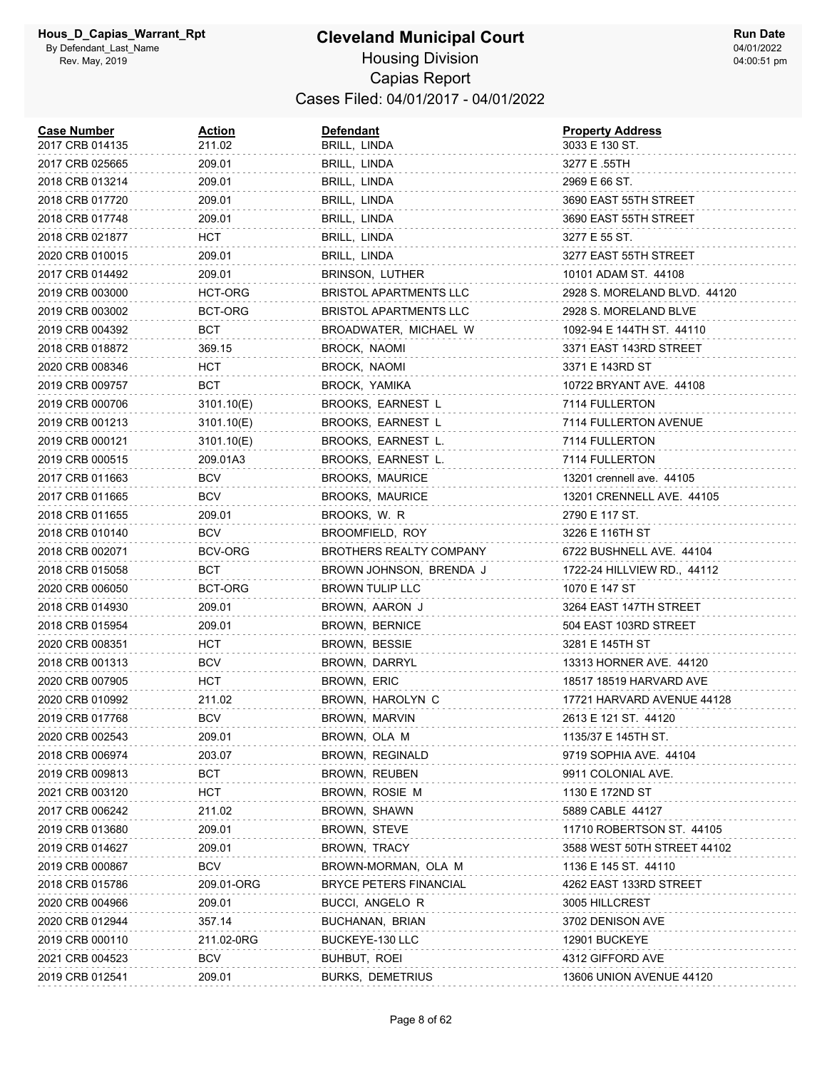| <b>Case Number</b><br>2017 CRB 014135 | Action<br>211.02 | <b>Defendant</b><br>BRILL, LINDA | <b>Property Address</b><br>3033 E 130 ST. |
|---------------------------------------|------------------|----------------------------------|-------------------------------------------|
| 2017 CRB 025665                       | 209.01           | BRILL, LINDA                     | 3277 E .55TH                              |
| 2018 CRB 013214                       | 209.01           | BRILL, LINDA                     | 2969 E 66 ST.                             |
| 2018 CRB 017720                       | 209.01           | BRILL, LINDA                     | 3690 EAST 55TH STREET                     |
| 2018 CRB 017748                       | 209.01           | BRILL, LINDA                     | 3690 EAST 55TH STREET                     |
| 2018 CRB 021877                       | HCT              | BRILL, LINDA                     | 3277 E 55 ST.                             |
| 2020 CRB 010015                       | 209.01           | BRILL, LINDA                     | 3277 EAST 55TH STREET                     |
| 2017 CRB 014492                       | 209.01           | BRINSON, LUTHER                  | 10101 ADAM ST. 44108                      |
| 2019 CRB 003000                       | HCT-ORG          | <b>BRISTOL APARTMENTS LLC</b>    | 2928 S. MORELAND BLVD. 44120              |
| 2019 CRB 003002                       | BCT-ORG          | <b>BRISTOL APARTMENTS LLC</b>    | 2928 S. MORELAND BLVE                     |
| 2019 CRB 004392                       | BCT              | BROADWATER, MICHAEL W            | 1092-94 E 144TH ST. 44110                 |
| 2018 CRB 018872                       | 369.15           | BROCK, NAOMI                     | 3371 EAST 143RD STREET                    |
| 2020 CRB 008346                       | нст              | BROCK, NAOMI                     | 3371 E 143RD ST                           |
| 2019 CRB 009757                       | BCT              | BROCK, YAMIKA                    | 10722 BRYANT AVE. 44108                   |
| 2019 CRB 000706                       | 3101.10(E)       | BROOKS, EARNEST L                | 7114 FULLERTON                            |
| 2019 CRB 001213                       | 3101.10(E)       | BROOKS, EARNEST L                | 7114 FULLERTON AVENUE                     |
| 2019 CRB 000121                       | 3101.10(E)       | BROOKS, EARNEST L.               | 7114 FULLERTON                            |
| 2019 CRB 000515                       | 209.01A3         | BROOKS, EARNEST L.               | 7114 FULLERTON                            |
| 2017 CRB 011663                       | BCV              | <b>BROOKS, MAURICE</b>           | 13201 crennell ave. 44105                 |
| 2017 CRB 011665                       | BCV              | <b>BROOKS, MAURICE</b>           | 13201 CRENNELL AVE. 44105                 |
| 2018 CRB 011655                       | 209.01           | BROOKS, W. R.                    | 2790 E 117 ST.                            |
| 2018 CRB 010140                       | <b>BCV</b>       | BROOMFIELD, ROY                  | 3226 E 116TH ST                           |
| 2018 CRB 002071                       | BCV-ORG          | <b>BROTHERS REALTY COMPANY</b>   | 6722 BUSHNELL AVE. 44104                  |
| 2018 CRB 015058                       | BCT              | BROWN JOHNSON, BRENDA J          | 1722-24 HILLVIEW RD., 44112               |
| 2020 CRB 006050                       | BCT-ORG          | <b>BROWN TULIP LLC</b>           | 1070 E 147 ST                             |
| 2018 CRB 014930                       | 209.01           | BROWN, AARON J                   | 3264 EAST 147TH STREET                    |
| 2018 CRB 015954                       | 209.01           | BROWN, BERNICE                   | 504 EAST 103RD STREET                     |
| 2020 CRB 008351                       | HCT.             | BROWN, BESSIE                    | 3281 E 145TH ST                           |
| 2018 CRB 001313                       | <b>BCV</b>       | BROWN, DARRYL                    | 13313 HORNER AVE. 44120                   |
| 2020 CRB 007905                       | HCT              | BROWN, ERIC                      | 18517 18519 HARVARD AVE                   |
| 2020 CRB 010992                       | 211.02           | BROWN, HAROLYN C                 | 17721 HARVARD AVENUE 44128                |
| 2019 CRB 017768                       | <b>BCV</b>       | BROWN, MARVIN                    | 2613 E 121 ST. 44120                      |
| 2020 CRB 002543                       | 209.01           | BROWN, OLA M                     | 1135/37 E 145TH ST.                       |
| 2018 CRB 006974                       | 203.07           | BROWN, REGINALD                  | 9719 SOPHIA AVE. 44104                    |
| 2019 CRB 009813                       | BCT              | BROWN, REUBEN                    | 9911 COLONIAL AVE.                        |
| 2021 CRB 003120                       | нст              | BROWN, ROSIE M                   | 1130 E 172ND ST                           |
| 2017 CRB 006242                       | 211.02           | BROWN, SHAWN                     | 5889 CABLE 44127                          |
| 2019 CRB 013680                       | 209.01           | BROWN, STEVE                     | 11710 ROBERTSON ST. 44105                 |
| 2019 CRB 014627                       | 209.01           | BROWN, TRACY                     | 3588 WEST 50TH STREET 44102               |
| 2019 CRB 000867                       | BCV              | BROWN-MORMAN, OLA M              | 1136 E 145 ST. 44110                      |
| 2018 CRB 015786                       | 209.01-ORG       | <b>BRYCE PETERS FINANCIAL</b>    | 4262 EAST 133RD STREET                    |
| 2020 CRB 004966                       | 209.01           | BUCCI, ANGELO R                  | 3005 HILLCREST                            |
| 2020 CRB 012944                       | 357.14           | BUCHANAN, BRIAN                  | 3702 DENISON AVE                          |
| 2019 CRB 000110                       | 211.02-0RG       | BUCKEYE-130 LLC                  | 12901 BUCKEYE                             |
| 2021 CRB 004523                       | BCV              | BUHBUT, ROEI                     | 4312 GIFFORD AVE                          |
| 2019 CRB 012541                       | 209.01           | <b>BURKS, DEMETRIUS</b>          | 13606 UNION AVENUE 44120                  |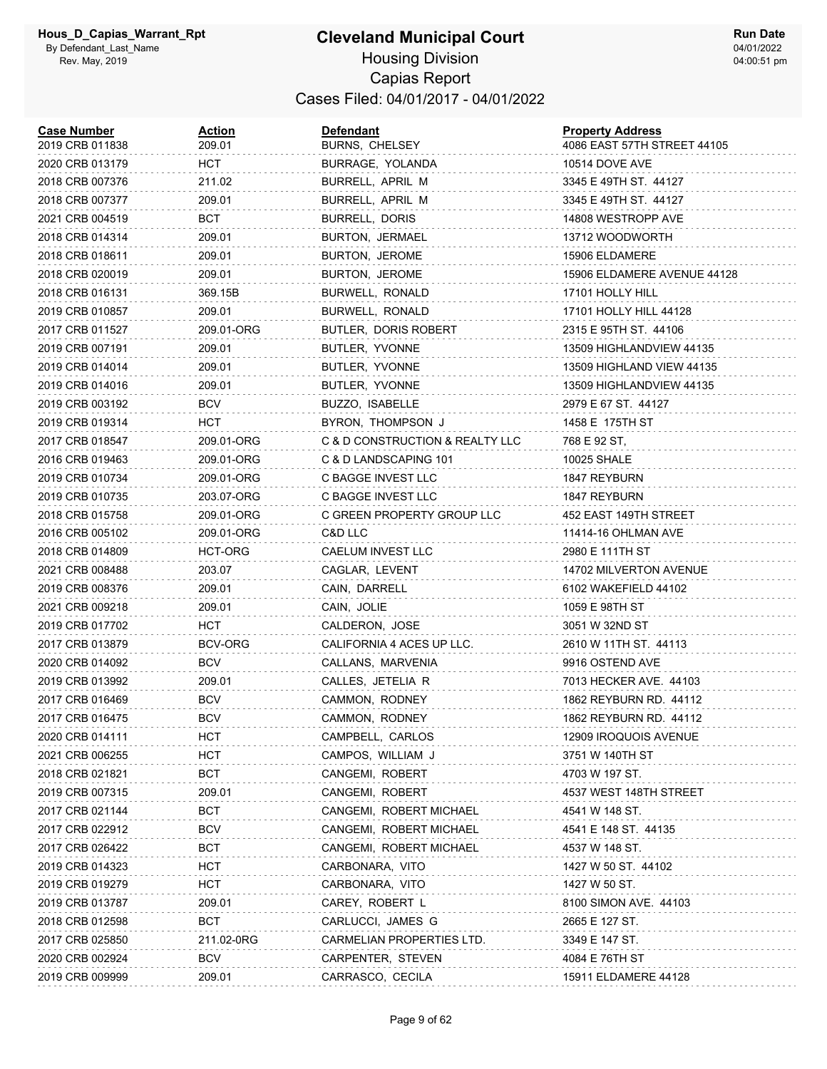| <b>Case Number</b><br>2019 CRB 011838 | Action<br>209.01 | Defendant<br><b>BURNS, CHELSEY</b> | <b>Property Address</b><br>4086 EAST 57TH STREET 44105 |
|---------------------------------------|------------------|------------------------------------|--------------------------------------------------------|
| 2020 CRB 013179                       | HCT              | BURRAGE, YOLANDA                   | <b>10514 DOVE AVE</b>                                  |
| 2018 CRB 007376                       | 211.02           | BURRELL, APRIL M                   | 3345 E 49TH ST. 44127                                  |
| 2018 CRB 007377                       | 209.01           | BURRELL, APRIL M                   | 3345 E 49TH ST. 44127                                  |
| 2021 CRB 004519                       | BCT              | BURRELL, DORIS                     | 14808 WESTROPP AVE                                     |
| 2018 CRB 014314                       | 209.01           | BURTON, JERMAEL                    | 13712 WOODWORTH                                        |
| 2018 CRB 018611                       | 209.01           | BURTON, JEROME                     | 15906 ELDAMERE                                         |
| 2018 CRB 020019                       | 209.01           | BURTON, JEROME                     | 15906 ELDAMERE AVENUE 44128                            |
| 2018 CRB 016131                       | 369.15B          | BURWELL, RONALD                    | 17101 HOLLY HILL                                       |
| 2019 CRB 010857                       | 209.01           | BURWELL, RONALD                    | 17101 HOLLY HILL 44128                                 |
| 2017 CRB 011527                       | 209.01-ORG       | BUTLER, DORIS ROBERT               | 2315 E 95TH ST. 44106                                  |
| 2019 CRB 007191                       | 209.01           | BUTLER, YVONNE                     | 13509 HIGHLANDVIEW 44135                               |
| 2019 CRB 014014                       | 209.01           | BUTLER, YVONNE                     | 13509 HIGHLAND VIEW 44135                              |
| 2019 CRB 014016                       | 209.01           | BUTLER, YVONNE                     | 13509 HIGHLANDVIEW 44135                               |
| 2019 CRB 003192                       | <b>BCV</b>       | BUZZO, ISABELLE                    | 2979 E 67 ST. 44127                                    |
| 2019 CRB 019314                       | HCT              | BYRON, THOMPSON J                  | 1458 E 175TH ST                                        |
| 2017 CRB 018547                       | 209.01-ORG       | C & D CONSTRUCTION & REALTY LLC    | 768 E 92 ST,                                           |
| 2016 CRB 019463                       | 209.01-ORG       | C & D LANDSCAPING 101              | 10025 SHALE                                            |
| 2019 CRB 010734                       | 209.01-ORG       | C BAGGE INVEST LLC                 | 1847 REYBURN                                           |
| 2019 CRB 010735                       | 203.07-ORG       | C BAGGE INVEST LLC                 | 1847 REYBURN                                           |
| 2018 CRB 015758                       | 209.01-ORG       | C GREEN PROPERTY GROUP LLC         | 452 EAST 149TH STREET                                  |
| 2016 CRB 005102                       | 209.01-ORG       | C&D LLC                            | 11414-16 OHLMAN AVE                                    |
| 2018 CRB 014809                       | HCT-ORG          | CAELUM INVEST LLC                  | 2980 E 111TH ST                                        |
| 2021 CRB 008488                       | 203.07           | CAGLAR, LEVENT                     | 14702 MILVERTON AVENUE                                 |
| 2019 CRB 008376                       | 209.01           | CAIN, DARRELL                      | 6102 WAKEFIELD 44102                                   |
| 2021 CRB 009218                       | 209.01           | CAIN, JOLIE                        | 1059 E 98TH ST                                         |
| 2019 CRB 017702                       | HCT              | CALDERON, JOSE                     | 3051 W 32ND ST                                         |
| 2017 CRB 013879                       | <b>BCV-ORG</b>   | CALIFORNIA 4 ACES UP LLC.          | 2610 W 11TH ST. 44113                                  |
| 2020 CRB 014092                       | BCV              | CALLANS, MARVENIA                  | 9916 OSTEND AVE                                        |
| 2019 CRB 013992                       | 209.01           | CALLES, JETELIA R                  | 7013 HECKER AVE. 44103                                 |
| 2017 CRB 016469                       | <b>BCV</b>       | CAMMON, RODNEY                     | 1862 REYBURN RD. 44112                                 |
| 2017 CRB 016475                       | BCV              | CAMMON, RODNEY                     | 1862 REYBURN RD. 44112                                 |
| 2020 CRB 014111                       | HCT              | CAMPBELL, CARLOS                   | 12909 IROQUOIS AVENUE                                  |
| 2021 CRB 006255                       | HCT              | CAMPOS, WILLIAM J                  | 3751 W 140TH ST                                        |
| 2018 CRB 021821                       | BCT              | CANGEMI, ROBERT                    | 4703 W 197 ST.                                         |
| 2019 CRB 007315                       | 209.01           | CANGEMI, ROBERT                    | 4537 WEST 148TH STREET                                 |
| 2017 CRB 021144                       | <b>BCT</b>       | CANGEMI, ROBERT MICHAEL            | 4541 W 148 ST.                                         |
| 2017 CRB 022912                       | <b>BCV</b>       | CANGEMI, ROBERT MICHAEL            | 4541 E 148 ST. 44135                                   |
| 2017 CRB 026422                       | BCT              | CANGEMI, ROBERT MICHAEL            | 4537 W 148 ST.                                         |
| 2019 CRB 014323                       | HCT              | CARBONARA, VITO                    | 1427 W 50 ST. 44102                                    |
| 2019 CRB 019279                       | HCT              | CARBONARA, VITO                    | 1427 W 50 ST.                                          |
| 2019 CRB 013787                       | 209.01           | CAREY, ROBERT L                    | 8100 SIMON AVE. 44103                                  |
| 2018 CRB 012598                       | BCT              | CARLUCCI, JAMES G                  | 2665 E 127 ST.                                         |
| 2017 CRB 025850                       | 211.02-0RG       | CARMELIAN PROPERTIES LTD.          | 3349 E 147 ST.                                         |
| 2020 CRB 002924                       | <b>BCV</b>       | CARPENTER, STEVEN                  | 4084 E 76TH ST                                         |
| 2019 CRB 009999                       | 209.01           | CARRASCO, CECILA                   | 15911 ELDAMERE 44128                                   |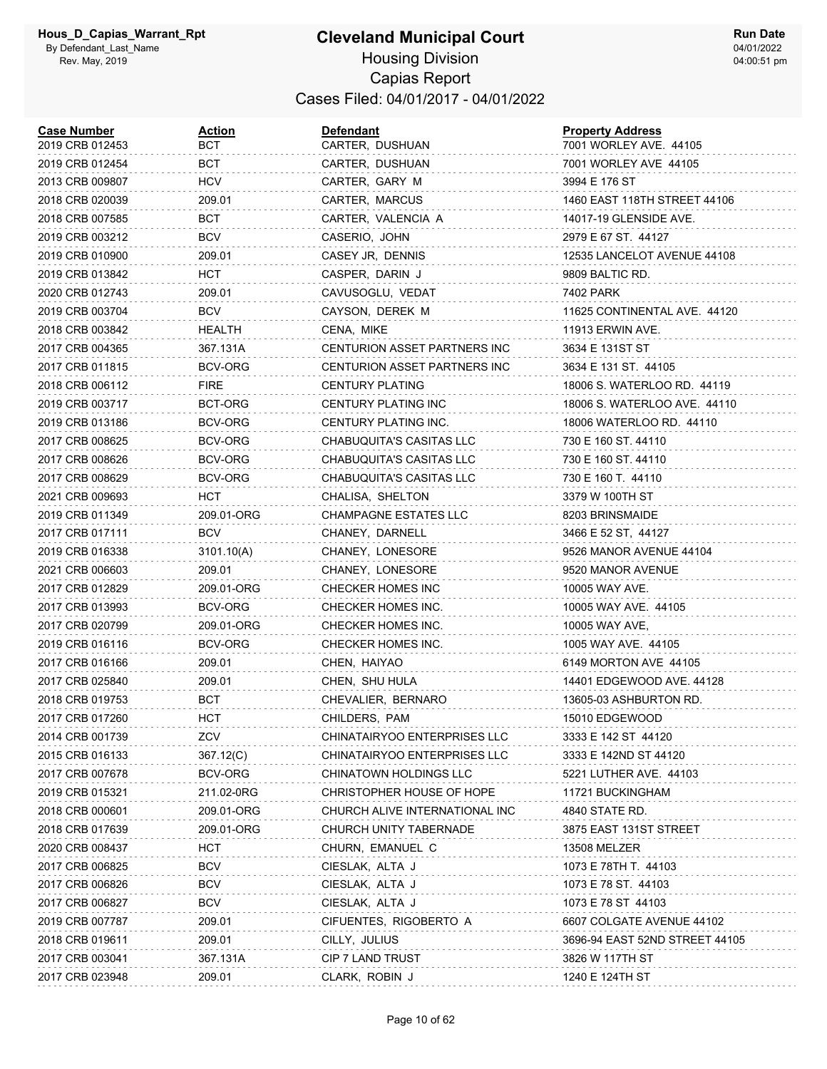#### **Cleveland Municipal Court** Housing Division Capias Report Cases Filed: 04/01/2017 - 04/01/2022

| <b>Case Number</b><br>2019 CRB 012453 | <u>Action</u><br>вст | <b>Defendant</b><br>CARTER, DUSHUAN | <b>Property Address</b><br>7001 WORLEY AVE. 44105 |
|---------------------------------------|----------------------|-------------------------------------|---------------------------------------------------|
| 2019 CRB 012454                       | BCT                  | CARTER, DUSHUAN                     | 7001 WORLEY AVE 44105                             |
| 2013 CRB 009807                       | HCV                  | CARTER, GARY M                      | 3994 E 176 ST                                     |
| 2018 CRB 020039                       | 209.01               | CARTER, MARCUS                      | 1460 EAST 118TH STREET 44106                      |
| 2018 CRB 007585                       | BCT                  | CARTER, VALENCIA A                  | 14017-19 GLENSIDE AVE.                            |
| 2019 CRB 003212                       | <b>BCV</b>           | CASERIO, JOHN                       | 2979 E 67 ST. 44127                               |
| 2019 CRB 010900                       | 209.01               | CASEY JR, DENNIS                    | 12535 LANCELOT AVENUE 44108                       |
| 2019 CRB 013842                       | HCT                  | CASPER, DARIN J                     | 9809 BALTIC RD.                                   |
| 2020 CRB 012743                       | 209.01               | CAVUSOGLU, VEDAT                    | 7402 PARK                                         |
| 2019 CRB 003704                       | BCV                  | CAYSON, DEREK M                     | 11625 CONTINENTAL AVE. 44120                      |
| 2018 CRB 003842                       | HEALTH               | CENA, MIKE                          | 11913 ERWIN AVE.                                  |
| 2017 CRB 004365                       | 367.131A             | CENTURION ASSET PARTNERS INC        | 3634 E 131ST ST                                   |
| 2017 CRB 011815                       | BCV-ORG              | CENTURION ASSET PARTNERS INC        | 3634 E 131 ST. 44105                              |
| 2018 CRB 006112                       | <b>FIRE</b>          | <b>CENTURY PLATING</b>              | 18006 S. WATERLOO RD. 44119                       |
| 2019 CRB 003717                       | BCT-ORG              | CENTURY PLATING INC                 | 18006 S. WATERLOO AVE. 44110                      |
| 2019 CRB 013186                       | BCV-ORG              | CENTURY PLATING INC.                | 18006 WATERLOO RD. 44110                          |
| 2017 CRB 008625                       | BCV-ORG              | CHABUQUITA'S CASITAS LLC            | 730 E 160 ST. 44110                               |
| 2017 CRB 008626                       | BCV-ORG              | CHABUQUITA'S CASITAS LLC            | 730 E 160 ST. 44110                               |
| 2017 CRB 008629                       | BCV-ORG              | CHABUQUITA'S CASITAS LLC            | 730 E 160 T. 44110                                |
| 2021 CRB 009693                       | HCT                  | CHALISA, SHELTON                    | 3379 W 100TH ST                                   |
| 2019 CRB 011349                       | 209.01-ORG           | CHAMPAGNE ESTATES LLC               | 8203 BRINSMAIDE                                   |
| 2017 CRB 017111                       | BCV                  | CHANEY, DARNELL                     | 3466 E 52 ST, 44127                               |
| 2019 CRB 016338                       | 3101.10(A)           | CHANEY, LONESORE                    | 9526 MANOR AVENUE 44104                           |
| 2021 CRB 006603                       | 209.01               | CHANEY, LONESORE                    | 9520 MANOR AVENUE                                 |
| 2017 CRB 012829                       | 209.01-ORG           | CHECKER HOMES INC                   | 10005 WAY AVE.                                    |
| 2017 CRB 013993                       | BCV-ORG              | CHECKER HOMES INC.                  | 10005 WAY AVE. 44105                              |
| 2017 CRB 020799                       | 209.01-ORG           | CHECKER HOMES INC.                  | 10005 WAY AVE,                                    |
| 2019 CRB 016116                       | BCV-ORG              | CHECKER HOMES INC.                  | 1005 WAY AVE. 44105                               |
| 2017 CRB 016166                       | 209.01               | CHEN, HAIYAO                        | 6149 MORTON AVE 44105                             |
| 2017 CRB 025840                       | 209.01               | CHEN, SHU HULA                      | 14401 EDGEWOOD AVE. 44128                         |
| 2018 CRB 019753                       | BCT                  | CHEVALIER, BERNARO                  | 13605-03 ASHBURTON RD.                            |
| 2017 CRB 017260                       | HCT                  | CHILDERS, PAM                       | 15010 EDGEWOOD                                    |
| 2014 CRB 001739                       | ZCV                  | CHINATAIRYOO ENTERPRISES LLC        | 3333 E 142 ST 44120                               |
| 2015 CRB 016133                       | 367.12(C)            | CHINATAIRYOO ENTERPRISES LLC        | 3333 E 142ND ST 44120                             |
| 2017 CRB 007678                       | BCV-ORG              | CHINATOWN HOLDINGS LLC              | 5221 LUTHER AVE. 44103                            |
| 2019 CRB 015321                       | 211.02-0RG           | CHRISTOPHER HOUSE OF HOPE           | 11721 BUCKINGHAM                                  |
| 2018 CRB 000601                       | 209.01-ORG           | CHURCH ALIVE INTERNATIONAL INC      | 4840 STATE RD.                                    |
| 2018 CRB 017639                       | 209.01-ORG           | CHURCH UNITY TABERNADE              | 3875 EAST 131ST STREET                            |
| 2020 CRB 008437                       | <b>HCT</b>           | CHURN, EMANUEL C                    | 13508 MELZER                                      |
| 2017 CRB 006825                       | <b>BCV</b>           | CIESLAK, ALTA J                     | 1073 E 78TH T. 44103                              |
| 2017 CRB 006826                       | <b>BCV</b>           | CIESLAK, ALTA J                     | 1073 E 78 ST. 44103                               |
| 2017 CRB 006827                       | <b>BCV</b>           | CIESLAK, ALTA J                     | 1073 E 78 ST 44103                                |
| 2019 CRB 007787                       | 209.01               | CIFUENTES, RIGOBERTO A              | 6607 COLGATE AVENUE 44102                         |
| 2018 CRB 019611                       | 209.01               | CILLY, JULIUS                       | 3696-94 EAST 52ND STREET 44105                    |
| 2017 CRB 003041                       | 367.131A             | CIP 7 LAND TRUST                    | 3826 W 117TH ST                                   |
| 2017 CRB 023948                       | 209.01               | CLARK, ROBIN J                      | 1240 E 124TH ST                                   |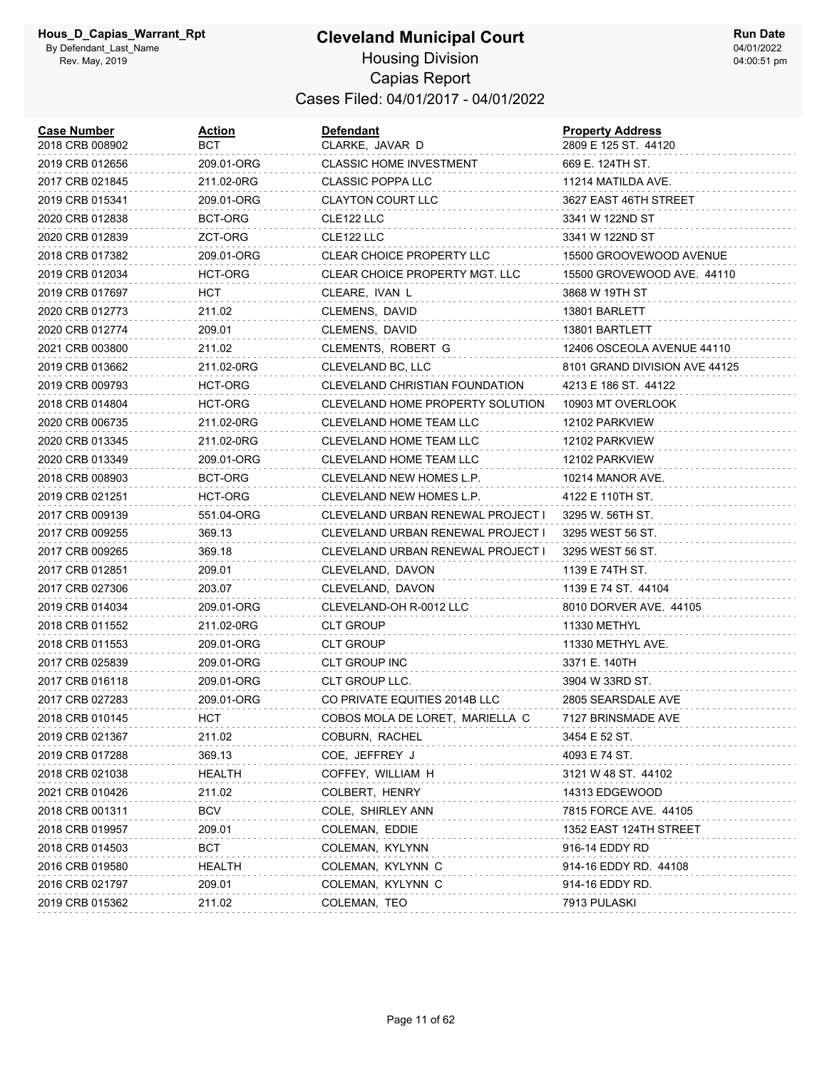| <b>Case Number</b><br>2018 CRB 008902 | Action<br>вст | <b>Defendant</b><br>CLARKE, JAVAR D   | <b>Property Address</b><br>2809 E 125 ST. 44120 |
|---------------------------------------|---------------|---------------------------------------|-------------------------------------------------|
| 2019 CRB 012656                       | 209.01-ORG    | <b>CLASSIC HOME INVESTMENT</b>        | 669 E. 124TH ST.                                |
| 2017 CRB 021845                       | 211.02-0RG    | <b>CLASSIC POPPA LLC</b>              | 11214 MATILDA AVE.                              |
| 2019 CRB 015341                       | 209.01-ORG    | <b>CLAYTON COURT LLC</b>              | 3627 EAST 46TH STREET                           |
| 2020 CRB 012838                       | BCT-ORG       | CLE122 LLC                            | 3341 W 122ND ST                                 |
| 2020 CRB 012839                       | ZCT-ORG       | CLE122 LLC                            | 3341 W 122ND ST                                 |
| 2018 CRB 017382                       | 209.01-ORG    | <b>CLEAR CHOICE PROPERTY LLC</b>      | 15500 GROOVEWOOD AVENUE                         |
| 2019 CRB 012034                       | HCT-ORG       | CLEAR CHOICE PROPERTY MGT. LLC        | 15500 GROVEWOOD AVE. 44110                      |
| 2019 CRB 017697                       | HCT           | CLEARE, IVAN L                        | 3868 W 19TH ST                                  |
| 2020 CRB 012773                       | 211.02        | CLEMENS, DAVID                        | 13801 BARLETT                                   |
| 2020 CRB 012774                       | 209.01        | CLEMENS, DAVID                        | 13801 BARTLETT                                  |
| 2021 CRB 003800                       | 211.02        | CLEMENTS, ROBERT G                    | 12406 OSCEOLA AVENUE 44110                      |
| 2019 CRB 013662                       | 211.02-0RG    | CLEVELAND BC, LLC                     | 8101 GRAND DIVISION AVE 44125                   |
| 2019 CRB 009793                       | HCT-ORG       | <b>CLEVELAND CHRISTIAN FOUNDATION</b> | 4213 E 186 ST. 44122                            |
| 2018 CRB 014804                       | HCT-ORG       | CLEVELAND HOME PROPERTY SOLUTION      | 10903 MT OVERLOOK                               |
| 2020 CRB 006735                       | 211.02-0RG    | CLEVELAND HOME TEAM LLC               | 12102 PARKVIEW                                  |
| 2020 CRB 013345                       | 211.02-0RG    | CLEVELAND HOME TEAM LLC               | 12102 PARKVIEW                                  |
| 2020 CRB 013349                       | 209.01-ORG    | CLEVELAND HOME TEAM LLC               | 12102 PARKVIEW                                  |
| 2018 CRB 008903                       | BCT-ORG       | CLEVELAND NEW HOMES L.P.              | 10214 MANOR AVE.                                |
| 2019 CRB 021251                       | HCT-ORG       | CLEVELAND NEW HOMES L.P.              | 4122 E 110TH ST.                                |
| 2017 CRB 009139                       | 551.04-ORG    | CLEVELAND URBAN RENEWAL PROJECT I     | 3295 W. 56TH ST.                                |
| 2017 CRB 009255                       | 369.13        | CLEVELAND URBAN RENEWAL PROJECT I     | 3295 WEST 56 ST.                                |
| 2017 CRB 009265                       | 369.18        | CLEVELAND URBAN RENEWAL PROJECT I     | 3295 WEST 56 ST.                                |
| 2017 CRB 012851                       | 209.01        | CLEVELAND, DAVON                      | 1139 E 74TH ST.                                 |
| 2017 CRB 027306                       | 203.07        | CLEVELAND, DAVON                      | 1139 E 74 ST. 44104                             |
| 2019 CRB 014034                       | 209.01-ORG    | CLEVELAND-OH R-0012 LLC               | 8010 DORVER AVE. 44105                          |
| 2018 CRB 011552                       | 211.02-0RG    | CLT GROUP                             | 11330 METHYL                                    |
| 2018 CRB 011553                       | 209.01-ORG    | <b>CLT GROUP</b>                      | 11330 METHYL AVE.                               |
| 2017 CRB 025839                       | 209.01-ORG    | CLT GROUP INC                         | 3371 E. 140TH                                   |
| 2017 CRB 016118                       | 209.01-ORG    | CLT GROUP LLC.                        | 3904 W 33RD ST.                                 |
| 2017 CRB 027283                       | 209.01-ORG    | CO PRIVATE EQUITIES 2014B LLC         | 2805 SEARSDALE AVE                              |
| 2018 CRB 010145                       | <b>HCT</b>    | COBOS MOLA DE LORET, MARIELLA C       | 7127 BRINSMADE AVE                              |
| 2019 CRB 021367                       | 211.02        | COBURN, RACHEL                        | 3454 E 52 ST.                                   |
| 2019 CRB 017288                       | 369.13        | COE, JEFFREY J                        | 4093 E 74 ST.                                   |
| 2018 CRB 021038                       | HEALTH        | COFFEY, WILLIAM H                     | 3121 W 48 ST. 44102                             |
| 2021 CRB 010426                       | 211.02        | COLBERT, HENRY                        | 14313 EDGEWOOD                                  |
| 2018 CRB 001311                       | <b>BCV</b>    | COLE, SHIRLEY ANN                     | 7815 FORCE AVE. 44105                           |
| 2018 CRB 019957                       | 209.01        | COLEMAN, EDDIE                        | 1352 EAST 124TH STREET                          |
| 2018 CRB 014503                       | BCT           | COLEMAN, KYLYNN                       | 916-14 EDDY RD                                  |
| 2016 CRB 019580                       | HEALTH        | COLEMAN, KYLYNN C                     | 914-16 EDDY RD. 44108                           |
| 2016 CRB 021797                       | 209.01        | COLEMAN, KYLYNN C                     | 914-16 EDDY RD.                                 |
| 2019 CRB 015362                       | 211.02        | COLEMAN, TEO                          | 7913 PULASKI                                    |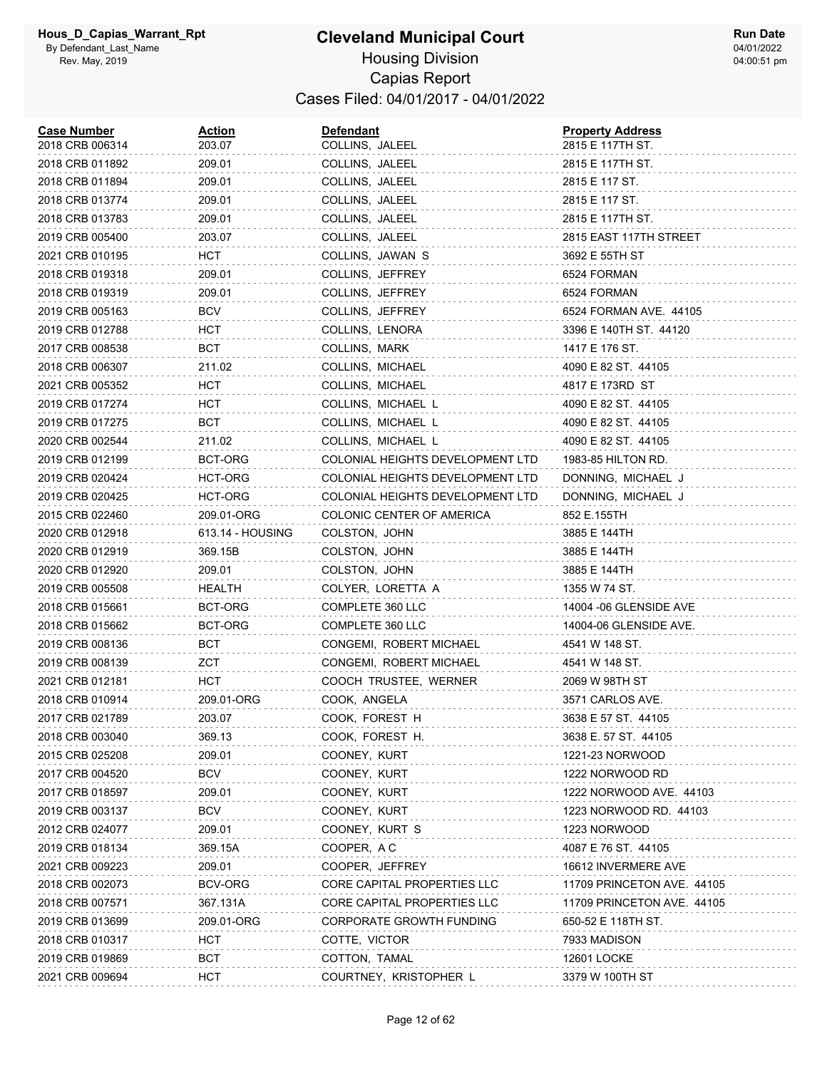| <b>Case Number</b><br>2018 CRB 006314 | Action<br>203.07 | <b>Defendant</b><br>COLLINS, JALEEL | <b>Property Address</b><br>2815 E 117TH ST. |
|---------------------------------------|------------------|-------------------------------------|---------------------------------------------|
| 2018 CRB 011892                       | 209.01           | COLLINS, JALEEL                     | 2815 E 117TH ST.                            |
| 2018 CRB 011894                       | 209.01           | COLLINS, JALEEL                     | 2815 E 117 ST.                              |
| 2018 CRB 013774                       | 209.01           | COLLINS, JALEEL                     | 2815 E 117 ST.                              |
| 2018 CRB 013783                       | 209.01           | COLLINS, JALEEL                     | 2815 E 117TH ST.                            |
| 2019 CRB 005400                       | 203.07           | COLLINS, JALEEL                     | 2815 EAST 117TH STREET                      |
| 2021 CRB 010195                       | HCT              | COLLINS, JAWAN S                    | 3692 E 55TH ST                              |
| 2018 CRB 019318                       | 209.01           | COLLINS, JEFFREY                    | 6524 FORMAN                                 |
| 2018 CRB 019319                       | 209.01           | COLLINS, JEFFREY                    | 6524 FORMAN                                 |
| 2019 CRB 005163                       | <b>BCV</b>       | COLLINS, JEFFREY                    | 6524 FORMAN AVE. 44105                      |
| 2019 CRB 012788                       | HCT              | COLLINS, LENORA                     | 3396 E 140TH ST. 44120                      |
| 2017 CRB 008538                       | <b>BCT</b>       | COLLINS, MARK                       | 1417 E 176 ST.                              |
| 2018 CRB 006307                       | 211.02           | COLLINS, MICHAEL                    | 4090 E 82 ST. 44105                         |
| 2021 CRB 005352                       | HCT              | COLLINS, MICHAEL                    | 4817 E 173RD ST                             |
| 2019 CRB 017274                       | HCT              | COLLINS, MICHAEL L                  | 4090 E 82 ST. 44105                         |
| 2019 CRB 017275                       | <b>BCT</b>       | COLLINS, MICHAEL L                  | 4090 E 82 ST. 44105                         |
| 2020 CRB 002544                       | 211.02           | COLLINS, MICHAEL L                  | 4090 E 82 ST. 44105                         |
| 2019 CRB 012199                       | BCT-ORG          | COLONIAL HEIGHTS DEVELOPMENT LTD    | 1983-85 HILTON RD.                          |
| 2019 CRB 020424                       | HCT-ORG          | COLONIAL HEIGHTS DEVELOPMENT LTD    | DONNING, MICHAEL J                          |
| 2019 CRB 020425                       | HCT-ORG          | COLONIAL HEIGHTS DEVELOPMENT LTD    | DONNING, MICHAEL J                          |
| 2015 CRB 022460                       | 209.01-ORG       | COLONIC CENTER OF AMERICA           | 852 E.155TH                                 |
| 2020 CRB 012918                       | 613.14 - HOUSING | COLSTON, JOHN                       | 3885 E 144TH                                |
| 2020 CRB 012919                       | 369.15B          | COLSTON, JOHN                       | 3885 E 144TH                                |
| 2020 CRB 012920                       | 209.01           | COLSTON, JOHN                       | 3885 E 144TH                                |
| 2019 CRB 005508                       | HEALTH           | COLYER, LORETTA A                   | 1355 W 74 ST.                               |
| 2018 CRB 015661                       | BCT-ORG          | COMPLETE 360 LLC                    | 14004 -06 GLENSIDE AVE                      |
| 2018 CRB 015662                       | BCT-ORG          | COMPLETE 360 LLC                    | 14004-06 GLENSIDE AVE.                      |
| 2019 CRB 008136                       | BCT              | CONGEMI, ROBERT MICHAEL             | 4541 W 148 ST.                              |
| 2019 CRB 008139                       | ZCT              | CONGEMI, ROBERT MICHAEL             | 4541 W 148 ST.                              |
| 2021 CRB 012181                       | HCT              | COOCH TRUSTEE, WERNER               | 2069 W 98TH ST                              |
| 2018 CRB 010914                       | 209.01-ORG       | COOK, ANGELA                        | 3571 CARLOS AVE.                            |
| 2017 CRB 021789                       | 203.07           | COOK, FOREST H                      | 3638 E 57 ST. 44105                         |
| 2018 CRB 003040                       | 369.13           | COOK, FOREST H.                     | 3638 E. 57 ST. 44105                        |
| 2015 CRB 025208                       | 209.01           | COONEY, KURT                        | 1221-23 NORWOOD                             |
| 2017 CRB 004520                       | <b>BCV</b>       | COONEY, KURT                        | 1222 NORWOOD RD                             |
| 2017 CRB 018597                       | 209.01           | COONEY, KURT                        | 1222 NORWOOD AVE. 44103                     |
| 2019 CRB 003137                       | <b>BCV</b>       | COONEY, KURT                        | 1223 NORWOOD RD. 44103                      |
| 2012 CRB 024077                       | 209.01           | COONEY, KURT S                      | 1223 NORWOOD                                |
| 2019 CRB 018134                       | 369.15A          | COOPER, AC                          | 4087 E 76 ST. 44105                         |
| 2021 CRB 009223                       | 209.01           | COOPER, JEFFREY                     | 16612 INVERMERE AVE                         |
| 2018 CRB 002073                       | BCV-ORG          | CORE CAPITAL PROPERTIES LLC         | 11709 PRINCETON AVE. 44105                  |
| 2018 CRB 007571                       | 367.131A         | CORE CAPITAL PROPERTIES LLC         | 11709 PRINCETON AVE. 44105                  |
| 2019 CRB 013699                       | 209.01-ORG       | CORPORATE GROWTH FUNDING            | 650-52 E 118TH ST.                          |
| 2018 CRB 010317                       | <b>HCT</b>       | COTTE, VICTOR                       | 7933 MADISON                                |
| 2019 CRB 019869                       | <b>BCT</b>       | COTTON, TAMAL                       | <b>12601 LOCKE</b>                          |
| 2021 CRB 009694                       | HCT              | COURTNEY, KRISTOPHER I              | 3379 W 100TH ST                             |
|                                       |                  |                                     |                                             |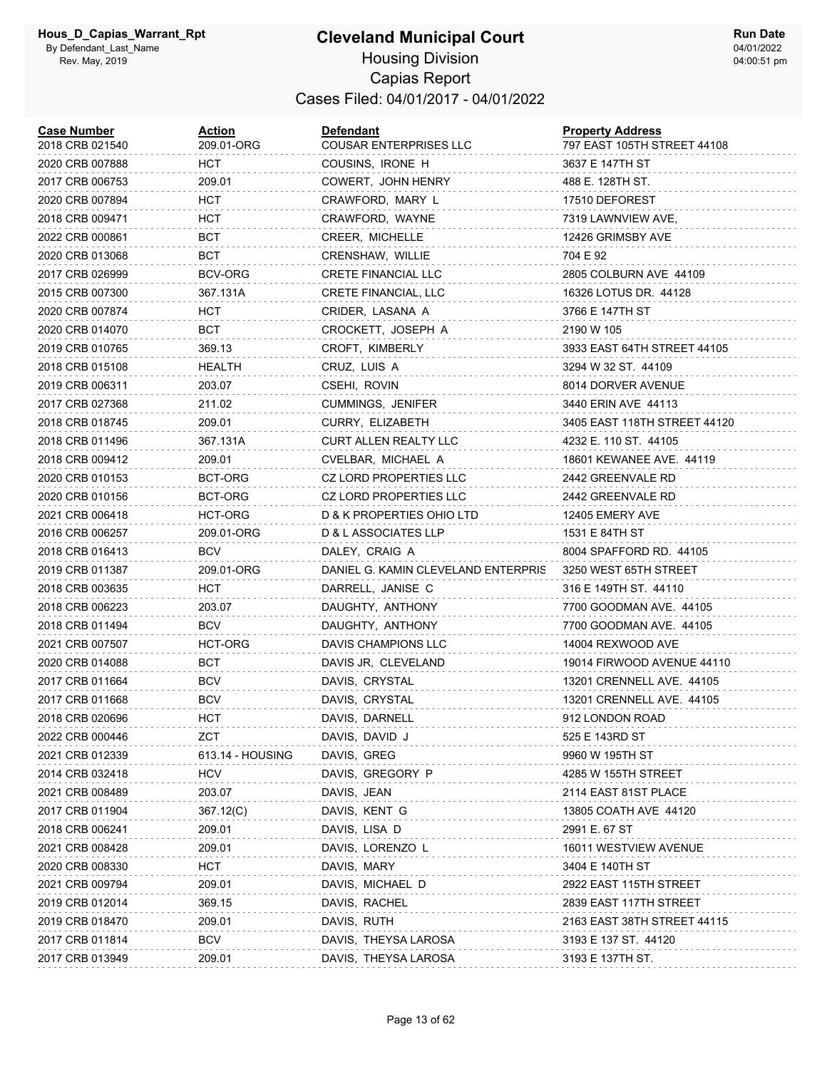#### **Cleveland Municipal Court** Housing Division

Capias Report Cases Filed: 04/01/2017 - 04/01/2022

| <b>Case Number</b><br>2018 CRB 021540 | <b>Action</b><br>209.01-ORG | <b>Defendant</b><br>COUSAR ENTERPRISES LLC | <b>Property Address</b><br>797 EAST 105TH STREET 44108 |
|---------------------------------------|-----------------------------|--------------------------------------------|--------------------------------------------------------|
| 2020 CRB 007888                       | HCT.                        | COUSINS, IRONE H                           | 3637 E 147TH ST                                        |
| 2017 CRB 006753                       | 209.01                      | COWERT, JOHN HENRY                         | 488 E. 128TH ST.                                       |
| 2020 CRB 007894                       | HCT                         | CRAWFORD, MARY L                           | 17510 DEFOREST                                         |
| 2018 CRB 009471                       | HCT                         | CRAWFORD, WAYNE                            | 7319 LAWNVIEW AVE,                                     |
| 2022 CRB 000861                       | BCT                         | CREER, MICHELLE                            | 12426 GRIMSBY AVE                                      |
| 2020 CRB 013068                       | BCT                         | CRENSHAW, WILLIE                           | 704 E 92                                               |
| 2017 CRB 026999                       | BCV-ORG                     | CRETE FINANCIAL LLC                        | 2805 COLBURN AVE 44109                                 |
| 2015 CRB 007300                       | 367.131A                    | CRETE FINANCIAL, LLC                       | 16326 LOTUS DR. 44128                                  |
| 2020 CRB 007874                       | HCT.                        | CRIDER, LASANA A                           | 3766 E 147TH ST                                        |
| 2020 CRB 014070                       | BCT                         | CROCKETT, JOSEPH A                         | 2190 W 105                                             |
| 2019 CRB 010765                       | 369.13                      | CROFT, KIMBERLY                            | 3933 EAST 64TH STREET 44105                            |
| 2018 CRB 015108                       | HEALTH                      | CRUZ, LUIS A                               | 3294 W 32 ST. 44109                                    |
| 2019 CRB 006311                       | 203.07                      | CSEHI, ROVIN                               | 8014 DORVER AVENUE                                     |
| 2017 CRB 027368                       | 211.02                      | <b>CUMMINGS, JENIFER</b>                   | 3440 ERIN AVE 44113                                    |
| 2018 CRB 018745                       | 209.01                      | CURRY, ELIZABETH                           | 3405 EAST 118TH STREET 44120                           |
| 2018 CRB 011496                       | 367.131A                    | <b>CURT ALLEN REALTY LLC</b>               | 4232 E. 110 ST. 44105                                  |
| 2018 CRB 009412                       | 209.01                      | CVELBAR, MICHAEL A                         | 18601 KEWANEE AVE. 44119                               |
| 2020 CRB 010153                       | BCT-ORG                     | CZ LORD PROPERTIES LLC                     | 2442 GREENVALE RD                                      |
| 2020 CRB 010156                       | BCT-ORG                     | CZ LORD PROPERTIES LLC                     | 2442 GREENVALE RD                                      |
| 2021 CRB 006418                       | HCT-ORG                     | D & K PROPERTIES OHIO LTD                  | 12405 EMERY AVE                                        |
| 2016 CRB 006257                       | 209.01-ORG                  | D & L ASSOCIATES LLP                       | 1531 E 84TH ST                                         |
| 2018 CRB 016413                       | BCV                         | DALEY, CRAIG A                             | 8004 SPAFFORD RD. 44105                                |
| 2019 CRB 011387                       | 209.01-ORG                  | DANIEL G. KAMIN CLEVELAND ENTERPRIS        | 3250 WEST 65TH STREET                                  |
| 2018 CRB 003635                       | HCT                         | DARRELL, JANISE C                          | 316 E 149TH ST. 44110                                  |
| 2018 CRB 006223                       | 203.07                      | DAUGHTY, ANTHONY                           | 7700 GOODMAN AVE. 44105                                |
| 2018 CRB 011494                       | <b>BCV</b>                  | DAUGHTY, ANTHONY                           | 7700 GOODMAN AVE. 44105                                |
| 2021 CRB 007507                       | HCT-ORG                     | DAVIS CHAMPIONS LLC                        | 14004 REXWOOD AVE                                      |
| 2020 CRB 014088                       | BCT.                        | DAVIS JR, CLEVELAND                        | 19014 FIRWOOD AVENUE 44110                             |
| 2017 CRB 011664                       | <b>BCV</b>                  | DAVIS, CRYSTAL                             | 13201 CRENNELL AVE. 44105                              |
| 2017 CRB 011668                       | <b>BCV</b>                  | DAVIS, CRYSTAL                             | 13201 CRENNELL AVE. 44105                              |
| 2018 CRB 020696                       | <b>HCT</b>                  | DAVIS, DARNELL                             | 912 LONDON ROAD                                        |
| 2022 CRB 000446                       | ZCT                         | DAVIS, DAVID J                             | 525 E 143RD ST                                         |
| 2021 CRB 012339                       | 613.14 - HOUSING            | DAVIS, GREG                                | 9960 W 195TH ST                                        |
| 2014 CRB 032418                       | <b>HCV</b>                  | DAVIS, GREGORY P                           | 4285 W 155TH STREET                                    |
| 2021 CRB 008489                       | 203.07                      | DAVIS, JEAN                                | 2114 EAST 81ST PLACE                                   |
| 2017 CRB 011904                       | 367.12(C)                   | DAVIS, KENT G                              | 13805 COATH AVE 44120                                  |
| 2018 CRB 006241                       | 209.01                      | DAVIS, LISA D                              | 2991 E. 67 ST                                          |
| 2021 CRB 008428                       | 209.01                      | DAVIS, LORENZO L                           | 16011 WESTVIEW AVENUE                                  |
| 2020 CRB 008330                       | <b>HCT</b>                  | DAVIS, MARY                                | 3404 E 140TH ST                                        |
| 2021 CRB 009794                       | 209.01                      | DAVIS, MICHAEL D                           | 2922 EAST 115TH STREET                                 |
| 2019 CRB 012014                       | 369.15                      | DAVIS, RACHEL                              | 2839 EAST 117TH STREET                                 |
| 2019 CRB 018470                       | 209.01                      | DAVIS, RUTH                                | 2163 EAST 38TH STREET 44115                            |
| 2017 CRB 011814                       | <b>BCV</b>                  | DAVIS, THEYSA LAROSA                       | 3193 E 137 ST. 44120                                   |
| 2017 CRB 013949                       | 209.01                      | DAVIS, THEYSA LAROSA                       | 3193 E 137TH ST.                                       |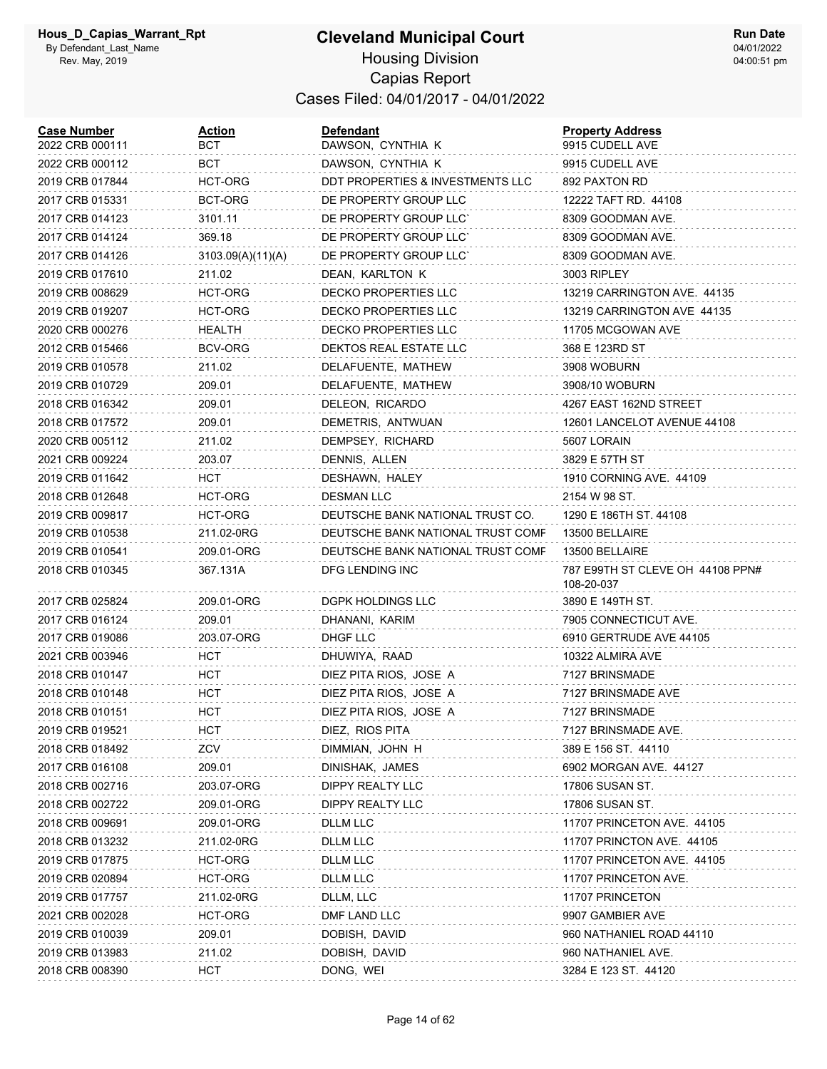| <b>Case Number</b><br>2022 CRB 000111 | Action<br>вст     | <b>Defendant</b><br>DAWSON, CYNTHIA K | <b>Property Address</b><br>9915 CUDELL AVE     |
|---------------------------------------|-------------------|---------------------------------------|------------------------------------------------|
| 2022 CRB 000112                       | BCT               | DAWSON, CYNTHIA K                     | 9915 CUDELL AVE                                |
| 2019 CRB 017844                       | HCT-ORG           | DDT PROPERTIES & INVESTMENTS LLC      | 892 PAXTON RD                                  |
| 2017 CRB 015331                       | BCT-ORG           | DE PROPERTY GROUP LLC                 | 12222 TAFT RD. 44108                           |
| 2017 CRB 014123                       | 3101.11           | DE PROPERTY GROUP LLC'                | 8309 GOODMAN AVE.                              |
| 2017 CRB 014124                       | 369.18            | DE PROPERTY GROUP LLC'                | 8309 GOODMAN AVE.                              |
| 2017 CRB 014126                       | 3103.09(A)(11)(A) | DE PROPERTY GROUP LLC'                | 8309 GOODMAN AVE.                              |
| 2019 CRB 017610                       | 211.02            | DEAN, KARLTON K                       | 3003 RIPLEY                                    |
| 2019 CRB 008629                       | HCT-ORG           | <b>DECKO PROPERTIES LLC</b>           | 13219 CARRINGTON AVE. 44135                    |
| 2019 CRB 019207                       | HCT-ORG           | DECKO PROPERTIES LLC                  | 13219 CARRINGTON AVE 44135                     |
| 2020 CRB 000276                       | <b>HEALTH</b>     | <b>DECKO PROPERTIES LLC</b>           | 11705 MCGOWAN AVE                              |
| 2012 CRB 015466                       | BCV-ORG           | DEKTOS REAL ESTATE LLC                | 368 E 123RD ST                                 |
| 2019 CRB 010578                       | 211.02            | DELAFUENTE, MATHEW                    | 3908 WOBURN                                    |
| 2019 CRB 010729                       | 209.01            | DELAFUENTE, MATHEW                    | 3908/10 WOBURN                                 |
| 2018 CRB 016342                       | 209.01            | DELEON, RICARDO                       | 4267 EAST 162ND STREET                         |
| 2018 CRB 017572                       | 209.01            | DEMETRIS, ANTWUAN                     | 12601 LANCELOT AVENUE 44108                    |
| 2020 CRB 005112                       | 211.02            | DEMPSEY, RICHARD                      | 5607 LORAIN                                    |
| 2021 CRB 009224                       | 203.07            | DENNIS, ALLEN                         | 3829 E 57TH ST                                 |
| 2019 CRB 011642                       | HCT               | DESHAWN, HALEY                        | 1910 CORNING AVE. 44109                        |
| 2018 CRB 012648                       | <b>HCT-ORG</b>    | <b>DESMAN LLC</b>                     | 2154 W 98 ST.                                  |
| 2019 CRB 009817                       | HCT-ORG           | DEUTSCHE BANK NATIONAL TRUST CO.      | 1290 E 186TH ST. 44108                         |
| 2019 CRB 010538                       | 211.02-0RG        | DEUTSCHE BANK NATIONAL TRUST COMF     | 13500 BELLAIRE                                 |
| 2019 CRB 010541                       | 209.01-ORG        | DEUTSCHE BANK NATIONAL TRUST COMF     | 13500 BELLAIRE                                 |
| 2018 CRB 010345                       | 367.131A          | DFG LENDING INC                       | 787 E99TH ST CLEVE OH 44108 PPN#<br>108-20-037 |
| 2017 CRB 025824                       | 209.01-ORG        | <b>DGPK HOLDINGS LLC</b>              | 3890 E 149TH ST.                               |
| 2017 CRB 016124                       | 209.01            | DHANANI, KARIM                        | 7905 CONNECTICUT AVE.                          |
| 2017 CRB 019086                       | 203.07-ORG        | DHGF LLC                              | 6910 GERTRUDE AVE 44105                        |
| 2021 CRB 003946                       | HCT               | DHUWIYA, RAAD                         | 10322 ALMIRA AVE                               |
| 2018 CRB 010147                       | <b>HCT</b>        | DIEZ PITA RIOS, JOSE A                | 7127 BRINSMADE                                 |
| 2018 CRB 010148                       | <b>HCT</b>        | DIEZ PITA RIOS, JOSE A                | 7127 BRINSMADE AVE                             |
| 2018 CRB 010151                       | <b>HCT</b>        | DIEZ PITA RIOS, JOSE A                | 7127 BRINSMADE                                 |
| 2019 CRB 019521                       | <b>HCT</b>        | DIEZ, RIOS PITA                       | 7127 BRINSMADE AVE.                            |
| 2018 CRB 018492                       | ZCV               | DIMMIAN, JOHN H                       | 389 E 156 ST. 44110                            |
| 2017 CRB 016108                       | 209.01            | DINISHAK, JAMES                       | 6902 MORGAN AVE. 44127                         |
| 2018 CRB 002716                       | 203.07-ORG        | DIPPY REALTY LLC                      | 17806 SUSAN ST.                                |
| 2018 CRB 002722                       | 209.01-ORG        | DIPPY REALTY LLC                      | 17806 SUSAN ST.                                |
| 2018 CRB 009691                       | 209.01-ORG        | DLLM LLC                              | 11707 PRINCETON AVE. 44105                     |
| 2018 CRB 013232                       | 211.02-0RG        | DLLM LLC                              | 11707 PRINCTON AVE. 44105                      |
| 2019 CRB 017875                       | HCT-ORG           | DLLM LLC                              | 11707 PRINCETON AVE. 44105                     |
| 2019 CRB 020894                       | HCT-ORG           | DLLM LLC                              | 11707 PRINCETON AVE.                           |
| 2019 CRB 017757                       | 211.02-0RG        | DLLM, LLC                             | 11707 PRINCETON                                |
| 2021 CRB 002028                       | HCT-ORG           | DMF LAND LLC                          | 9907 GAMBIER AVE                               |
| 2019 CRB 010039                       | 209.01            | DOBISH, DAVID                         | 960 NATHANIEL ROAD 44110                       |
| 2019 CRB 013983                       | 211.02            | DOBISH, DAVID                         | 960 NATHANIEL AVE.                             |
| 2018 CRB 008390                       | <b>HCT</b>        | DONG, WEI                             | 3284 E 123 ST. 44120                           |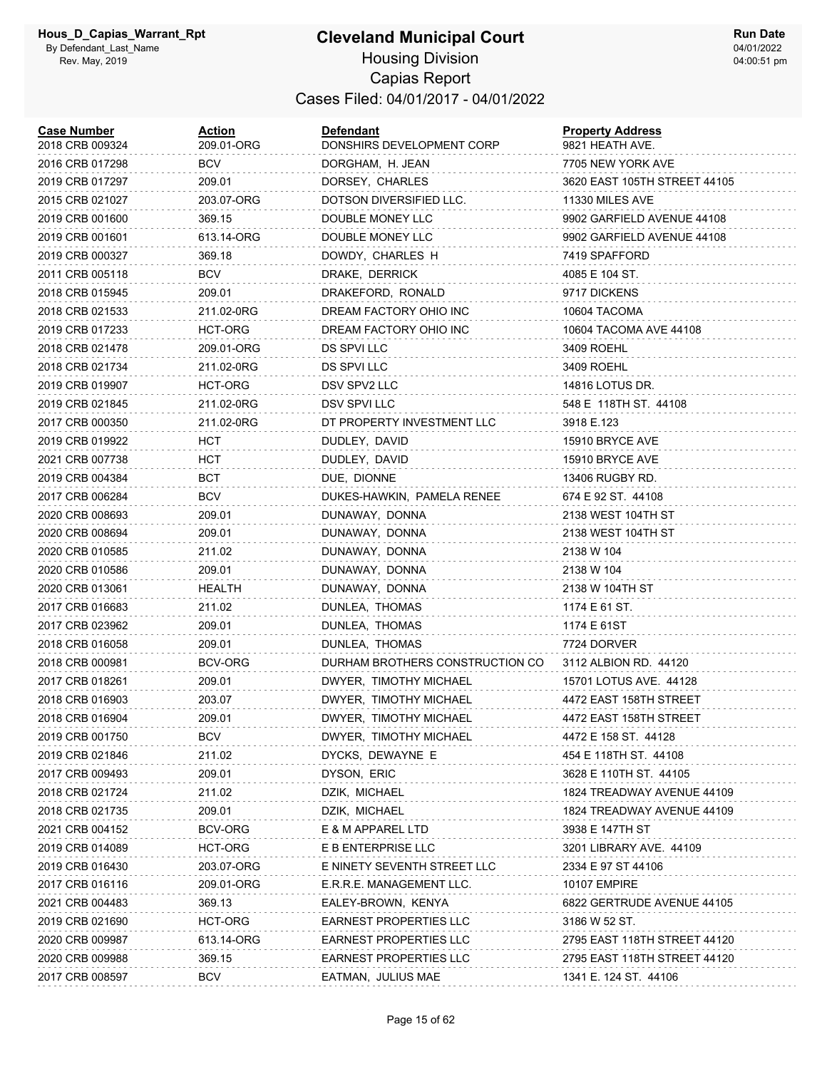## **Cleveland Municipal Court** Housing Division

**Run Date** 04/01/2022 04:00:51 pm

#### Capias Report Cases Filed: 04/01/2017 - 04/01/2022

| <b>Case Number</b><br>2018 CRB 009324 | <b>Action</b><br>209.01-ORG | <b>Defendant</b><br>DONSHIRS DEVELOPMENT CORP | <b>Property Address</b><br>9821 HEATH AVE. |
|---------------------------------------|-----------------------------|-----------------------------------------------|--------------------------------------------|
| 2016 CRB 017298                       | <b>BCV</b>                  | DORGHAM, H. JEAN                              | 7705 NEW YORK AVE                          |
| 2019 CRB 017297                       | 209.01                      | DORSEY, CHARLES                               | 3620 EAST 105TH STREET 44105               |
| 2015 CRB 021027                       | 203.07-ORG                  | DOTSON DIVERSIFIED LLC.                       | 11330 MILES AVE                            |
| 2019 CRB 001600                       | 369.15                      | DOUBLE MONEY LLC                              | 9902 GARFIELD AVENUE 44108                 |
| 2019 CRB 001601                       | 613.14-ORG                  | DOUBLE MONEY LLC                              | 9902 GARFIELD AVENUE 44108                 |
| 2019 CRB 000327                       | 369.18                      | DOWDY, CHARLES H                              | 7419 SPAFFORD                              |
| 2011 CRB 005118                       | <b>BCV</b>                  | DRAKE, DERRICK                                | 4085 E 104 ST.                             |
| 2018 CRB 015945                       | 209.01                      | DRAKEFORD, RONALD                             | 9717 DICKENS                               |
| 2018 CRB 021533                       | 211.02-0RG                  | DREAM FACTORY OHIO INC                        | 10604 TACOMA                               |
| 2019 CRB 017233                       | HCT-ORG                     | DREAM FACTORY OHIO INC                        | 10604 TACOMA AVE 44108                     |
| 2018 CRB 021478                       | 209.01-ORG                  | DS SPVI LLC                                   | 3409 ROEHL                                 |
| 2018 CRB 021734                       | 211.02-0RG                  | DS SPVI LLC                                   | 3409 ROEHL                                 |
| 2019 CRB 019907                       | HCT-ORG                     | DSV SPV2 LLC                                  | 14816 LOTUS DR.                            |
| 2019 CRB 021845                       | 211.02-0RG                  | DSV SPVI LLC                                  | 548 E 118TH ST. 44108                      |
| 2017 CRB 000350                       | 211.02-0RG                  | DT PROPERTY INVESTMENT LLC                    | 3918 E.123                                 |
| 2019 CRB 019922                       | <b>HCT</b>                  | DUDLEY, DAVID                                 | 15910 BRYCE AVE                            |
| 2021 CRB 007738                       | HCT                         | DUDLEY, DAVID                                 | 15910 BRYCE AVE                            |
| 2019 CRB 004384                       | BCT                         | DUE, DIONNE                                   | 13406 RUGBY RD.                            |
| 2017 CRB 006284                       | <b>BCV</b>                  | DUKES-HAWKIN, PAMELA RENEE                    | 674 E 92 ST. 44108                         |
| 2020 CRB 008693                       | 209.01                      | DUNAWAY, DONNA                                | 2138 WEST 104TH ST                         |
| 2020 CRB 008694                       | 209.01                      | DUNAWAY, DONNA                                | 2138 WEST 104TH ST                         |
| 2020 CRB 010585                       | 211.02                      | DUNAWAY, DONNA                                | 2138 W 104                                 |
| 2020 CRB 010586                       | 209.01                      | DUNAWAY, DONNA                                | 2138 W 104                                 |
| 2020 CRB 013061                       | HEALTH                      | DUNAWAY, DONNA                                | 2138 W 104TH ST                            |
| 2017 CRB 016683                       | 211.02                      | DUNLEA, THOMAS                                | 1174 E 61 ST.                              |
| 2017 CRB 023962                       | 209.01                      | DUNLEA, THOMAS                                | 1174 E 61ST                                |
| 2018 CRB 016058                       | 209.01                      | DUNLEA, THOMAS                                | 7724 DORVER                                |
| 2018 CRB 000981                       | BCV-ORG                     | DURHAM BROTHERS CONSTRUCTION CO               | 3112 ALBION RD. 44120                      |
| 2017 CRB 018261                       | 209.01                      | DWYER, TIMOTHY MICHAEL                        | 15701 LOTUS AVE. 44128                     |
| 2018 CRB 016903                       | 203.07                      | DWYER, TIMOTHY MICHAEL                        | 4472 EAST 158TH STREET                     |
| 2018 CRB 016904                       | 209.01                      | DWYER, TIMOTHY MICHAEL                        | 4472 EAST 158TH STREET                     |
| 2019 CRB 001750                       | <b>BCV</b>                  | DWYER, TIMOTHY MICHAEL                        | 4472 E 158 ST. 44128                       |
| 2019 CRB 021846                       | 211.02                      | DYCKS, DEWAYNE E                              | 454 E 118TH ST. 44108                      |
| 2017 CRB 009493                       | 209.01                      | DYSON, ERIC                                   | 3628 E 110TH ST. 44105                     |
| 2018 CRB 021724                       | 211.02                      | DZIK, MICHAEL                                 | 1824 TREADWAY AVENUE 44109                 |
| 2018 CRB 021735                       | 209.01                      | DZIK, MICHAEL                                 | 1824 TREADWAY AVENUE 44109                 |
| 2021 CRB 004152                       | BCV-ORG                     | E & M APPAREL LTD                             | 3938 E 147TH ST                            |
| 2019 CRB 014089                       | HCT-ORG                     | E B ENTERPRISE LLC                            | 3201 LIBRARY AVE. 44109                    |
| 2019 CRB 016430                       | 203.07-ORG                  | E NINETY SEVENTH STREET LLC                   | 2334 E 97 ST 44106                         |
| 2017 CRB 016116                       | 209.01-ORG                  | E.R.R.E. MANAGEMENT LLC.                      | <b>10107 EMPIRE</b>                        |
| 2021 CRB 004483                       | 369.13                      | EALEY-BROWN, KENYA                            | 6822 GERTRUDE AVENUE 44105                 |
| 2019 CRB 021690                       | HCT-ORG                     | <b>EARNEST PROPERTIES LLC</b>                 | 3186 W 52 ST.                              |
| 2020 CRB 009987                       | 613.14-ORG                  | <b>EARNEST PROPERTIES LLC</b>                 | 2795 EAST 118TH STREET 44120               |
| 2020 CRB 009988                       | 369.15                      | <b>EARNEST PROPERTIES LLC</b>                 | 2795 EAST 118TH STREET 44120               |
| 2017 CRB 008597                       | <b>BCV</b>                  | EATMAN, JULIUS MAE                            | 1341 E. 124 ST. 44106                      |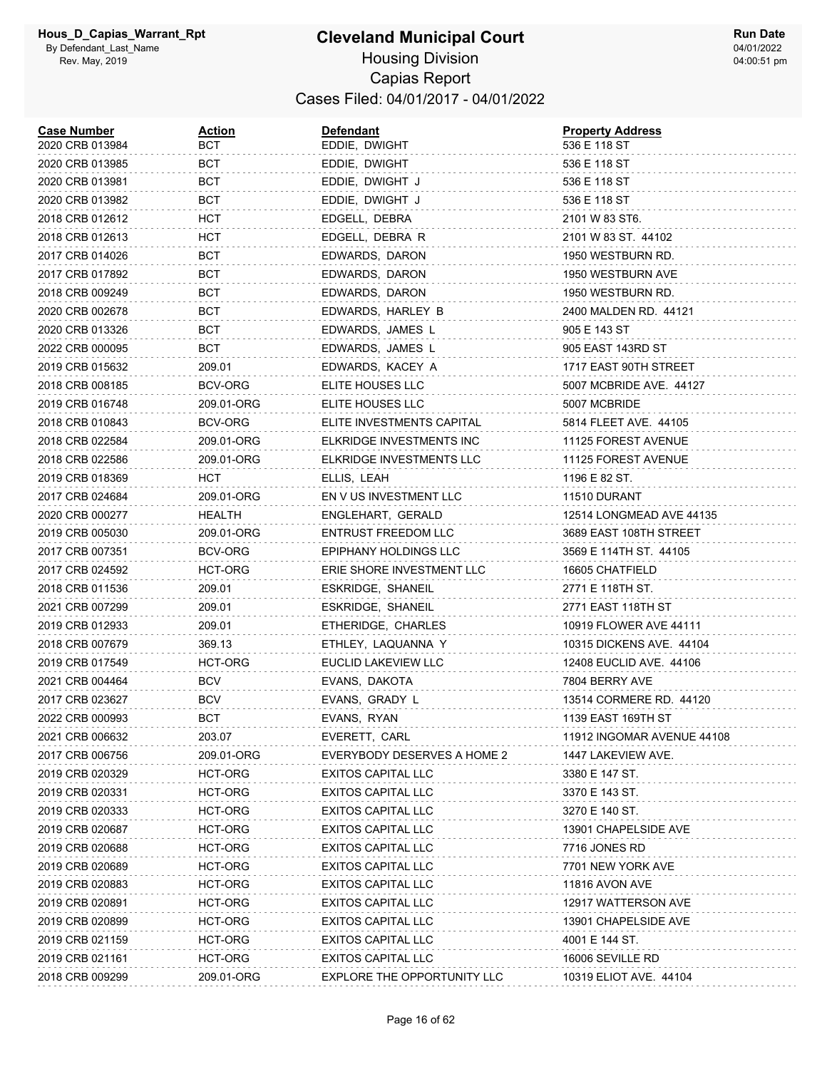| <b>Case Number</b><br>2020 CRB 013984 | <u>Action</u><br>вст | <b>Defendant</b><br>EDDIE, DWIGHT | <b>Property Address</b><br>536 E 118 ST |
|---------------------------------------|----------------------|-----------------------------------|-----------------------------------------|
| 2020 CRB 013985                       | BCT                  | EDDIE, DWIGHT                     | 536 E 118 ST                            |
| 2020 CRB 013981                       | BCT                  | EDDIE, DWIGHT J                   | 536 E 118 ST                            |
| 2020 CRB 013982                       | BCT                  | EDDIE, DWIGHT J                   | 536 E 118 ST                            |
| 2018 CRB 012612                       | HCT                  | EDGELL, DEBRA                     | 2101 W 83 ST6.                          |
| 2018 CRB 012613                       | <b>HCT</b>           | EDGELL, DEBRA R                   | 2101 W 83 ST. 44102                     |
| 2017 CRB 014026                       | BCT                  | EDWARDS, DARON                    | 1950 WESTBURN RD.                       |
| 2017 CRB 017892                       | BCT                  | EDWARDS, DARON                    | 1950 WESTBURN AVE                       |
| 2018 CRB 009249                       | BCT                  | EDWARDS, DARON                    | 1950 WESTBURN RD.                       |
| 2020 CRB 002678                       | BCT                  | EDWARDS, HARLEY B                 | 2400 MALDEN RD. 44121                   |
| 2020 CRB 013326                       | BCT                  | EDWARDS, JAMES L                  | 905 E 143 ST                            |
| 2022 CRB 000095                       | BCT                  | EDWARDS, JAMES L                  | 905 EAST 143RD ST                       |
| 2019 CRB 015632                       | 209.01               | EDWARDS, KACEY A                  | 1717 EAST 90TH STREET                   |
| 2018 CRB 008185                       | BCV-ORG              | ELITE HOUSES LLC                  | 5007 MCBRIDE AVE. 44127                 |
| 2019 CRB 016748                       | 209.01-ORG           | ELITE HOUSES LLC                  | 5007 MCBRIDE                            |
| 2018 CRB 010843                       | BCV-ORG              | ELITE INVESTMENTS CAPITAL         | 5814 FLEET AVE. 44105                   |
| 2018 CRB 022584                       | 209.01-ORG           | ELKRIDGE INVESTMENTS INC          | 11125 FOREST AVENUE                     |
| 2018 CRB 022586                       | 209.01-ORG           | ELKRIDGE INVESTMENTS LLC          | 11125 FOREST AVENUE                     |
| 2019 CRB 018369                       | HCT                  | ELLIS, LEAH                       | 1196 E 82 ST.                           |
| 2017 CRB 024684                       | 209.01-ORG           | EN V US INVESTMENT LLC            | 11510 DURANT                            |
| 2020 CRB 000277                       | HEALTH               | ENGLEHART, GERALD                 | 12514 LONGMEAD AVE 44135                |
| 2019 CRB 005030                       | 209.01-ORG           | ENTRUST FREEDOM LLC               | 3689 EAST 108TH STREET                  |
| 2017 CRB 007351                       | BCV-ORG              | EPIPHANY HOLDINGS LLC             | 3569 E 114TH ST. 44105                  |
| 2017 CRB 024592                       | HCT-ORG              | ERIE SHORE INVESTMENT LLC         | 16605 CHATFIELD                         |
| 2018 CRB 011536                       | 209.01               | ESKRIDGE, SHANEIL                 | 2771 E 118TH ST.                        |
| 2021 CRB 007299                       | 209.01               | ESKRIDGE, SHANEIL                 | 2771 EAST 118TH ST                      |
| 2019 CRB 012933                       | 209.01               | ETHERIDGE, CHARLES                | 10919 FLOWER AVE 44111                  |
| 2018 CRB 007679                       | 369.13               | ETHLEY, LAQUANNA Y                | 10315 DICKENS AVE. 44104                |
| 2019 CRB 017549                       | HCT-ORG              | EUCLID LAKEVIEW LLC               | 12408 EUCLID AVE. 44106                 |
| 2021 CRB 004464                       | BCV                  | EVANS, DAKOTA                     | 7804 BERRY AVE                          |
| 2017 CRB 023627                       | <b>BCV</b>           | EVANS, GRADY L                    | 13514 CORMERE RD. 44120                 |
| 2022 CRB 000993                       | BCT                  | EVANS, RYAN                       | 1139 EAST 169TH ST                      |
| 2021 CRB 006632                       | 203.07               | EVERETT, CARL                     | 11912 INGOMAR AVENUE 44108              |
| 2017 CRB 006756                       | 209.01-ORG           | EVERYBODY DESERVES A HOME 2       | 1447 LAKEVIEW AVE.                      |
| 2019 CRB 020329                       | HCT-ORG              | <b>EXITOS CAPITAL LLC</b>         | 3380 E 147 ST.                          |
| 2019 CRB 020331                       | HCT-ORG              | <b>EXITOS CAPITAL LLC</b>         | 3370 E 143 ST.                          |
| 2019 CRB 020333                       | HCT-ORG              | <b>EXITOS CAPITAL LLC</b>         | 3270 E 140 ST.                          |
| 2019 CRB 020687                       | HCT-ORG              | <b>EXITOS CAPITAL LLC</b>         | 13901 CHAPELSIDE AVE                    |
| 2019 CRB 020688                       | HCT-ORG              | <b>EXITOS CAPITAL LLC</b>         | 7716 JONES RD                           |
| 2019 CRB 020689                       | HCT-ORG              | <b>EXITOS CAPITAL LLC</b>         | 7701 NEW YORK AVE                       |
| 2019 CRB 020883                       | HCT-ORG              | <b>EXITOS CAPITAL LLC</b>         | 11816 AVON AVE                          |
| 2019 CRB 020891                       | HCT-ORG              | <b>EXITOS CAPITAL LLC</b>         | 12917 WATTERSON AVE                     |
| 2019 CRB 020899                       | HCT-ORG              | <b>EXITOS CAPITAL LLC</b>         | 13901 CHAPELSIDE AVE                    |
| 2019 CRB 021159                       | HCT-ORG              | <b>EXITOS CAPITAL LLC</b>         | 4001 E 144 ST.                          |
| 2019 CRB 021161                       | HCT-ORG              | <b>EXITOS CAPITAL LLC</b>         | 16006 SEVILLE RD                        |
| 2018 CRB 009299                       | 209.01-ORG           | EXPLORE THE OPPORTUNITY LLC       | 10319 ELIOT AVE. 44104                  |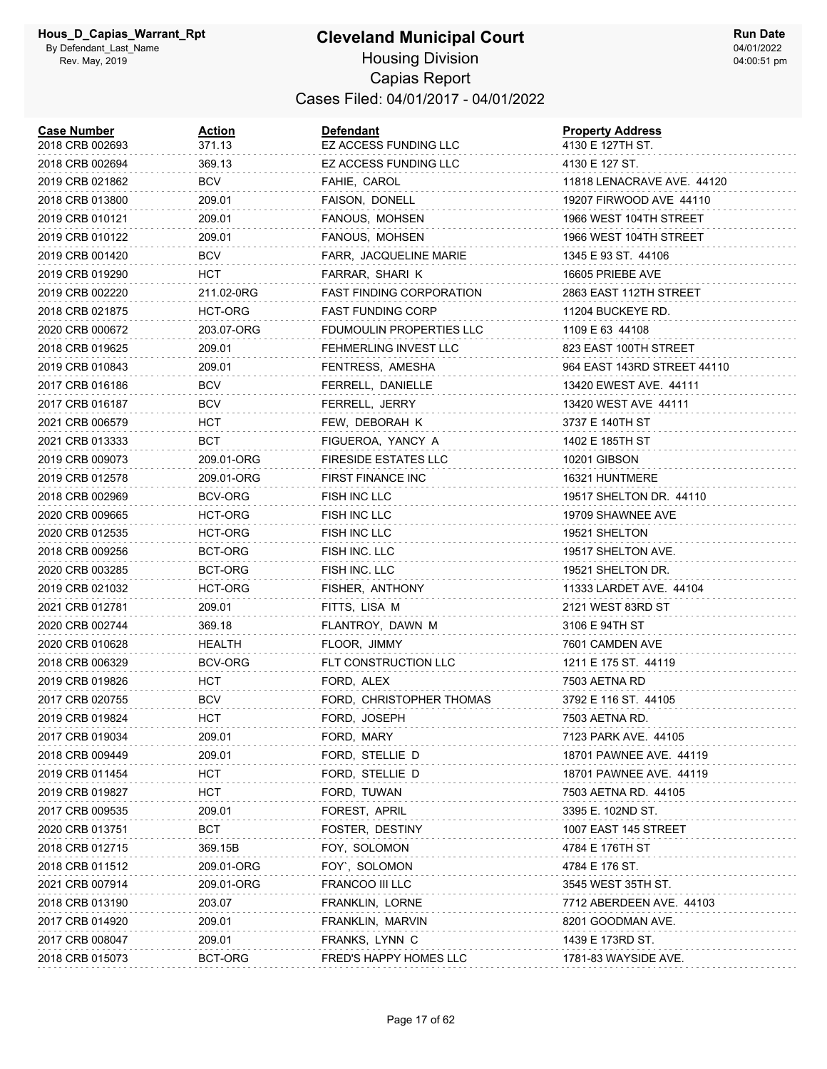| <b>Case Number</b><br>2018 CRB 002693 | <u>Action</u><br>371.13 | <b>Defendant</b><br>EZ ACCESS FUNDING LLC | <b>Property Address</b><br>4130 E 127TH ST. |
|---------------------------------------|-------------------------|-------------------------------------------|---------------------------------------------|
| 2018 CRB 002694                       | 369.13                  | EZ ACCESS FUNDING LLC                     | 4130 E 127 ST.                              |
| 2019 CRB 021862                       | BCV                     | FAHIE, CAROL                              | 11818 LENACRAVE AVE. 44120                  |
| 2018 CRB 013800                       | 209.01                  | FAISON, DONELL                            | 19207 FIRWOOD AVE 44110                     |
| 2019 CRB 010121                       | 209.01                  | FANOUS, MOHSEN                            | 1966 WEST 104TH STREET                      |
| 2019 CRB 010122                       | 209.01                  | FANOUS, MOHSEN                            | 1966 WEST 104TH STREET                      |
| 2019 CRB 001420                       | <b>BCV</b>              | FARR, JACQUELINE MARIE                    | 1345 E 93 ST. 44106                         |
| 2019 CRB 019290                       | нст                     | FARRAR, SHARI K                           | 16605 PRIEBE AVE                            |
| 2019 CRB 002220                       | 211.02-0RG              | <b>FAST FINDING CORPORATION</b>           | 2863 EAST 112TH STREET                      |
| 2018 CRB 021875                       | HCT-ORG                 | <b>FAST FUNDING CORP</b>                  | 11204 BUCKEYE RD.                           |
| 2020 CRB 000672                       | 203.07-ORG              | FDUMOULIN PROPERTIES LLC                  | 1109 E 63 44108                             |
| 2018 CRB 019625                       | 209.01                  | FEHMERLING INVEST LLC                     | 823 EAST 100TH STREET                       |
| 2019 CRB 010843                       | 209.01                  | FENTRESS, AMESHA                          | 964 EAST 143RD STREET 44110                 |
| 2017 CRB 016186                       | BCV                     | FERRELL, DANIELLE                         | 13420 EWEST AVE. 44111                      |
| 2017 CRB 016187                       | <b>BCV</b>              | FERRELL, JERRY                            | 13420 WEST AVE 44111                        |
| 2021 CRB 006579                       | нст                     | FEW, DEBORAH K                            | 3737 E 140TH ST                             |
| 2021 CRB 013333                       | BCT                     | FIGUEROA, YANCY A                         | 1402 E 185TH ST                             |
| 2019 CRB 009073                       | 209.01-ORG              | <b>FIRESIDE ESTATES LLC</b>               | 10201 GIBSON                                |
| 2019 CRB 012578                       | 209.01-ORG              | FIRST FINANCE INC                         | 16321 HUNTMERE                              |
| 2018 CRB 002969                       | BCV-ORG                 | FISH INC LLC                              | 19517 SHELTON DR. 44110                     |
| 2020 CRB 009665                       | HCT-ORG                 | <b>FISH INC LLC</b>                       | 19709 SHAWNEE AVE                           |
| 2020 CRB 012535                       | HCT-ORG                 | FISH INC LLC                              | 19521 SHELTON                               |
| 2018 CRB 009256                       | BCT-ORG                 | FISH INC. LLC                             | 19517 SHELTON AVE.                          |
| 2020 CRB 003285                       | BCT-ORG                 | FISH INC. LLC                             | 19521 SHELTON DR.                           |
| 2019 CRB 021032                       | HCT-ORG                 | FISHER, ANTHONY                           | 11333 LARDET AVE. 44104                     |
| 2021 CRB 012781                       | 209.01                  | FITTS, LISA M                             | 2121 WEST 83RD ST                           |
| 2020 CRB 002744                       | 369.18                  | FLANTROY, DAWN M                          | 3106 E 94TH ST                              |
| 2020 CRB 010628                       | HEALTH                  | FLOOR, JIMMY                              | 7601 CAMDEN AVE                             |
| 2018 CRB 006329                       | BCV-ORG                 | FLT CONSTRUCTION LLC                      | 1211 E 175 ST. 44119                        |
| 2019 CRB 019826                       | нст                     | FORD, ALEX                                | 7503 AETNA RD                               |
| 2017 CRB 020755                       | BCV                     | FORD, CHRISTOPHER THOMAS                  | 3792 E 116 ST. 44105                        |
| 2019 CRB 019824                       | HCT                     | FORD, JOSEPH                              | 7503 AETNA RD.                              |
| 2017 CRB 019034                       | 209.01                  | FORD, MARY                                | 7123 PARK AVE. 44105                        |
| 2018 CRB 009449                       | 209.01                  | FORD, STELLIE D                           | 18701 PAWNEE AVE. 44119                     |
| 2019 CRB 011454                       | <b>HCT</b>              | FORD, STELLIE D                           | 18701 PAWNEE AVE. 44119                     |
| 2019 CRB 019827                       | <b>HCT</b>              | FORD, TUWAN                               | 7503 AETNA RD. 44105                        |
| 2017 CRB 009535                       | 209.01                  | FOREST, APRIL                             | 3395 E. 102ND ST.                           |
| 2020 CRB 013751                       | <b>BCT</b>              | FOSTER, DESTINY                           | 1007 EAST 145 STREET                        |
| 2018 CRB 012715                       | 369.15B                 | FOY, SOLOMON                              | 4784 E 176TH ST                             |
| 2018 CRB 011512                       | 209.01-ORG              | FOY', SOLOMON                             | 4784 E 176 ST.                              |
| 2021 CRB 007914                       | 209.01-ORG              | FRANCOO III LLC                           | 3545 WEST 35TH ST.                          |
| 2018 CRB 013190                       | 203.07                  | FRANKLIN, LORNE                           | 7712 ABERDEEN AVE. 44103                    |
| 2017 CRB 014920                       | 209.01                  | FRANKLIN, MARVIN                          | 8201 GOODMAN AVE.                           |
| 2017 CRB 008047                       | 209.01                  | FRANKS, LYNN C                            | 1439 E 173RD ST.                            |
| 2018 CRB 015073                       | BCT-ORG                 | FRED'S HAPPY HOMES LLC                    | 1781-83 WAYSIDE AVE.                        |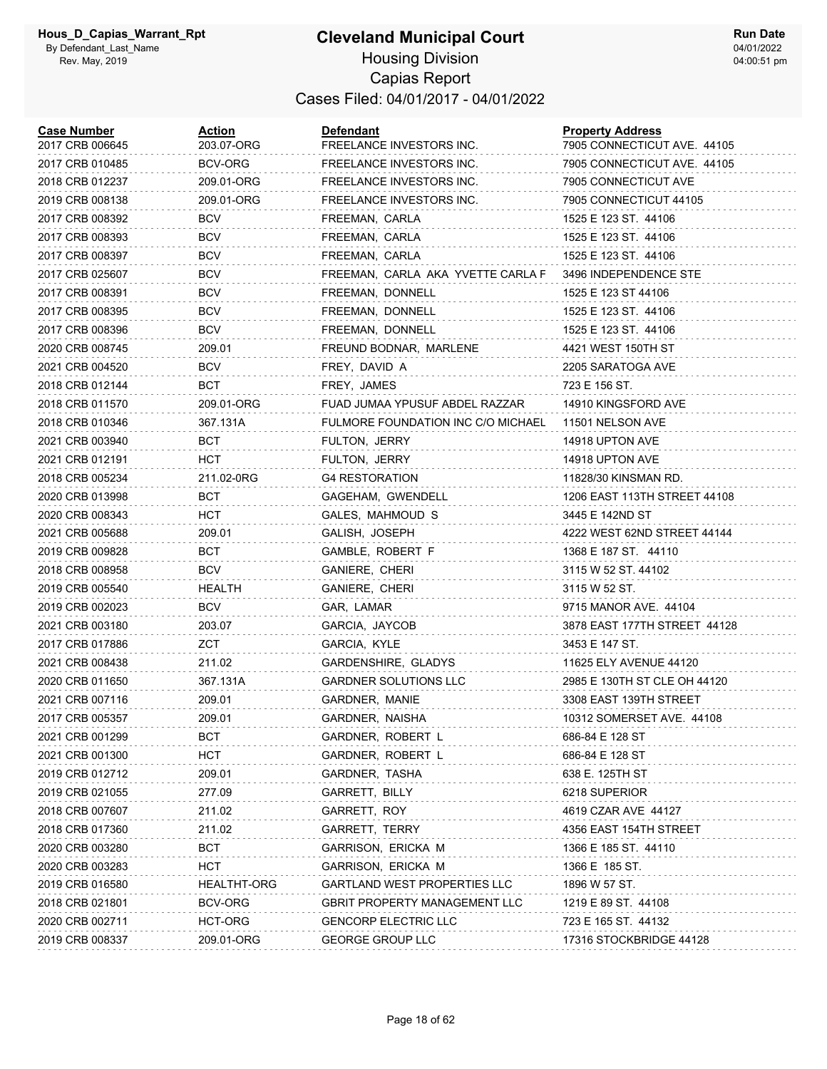#### **Cleveland Municipal Court** Housing Division Capias Report Cases Filed: 04/01/2017 - 04/01/2022

| <b>Case Number</b><br>2017 CRB 006645 | Action<br>203.07-ORG | <b>Defendant</b><br>FREELANCE INVESTORS INC. | <b>Property Address</b><br>7905 CONNECTICUT AVE. 44105 |
|---------------------------------------|----------------------|----------------------------------------------|--------------------------------------------------------|
| 2017 CRB 010485                       | BCV-ORG              | FREELANCE INVESTORS INC.                     | 7905 CONNECTICUT AVE. 44105                            |
| 2018 CRB 012237                       | 209.01-ORG           | FREELANCE INVESTORS INC.                     | 7905 CONNECTICUT AVE                                   |
| 2019 CRB 008138                       | 209.01-ORG           | FREELANCE INVESTORS INC.                     | 7905 CONNECTICUT 44105                                 |
| 2017 CRB 008392                       | <b>BCV</b>           | FREEMAN, CARLA                               | 1525 E 123 ST. 44106                                   |
| 2017 CRB 008393                       | BCV                  | FREEMAN, CARLA                               | 1525 E 123 ST. 44106                                   |
| 2017 CRB 008397                       | BCV                  | FREEMAN, CARLA                               | 1525 E 123 ST. 44106                                   |
| 2017 CRB 025607                       | BCV                  | FREEMAN, CARLA AKA YVETTE CARLA F            | 3496 INDEPENDENCE STE                                  |
| 2017 CRB 008391                       | <b>BCV</b>           | FREEMAN, DONNELL                             | 1525 E 123 ST 44106                                    |
| 2017 CRB 008395                       | BCV                  | FREEMAN, DONNELL                             | 1525 E 123 ST. 44106                                   |
| 2017 CRB 008396                       | BCV                  | FREEMAN, DONNELL                             | 1525 E 123 ST. 44106                                   |
| 2020 CRB 008745                       | 209.01               | FREUND BODNAR, MARLENE                       | 4421 WEST 150TH ST                                     |
| 2021 CRB 004520                       | BCV                  | FREY, DAVID A                                | 2205 SARATOGA AVE                                      |
| 2018 CRB 012144                       | BCT                  | FREY, JAMES                                  | 723 E 156 ST.                                          |
| 2018 CRB 011570                       | 209.01-ORG           | FUAD JUMAA YPUSUF ABDEL RAZZAR               | 14910 KINGSFORD AVE                                    |
| 2018 CRB 010346                       | 367.131A             | FULMORE FOUNDATION INC C/O MICHAEL           | 11501 NELSON AVE                                       |
| 2021 CRB 003940                       | BCT                  | FULTON, JERRY                                | 14918 UPTON AVE                                        |
| 2021 CRB 012191                       | HCT                  | FULTON, JERRY                                | 14918 UPTON AVE                                        |
| 2018 CRB 005234                       | 211.02-0RG           | <b>G4 RESTORATION</b>                        | 11828/30 KINSMAN RD.                                   |
| 2020 CRB 013998                       | BCT                  | GAGEHAM, GWENDELL                            | 1206 EAST 113TH STREET 44108                           |
| 2020 CRB 008343                       | нст                  | GALES, MAHMOUD S                             | 3445 E 142ND ST                                        |
| 2021 CRB 005688                       | 209.01               | GALISH, JOSEPH                               | 4222 WEST 62ND STREET 44144                            |
| 2019 CRB 009828                       | BCT                  | GAMBLE, ROBERT F                             | 1368 E 187 ST. 44110                                   |
| 2018 CRB 008958                       | BCV                  | GANIERE, CHERI                               | 3115 W 52 ST 44102                                     |
| 2019 CRB 005540                       | HEALTH               | GANIERE, CHERI                               | 3115 W 52 ST.                                          |
| 2019 CRB 002023                       | <b>BCV</b>           | GAR, LAMAR                                   | 9715 MANOR AVE. 44104                                  |
| 2021 CRB 003180                       | 203.07               | GARCIA, JAYCOB                               | 3878 EAST 177TH STREET 44128                           |
| 2017 CRB 017886                       | ZCT                  | GARCIA, KYLE                                 | 3453 E 147 ST.                                         |
| 2021 CRB 008438                       | 211.02               | GARDENSHIRE, GLADYS                          | 11625 ELY AVENUE 44120                                 |
| 2020 CRB 011650                       | 367.131A             | <b>GARDNER SOLUTIONS LLC</b>                 | 2985 E 130TH ST CLE OH 44120                           |
| 2021 CRB 007116                       | 209.01               | GARDNER, MANIE                               | 3308 EAST 139TH STREET                                 |
| 2017 CRB 005357                       | 209.01               | GARDNER, NAISHA                              | 10312 SOMERSET AVE. 44108                              |
| 2021 CRB 001299                       | BCT                  | GARDNER, ROBERT L                            | 686-84 E 128 ST                                        |
| 2021 CRB 001300                       | нст                  | GARDNER, ROBERT L                            | 686-84 E 128 ST                                        |
| 2019 CRB 012712                       | 209.01               | GARDNER, TASHA                               | 638 E. 125TH ST                                        |
| 2019 CRB 021055                       | 277.09               | GARRETT, BILLY                               | 6218 SUPERIOR                                          |
| 2018 CRB 007607                       | 211.02               | GARRETT, ROY                                 | 4619 CZAR AVE 44127                                    |
| 2018 CRB 017360                       | 211.02               | GARRETT, TERRY                               | 4356 EAST 154TH STREET                                 |
| 2020 CRB 003280                       | <b>BCT</b>           | GARRISON, ERICKA M                           | 1366 E 185 ST. 44110                                   |
| 2020 CRB 003283                       | нст                  | <b>GARRISON, ERICKA M</b>                    | 1366 E 185 ST.                                         |
| 2019 CRB 016580                       | HEALTHT-ORG          | <b>GARTLAND WEST PROPERTIES LLC</b>          | 1896 W 57 ST.                                          |
| 2018 CRB 021801                       | BCV-ORG              | <b>GBRIT PROPERTY MANAGEMENT LLC</b>         | 1219 E 89 ST. 44108                                    |
| 2020 CRB 002711                       | HCT-ORG              | <b>GENCORP ELECTRIC LLC</b>                  | 723 E 165 ST. 44132                                    |
| 2019 CRB 008337                       | 209.01-ORG           | <b>GEORGE GROUP LLC</b>                      | 17316 STOCKBRIDGE 44128                                |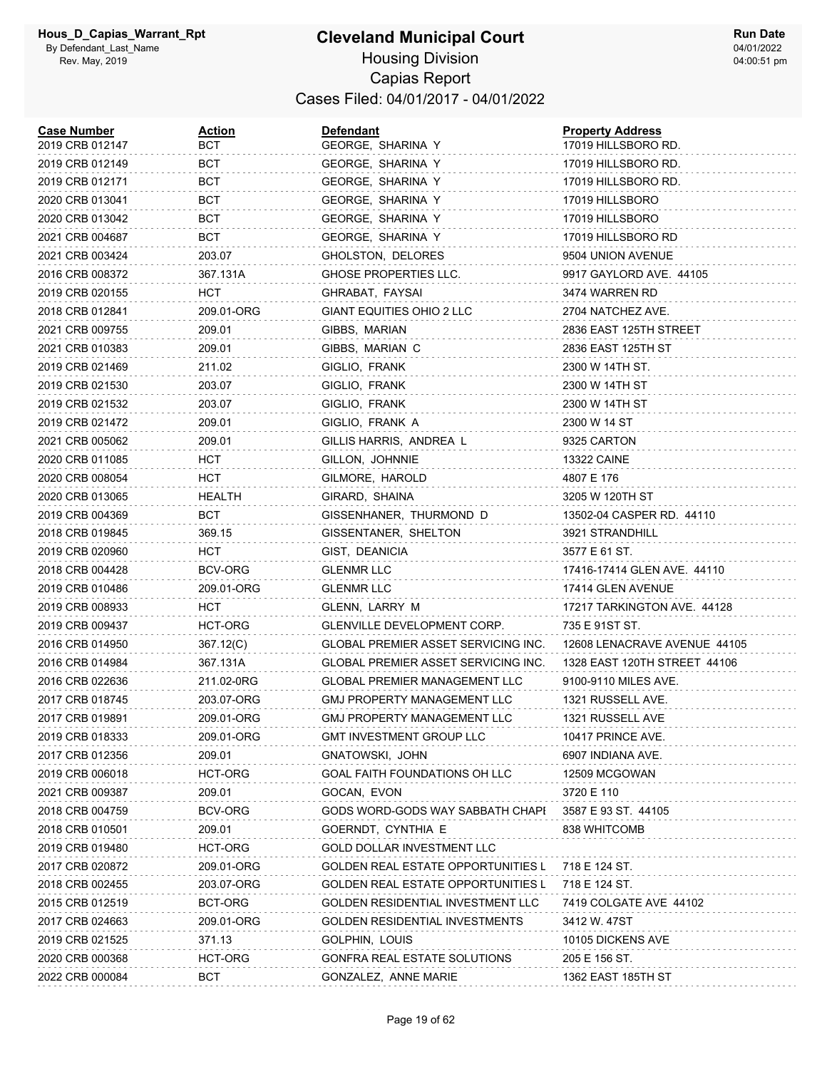| <b>Case Number</b><br>2019 CRB 012147 | Action<br>BCT  | <b>Defendant</b><br>GEORGE, SHARINA Y      | <b>Property Address</b><br>17019 HILLSBORO RD. |
|---------------------------------------|----------------|--------------------------------------------|------------------------------------------------|
| 2019 CRB 012149                       | BCT            | GEORGE, SHARINA Y                          | 17019 HILLSBORO RD.                            |
| 2019 CRB 012171                       | BCT            | GEORGE, SHARINA Y                          | 17019 HILLSBORO RD.                            |
| 2020 CRB 013041                       | BCT            | GEORGE, SHARINA Y                          | 17019 HILLSBORO                                |
| 2020 CRB 013042                       | BCT            | GEORGE, SHARINA Y                          | 17019 HILLSBORO                                |
| 2021 CRB 004687                       | BCT            | GEORGE, SHARINA Y                          | 17019 HILLSBORO RD                             |
| 2021 CRB 003424                       | 203.07         | GHOLSTON, DELORES                          | 9504 UNION AVENUE                              |
| 2016 CRB 008372                       | 367.131A       | GHOSE PROPERTIES LLC.                      | 9917 GAYLORD AVE. 44105                        |
| 2019 CRB 020155                       | HCT            | GHRABAT, FAYSAI                            | 3474 WARREN RD                                 |
| 2018 CRB 012841                       | 209.01-ORG     | GIANT EQUITIES OHIO 2 LLC                  | 2704 NATCHEZ AVE.                              |
| 2021 CRB 009755                       | 209.01         | GIBBS, MARIAN                              | 2836 EAST 125TH STREET                         |
| 2021 CRB 010383                       | 209.01         | GIBBS, MARIAN C                            | 2836 EAST 125TH ST                             |
| 2019 CRB 021469                       | 211.02         | GIGLIO, FRANK                              | 2300 W 14TH ST.                                |
| 2019 CRB 021530                       | 203.07         | GIGLIO, FRANK                              | 2300 W 14TH ST                                 |
| 2019 CRB 021532                       | 203.07         | GIGLIO, FRANK                              | 2300 W 14TH ST                                 |
| 2019 CRB 021472                       | 209.01         | GIGLIO, FRANK A                            | 2300 W 14 ST                                   |
| 2021 CRB 005062                       | 209.01         | GILLIS HARRIS, ANDREA L                    | 9325 CARTON                                    |
| 2020 CRB 011085                       | HCT            | GILLON, JOHNNIE                            | <b>13322 CAINE</b>                             |
| 2020 CRB 008054                       | HCT.           | GILMORE, HAROLD                            | 4807 E 176                                     |
| 2020 CRB 013065                       | HEALTH         | GIRARD, SHAINA                             | 3205 W 120TH ST                                |
| 2019 CRB 004369                       | BCT            | GISSENHANER, THURMOND D                    | 13502-04 CASPER RD. 44110                      |
| 2018 CRB 019845                       | 369.15         | GISSENTANER, SHELTON                       | 3921 STRANDHILL                                |
| 2019 CRB 020960                       | HCT            | GIST, DEANICIA                             | 3577 E 61 ST.                                  |
| 2018 CRB 004428                       | BCV-ORG        | <b>GLENMR LLC</b>                          | 17416-17414 GLEN AVE. 44110                    |
| 2019 CRB 010486                       | 209.01-ORG     | <b>GLENMR LLC</b>                          | 17414 GLEN AVENUE                              |
| 2019 CRB 008933                       | HCT            | GLENN, LARRY M                             | 17217 TARKINGTON AVE. 44128                    |
| 2019 CRB 009437                       | HCT-ORG        | GLENVILLE DEVELOPMENT CORP.                | 735 E 91ST ST.                                 |
| 2016 CRB 014950                       | 367.12(C)      | GLOBAL PREMIER ASSET SERVICING INC.        | 12608 LENACRAVE AVENUE 44105                   |
| 2016 CRB 014984                       | 367.131A       | <b>GLOBAL PREMIER ASSET SERVICING INC.</b> | 1328 EAST 120TH STREET 44106                   |
| 2016 CRB 022636                       | 211.02-0RG     | <b>GLOBAL PREMIER MANAGEMENT LLC</b>       | 9100-9110 MILES AVE.                           |
| 2017 CRB 018745                       | 203.07-ORG     | <b>GMJ PROPERTY MANAGEMENT LLC</b>         | 1321 RUSSELL AVE.                              |
| 2017 CRB 019891                       | 209.01-ORG     | <b>GMJ PROPERTY MANAGEMENT LLC</b>         | 1321 RUSSELL AVE                               |
| 2019 CRB 018333                       | 209.01-ORG     | GMT INVESTMENT GROUP LLC                   | 10417 PRINCE AVE.                              |
| 2017 CRB 012356                       | 209.01         | GNATOWSKI, JOHN                            | 6907 INDIANA AVE.                              |
| 2019 CRB 006018                       | <b>HCT-ORG</b> | GOAL FAITH FOUNDATIONS OH LLC              | 12509 MCGOWAN                                  |
| 2021 CRB 009387                       | 209.01         | GOCAN, EVON                                | 3720 E 110                                     |
| 2018 CRB 004759                       | <b>BCV-ORG</b> | GODS WORD-GODS WAY SABBATH CHAPI           | 3587 E 93 ST. 44105                            |
| 2018 CRB 010501                       | 209.01         | GOERNDT, CYNTHIA E                         | 838 WHITCOMB                                   |
| 2019 CRB 019480                       | <b>HCT-ORG</b> | GOLD DOLLAR INVESTMENT LLC                 |                                                |
| 2017 CRB 020872                       | 209.01-ORG     | <b>GOLDEN REAL ESTATE OPPORTUNITIES L</b>  | 718 E 124 ST.                                  |
| 2018 CRB 002455                       | 203.07-ORG     | GOLDEN REAL ESTATE OPPORTUNITIES L         | 718 E 124 ST.                                  |
| 2015 CRB 012519                       | BCT-ORG        | <b>GOLDEN RESIDENTIAL INVESTMENT LLC</b>   | 7419 COLGATE AVE 44102                         |
| 2017 CRB 024663                       | 209.01-ORG     | GOLDEN RESIDENTIAL INVESTMENTS             | 3412 W. 47ST                                   |
| 2019 CRB 021525                       | 371.13         | GOLPHIN, LOUIS                             | 10105 DICKENS AVE                              |
| 2020 CRB 000368                       | HCT-ORG        | GONFRA REAL ESTATE SOLUTIONS               | 205 E 156 ST.                                  |
| 2022 CRB 000084                       | <b>BCT</b>     | GONZALEZ, ANNE MARIE                       | 1362 EAST 185TH ST                             |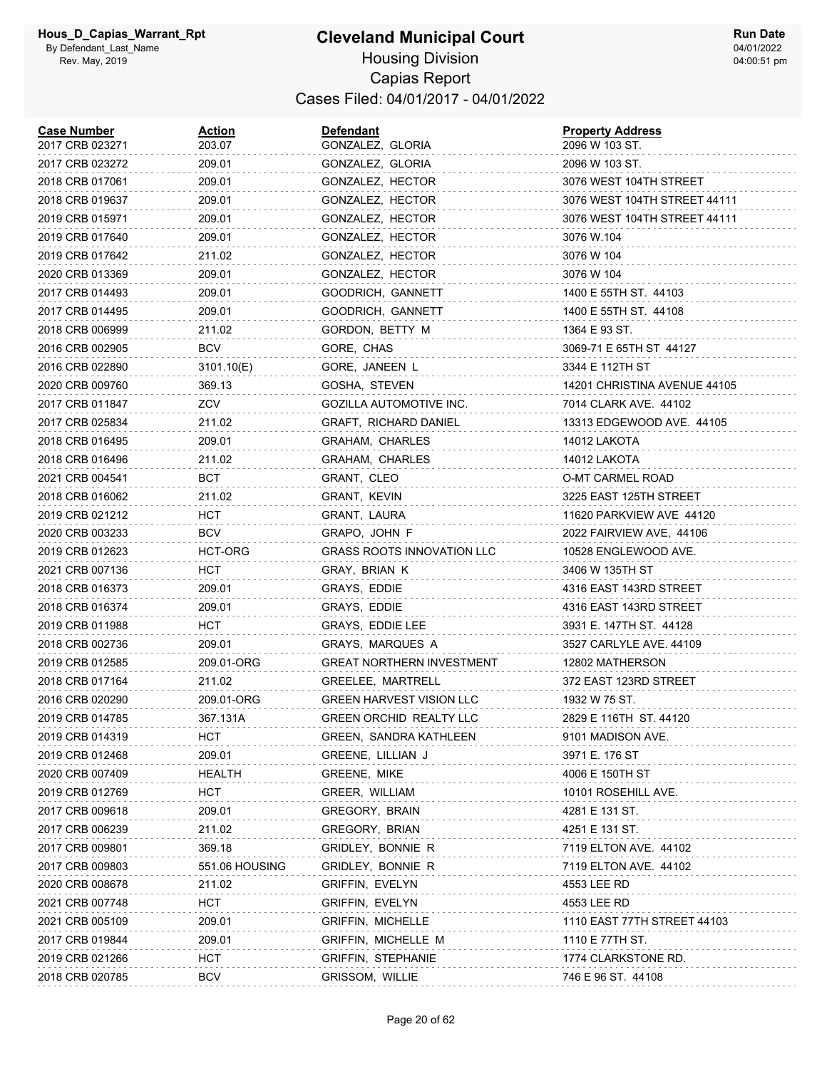#### **Cleveland Municipal Court** Housing Division Capias Report Cases Filed: 04/01/2017 - 04/01/2022

| <b>Case Number</b><br>2017 CRB 023271 | Action<br>203.07 | <b>Defendant</b><br>GONZALEZ, GLORIA | <b>Property Address</b><br>2096 W 103 ST. |
|---------------------------------------|------------------|--------------------------------------|-------------------------------------------|
| 2017 CRB 023272                       | 209.01           | GONZALEZ, GLORIA                     | 2096 W 103 ST.                            |
| 2018 CRB 017061                       | 209.01           | GONZALEZ, HECTOR                     | 3076 WEST 104TH STREET                    |
| 2018 CRB 019637                       | 209.01           | GONZALEZ, HECTOR                     | 3076 WEST 104TH STREET 44111              |
| 2019 CRB 015971                       | 209.01           | GONZALEZ, HECTOR                     | 3076 WEST 104TH STREET 44111              |
| 2019 CRB 017640                       | 209.01           | GONZALEZ, HECTOR                     | 3076 W.104                                |
| 2019 CRB 017642                       | 211.02           | GONZALEZ, HECTOR                     | 3076 W 104                                |
| 2020 CRB 013369                       | 209.01           | GONZALEZ, HECTOR                     | 3076 W 104                                |
| 2017 CRB 014493                       | 209.01           | GOODRICH, GANNETT                    | 1400 E 55TH ST. 44103                     |
| 2017 CRB 014495                       | 209.01           | GOODRICH, GANNETT                    | 1400 E 55TH ST. 44108                     |
| 2018 CRB 006999                       | 211.02           | GORDON, BETTY M                      | 1364 E 93 ST.                             |
| 2016 CRB 002905                       | <b>BCV</b>       | GORE, CHAS                           | 3069-71 E 65TH ST 44127                   |
| 2016 CRB 022890                       | 3101.10(E)       | GORE, JANEEN L                       | 3344 E 112TH ST                           |
| 2020 CRB 009760                       | 369.13           | GOSHA, STEVEN                        | 14201 CHRISTINA AVENUE 44105              |
| 2017 CRB 011847                       | ZCV              | GOZILLA AUTOMOTIVE INC.              | 7014 CLARK AVE. 44102                     |
| 2017 CRB 025834                       | 211.02           | GRAFT, RICHARD DANIEL                | 13313 EDGEWOOD AVE. 44105                 |
| 2018 CRB 016495                       | 209.01           | GRAHAM, CHARLES                      | 14012 LAKOTA                              |
| 2018 CRB 016496                       | 211.02           | GRAHAM, CHARLES                      | 14012 LAKOTA                              |
| 2021 CRB 004541                       | BCT              | GRANT, CLEO                          | O-MT CARMEL ROAD                          |
| 2018 CRB 016062                       | 211.02           | GRANT, KEVIN                         | 3225 EAST 125TH STREET                    |
| 2019 CRB 021212                       | HCT              | GRANT, LAURA                         | 11620 PARKVIEW AVE 44120                  |
| 2020 CRB 003233                       | BCV              | GRAPO, JOHN F                        | 2022 FAIRVIEW AVE, 44106                  |
| 2019 CRB 012623                       | HCT-ORG          | <b>GRASS ROOTS INNOVATION LLC</b>    | 10528 ENGLEWOOD AVE.                      |
| 2021 CRB 007136                       | HCT              | GRAY, BRIAN K                        | 3406 W 135TH ST                           |
| 2018 CRB 016373                       | 209.01           | GRAYS, EDDIE                         | 4316 EAST 143RD STREET                    |
| 2018 CRB 016374                       | 209.01           | GRAYS, EDDIE                         | 4316 EAST 143RD STREET                    |
| 2019 CRB 011988                       | HCT              | GRAYS, EDDIE LEE                     | 3931 E. 147TH ST. 44128                   |
| 2018 CRB 002736                       | 209.01           | <b>GRAYS, MARQUES A</b>              | 3527 CARLYLE AVE. 44109                   |
| 2019 CRB 012585                       | 209.01-ORG       | <b>GREAT NORTHERN INVESTMENT</b>     | 12802 MATHERSON                           |
| 2018 CRB 017164                       | 211.02           | GREELEE, MARTRELL                    | 372 EAST 123RD STREET                     |
| 2016 CRB 020290                       | 209.01-ORG       | <b>GREEN HARVEST VISION LLC</b>      | 1932 W 75 ST.                             |
| 2019 CRB 014785                       | 367.131A         | <b>GREEN ORCHID REALTY LLC</b>       | 2829 E 116TH ST. 44120                    |
| 2019 CRB 014319                       | HCT              | GREEN, SANDRA KATHLEEN               | 9101 MADISON AVE.                         |
| 2019 CRB 012468                       | 209.01           | GREENE, LILLIAN J                    | 3971 E. 176 ST                            |
| 2020 CRB 007409                       | HEALTH           | GREENE, MIKE                         | 4006 E 150TH ST                           |
| 2019 CRB 012769                       | HCT              | GREER, WILLIAM                       | 10101 ROSEHILL AVE.                       |
| 2017 CRB 009618                       | 209.01           | GREGORY, BRAIN                       | 4281 E 131 ST.                            |
| 2017 CRB 006239                       | 211.02           | GREGORY, BRIAN                       | 4251 E 131 ST.                            |
| 2017 CRB 009801                       | 369.18           | GRIDLEY, BONNIE R                    | 7119 ELTON AVE. 44102                     |
| 2017 CRB 009803                       | 551.06 HOUSING   | <b>GRIDLEY, BONNIE R</b>             | 7119 ELTON AVE. 44102                     |
| 2020 CRB 008678                       | 211.02           | GRIFFIN, EVELYN                      | 4553 LEE RD                               |
| 2021 CRB 007748                       | <b>HCT</b>       | <b>GRIFFIN, EVELYN</b>               | 4553 LEE RD                               |
| 2021 CRB 005109                       | 209.01           | <b>GRIFFIN, MICHELLE</b>             | 1110 EAST 77TH STREET 44103               |
| 2017 CRB 019844                       | 209.01           | GRIFFIN, MICHELLE M                  | 1110 E 77TH ST.                           |
| 2019 CRB 021266                       | <b>HCT</b>       | <b>GRIFFIN, STEPHANIE</b>            | 1774 CLARKSTONE RD.                       |
| 2018 CRB 020785                       | BCV              | GRISSOM, WILLIE                      | 746 E 96 ST. 44108                        |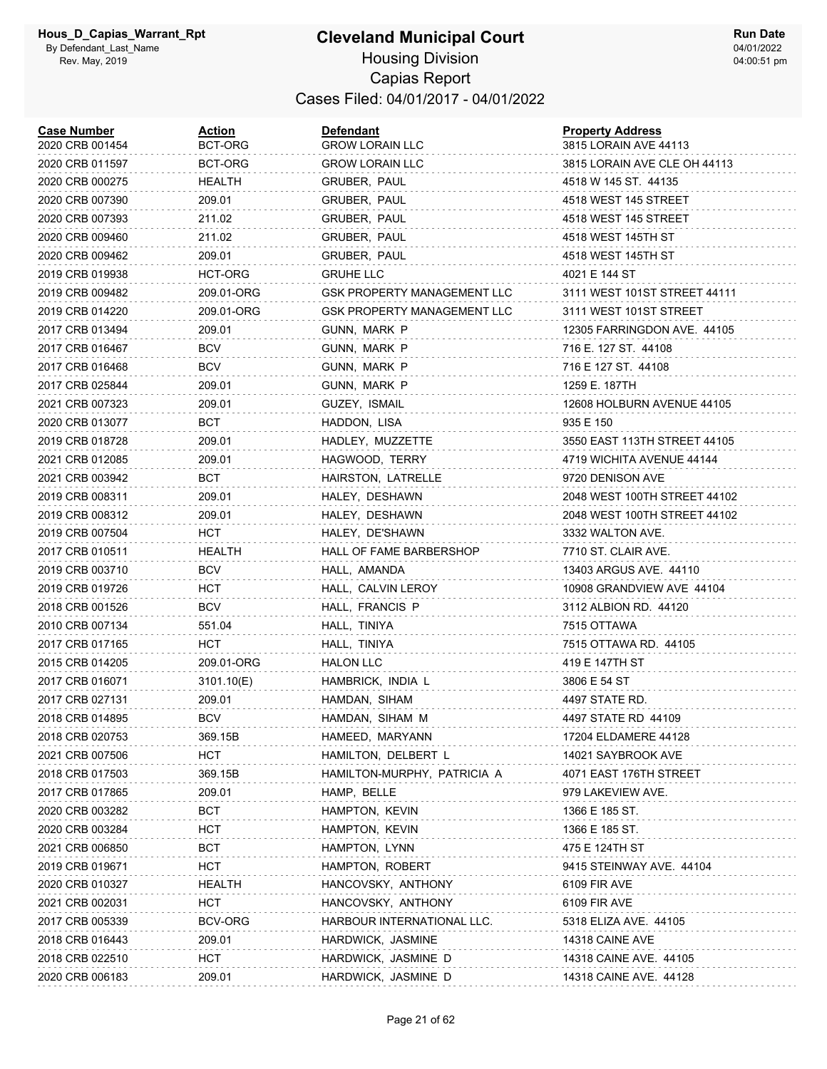#### **Cleveland Municipal Court** Housing Division Capias Report Cases Filed: 04/01/2017 - 04/01/2022

| <b>Case Number</b><br>2020 CRB 001454 | <b>Action</b><br>BCT-ORG | Defendant<br><b>GROW LORAIN LLC</b> | <b>Property Address</b><br>3815 LORAIN AVE 44113 |
|---------------------------------------|--------------------------|-------------------------------------|--------------------------------------------------|
| 2020 CRB 011597                       | BCT-ORG                  | <b>GROW LORAIN LLC</b>              | 3815 LORAIN AVE CLE OH 44113                     |
| 2020 CRB 000275                       | HEALTH                   | GRUBER, PAUL                        | 4518 W 145 ST. 44135                             |
| 2020 CRB 007390                       | 209.01                   | GRUBER, PAUL                        | 4518 WEST 145 STREET                             |
| 2020 CRB 007393                       | 211.02                   | GRUBER, PAUL                        | 4518 WEST 145 STREET                             |
| 2020 CRB 009460                       | 211.02                   | GRUBER, PAUL                        | 4518 WEST 145TH ST                               |
| 2020 CRB 009462                       | 209.01                   | GRUBER, PAUL                        | 4518 WEST 145TH ST                               |
| 2019 CRB 019938                       | HCT-ORG                  | <b>GRUHE LLC</b>                    | 4021 E 144 ST                                    |
| 2019 CRB 009482                       | 209.01-ORG               | GSK PROPERTY MANAGEMENT LLC         | 3111 WEST 101ST STREET 44111                     |
| 2019 CRB 014220                       | 209.01-ORG               | <b>GSK PROPERTY MANAGEMENT LLC</b>  | 3111 WEST 101ST STREET                           |
| 2017 CRB 013494                       | 209.01                   | GUNN, MARK P                        | 12305 FARRINGDON AVE. 44105                      |
| 2017 CRB 016467                       | <b>BCV</b>               | GUNN, MARK P                        | 716 E. 127 ST. 44108                             |
| 2017 CRB 016468                       | <b>BCV</b>               | GUNN, MARK P                        | 716 E 127 ST. 44108                              |
| 2017 CRB 025844                       | 209.01                   | GUNN, MARK P                        | 1259 E. 187TH                                    |
| 2021 CRB 007323                       | 209.01                   | GUZEY, ISMAIL                       | 12608 HOLBURN AVENUE 44105                       |
| 2020 CRB 013077                       | BCT                      | HADDON, LISA                        | 935 E 150                                        |
| 2019 CRB 018728                       | 209.01                   | HADLEY, MUZZETTE                    | 3550 EAST 113TH STREET 44105                     |
| 2021 CRB 012085                       | 209.01                   | HAGWOOD, TERRY                      | 4719 WICHITA AVENUE 44144                        |
| 2021 CRB 003942                       | BCT                      | HAIRSTON, LATRELLE                  | 9720 DENISON AVE                                 |
| 2019 CRB 008311                       | 209.01                   | HALEY, DESHAWN                      | 2048 WEST 100TH STREET 44102                     |
| 2019 CRB 008312                       | 209.01                   | HALEY, DESHAWN                      | 2048 WEST 100TH STREET 44102                     |
| 2019 CRB 007504                       | HCT                      | HALEY, DE'SHAWN                     | 3332 WALTON AVE.                                 |
| 2017 CRB 010511                       | HEALTH                   | HALL OF FAME BARBERSHOP             | 7710 ST. CLAIR AVE.                              |
| 2019 CRB 003710                       | <b>BCV</b>               | HALL, AMANDA                        | 13403 ARGUS AVE. 44110                           |
| 2019 CRB 019726                       | HCT                      | HALL, CALVIN LEROY                  | 10908 GRANDVIEW AVE 44104                        |
| 2018 CRB 001526                       | <b>BCV</b>               | HALL, FRANCIS P                     | 3112 ALBION RD. 44120                            |
| 2010 CRB 007134                       | 551.04                   | HALL, TINIYA                        | 7515 OTTAWA                                      |
| 2017 CRB 017165                       | HCT                      | HALL, TINIYA                        | 7515 OTTAWA RD. 44105                            |
| 2015 CRB 014205                       | 209.01-ORG               | <b>HALON LLC</b>                    | 419 E 147TH ST                                   |
| 2017 CRB 016071                       | 3101.10(E)               | HAMBRICK, INDIA L                   | 3806 E 54 ST                                     |
| 2017 CRB 027131                       | 209.01                   | HAMDAN, SIHAM                       | 4497 STATE RD.                                   |
| 2018 CRB 014895                       | <b>BCV</b>               | HAMDAN, SIHAM M                     | 4497 STATE RD 44109                              |
| 2018 CRB 020753                       | 369.15B                  | HAMEED, MARYANN                     | 17204 ELDAMERE 44128                             |
| 2021 CRB 007506                       | HCT                      | HAMILTON, DELBERT L                 | 14021 SAYBROOK AVE                               |
| 2018 CRB 017503                       | 369.15B                  | HAMILTON-MURPHY, PATRICIA A         | 4071 EAST 176TH STREET                           |
| 2017 CRB 017865                       | 209.01                   | HAMP, BELLE                         | 979 LAKEVIEW AVE.                                |
| 2020 CRB 003282                       | <b>BCT</b>               | HAMPTON, KEVIN                      | 1366 E 185 ST.                                   |
| 2020 CRB 003284                       | HCT                      | HAMPTON, KEVIN                      | 1366 E 185 ST.                                   |
| 2021 CRB 006850                       | BCT                      | HAMPTON, LYNN                       | 475 E 124TH ST                                   |
| 2019 CRB 019671                       | HCT                      | HAMPTON, ROBERT                     | 9415 STEINWAY AVE. 44104                         |
| 2020 CRB 010327                       | HEALTH                   | HANCOVSKY, ANTHONY                  | 6109 FIR AVE                                     |
| 2021 CRB 002031                       | <b>HCT</b>               | HANCOVSKY, ANTHONY                  | 6109 FIR AVE                                     |
| 2017 CRB 005339                       | <b>BCV-ORG</b>           | HARBOUR INTERNATIONAL LLC.          | 5318 ELIZA AVE. 44105                            |
| 2018 CRB 016443                       | 209.01                   | HARDWICK, JASMINE                   | 14318 CAINE AVE                                  |
| 2018 CRB 022510                       | <b>HCT</b>               | HARDWICK, JASMINE D                 | 14318 CAINE AVE. 44105                           |
| 2020 CRB 006183                       | 209.01                   | HARDWICK, JASMINE D                 | 14318 CAINE AVE. 44128                           |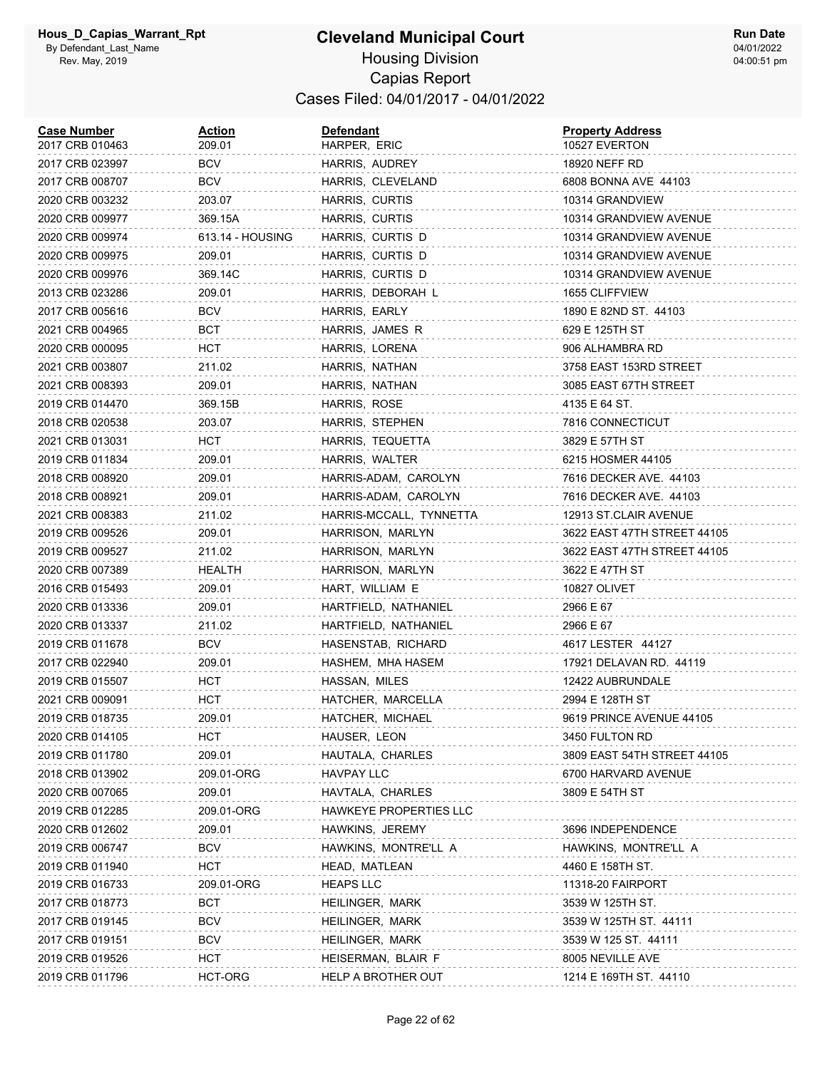| <b>Case Number</b><br>2017 CRB 010463 | Action<br>209.01 | <b>Defendant</b><br>HARPER, ERIC | <b>Property Address</b><br>10527 EVERTON |
|---------------------------------------|------------------|----------------------------------|------------------------------------------|
| 2017 CRB 023997                       | BCV              | HARRIS, AUDREY                   | 18920 NEFF RD                            |
| 2017 CRB 008707                       | BCV              | HARRIS, CLEVELAND                | 6808 BONNA AVE 44103                     |
| 2020 CRB 003232                       | 203.07           | HARRIS, CURTIS                   | 10314 GRANDVIEW                          |
| 2020 CRB 009977                       | 369.15A          | HARRIS, CURTIS                   | 10314 GRANDVIEW AVENUE                   |
| 2020 CRB 009974                       | 613.14 - HOUSING | HARRIS, CURTIS D                 | 10314 GRANDVIEW AVENUE                   |
| 2020 CRB 009975                       | 209.01           | HARRIS, CURTIS D                 | 10314 GRANDVIEW AVENUE                   |
| 2020 CRB 009976                       | 369.14C          | HARRIS, CURTIS D                 | 10314 GRANDVIEW AVENUE                   |
| 2013 CRB 023286                       | 209.01           | HARRIS, DEBORAH L                | 1655 CLIFFVIEW                           |
| 2017 CRB 005616                       | BCV              | HARRIS, EARLY                    | 1890 E 82ND ST. 44103                    |
| 2021 CRB 004965                       | BCT              | HARRIS, JAMES R                  | 629 E 125TH ST                           |
| 2020 CRB 000095                       | нст              | HARRIS, LORENA                   | 906 ALHAMBRA RD                          |
| 2021 CRB 003807                       | 211.02           | HARRIS, NATHAN                   | 3758 EAST 153RD STREET                   |
| 2021 CRB 008393                       | 209.01           | HARRIS, NATHAN                   | 3085 EAST 67TH STREET                    |
| 2019 CRB 014470                       | 369.15B          | HARRIS, ROSE                     | 4135 E 64 ST.                            |
| 2018 CRB 020538                       | 203.07           | HARRIS, STEPHEN                  | 7816 CONNECTICUT                         |
| 2021 CRB 013031                       | нст              | HARRIS, TEQUETTA                 | 3829 E 57TH ST                           |
| 2019 CRB 011834                       | 209.01           | HARRIS, WALTER                   | 6215 HOSMER 44105                        |
| 2018 CRB 008920                       | 209.01           | HARRIS-ADAM, CAROLYN             | 7616 DECKER AVE. 44103                   |
| 2018 CRB 008921                       | 209.01           | HARRIS-ADAM, CAROLYN             | 7616 DECKER AVE. 44103                   |
| 2021 CRB 008383                       | 211.02           | HARRIS-MCCALL, TYNNETTA          | 12913 ST.CLAIR AVENUE                    |
| 2019 CRB 009526                       | 209.01           | HARRISON, MARLYN                 | 3622 EAST 47TH STREET 44105              |
| 2019 CRB 009527                       | 211.02           | HARRISON, MARLYN                 | 3622 EAST 47TH STREET 44105              |
| 2020 CRB 007389                       | HEALTH           | HARRISON, MARLYN                 | 3622 E 47TH ST                           |
| 2016 CRB 015493                       | 209.01           | HART, WILLIAM E                  | 10827 OLIVET                             |
| 2020 CRB 013336                       | 209.01           | HARTFIELD, NATHANIEL             | 2966 E 67                                |
| 2020 CRB 013337                       | 211.02           | HARTFIELD, NATHANIEL             | 2966 E 67                                |
| 2019 CRB 011678                       | <b>BCV</b>       | HASENSTAB, RICHARD               | 4617 LESTER 44127                        |
| 2017 CRB 022940                       | 209.01           | HASHEM, MHA HASEM                | 17921 DELAVAN RD. 44119                  |
| 2019 CRB 015507                       | HCT              | HASSAN, MILES                    | 12422 AUBRUNDALE                         |
| 2021 CRB 009091                       | нст              | HATCHER, MARCELLA                | 2994 E 128TH ST                          |
| 2019 CRB 018735                       | 209.01           | HATCHER, MICHAEL                 | 9619 PRINCE AVENUE 44105                 |
| 2020 CRB 014105                       | HCT              | HAUSER, LEON                     | 3450 FULTON RD                           |
| 2019 CRB 011780                       | 209.01           | HAUTALA, CHARLES                 | 3809 EAST 54TH STREET 44105              |
| 2018 CRB 013902                       | 209.01-ORG       | <b>HAVPAY LLC</b>                | 6700 HARVARD AVENUE                      |
| 2020 CRB 007065                       | 209.01           | HAVTALA, CHARLES                 | 3809 E 54TH ST                           |
| 2019 CRB 012285                       | 209.01-ORG       | HAWKEYE PROPERTIES LLC           |                                          |
| 2020 CRB 012602                       | 209.01           | HAWKINS, JEREMY                  | 3696 INDEPENDENCE                        |
| 2019 CRB 006747                       | <b>BCV</b>       | HAWKINS, MONTRE'LL A             | HAWKINS, MONTRE'LL A                     |
| 2019 CRB 011940                       | нст              | HEAD, MATLEAN                    | 4460 E 158TH ST.                         |
| 2019 CRB 016733                       | 209.01-ORG       | <b>HEAPS LLC</b>                 | 11318-20 FAIRPORT                        |
| 2017 CRB 018773                       | <b>BCT</b>       | HEILINGER, MARK                  | 3539 W 125TH ST.                         |
| 2017 CRB 019145                       | <b>BCV</b>       | HEILINGER, MARK                  | 3539 W 125TH ST. 44111                   |
| 2017 CRB 019151                       | <b>BCV</b>       | HEILINGER, MARK                  | 3539 W 125 ST. 44111                     |
| 2019 CRB 019526                       | <b>HCT</b>       | HEISERMAN, BLAIR F               | 8005 NEVILLE AVE                         |
| 2019 CRB 011796                       | HCT-ORG          | HELP A BROTHER OUT               | 1214 E 169TH ST. 44110                   |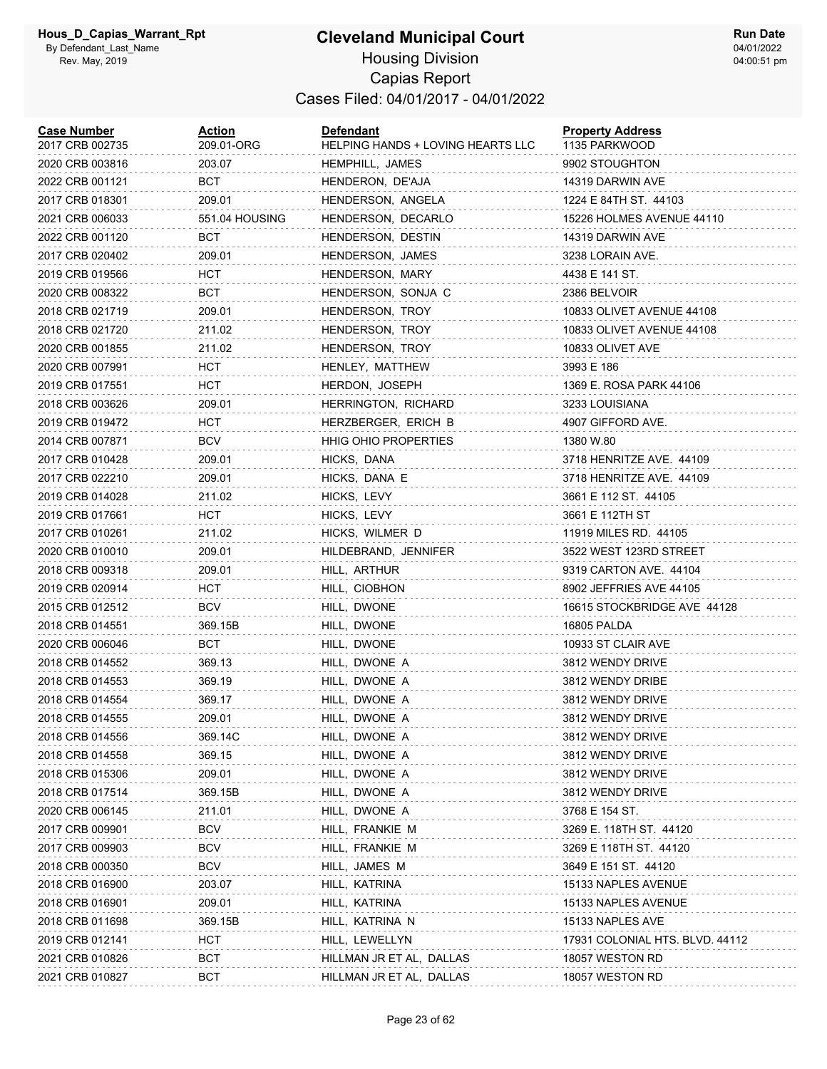## **Cleveland Municipal Court** Housing Division

Capias Report Cases Filed: 04/01/2017 - 04/01/2022

| <b>Case Number</b><br>2017 CRB 002735 | Action<br>209.01-ORG | <b>Defendant</b><br>HELPING HANDS + LOVING HEARTS LLC | <b>Property Address</b><br>1135 PARKWOOD |
|---------------------------------------|----------------------|-------------------------------------------------------|------------------------------------------|
| 2020 CRB 003816                       | 203.07               | HEMPHILL, JAMES                                       | 9902 STOUGHTON                           |
| 2022 CRB 001121                       | BCT                  | HENDERON, DE'AJA                                      | 14319 DARWIN AVE                         |
| 2017 CRB 018301                       | 209.01               | HENDERSON, ANGELA                                     | 1224 E 84TH ST. 44103                    |
| 2021 CRB 006033                       | 551.04 HOUSING       | HENDERSON, DECARLO                                    | 15226 HOLMES AVENUE 44110                |
| 2022 CRB 001120                       | BCT                  | HENDERSON, DESTIN                                     | 14319 DARWIN AVE                         |
| 2017 CRB 020402                       | 209.01               | HENDERSON, JAMES                                      | 3238 LORAIN AVE.                         |
| 2019 CRB 019566                       | HCT                  | HENDERSON, MARY                                       | 4438 E 141 ST.                           |
| 2020 CRB 008322                       | BCT                  | HENDERSON, SONJA C                                    | 2386 BELVOIR                             |
| 2018 CRB 021719                       | 209.01               | HENDERSON, TROY                                       | 10833 OLIVET AVENUE 44108                |
| 2018 CRB 021720                       | 211.02               | HENDERSON, TROY                                       | 10833 OLIVET AVENUE 44108                |
| 2020 CRB 001855                       | 211.02               | HENDERSON, TROY                                       | 10833 OLIVET AVE                         |
| 2020 CRB 007991                       | HCT                  | HENLEY, MATTHEW                                       | 3993 E 186                               |
| 2019 CRB 017551                       | HCT                  | HERDON, JOSEPH                                        | 1369 E. ROSA PARK 44106                  |
| 2018 CRB 003626                       | 209.01               | HERRINGTON, RICHARD                                   | 3233 LOUISIANA                           |
| 2019 CRB 019472                       | HCT                  | HERZBERGER, ERICH B                                   | 4907 GIFFORD AVE.                        |
| 2014 CRB 007871                       | <b>BCV</b>           | <b>HHIG OHIO PROPERTIES</b>                           | 1380 W.80                                |
| 2017 CRB 010428                       | 209.01               | HICKS, DANA                                           | 3718 HENRITZE AVE. 44109                 |
| 2017 CRB 022210                       | 209.01               | HICKS, DANA E                                         | 3718 HENRITZE AVE. 44109                 |
| 2019 CRB 014028                       | 211.02               | HICKS, LEVY                                           | 3661 E 112 ST. 44105                     |
| 2019 CRB 017661                       | HCT                  | HICKS, LEVY                                           | 3661 E 112TH ST                          |
| 2017 CRB 010261                       | 211.02               | HICKS, WILMER D                                       | 11919 MILES RD. 44105                    |
| 2020 CRB 010010                       | 209.01               | HILDEBRAND, JENNIFER                                  | 3522 WEST 123RD STREET                   |
| 2018 CRB 009318                       | 209.01               | HILL, ARTHUR                                          | 9319 CARTON AVE. 44104                   |
| 2019 CRB 020914                       | HCT                  | HILL, CIOBHON                                         | 8902 JEFFRIES AVE 44105                  |
| 2015 CRB 012512                       | <b>BCV</b>           | HILL, DWONE                                           | 16615 STOCKBRIDGE AVE 44128              |
| 2018 CRB 014551                       | 369.15B              | HILL, DWONE                                           | 16805 PALDA                              |
| 2020 CRB 006046                       | <b>BCT</b>           | HILL, DWONE                                           | 10933 ST CLAIR AVE                       |
| 2018 CRB 014552                       | 369.13               | HILL, DWONE A                                         | 3812 WENDY DRIVE                         |
| 2018 CRB 014553                       | 369.19               | HILL, DWONE A                                         | 3812 WENDY DRIBE                         |
| 2018 CRB 014554                       | 369.17               | HILL, DWONE A                                         | 3812 WENDY DRIVE                         |
| 2018 CRB 014555                       | 209.01               | HILL, DWONE A                                         | 3812 WENDY DRIVE                         |
| 2018 CRB 014556                       | 369.14C              | HILL, DWONE A                                         | 3812 WENDY DRIVE                         |
| 2018 CRB 014558                       | 369.15               | HILL, DWONE A                                         | 3812 WENDY DRIVE                         |
| 2018 CRB 015306                       | 209.01               | HILL, DWONE A                                         | 3812 WENDY DRIVE                         |
| 2018 CRB 017514                       | 369.15B              | HILL, DWONE A                                         | 3812 WENDY DRIVE                         |
| 2020 CRB 006145                       | 211.01               | HILL, DWONE A                                         | 3768 E 154 ST.                           |
| 2017 CRB 009901                       | <b>BCV</b>           | HILL, FRANKIE M                                       | 3269 E. 118TH ST. 44120                  |
| 2017 CRB 009903                       | <b>BCV</b>           | HILL, FRANKIE M                                       | 3269 E 118TH ST. 44120                   |
| 2018 CRB 000350                       | <b>BCV</b>           | HILL, JAMES M                                         | 3649 E 151 ST. 44120                     |
| 2018 CRB 016900                       | 203.07               | HILL, KATRINA                                         | 15133 NAPLES AVENUE                      |
| 2018 CRB 016901                       | 209.01               | HILL, KATRINA                                         | 15133 NAPLES AVENUE                      |
| 2018 CRB 011698                       | 369.15B              | HILL, KATRINA N                                       | 15133 NAPLES AVE                         |
| 2019 CRB 012141                       | <b>HCT</b>           | HILL, LEWELLYN                                        | 17931 COLONIAL HTS. BLVD. 44112          |
| 2021 CRB 010826                       | BCT                  | HILLMAN JR ET AL, DALLAS                              | 18057 WESTON RD                          |
| 2021 CRB 010827                       | BCT                  | HILLMAN JR ET AL, DALLAS                              | 18057 WESTON RD                          |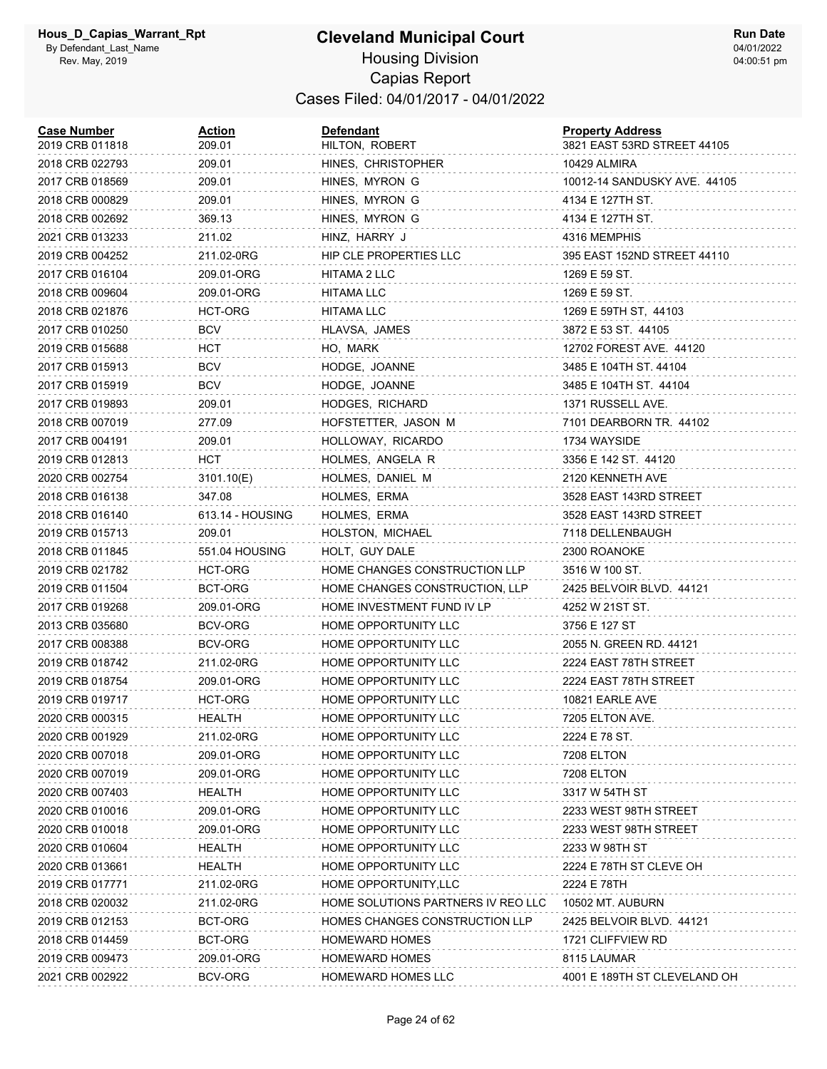| <b>Case Number</b><br>2019 CRB 011818 | <b>Action</b><br>209.01 | Defendant<br>HILTON, ROBERT        | <b>Property Address</b><br>3821 EAST 53RD STREET 44105 |
|---------------------------------------|-------------------------|------------------------------------|--------------------------------------------------------|
| 2018 CRB 022793                       | 209.01                  | HINES, CHRISTOPHER                 | 10429 ALMIRA                                           |
| 2017 CRB 018569                       | 209.01                  | HINES, MYRON G                     | 10012-14 SANDUSKY AVE. 44105                           |
| 2018 CRB 000829                       | 209.01                  | HINES, MYRON G                     | 4134 E 127TH ST.                                       |
| 2018 CRB 002692                       | 369.13                  | HINES, MYRON G                     | 4134 E 127TH ST.                                       |
| 2021 CRB 013233                       | 211.02                  | HINZ, HARRY J                      | 4316 MEMPHIS                                           |
| 2019 CRB 004252                       | 211.02-0RG              | <b>HIP CLE PROPERTIES LLC</b>      | 395 EAST 152ND STREET 44110                            |
| 2017 CRB 016104                       | 209.01-ORG              | HITAMA 2 LLC                       | 1269 E 59 ST.                                          |
| 2018 CRB 009604                       | 209.01-ORG              | <b>HITAMA LLC</b>                  | 1269 E 59 ST.                                          |
| 2018 CRB 021876                       | HCT-ORG                 | HITAMA LLC                         | 1269 E 59TH ST, 44103                                  |
| 2017 CRB 010250                       | <b>BCV</b>              | HLAVSA, JAMES                      | 3872 E 53 ST. 44105                                    |
| 2019 CRB 015688                       | HCT                     | HO, MARK                           | 12702 FOREST AVE. 44120                                |
| 2017 CRB 015913                       | <b>BCV</b>              | HODGE, JOANNE                      | 3485 E 104TH ST. 44104                                 |
| 2017 CRB 015919                       | BCV                     | HODGE, JOANNE                      | 3485 E 104TH ST. 44104                                 |
| 2017 CRB 019893                       | 209.01                  | HODGES, RICHARD                    | 1371 RUSSELL AVE.                                      |
| 2018 CRB 007019                       | 277.09                  | HOFSTETTER, JASON M                | 7101 DEARBORN TR. 44102                                |
| 2017 CRB 004191                       | 209.01                  | HOLLOWAY, RICARDO                  | 1734 WAYSIDE                                           |
| 2019 CRB 012813                       | HCT                     | HOLMES, ANGELA R                   | 3356 E 142 ST. 44120                                   |
| 2020 CRB 002754                       | 3101.10(E)              | HOLMES, DANIEL M                   | 2120 KENNETH AVE                                       |
| 2018 CRB 016138                       | 347.08                  | HOLMES, ERMA                       | 3528 EAST 143RD STREET                                 |
| 2018 CRB 016140                       | 613.14 - HOUSING        | HOLMES, ERMA                       | 3528 EAST 143RD STREET                                 |
| 2019 CRB 015713                       | 209.01                  | HOLSTON, MICHAEL                   | 7118 DELLENBAUGH                                       |
| 2018 CRB 011845                       | 551.04 HOUSING          | HOLT, GUY DALE                     | 2300 ROANOKE                                           |
| 2019 CRB 021782                       | HCT-ORG                 | HOME CHANGES CONSTRUCTION LLP      | 3516 W 100 ST.                                         |
| 2019 CRB 011504                       | BCT-ORG                 | HOME CHANGES CONSTRUCTION, LLP     | 2425 BELVOIR BLVD. 44121                               |
| 2017 CRB 019268                       | 209.01-ORG              | HOME INVESTMENT FUND IV LP         | 4252 W 21ST ST.                                        |
| 2013 CRB 035680                       | BCV-ORG                 | HOME OPPORTUNITY LLC               | 3756 E 127 ST                                          |
| 2017 CRB 008388                       | <b>BCV-ORG</b>          | HOME OPPORTUNITY LLC               | 2055 N. GREEN RD. 44121                                |
| 2019 CRB 018742                       | 211.02-0RG              | HOME OPPORTUNITY LLC               | 2224 EAST 78TH STREET                                  |
| 2019 CRB 018754                       | 209.01-ORG              | HOME OPPORTUNITY LLC               | 2224 EAST 78TH STREET                                  |
| 2019 CRB 019717                       | HCT-ORG                 | HOME OPPORTUNITY LLC               | 10821 EARLE AVE                                        |
| 2020 CRB 000315                       | <b>HEALTH</b>           | HOME OPPORTUNITY LLC               | 7205 ELTON AVE.                                        |
| 2020 CRB 001929                       | 211.02-0RG              | HOME OPPORTUNITY LLC               | 2224 E 78 ST.                                          |
| 2020 CRB 007018                       | 209.01-ORG              | HOME OPPORTUNITY LLC               | 7208 ELTON                                             |
| 2020 CRB 007019                       | 209.01-ORG              | HOME OPPORTUNITY LLC               | <b>7208 ELTON</b>                                      |
| 2020 CRB 007403                       | HEALTH                  | HOME OPPORTUNITY LLC               | 3317 W 54TH ST                                         |
| 2020 CRB 010016                       | 209.01-ORG              | HOME OPPORTUNITY LLC               | 2233 WEST 98TH STREET                                  |
| 2020 CRB 010018                       | 209.01-ORG              | HOME OPPORTUNITY LLC               | 2233 WEST 98TH STREET                                  |
| 2020 CRB 010604                       | HEALTH                  | HOME OPPORTUNITY LLC               | 2233 W 98TH ST                                         |
| 2020 CRB 013661                       | HEALTH                  | HOME OPPORTUNITY LLC               | 2224 E 78TH ST CLEVE OH                                |
| 2019 CRB 017771                       | 211.02-0RG              | HOME OPPORTUNITY, LLC              | 2224 E 78TH                                            |
| 2018 CRB 020032                       | 211.02-0RG              | HOME SOLUTIONS PARTNERS IV REO LLC | 10502 MT. AUBURN                                       |
| 2019 CRB 012153                       | BCT-ORG                 | HOMES CHANGES CONSTRUCTION LLP     | 2425 BELVOIR BLVD. 44121                               |
| 2018 CRB 014459                       | BCT-ORG                 | <b>HOMEWARD HOMES</b>              | 1721 CLIFFVIEW RD                                      |
| 2019 CRB 009473                       | 209.01-ORG              | <b>HOMEWARD HOMES</b>              | 8115 LAUMAR                                            |
| 2021 CRB 002922                       | BCV-ORG                 | HOMEWARD HOMES LLC                 | 4001 E 189TH ST CLEVELAND OH                           |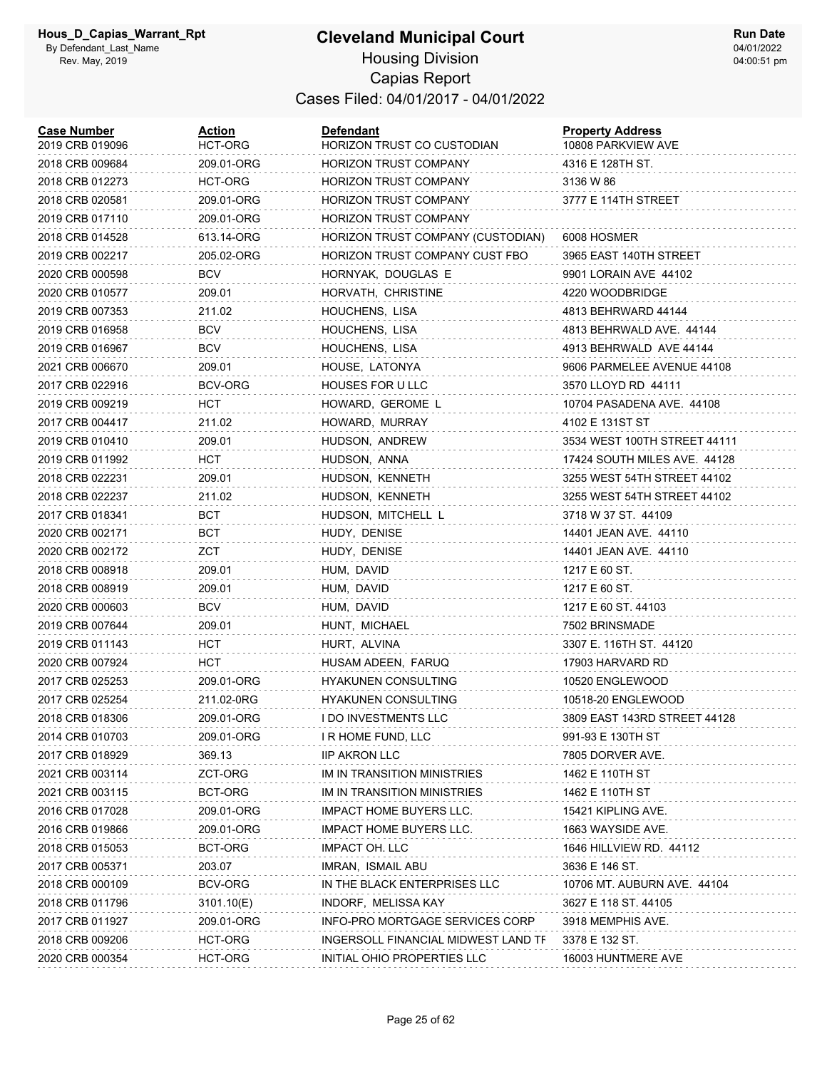| <b>Case Number</b><br>2019 CRB 019096 | Action<br>HCT-ORG | <b>Defendant</b><br>HORIZON TRUST CO CUSTODIAN | <b>Property Address</b><br>10808 PARKVIEW AVE |
|---------------------------------------|-------------------|------------------------------------------------|-----------------------------------------------|
| 2018 CRB 009684                       | 209.01-ORG        | <b>HORIZON TRUST COMPANY</b>                   | 4316 E 128TH ST.                              |
| 2018 CRB 012273                       | HCT-ORG           | <b>HORIZON TRUST COMPANY</b>                   | 3136 W 86                                     |
| 2018 CRB 020581                       | 209.01-ORG        | <b>HORIZON TRUST COMPANY</b>                   | 3777 E 114TH STREET                           |
| 2019 CRB 017110                       | 209.01-ORG        | <b>HORIZON TRUST COMPANY</b>                   |                                               |
| 2018 CRB 014528                       | 613.14-ORG        | HORIZON TRUST COMPANY (CUSTODIAN)              | 6008 HOSMER                                   |
| 2019 CRB 002217                       | 205.02-ORG        | HORIZON TRUST COMPANY CUST FBO                 | 3965 EAST 140TH STREET                        |
| 2020 CRB 000598                       | BCV               | HORNYAK, DOUGLAS E                             | 9901 LORAIN AVE 44102                         |
| 2020 CRB 010577                       | 209.01            | HORVATH, CHRISTINE                             | 4220 WOODBRIDGE                               |
| 2019 CRB 007353                       | 211.02            | HOUCHENS, LISA                                 | 4813 BEHRWARD 44144                           |
| 2019 CRB 016958                       | <b>BCV</b>        | HOUCHENS, LISA                                 | 4813 BEHRWALD AVE. 44144                      |
| 2019 CRB 016967                       | <b>BCV</b>        | HOUCHENS, LISA                                 | 4913 BEHRWALD AVE 44144                       |
| 2021 CRB 006670                       | 209.01            | HOUSE, LATONYA                                 | 9606 PARMELEE AVENUE 44108                    |
| 2017 CRB 022916                       | BCV-ORG           | HOUSES FOR U LLC                               | 3570 LLOYD RD 44111                           |
| 2019 CRB 009219                       | HCT               | HOWARD, GEROME L                               | 10704 PASADENA AVE. 44108                     |
| 2017 CRB 004417                       | 211.02            | HOWARD, MURRAY                                 | 4102 E 131ST ST                               |
| 2019 CRB 010410                       | 209.01            | HUDSON, ANDREW                                 | 3534 WEST 100TH STREET 44111                  |
| 2019 CRB 011992                       | нст               | HUDSON, ANNA                                   | 17424 SOUTH MILES AVE. 44128                  |
| 2018 CRB 022231                       | 209.01            | HUDSON, KENNETH                                | 3255 WEST 54TH STREET 44102                   |
| 2018 CRB 022237                       | 211.02            | HUDSON, KENNETH                                | 3255 WEST 54TH STREET 44102                   |
| 2017 CRB 018341                       | BCT               | HUDSON, MITCHELL L                             | 3718 W 37 ST. 44109                           |
| 2020 CRB 002171                       | BCT               | HUDY, DENISE                                   | 14401 JEAN AVE. 44110                         |
| 2020 CRB 002172                       | ZCT               | HUDY, DENISE                                   | 14401 JEAN AVE. 44110                         |
| 2018 CRB 008918                       | 209.01            | HUM, DAVID                                     | 1217 E 60 ST.                                 |
| 2018 CRB 008919                       | 209.01            | HUM, DAVID                                     | 1217 E 60 ST.                                 |
| 2020 CRB 000603                       | <b>BCV</b>        | HUM, DAVID                                     | 1217 E 60 ST. 44103                           |
| 2019 CRB 007644                       | 209.01            | HUNT, MICHAEL                                  | 7502 BRINSMADE                                |
| 2019 CRB 011143                       | HCT               | HURT, ALVINA                                   | 3307 E. 116TH ST. 44120                       |
| 2020 CRB 007924                       | HCT               | HUSAM ADEEN, FARUQ                             | 17903 HARVARD RD                              |
| 2017 CRB 025253                       | 209.01-ORG        | <b>HYAKUNEN CONSULTING</b>                     | 10520 ENGLEWOOD                               |
| 2017 CRB 025254                       | 211.02-0RG        | HYAKUNEN CONSULTING                            | 10518-20 ENGLEWOOD                            |
| 2018 CRB 018306                       | 209.01-ORG        | <b>I DO INVESTMENTS LLC</b>                    | 3809 EAST 143RD STREET 44128                  |
| 2014 CRB 010703                       | 209.01-ORG        | I R HOME FUND, LLC                             | 991-93 E 130TH ST                             |
| 2017 CRB 018929                       | 369.13            | <b>IIP AKRON LLC</b>                           | 7805 DORVER AVE.                              |
| 2021 CRB 003114                       | ZCT-ORG           | IM IN TRANSITION MINISTRIES                    | 1462 E 110TH ST                               |
| 2021 CRB 003115                       | BCT-ORG           | IM IN TRANSITION MINISTRIES                    | 1462 E 110TH ST                               |
| 2016 CRB 017028                       | 209.01-ORG        | <b>IMPACT HOME BUYERS LLC.</b>                 | 15421 KIPLING AVE.                            |
| 2016 CRB 019866                       | 209.01-ORG        | <b>IMPACT HOME BUYERS LLC.</b>                 | 1663 WAYSIDE AVE.                             |
| 2018 CRB 015053                       | BCT-ORG           | <b>IMPACT OH. LLC</b>                          | 1646 HILLVIEW RD. 44112                       |
| 2017 CRB 005371                       | 203.07            | IMRAN, ISMAIL ABU                              | 3636 E 146 ST.                                |
| 2018 CRB 000109                       | <b>BCV-ORG</b>    | IN THE BLACK ENTERPRISES LLC                   | 10706 MT. AUBURN AVE. 44104                   |
| 2018 CRB 011796                       | 3101.10(E)        | INDORF, MELISSA KAY                            | 3627 E 118 ST. 44105                          |
| 2017 CRB 011927                       | 209.01-ORG        | INFO-PRO MORTGAGE SERVICES CORP                | 3918 MEMPHIS AVE.                             |
| 2018 CRB 009206                       | HCT-ORG           | INGERSOLL FINANCIAL MIDWEST LAND TF            | 3378 E 132 ST.                                |
| 2020 CRB 000354                       | HCT-ORG           | INITIAL OHIO PROPERTIES LLC                    | 16003 HUNTMERE AVE                            |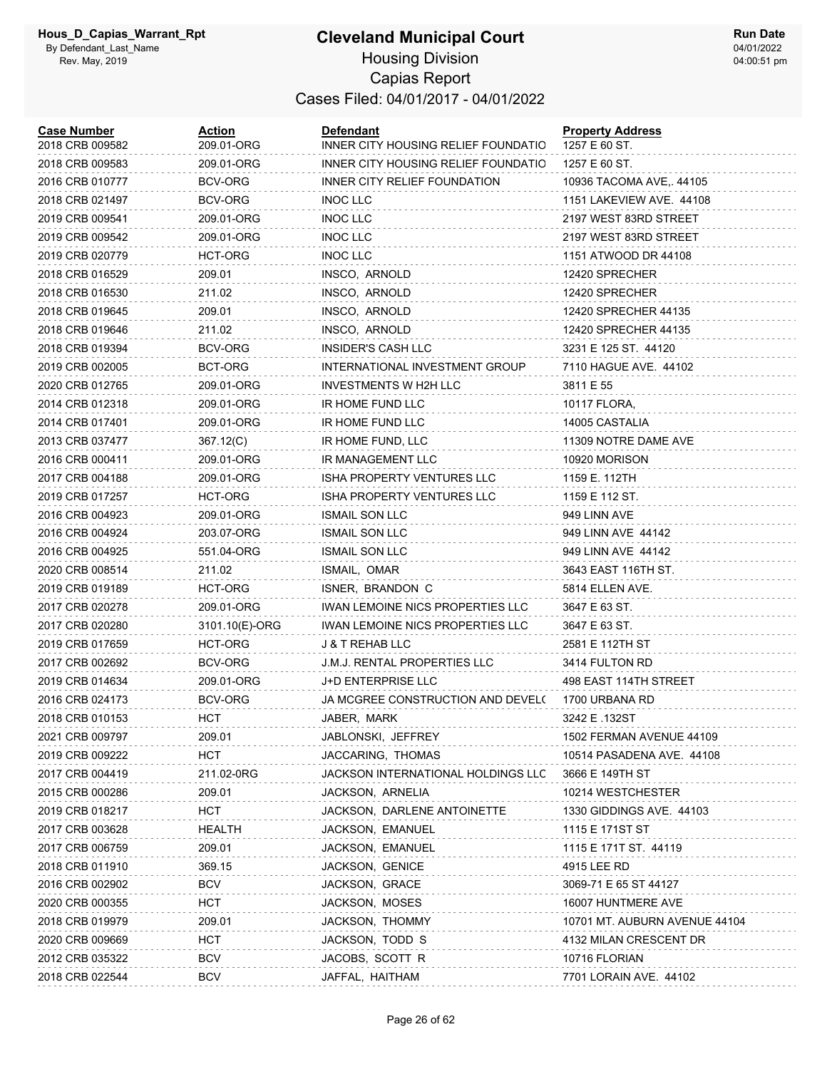#### **Cleveland Municipal Court** Housing Division Capias Report Cases Filed: 04/01/2017 - 04/01/2022

| <b>Case Number</b><br>2018 CRB 009582 | <u>Action</u><br>209.01-ORG | <b>Defendant</b><br>INNER CITY HOUSING RELIEF FOUNDATIO | <b>Property Address</b><br>1257 E 60 ST. |
|---------------------------------------|-----------------------------|---------------------------------------------------------|------------------------------------------|
| 2018 CRB 009583                       | 209.01-ORG                  | INNER CITY HOUSING RELIEF FOUNDATIO                     | 1257 E 60 ST.                            |
| 2016 CRB 010777                       | BCV-ORG                     | INNER CITY RELIEF FOUNDATION                            | 10936 TACOMA AVE,. 44105                 |
| 2018 CRB 021497                       | BCV-ORG                     | <b>INOC LLC</b>                                         | 1151 LAKEVIEW AVE. 44108                 |
| 2019 CRB 009541                       | 209.01-ORG                  | <b>INOC LLC</b>                                         | 2197 WEST 83RD STREET                    |
| 2019 CRB 009542                       | 209.01-ORG                  | INOC LLC                                                | 2197 WEST 83RD STREET                    |
| 2019 CRB 020779                       | <b>HCT-ORG</b>              | <b>INOC LLC</b>                                         | 1151 ATWOOD DR 44108                     |
| 2018 CRB 016529                       | 209.01                      | INSCO, ARNOLD                                           | 12420 SPRECHER                           |
| 2018 CRB 016530                       | 211.02                      | INSCO, ARNOLD                                           | 12420 SPRECHER                           |
| 2018 CRB 019645                       | 209.01                      | INSCO, ARNOLD                                           | 12420 SPRECHER 44135                     |
| 2018 CRB 019646                       | 211.02                      | INSCO, ARNOLD                                           | 12420 SPRECHER 44135                     |
| 2018 CRB 019394                       | BCV-ORG                     | INSIDER'S CASH LLC                                      | 3231 E 125 ST. 44120                     |
| 2019 CRB 002005                       | BCT-ORG                     | INTERNATIONAL INVESTMENT GROUP                          | 7110 HAGUE AVE. 44102                    |
| 2020 CRB 012765                       | 209.01-ORG                  | INVESTMENTS W H2H LLC                                   | 3811 E 55                                |
| 2014 CRB 012318                       | 209.01-ORG                  | IR HOME FUND LLC                                        | 10117 FLORA,                             |
| 2014 CRB 017401                       | 209.01-ORG                  | IR HOME FUND LLC                                        | 14005 CASTALIA                           |
| 2013 CRB 037477                       | 367.12(C)                   | IR HOME FUND, LLC                                       | 11309 NOTRE DAME AVE                     |
| 2016 CRB 000411                       | 209.01-ORG                  | IR MANAGEMENT LLC                                       | 10920 MORISON                            |
| 2017 CRB 004188                       | 209.01-ORG                  | ISHA PROPERTY VENTURES LLC                              | 1159 E. 112TH                            |
| 2019 CRB 017257                       | HCT-ORG                     | ISHA PROPERTY VENTURES LLC                              | 1159 E 112 ST.                           |
| 2016 CRB 004923                       | 209.01-ORG                  | <b>ISMAIL SON LLC</b>                                   | 949 LINN AVE                             |
| 2016 CRB 004924                       | 203.07-ORG                  | ISMAIL SON LLC                                          | 949 LINN AVE 44142                       |
| 2016 CRB 004925                       | 551.04-ORG                  | <b>ISMAIL SON LLC</b>                                   | 949 LINN AVE 44142                       |
| 2020 CRB 008514                       | 211.02                      | ISMAIL, OMAR                                            | 3643 EAST 116TH ST.                      |
| 2019 CRB 019189                       | HCT-ORG                     | ISNER, BRANDON C                                        | 5814 ELLEN AVE.                          |
| 2017 CRB 020278                       | 209.01-ORG                  | IWAN LEMOINE NICS PROPERTIES LLC                        | 3647 E 63 ST.                            |
| 2017 CRB 020280                       | 3101.10(E)-ORG              | IWAN LEMOINE NICS PROPERTIES LLC                        | 3647 E 63 ST.                            |
| 2019 CRB 017659                       | HCT-ORG                     | <b>J &amp; T REHAB LLC</b>                              | 2581 E 112TH ST                          |
| 2017 CRB 002692                       | BCV-ORG                     | <b>J.M.J. RENTAL PROPERTIES LLC</b>                     | 3414 FULTON RD                           |
| 2019 CRB 014634                       | 209.01-ORG                  | J+D ENTERPRISE LLC                                      | 498 EAST 114TH STREET                    |
| 2016 CRB 024173                       | BCV-ORG                     | JA MCGREE CONSTRUCTION AND DEVEL(                       | 1700 URBANA RD                           |
| 2018 CRB 010153                       | HCT                         | JABER, MARK                                             | 3242 E .132ST                            |
| 2021 CRB 009797                       | 209.01                      | JABLONSKI, JEFFREY                                      | 1502 FERMAN AVENUE 44109                 |
| 2019 CRB 009222                       | HCT                         | JACCARING, THOMAS                                       | 10514 PASADENA AVE. 44108                |
| 2017 CRB 004419                       | 211.02-0RG                  | JACKSON INTERNATIONAL HOLDINGS LLC                      | 3666 E 149TH ST                          |
| 2015 CRB 000286                       | 209.01                      | JACKSON, ARNELIA                                        | 10214 WESTCHESTER                        |
| 2019 CRB 018217                       | HCT.                        | JACKSON, DARLENE ANTOINETTE                             | 1330 GIDDINGS AVE. 44103                 |
| 2017 CRB 003628                       | <b>HEALTH</b>               | JACKSON, EMANUEL                                        | 1115 E 171ST ST                          |
| 2017 CRB 006759                       | 209.01                      | JACKSON, EMANUEL                                        | 1115 E 171T ST. 44119                    |
| 2018 CRB 011910                       | 369.15                      | JACKSON, GENICE                                         | 4915 LEE RD                              |
| 2016 CRB 002902                       | <b>BCV</b>                  | JACKSON, GRACE                                          | 3069-71 E 65 ST 44127                    |
| 2020 CRB 000355                       | HCT                         | JACKSON, MOSES                                          | 16007 HUNTMERE AVE                       |
| 2018 CRB 019979                       | 209.01                      | JACKSON, THOMMY                                         | 10701 MT. AUBURN AVENUE 44104            |
| 2020 CRB 009669                       | HCT                         | JACKSON, TODD S                                         | 4132 MILAN CRESCENT DR                   |
| 2012 CRB 035322                       | <b>BCV</b>                  | JACOBS, SCOTT R                                         | 10716 FLORIAN                            |
| 2018 CRB 022544                       | <b>BCV</b>                  | JAFFAL, HAITHAM                                         | 7701 LORAIN AVE. 44102                   |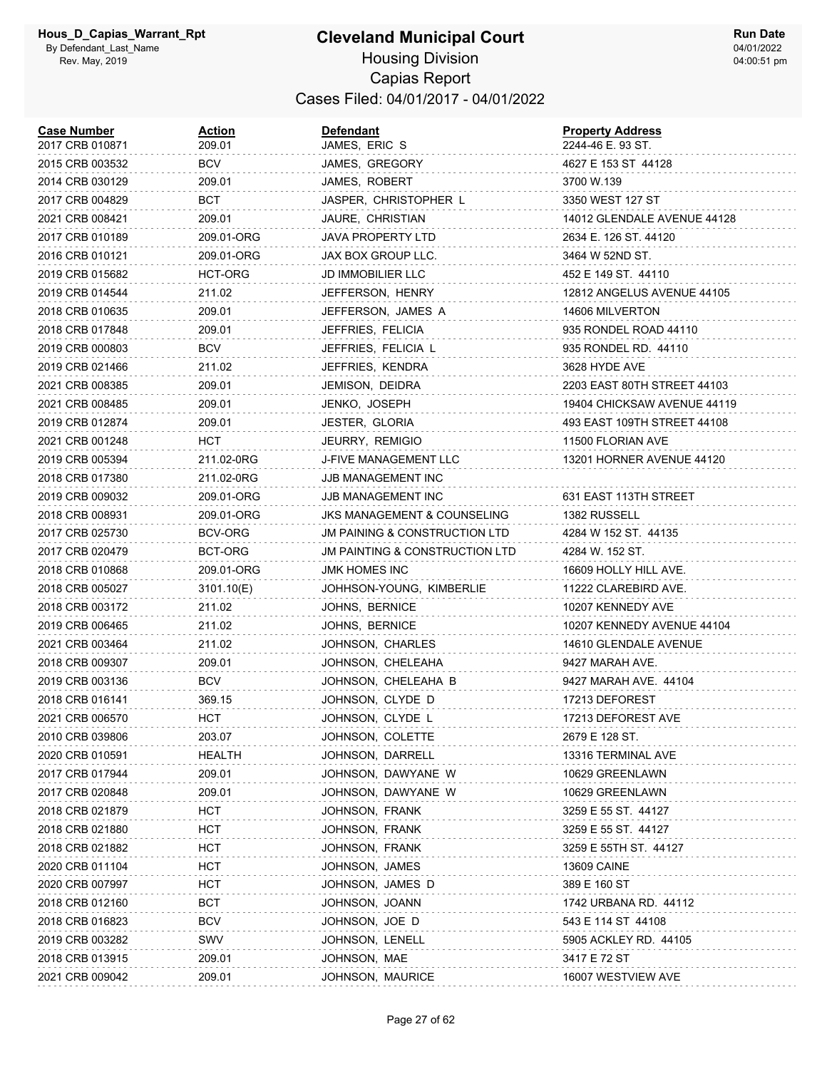| <b>Case Number</b><br>2017 CRB 010871 | Action<br>209.01 | Defendant<br>JAMES, ERIC S     | <b>Property Address</b><br>2244-46 E. 93 ST. |
|---------------------------------------|------------------|--------------------------------|----------------------------------------------|
| 2015 CRB 003532                       | BCV              | JAMES, GREGORY                 | 4627 E 153 ST 44128                          |
| 2014 CRB 030129                       | 209.01           | JAMES, ROBERT                  | 3700 W.139                                   |
| 2017 CRB 004829                       | BCT              | JASPER, CHRISTOPHER L          | 3350 WEST 127 ST                             |
| 2021 CRB 008421                       | 209.01           | JAURE, CHRISTIAN               | 14012 GLENDALE AVENUE 44128                  |
| 2017 CRB 010189                       | 209.01-ORG       | JAVA PROPERTY LTD              | 2634 E. 126 ST. 44120                        |
| 2016 CRB 010121                       | 209.01-ORG       | JAX BOX GROUP LLC.             | 3464 W 52ND ST.                              |
| 2019 CRB 015682                       | HCT-ORG          | JD IMMOBILIER LLC              | 452 E 149 ST. 44110                          |
| 2019 CRB 014544                       | 211.02           | JEFFERSON, HENRY               | 12812 ANGELUS AVENUE 44105                   |
| 2018 CRB 010635                       | 209.01           | JEFFERSON, JAMES A             | 14606 MILVERTON                              |
| 2018 CRB 017848                       | 209.01           | JEFFRIES, FELICIA              | 935 RONDEL ROAD 44110                        |
| 2019 CRB 000803                       | <b>BCV</b>       | JEFFRIES, FELICIA L            | 935 RONDEL RD. 44110                         |
| 2019 CRB 021466                       | 211.02           | JEFFRIES, KENDRA               | 3628 HYDE AVE                                |
| 2021 CRB 008385                       | 209.01           | JEMISON, DEIDRA                | 2203 EAST 80TH STREET 44103                  |
| 2021 CRB 008485                       | 209.01           | JENKO, JOSEPH                  | 19404 CHICKSAW AVENUE 44119                  |
| 2019 CRB 012874                       | 209.01           | <b>JESTER, GLORIA</b>          | 493 EAST 109TH STREET 44108                  |
| 2021 CRB 001248                       | HCT              | JEURRY, REMIGIO                | 11500 FLORIAN AVE                            |
| 2019 CRB 005394                       | 211.02-0RG       | J-FIVE MANAGEMENT LLC          | 13201 HORNER AVENUE 44120                    |
| 2018 CRB 017380                       | 211.02-0RG       | JJB MANAGEMENT INC             |                                              |
| 2019 CRB 009032                       | 209.01-ORG       | JJB MANAGEMENT INC             | 631 EAST 113TH STREET                        |
| 2018 CRB 008931                       | 209.01-ORG       | JKS MANAGEMENT & COUNSELING    | 1382 RUSSELL                                 |
| 2017 CRB 025730                       | BCV-ORG          | JM PAINING & CONSTRUCTION LTD  | 4284 W 152 ST. 44135                         |
| 2017 CRB 020479                       | BCT-ORG          | JM PAINTING & CONSTRUCTION LTD | 4284 W. 152 ST.                              |
| 2018 CRB 010868                       | 209.01-ORG       | JMK HOMES INC                  | 16609 HOLLY HILL AVE.                        |
| 2018 CRB 005027                       | 3101.10(E)       | JOHHSON-YOUNG, KIMBERLIE       | 11222 CLAREBIRD AVE.                         |
| 2018 CRB 003172                       | 211.02           | JOHNS, BERNICE                 | 10207 KENNEDY AVE                            |
| 2019 CRB 006465                       | 211.02           | JOHNS, BERNICE                 | 10207 KENNEDY AVENUE 44104                   |
| 2021 CRB 003464                       | 211.02           | JOHNSON, CHARLES               | 14610 GLENDALE AVENUE                        |
| 2018 CRB 009307                       | 209.01           | JOHNSON, CHELEAHA              | 9427 MARAH AVE.                              |
| 2019 CRB 003136                       | <b>BCV</b>       | JOHNSON, CHELEAHA B            | 9427 MARAH AVE. 44104                        |
| 2018 CRB 016141                       | 369.15           | JOHNSON, CLYDE D               | 17213 DEFOREST                               |
| 2021 CRB 006570                       | HCT              | JOHNSON, CLYDE L               | 17213 DEFOREST AVE                           |
| 2010 CRB 039806                       | 203.07           | JOHNSON, COLETTE               | 2679 E 128 ST.                               |
| 2020 CRB 010591                       | HEALTH           | JOHNSON, DARRELL               | 13316 TERMINAL AVE                           |
| 2017 CRB 017944                       | 209.01           | JOHNSON, DAWYANE W             | 10629 GREENLAWN                              |
| 2017 CRB 020848                       | 209.01           | JOHNSON, DAWYANE W             | 10629 GREENLAWN                              |
| 2018 CRB 021879                       | <b>HCT</b>       | JOHNSON, FRANK                 | 3259 E 55 ST. 44127                          |
| 2018 CRB 021880                       | HCT              | JOHNSON, FRANK                 | 3259 E 55 ST. 44127                          |
| 2018 CRB 021882                       | HCT              | JOHNSON, FRANK                 | 3259 E 55TH ST. 44127                        |
| 2020 CRB 011104                       | <b>HCT</b>       | JOHNSON, JAMES                 | <b>13609 CAINE</b>                           |
| 2020 CRB 007997                       | HCT              | JOHNSON, JAMES D               | 389 E 160 ST                                 |
| 2018 CRB 012160                       | BCT              | JOHNSON, JOANN                 | 1742 URBANA RD. 44112                        |
| 2018 CRB 016823                       | <b>BCV</b>       | JOHNSON, JOE D                 | 543 E 114 ST 44108                           |
| 2019 CRB 003282                       | SWV              | JOHNSON, LENELL                | 5905 ACKLEY RD. 44105                        |
| 2018 CRB 013915                       | 209.01           | JOHNSON, MAE                   | 3417 E 72 ST                                 |
| 2021 CRB 009042                       | 209.01           | JOHNSON, MAURICE               | 16007 WESTVIEW AVE                           |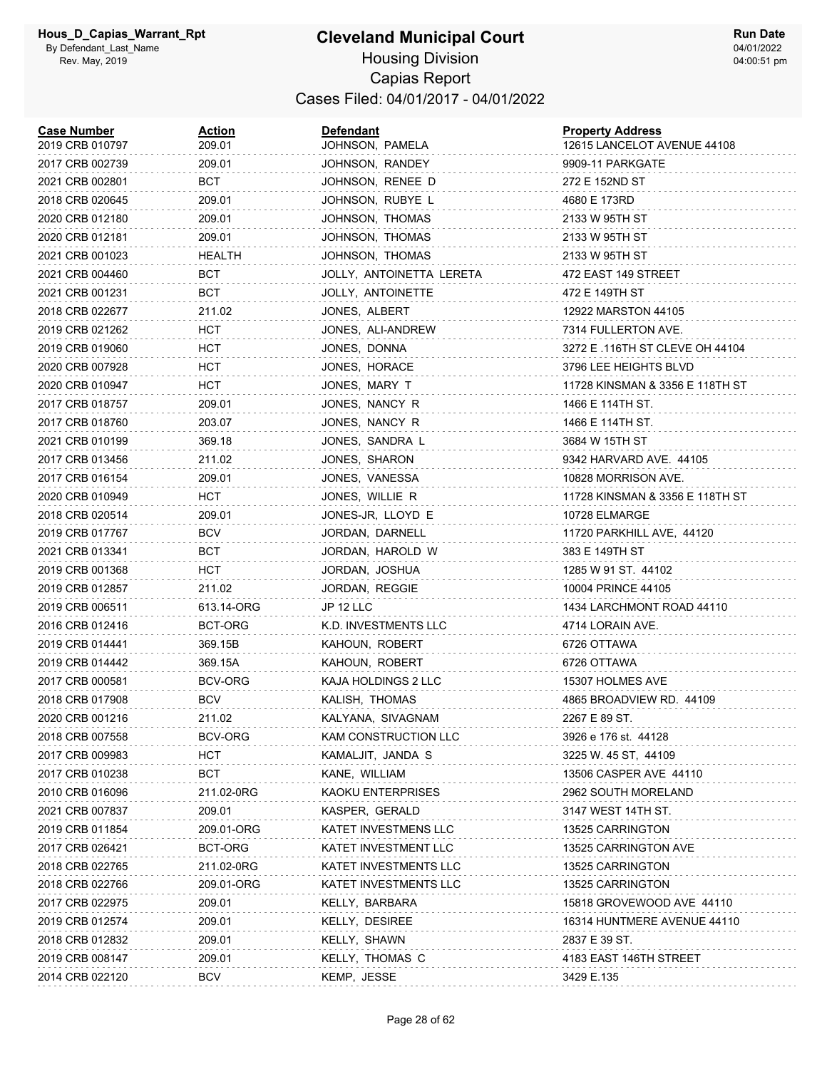#### **Cleveland Municipal Court** Housing Division Capias Report Cases Filed: 04/01/2017 - 04/01/2022

| <b>Case Number</b><br>2019 CRB 010797 | <u>Action</u><br>209.01 | <b>Defendant</b><br>JOHNSON, PAMELA | <b>Property Address</b><br>12615 LANCELOT AVENUE 44108 |
|---------------------------------------|-------------------------|-------------------------------------|--------------------------------------------------------|
| 2017 CRB 002739                       | 209.01                  | JOHNSON, RANDEY                     | 9909-11 PARKGATE                                       |
| 2021 CRB 002801                       | BCT                     | JOHNSON, RENEE D                    | 272 E 152ND ST                                         |
| 2018 CRB 020645                       | 209.01                  | JOHNSON, RUBYE L                    | 4680 E 173RD                                           |
| 2020 CRB 012180                       | 209.01                  | JOHNSON, THOMAS                     | 2133 W 95TH ST                                         |
| 2020 CRB 012181                       | 209.01                  | JOHNSON, THOMAS                     | 2133 W 95TH ST                                         |
| 2021 CRB 001023                       | HEALTH                  | JOHNSON, THOMAS                     | 2133 W 95TH ST                                         |
| 2021 CRB 004460                       | BCT                     | JOLLY, ANTOINETTA LERETA            | 472 EAST 149 STREET                                    |
| 2021 CRB 001231                       | BCT                     | JOLLY, ANTOINETTE                   | 472 E 149TH ST                                         |
| 2018 CRB 022677                       | 211.02                  | JONES, ALBERT                       | 12922 MARSTON 44105                                    |
| 2019 CRB 021262                       | HCT.                    | JONES, ALI-ANDREW                   | 7314 FULLERTON AVE.                                    |
| 2019 CRB 019060                       | HCT                     | JONES, DONNA                        | 3272 E .116TH ST CLEVE OH 44104                        |
| 2020 CRB 007928                       | <b>HCT</b>              | JONES, HORACE                       | 3796 LEE HEIGHTS BLVD                                  |
| 2020 CRB 010947                       | <b>HCT</b>              | JONES, MARY T                       | 11728 KINSMAN & 3356 E 118TH ST                        |
| 2017 CRB 018757                       | 209.01                  | JONES, NANCY R                      | 1466 E 114TH ST.                                       |
| 2017 CRB 018760                       | 203.07                  | JONES, NANCY R                      | 1466 E 114TH ST.                                       |
| 2021 CRB 010199                       | 369.18                  | JONES, SANDRA L                     | 3684 W 15TH ST                                         |
| 2017 CRB 013456                       | 211.02                  | JONES, SHARON                       | 9342 HARVARD AVE. 44105                                |
| 2017 CRB 016154                       | 209.01                  | JONES, VANESSA                      | 10828 MORRISON AVE.                                    |
| 2020 CRB 010949                       | <b>HCT</b>              | JONES, WILLIE R                     | 11728 KINSMAN & 3356 E 118TH ST                        |
| 2018 CRB 020514                       | 209.01                  | JONES-JR, LLOYD E                   | 10728 ELMARGE                                          |
| 2019 CRB 017767                       | <b>BCV</b>              | JORDAN, DARNELL                     | 11720 PARKHILL AVE, 44120                              |
| 2021 CRB 013341                       | BCT                     | JORDAN, HAROLD W                    | 383 E 149TH ST                                         |
| 2019 CRB 001368                       | HCT                     | JORDAN, JOSHUA                      | 1285 W 91 ST. 44102                                    |
| 2019 CRB 012857                       | 211.02                  | JORDAN, REGGIE                      | 10004 PRINCE 44105                                     |
| 2019 CRB 006511                       | 613.14-ORG              | JP 12 LLC                           | 1434 LARCHMONT ROAD 44110                              |
| 2016 CRB 012416                       | BCT-ORG                 | K.D. INVESTMENTS LLC                | 4714 LORAIN AVE.                                       |
| 2019 CRB 014441                       | 369.15B                 | KAHOUN, ROBERT                      | 6726 OTTAWA                                            |
| 2019 CRB 014442                       | 369.15A                 | KAHOUN, ROBERT                      | 6726 OTTAWA                                            |
| 2017 CRB 000581                       | BCV-ORG                 | KAJA HOLDINGS 2 LLC                 | 15307 HOLMES AVE                                       |
| 2018 CRB 017908                       | <b>BCV</b>              | KALISH, THOMAS                      | 4865 BROADVIEW RD. 44109                               |
| 2020 CRB 001216                       | 211.02                  | KALYANA, SIVAGNAM                   | 2267 E 89 ST.                                          |
| 2018 CRB 007558                       | BCV-ORG                 | KAM CONSTRUCTION LLC                | 3926 e 176 st.  44128                                  |
| 2017 CRB 009983                       | HCT                     | KAMALJIT, JANDA S                   | 3225 W. 45 ST, 44109                                   |
| 2017 CRB 010238                       | BCT                     | KANE, WILLIAM                       | 13506 CASPER AVE 44110                                 |
| 2010 CRB 016096                       | 211.02-0RG              | KAOKU ENTERPRISES                   | 2962 SOUTH MORELAND                                    |
| 2021 CRB 007837                       | 209.01                  | KASPER, GERALD                      | 3147 WEST 14TH ST.                                     |
| 2019 CRB 011854                       | 209.01-ORG              | KATET INVESTMENS LLC                | 13525 CARRINGTON                                       |
| 2017 CRB 026421                       | BCT-ORG                 | KATET INVESTMENT LLC                | 13525 CARRINGTON AVE                                   |
| 2018 CRB 022765                       | 211.02-0RG              | <b>KATET INVESTMENTS LLC</b>        | 13525 CARRINGTON                                       |
| 2018 CRB 022766                       | 209.01-ORG              | KATET INVESTMENTS LLC               | 13525 CARRINGTON                                       |
| 2017 CRB 022975                       | 209.01                  | KELLY, BARBARA                      | 15818 GROVEWOOD AVE 44110                              |
| 2019 CRB 012574                       | 209.01                  | KELLY, DESIREE                      | 16314 HUNTMERE AVENUE 44110                            |
| 2018 CRB 012832                       | 209.01                  | KELLY, SHAWN                        | 2837 E 39 ST.                                          |
| 2019 CRB 008147                       | 209.01                  | KELLY, THOMAS C                     | 4183 EAST 146TH STREET                                 |
| 2014 CRB 022120                       | <b>BCV</b>              | KEMP, JESSE                         | 3429 E.135                                             |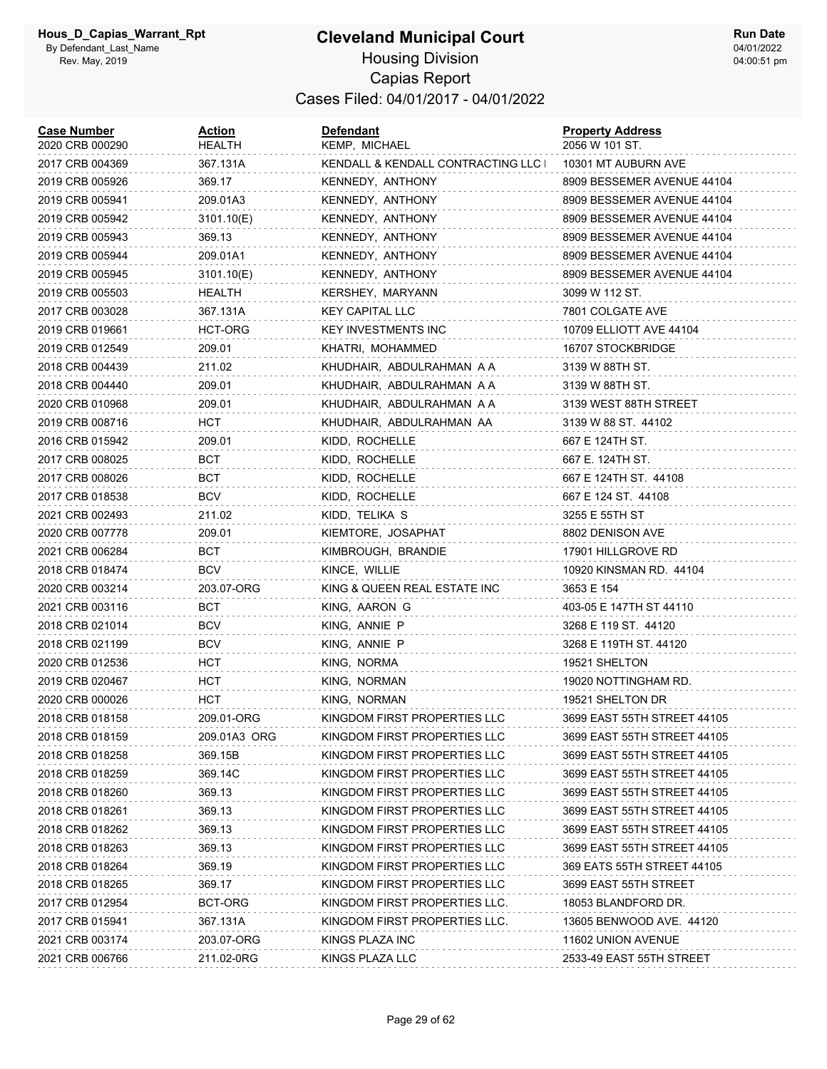| <b>Case Number</b><br>2020 CRB 000290 | Action<br>HEALTH | Defendant<br>KEMP, MICHAEL          | <b>Property Address</b><br>2056 W 101 ST. |
|---------------------------------------|------------------|-------------------------------------|-------------------------------------------|
| 2017 CRB 004369                       | 367.131A         | KENDALL & KENDALL CONTRACTING LLC I | 10301 MT AUBURN AVE                       |
| 2019 CRB 005926                       | 369.17           | KENNEDY, ANTHONY                    | 8909 BESSEMER AVENUE 44104                |
| 2019 CRB 005941                       | 209.01A3         | KENNEDY, ANTHONY                    | 8909 BESSEMER AVENUE 44104                |
| 2019 CRB 005942                       | 3101.10(E)       | KENNEDY, ANTHONY                    | 8909 BESSEMER AVENUE 44104                |
| 2019 CRB 005943                       | 369.13           | KENNEDY, ANTHONY                    | 8909 BESSEMER AVENUE 44104                |
| 2019 CRB 005944                       | 209.01A1         | KENNEDY, ANTHONY                    | 8909 BESSEMER AVENUE 44104                |
| 2019 CRB 005945                       | 3101.10(E)       | KENNEDY, ANTHONY                    | 8909 BESSEMER AVENUE 44104                |
| 2019 CRB 005503                       | HEALTH           | KERSHEY, MARYANN                    | 3099 W 112 ST.                            |
| 2017 CRB 003028                       | 367.131A         | <b>KEY CAPITAL LLC</b>              | 7801 COLGATE AVE                          |
| 2019 CRB 019661                       | HCT-ORG          | <b>KEY INVESTMENTS INC</b>          | 10709 ELLIOTT AVE 44104                   |
| 2019 CRB 012549                       | 209.01           | KHATRI, MOHAMMED                    | 16707 STOCKBRIDGE                         |
| 2018 CRB 004439                       | 211.02           | KHUDHAIR, ABDULRAHMAN A A           | 3139 W 88TH ST.                           |
| 2018 CRB 004440                       | 209.01           | KHUDHAIR, ABDULRAHMAN A A           | 3139 W 88TH ST.                           |
| 2020 CRB 010968                       | 209.01           | KHUDHAIR, ABDULRAHMAN A A           | 3139 WEST 88TH STREET                     |
| 2019 CRB 008716                       | HCT              | KHUDHAIR, ABDULRAHMAN AA            | 3139 W 88 ST. 44102                       |
| 2016 CRB 015942                       | 209.01           | KIDD, ROCHELLE                      | 667 E 124TH ST.                           |
| 2017 CRB 008025                       | BCT              | KIDD, ROCHELLE                      | 667 E. 124TH ST.                          |
| 2017 CRB 008026                       | BCT              | KIDD, ROCHELLE                      | 667 E 124TH ST. 44108                     |
| 2017 CRB 018538                       | <b>BCV</b>       | KIDD, ROCHELLE                      | 667 E 124 ST. 44108                       |
| 2021 CRB 002493                       | 211.02           | KIDD, TELIKA S                      | 3255 E 55TH ST                            |
| 2020 CRB 007778                       | 209.01           | KIEMTORE, JOSAPHAT                  | 8802 DENISON AVE                          |
| 2021 CRB 006284                       | BCT              | KIMBROUGH, BRANDIE                  | 17901 HILLGROVE RD                        |
| 2018 CRB 018474                       | <b>BCV</b>       | KINCE, WILLIE                       | 10920 KINSMAN RD. 44104                   |
| 2020 CRB 003214                       | 203.07-ORG       | KING & QUEEN REAL ESTATE INC        | 3653 E 154                                |
| 2021 CRB 003116                       | BCT              | KING, AARON G                       | 403-05 E 147TH ST 44110                   |
| 2018 CRB 021014                       | <b>BCV</b>       | KING, ANNIE P                       | 3268 E 119 ST. 44120                      |
| 2018 CRB 021199                       | <b>BCV</b>       | KING, ANNIE P                       | 3268 E 119TH ST. 44120                    |
| 2020 CRB 012536                       | HCT              | KING, NORMA                         | 19521 SHELTON                             |
| 2019 CRB 020467                       | <b>HCT</b>       | KING, NORMAN                        | 19020 NOTTINGHAM RD.                      |
| 2020 CRB 000026                       | HCT              | KING, NORMAN                        | 19521 SHELTON DR                          |
| 2018 CRB 018158                       | 209.01-ORG       | KINGDOM FIRST PROPERTIES LLC        | 3699 EAST 55TH STREET 44105               |
| 2018 CRB 018159                       | 209.01A3 ORG     | KINGDOM FIRST PROPERTIES LLC        | 3699 EAST 55TH STREET 44105               |
| 2018 CRB 018258                       | 369.15B          | KINGDOM FIRST PROPERTIES LLC        | 3699 EAST 55TH STREET 44105               |
| 2018 CRB 018259                       | 369.14C          | KINGDOM FIRST PROPERTIES LLC        | 3699 EAST 55TH STREET 44105               |
| 2018 CRB 018260                       | 369.13           | KINGDOM FIRST PROPERTIES LLC        | 3699 EAST 55TH STREET 44105               |
| 2018 CRB 018261                       | 369.13           | KINGDOM FIRST PROPERTIES LLC        | 3699 EAST 55TH STREET 44105               |
| 2018 CRB 018262                       | 369.13           | KINGDOM FIRST PROPERTIES LLC        | 3699 EAST 55TH STREET 44105               |
| 2018 CRB 018263                       | 369.13           | KINGDOM FIRST PROPERTIES LLC        | 3699 EAST 55TH STREET 44105               |
| 2018 CRB 018264                       | 369.19           | KINGDOM FIRST PROPERTIES LLC        | 369 EATS 55TH STREET 44105                |
| 2018 CRB 018265                       | 369.17           | KINGDOM FIRST PROPERTIES LLC        | 3699 EAST 55TH STREET                     |
| 2017 CRB 012954                       | BCT-ORG          | KINGDOM FIRST PROPERTIES LLC.       | 18053 BLANDFORD DR.                       |
| 2017 CRB 015941                       | 367.131A         | KINGDOM FIRST PROPERTIES LLC.       | 13605 BENWOOD AVE. 44120                  |
| 2021 CRB 003174                       | 203.07-ORG       | KINGS PLAZA INC                     | 11602 UNION AVENUE                        |
| 2021 CRB 006766                       | 211.02-0RG       | KINGS PLAZA LLC                     | 2533-49 EAST 55TH STREET                  |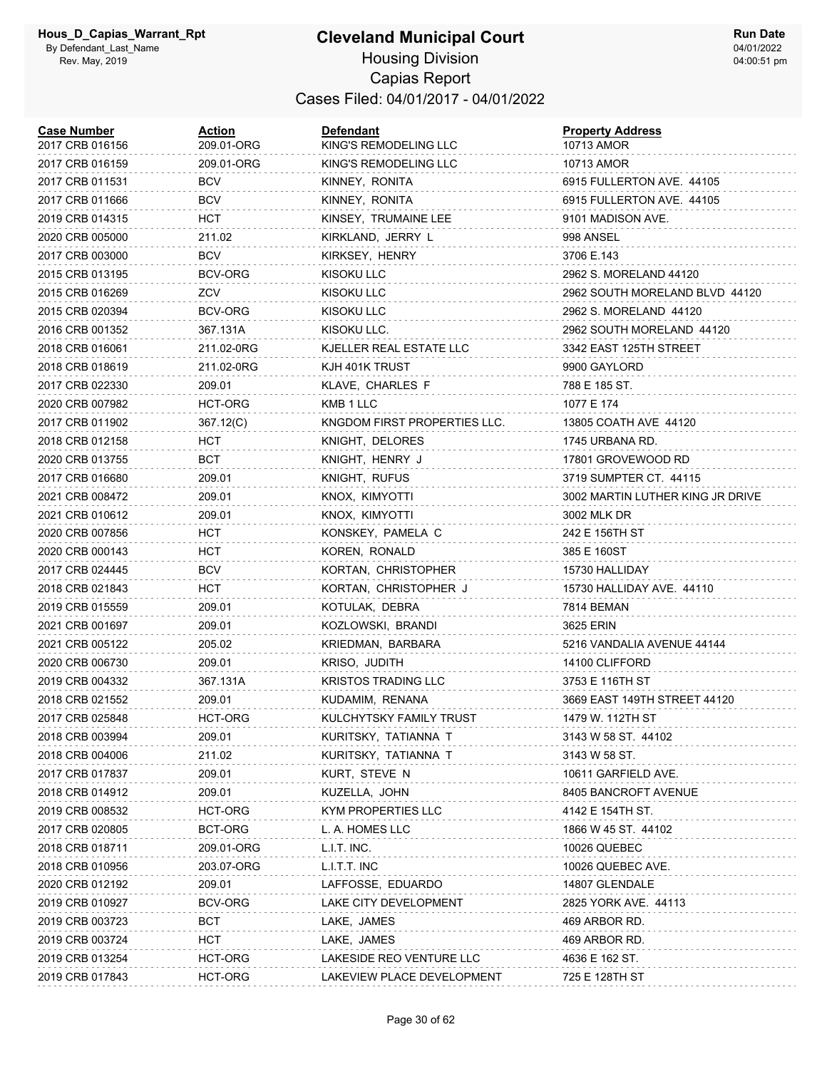| <b>Case Number</b><br>2017 CRB 016156 | Action<br>209.01-ORG | <b>Defendant</b><br>KING'S REMODELING LLC | <b>Property Address</b><br>10713 AMOR |
|---------------------------------------|----------------------|-------------------------------------------|---------------------------------------|
| 2017 CRB 016159                       | 209.01-ORG           | KING'S REMODELING LLC                     | 10713 AMOR                            |
| 2017 CRB 011531                       | <b>BCV</b>           | KINNEY, RONITA                            | 6915 FULLERTON AVE. 44105             |
| 2017 CRB 011666                       | <b>BCV</b>           | KINNEY, RONITA                            | 6915 FULLERTON AVE. 44105             |
| 2019 CRB 014315                       | HCT                  | KINSEY, TRUMAINE LEE                      | 9101 MADISON AVE.                     |
| 2020 CRB 005000                       | 211.02               | KIRKLAND, JERRY L                         | 998 ANSEL                             |
| 2017 CRB 003000                       | <b>BCV</b>           | KIRKSEY, HENRY                            | 3706 E.143                            |
| 2015 CRB 013195                       | BCV-ORG              | KISOKU LLC                                | 2962 S. MORELAND 44120                |
| 2015 CRB 016269                       | ZCV                  | KISOKU LLC                                | 2962 SOUTH MORELAND BLVD 44120        |
| 2015 CRB 020394                       | BCV-ORG              | KISOKU LLC                                | 2962 S. MORELAND 44120                |
| 2016 CRB 001352                       | 367.131A             | KISOKU LLC.                               | 2962 SOUTH MORELAND 44120             |
| 2018 CRB 016061                       | 211.02-0RG           | KJELLER REAL ESTATE LLC                   | 3342 EAST 125TH STREET                |
| 2018 CRB 018619                       | 211.02-0RG           | KJH 401K TRUST                            | 9900 GAYLORD                          |
| 2017 CRB 022330                       | 209.01               | KLAVE, CHARLES F                          | 788 E 185 ST.                         |
| 2020 CRB 007982                       | HCT-ORG              | KMB 1 LLC                                 | 1077 E 174                            |
| 2017 CRB 011902                       | 367.12(C)            | KNGDOM FIRST PROPERTIES LLC.              | 13805 COATH AVE 44120                 |
| 2018 CRB 012158                       | HCT                  | KNIGHT, DELORES                           | 1745 URBANA RD.                       |
| 2020 CRB 013755                       | <b>BCT</b>           | KNIGHT, HENRY J                           | 17801 GROVEWOOD RD                    |
| 2017 CRB 016680                       | 209.01               | KNIGHT, RUFUS                             | 3719 SUMPTER CT. 44115                |
| 2021 CRB 008472                       | 209.01               | KNOX, KIMYOTTI                            | 3002 MARTIN LUTHER KING JR DRIVE      |
| 2021 CRB 010612                       | 209.01               | KNOX, KIMYOTTI                            | 3002 MLK DR                           |
| 2020 CRB 007856                       | HCT                  | KONSKEY, PAMELA C                         | 242 E 156TH ST                        |
| 2020 CRB 000143                       | HCT                  | KOREN, RONALD                             | 385 E 160ST                           |
| 2017 CRB 024445                       | <b>BCV</b>           | KORTAN, CHRISTOPHER                       | 15730 HALLIDAY                        |
| 2018 CRB 021843                       | HCT                  | KORTAN, CHRISTOPHER J                     | 15730 HALLIDAY AVE. 44110             |
| 2019 CRB 015559                       | 209.01               | KOTULAK, DEBRA                            | 7814 BEMAN                            |
| 2021 CRB 001697                       | 209.01               | KOZLOWSKI, BRANDI                         | 3625 ERIN                             |
| 2021 CRB 005122                       | 205.02               | KRIEDMAN, BARBARA                         | 5216 VANDALIA AVENUE 44144            |
| 2020 CRB 006730                       | 209.01               | KRISO, JUDITH                             | 14100 CLIFFORD                        |
| 2019 CRB 004332                       | 367.131A             | <b>KRISTOS TRADING LLC</b>                | 3753 E 116TH ST                       |
| 2018 CRB 021552                       | 209.01               | KUDAMIM, RENANA                           | 3669 EAST 149TH STREET 44120          |
| 2017 CRB 025848                       | HCT-ORG              | KULCHYTSKY FAMILY TRUST                   | 1479 W. 112TH ST                      |
| 2018 CRB 003994                       | 209.01               | KURITSKY, TATIANNA T                      | 3143 W 58 ST. 44102                   |
| 2018 CRB 004006                       | 211.02               | KURITSKY, TATIANNA T                      | 3143 W 58 ST.                         |
| 2017 CRB 017837                       | 209.01               | KURT, STEVE N                             | 10611 GARFIELD AVE.                   |
| 2018 CRB 014912                       | 209.01               | KUZELLA, JOHN                             | 8405 BANCROFT AVENUE                  |
| 2019 CRB 008532                       | HCT-ORG              | KYM PROPERTIES LLC                        | 4142 E 154TH ST.                      |
| 2017 CRB 020805                       | BCT-ORG              | L. A. HOMES LLC                           | 1866 W 45 ST. 44102                   |
| 2018 CRB 018711                       | 209.01-ORG           | L.I.T. INC.                               | 10026 QUEBEC                          |
| 2018 CRB 010956                       | 203.07-ORG           | L.I.T.T. INC                              | 10026 QUEBEC AVE.                     |
| 2020 CRB 012192                       | 209.01               | LAFFOSSE, EDUARDO                         | 14807 GLENDALE                        |
| 2019 CRB 010927                       | BCV-ORG              | LAKE CITY DEVELOPMENT                     | 2825 YORK AVE. 44113                  |
| 2019 CRB 003723                       | <b>BCT</b>           | LAKE, JAMES                               | 469 ARBOR RD.                         |
| 2019 CRB 003724                       | HCT                  | LAKE, JAMES                               | 469 ARBOR RD.                         |
| 2019 CRB 013254                       | HCT-ORG              | LAKESIDE REO VENTURE LLC                  | 4636 E 162 ST.                        |
| 2019 CRB 017843                       | HCT-ORG              | LAKEVIEW PLACE DEVELOPMENT                | 725 E 128TH ST                        |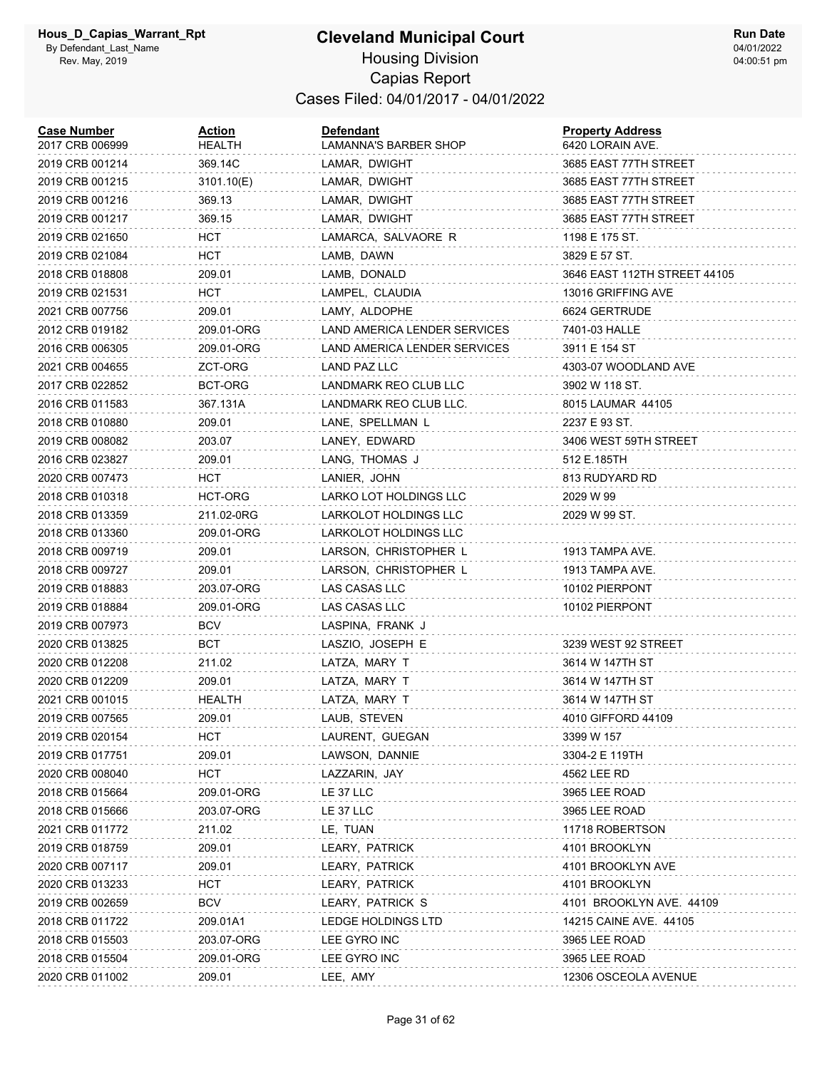| <b>Case Number</b><br>2017 CRB 006999 | Action<br>HEALTH | Defendant<br>LAMANNA'S BARBER SHOP | <b>Property Address</b><br>6420 LORAIN AVE. |
|---------------------------------------|------------------|------------------------------------|---------------------------------------------|
| 2019 CRB 001214                       | 369.14C          | LAMAR, DWIGHT                      | 3685 EAST 77TH STREET                       |
| 2019 CRB 001215                       | 3101.10(E)       | LAMAR, DWIGHT                      | 3685 EAST 77TH STREET                       |
| 2019 CRB 001216                       | 369.13           | LAMAR, DWIGHT                      | 3685 EAST 77TH STREET                       |
| 2019 CRB 001217                       | 369.15           | LAMAR, DWIGHT                      | 3685 EAST 77TH STREET                       |
| 2019 CRB 021650                       | HCT              | LAMARCA, SALVAORE R                | 1198 E 175 ST.                              |
| 2019 CRB 021084                       | HCT              | LAMB, DAWN                         | 3829 E 57 ST.                               |
| 2018 CRB 018808                       | 209.01           | LAMB, DONALD                       | 3646 EAST 112TH STREET 44105                |
| 2019 CRB 021531                       | HCT.             | LAMPEL, CLAUDIA                    | 13016 GRIFFING AVE                          |
| 2021 CRB 007756                       | 209.01           | LAMY, ALDOPHE                      | 6624 GERTRUDE                               |
| 2012 CRB 019182                       | 209.01-ORG       | LAND AMERICA LENDER SERVICES       | 7401-03 HALLE                               |
| 2016 CRB 006305                       | 209.01-ORG       | LAND AMERICA LENDER SERVICES       | 3911 E 154 ST                               |
| 2021 CRB 004655                       | ZCT-ORG          | LAND PAZ LLC                       | 4303-07 WOODLAND AVE                        |
| 2017 CRB 022852                       | BCT-ORG          | LANDMARK REO CLUB LLC              | 3902 W 118 ST.                              |
| 2016 CRB 011583                       | 367.131A         | LANDMARK REO CLUB LLC.             | 8015 LAUMAR 44105                           |
| 2018 CRB 010880                       | 209.01           | LANE, SPELLMAN L                   | 2237 E 93 ST.                               |
| 2019 CRB 008082                       | 203.07           | LANEY, EDWARD                      | 3406 WEST 59TH STREET                       |
| 2016 CRB 023827                       | 209.01           | LANG, THOMAS J                     | 512 E.185TH                                 |
| 2020 CRB 007473                       | HCT              | LANIER, JOHN                       | 813 RUDYARD RD                              |
| 2018 CRB 010318                       | HCT-ORG          | LARKO LOT HOLDINGS LLC             | 2029 W 99                                   |
| 2018 CRB 013359                       | 211.02-0RG       | LARKOLOT HOLDINGS LLC              | 2029 W 99 ST.                               |
| 2018 CRB 013360                       | 209.01-ORG       | LARKOLOT HOLDINGS LLC              |                                             |
| 2018 CRB 009719                       | 209.01           | LARSON, CHRISTOPHER L              | 1913 TAMPA AVE.                             |
| 2018 CRB 009727                       | 209.01           | LARSON, CHRISTOPHER L              | 1913 TAMPA AVE.                             |
| 2019 CRB 018883                       | 203.07-ORG       | LAS CASAS LLC                      | 10102 PIERPONT                              |
| 2019 CRB 018884                       | 209.01-ORG       | LAS CASAS LLC                      | 10102 PIERPONT                              |
| 2019 CRB 007973                       | BCV              | LASPINA, FRANK J                   |                                             |
| 2020 CRB 013825                       | BCT              | LASZIO, JOSEPH E                   | 3239 WEST 92 STREET                         |
| 2020 CRB 012208                       | 211.02           | LATZA, MARY T                      | 3614 W 147TH ST                             |
| 2020 CRB 012209                       | 209.01           | LATZA, MARY T                      | 3614 W 147TH ST                             |
| 2021 CRB 001015                       | HEALTH           | LATZA, MARY T                      | 3614 W 147TH ST                             |
| 2019 CRB 007565                       | 209.01           | LAUB, STEVEN                       | 4010 GIFFORD 44109                          |
| 2019 CRB 020154                       | HCT              | LAURENT, GUEGAN                    | 3399 W 157                                  |
| 2019 CRB 017751                       | 209.01           | LAWSON, DANNIE                     | 3304-2 E 119TH                              |
| 2020 CRB 008040                       | <b>HCT</b>       | LAZZARIN, JAY                      | 4562 LEE RD                                 |
| 2018 CRB 015664                       | 209.01-ORG       | LE 37 LLC                          | 3965 LEE ROAD                               |
| 2018 CRB 015666                       | 203.07-ORG       | LE 37 LLC                          | 3965 LEE ROAD                               |
| 2021 CRB 011772                       | 211.02           | LE, TUAN                           | 11718 ROBERTSON                             |
| 2019 CRB 018759                       | 209.01           | LEARY, PATRICK                     | 4101 BROOKLYN                               |
| 2020 CRB 007117                       | 209.01           | LEARY, PATRICK                     | 4101 BROOKLYN AVE                           |
| 2020 CRB 013233                       | <b>HCT</b>       | LEARY, PATRICK                     | 4101 BROOKLYN                               |
| 2019 CRB 002659                       | <b>BCV</b>       | LEARY, PATRICK S                   | 4101 BROOKLYN AVE. 44109                    |
| 2018 CRB 011722                       | 209.01A1         | <b>LEDGE HOLDINGS LTD</b>          | 14215 CAINE AVE. 44105                      |
| 2018 CRB 015503                       | 203.07-ORG       | LEE GYRO INC                       | 3965 LEE ROAD                               |
| 2018 CRB 015504                       | 209.01-ORG       | LEE GYRO INC                       | 3965 LEE ROAD                               |
| 2020 CRB 011002                       | 209.01           | LEE, AMY                           | 12306 OSCEOLA AVENUE                        |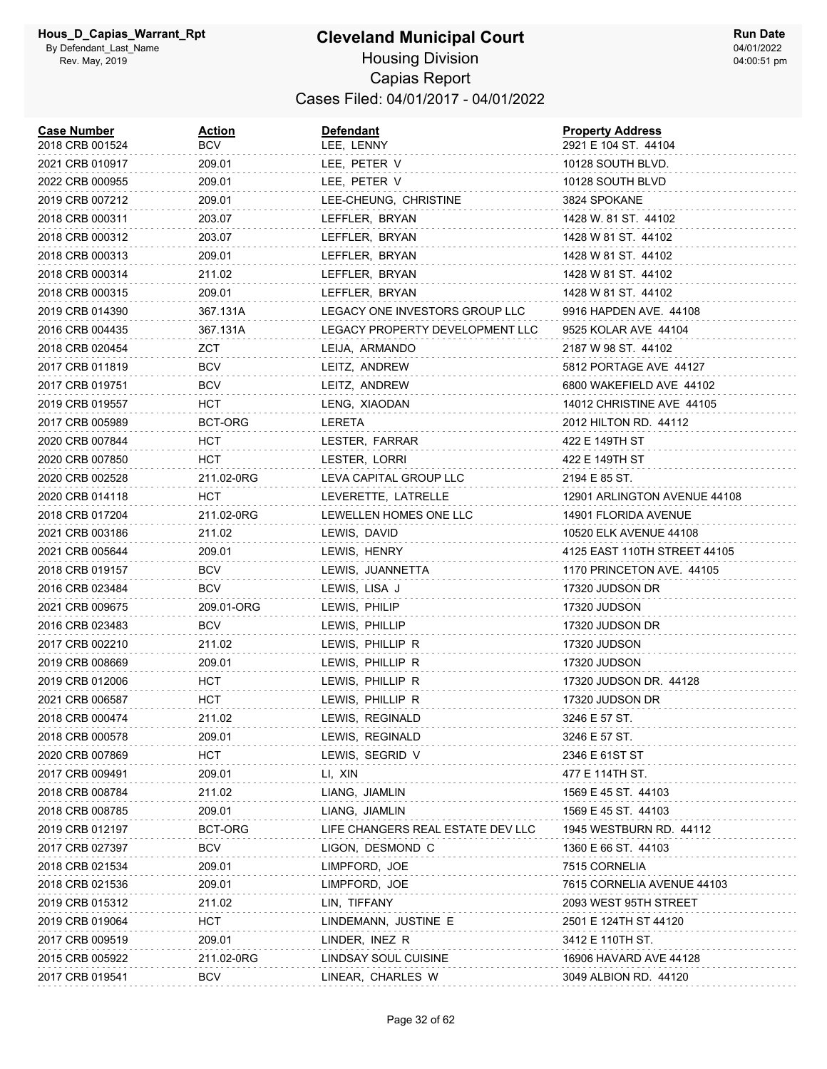#### **Cleveland Municipal Court** Housing Division Capias Report Cases Filed: 04/01/2017 - 04/01/2022

| <b>Case Number</b><br>2018 CRB 001524 | <b>Action</b><br>BCV | <b>Defendant</b><br>LEE, LENNY    | <b>Property Address</b><br>2921 E 104 ST. 44104 |
|---------------------------------------|----------------------|-----------------------------------|-------------------------------------------------|
| 2021 CRB 010917                       | 209.01               | LEE, PETER V                      | 10128 SOUTH BLVD.                               |
| 2022 CRB 000955                       | 209.01               | LEE, PETER V                      | 10128 SOUTH BLVD                                |
| 2019 CRB 007212                       | 209.01               | LEE-CHEUNG, CHRISTINE             | 3824 SPOKANE                                    |
| 2018 CRB 000311                       | 203.07               | LEFFLER, BRYAN                    | 1428 W. 81 ST. 44102                            |
| 2018 CRB 000312                       | 203.07               | LEFFLER, BRYAN                    | 1428 W 81 ST. 44102                             |
| 2018 CRB 000313                       | 209.01               | LEFFLER, BRYAN                    | 1428 W 81 ST. 44102                             |
| 2018 CRB 000314                       | 211.02               | LEFFLER, BRYAN                    | 1428 W 81 ST. 44102                             |
| 2018 CRB 000315                       | 209.01               | LEFFLER, BRYAN                    | 1428 W 81 ST. 44102                             |
| 2019 CRB 014390                       | 367.131A             | LEGACY ONE INVESTORS GROUP LLC    | 9916 HAPDEN AVE. 44108                          |
| 2016 CRB 004435                       | 367.131A             | LEGACY PROPERTY DEVELOPMENT LLC   | 9525 KOLAR AVE 44104                            |
| 2018 CRB 020454                       | ZCT                  | LEIJA, ARMANDO                    | 2187 W 98 ST. 44102                             |
| 2017 CRB 011819                       | <b>BCV</b>           | LEITZ, ANDREW                     | 5812 PORTAGE AVE 44127                          |
| 2017 CRB 019751                       | BCV                  | LEITZ, ANDREW                     | 6800 WAKEFIELD AVE 44102                        |
| 2019 CRB 019557                       | HCT                  | LENG, XIAODAN                     | 14012 CHRISTINE AVE 44105                       |
| 2017 CRB 005989                       | BCT-ORG              | LERETA                            | 2012 HILTON RD. 44112                           |
| 2020 CRB 007844                       | HCT                  | LESTER, FARRAR                    | 422 E 149TH ST                                  |
| 2020 CRB 007850                       | HCT                  | LESTER, LORRI                     | 422 E 149TH ST                                  |
| 2020 CRB 002528                       | 211.02-0RG           | LEVA CAPITAL GROUP LLC            | 2194 E 85 ST.                                   |
| 2020 CRB 014118                       | HCT.                 | LEVERETTE, LATRELLE               | 12901 ARLINGTON AVENUE 44108                    |
| 2018 CRB 017204                       | 211.02-0RG           | LEWELLEN HOMES ONE LLC            | 14901 FLORIDA AVENUE                            |
| 2021 CRB 003186                       | 211.02               | LEWIS, DAVID                      | 10520 ELK AVENUE 44108                          |
| 2021 CRB 005644                       | 209.01               | LEWIS, HENRY                      | 4125 EAST 110TH STREET 44105                    |
| 2018 CRB 019157                       | BCV                  | LEWIS, JUANNETTA                  | 1170 PRINCETON AVE. 44105                       |
| 2016 CRB 023484                       | <b>BCV</b>           | LEWIS, LISA J                     | 17320 JUDSON DR                                 |
| 2021 CRB 009675                       | 209.01-ORG           | LEWIS, PHILIP                     | 17320 JUDSON                                    |
| 2016 CRB 023483                       | <b>BCV</b>           | LEWIS, PHILLIP                    | 17320 JUDSON DR                                 |
| 2017 CRB 002210                       | 211.02               | LEWIS, PHILLIP R                  | 17320 JUDSON                                    |
| 2019 CRB 008669                       | 209.01               | LEWIS, PHILLIP R                  | <b>17320 JUDSON</b>                             |
| 2019 CRB 012006                       | HCT                  | LEWIS, PHILLIP R                  | 17320 JUDSON DR. 44128                          |
| 2021 CRB 006587                       | HCT                  | LEWIS, PHILLIP R                  | 17320 JUDSON DR                                 |
| 2018 CRB 000474                       | 211.02               | LEWIS, REGINALD                   | 3246 E 57 ST.                                   |
| 2018 CRB 000578                       | 209.01               | LEWIS, REGINALD                   | 3246 E 57 ST.                                   |
| 2020 CRB 007869                       | HCT                  | LEWIS, SEGRID V                   | 2346 E 61ST ST                                  |
| 2017 CRB 009491                       | 209.01               | LI, XIN                           | 477 E 114TH ST.                                 |
| 2018 CRB 008784                       | 211.02               | LIANG, JIAMLIN                    | 1569 E 45 ST. 44103                             |
| 2018 CRB 008785                       | 209.01               | LIANG, JIAMLIN                    | 1569 E 45 ST. 44103                             |
| 2019 CRB 012197                       | BCT-ORG              | LIFE CHANGERS REAL ESTATE DEV LLC | 1945 WESTBURN RD. 44112                         |
| 2017 CRB 027397                       | <b>BCV</b>           | LIGON, DESMOND C                  | 1360 E 66 ST. 44103                             |
| 2018 CRB 021534                       | 209.01               | LIMPFORD, JOE                     | 7515 CORNELIA                                   |
| 2018 CRB 021536                       | 209.01               | LIMPFORD, JOE                     | 7615 CORNELIA AVENUE 44103                      |
| 2019 CRB 015312                       | 211.02               | LIN, TIFFANY                      | 2093 WEST 95TH STREET                           |
| 2019 CRB 019064                       | <b>HCT</b>           | LINDEMANN, JUSTINE E              | 2501 E 124TH ST 44120                           |
| 2017 CRB 009519                       | 209.01               | LINDER, INEZ R                    | 3412 E 110TH ST.                                |
| 2015 CRB 005922                       | 211.02-0RG           | LINDSAY SOUL CUISINE              | 16906 HAVARD AVE 44128                          |
| 2017 CRB 019541                       | <b>BCV</b>           | LINEAR, CHARLES W                 | 3049 ALBION RD. 44120                           |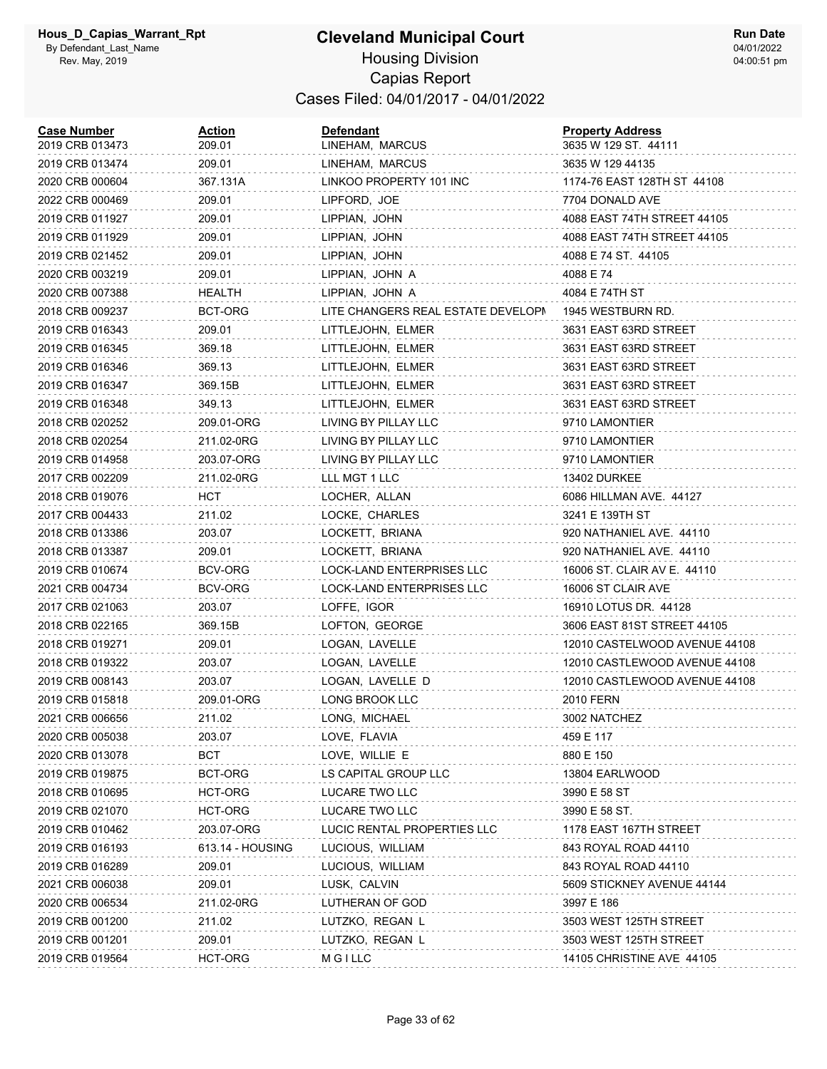| <b>Case Number</b><br>2019 CRB 013473 | Action<br>209.01 | <b>Defendant</b><br>LINEHAM, MARCUS | <b>Property Address</b><br>3635 W 129 ST. 44111 |
|---------------------------------------|------------------|-------------------------------------|-------------------------------------------------|
| 2019 CRB 013474                       | 209.01           | LINEHAM, MARCUS                     | 3635 W 129 44135                                |
| 2020 CRB 000604                       | 367.131A         | LINKOO PROPERTY 101 INC             | 1174-76 EAST 128TH ST 44108                     |
| 2022 CRB 000469                       | 209.01           | LIPFORD, JOE                        | 7704 DONALD AVE                                 |
| 2019 CRB 011927                       | 209.01           | LIPPIAN, JOHN                       | 4088 EAST 74TH STREET 44105                     |
| 2019 CRB 011929                       | 209.01           | LIPPIAN, JOHN                       | 4088 EAST 74TH STREET 44105                     |
| 2019 CRB 021452                       | 209.01           | LIPPIAN, JOHN                       | 4088 E 74 ST. 44105                             |
| 2020 CRB 003219                       | 209.01           | LIPPIAN, JOHN A                     | 4088 E 74                                       |
| 2020 CRB 007388                       | HEALTH           | LIPPIAN, JOHN A                     | 4084 E 74TH ST                                  |
| 2018 CRB 009237                       | BCT-ORG          | LITE CHANGERS REAL ESTATE DEVELOPN  | 1945 WESTBURN RD.                               |
| 2019 CRB 016343                       | 209.01           | LITTLEJOHN, ELMER                   | 3631 EAST 63RD STREET                           |
| 2019 CRB 016345                       | 369.18           | LITTLEJOHN, ELMER                   | 3631 EAST 63RD STREET                           |
| 2019 CRB 016346                       | 369.13           | LITTLEJOHN, ELMER                   | 3631 EAST 63RD STREET                           |
| 2019 CRB 016347                       | 369.15B          | LITTLEJOHN, ELMER                   | 3631 EAST 63RD STREET                           |
| 2019 CRB 016348                       | 349.13           | LITTLEJOHN, ELMER                   | 3631 EAST 63RD STREET                           |
| 2018 CRB 020252                       | 209.01-ORG       | LIVING BY PILLAY LLC                | 9710 LAMONTIER                                  |
| 2018 CRB 020254                       | 211.02-0RG       | LIVING BY PILLAY LLC                | 9710 LAMONTIER                                  |
| 2019 CRB 014958                       | 203.07-ORG       | LIVING BY PILLAY LLC                | 9710 LAMONTIER                                  |
| 2017 CRB 002209                       | 211.02-0RG       | LLL MGT 1 LLC                       | 13402 DURKEE                                    |
| 2018 CRB 019076                       | HCT              | LOCHER, ALLAN                       | 6086 HILLMAN AVE. 44127                         |
| 2017 CRB 004433                       | 211.02           | LOCKE, CHARLES                      | 3241 E 139TH ST                                 |
| 2018 CRB 013386                       | 203.07           | LOCKETT, BRIANA                     | 920 NATHANIEL AVE. 44110                        |
| 2018 CRB 013387                       | 209.01           | LOCKETT, BRIANA                     | 920 NATHANIEL AVE. 44110                        |
| 2019 CRB 010674                       | BCV-ORG          | LOCK-LAND ENTERPRISES LLC           | 16006 ST. CLAIR AV E. 44110                     |
| 2021 CRB 004734                       | BCV-ORG          | LOCK-LAND ENTERPRISES LLC           | 16006 ST CLAIR AVE                              |
| 2017 CRB 021063                       | 203.07           | LOFFE, IGOR                         | 16910 LOTUS DR. 44128                           |
| 2018 CRB 022165                       | 369.15B          | LOFTON, GEORGE                      | 3606 EAST 81ST STREET 44105                     |
| 2018 CRB 019271                       | 209.01           | LOGAN, LAVELLE                      | 12010 CASTELWOOD AVENUE 44108                   |
| 2018 CRB 019322                       | 203.07           | LOGAN, LAVELLE                      | 12010 CASTLEWOOD AVENUE 44108                   |
| 2019 CRB 008143                       | 203.07           | LOGAN, LAVELLE D                    | 12010 CASTLEWOOD AVENUE 44108                   |
| 2019 CRB 015818                       | 209.01-ORG       | LONG BROOK LLC                      | 2010 FERN                                       |
| 2021 CRB 006656                       | 211.02           | LONG, MICHAEL                       | 3002 NATCHEZ                                    |
| 2020 CRB 005038                       | 203.07           | LOVE, FLAVIA                        | 459 E 117                                       |
| 2020 CRB 013078                       | BCT              | LOVE, WILLIE E                      | 880 E 150                                       |
| 2019 CRB 019875                       | BCT-ORG          | LS CAPITAL GROUP LLC                | 13804 EARLWOOD                                  |
| 2018 CRB 010695                       | HCT-ORG          | LUCARE TWO LLC                      | 3990 E 58 ST                                    |
| 2019 CRB 021070                       | HCT-ORG          | LUCARE TWO LLC                      | 3990 E 58 ST.                                   |
| 2019 CRB 010462                       | 203.07-ORG       | LUCIC RENTAL PROPERTIES LLC         | 1178 EAST 167TH STREET                          |
| 2019 CRB 016193                       | 613.14 - HOUSING | LUCIOUS, WILLIAM                    | 843 ROYAL ROAD 44110                            |
| 2019 CRB 016289                       | 209.01           | LUCIOUS, WILLIAM                    | 843 ROYAL ROAD 44110                            |
| 2021 CRB 006038                       | 209.01           | LUSK, CALVIN                        | 5609 STICKNEY AVENUE 44144                      |
| 2020 CRB 006534                       | 211.02-0RG       | LUTHERAN OF GOD                     | 3997 E 186                                      |
| 2019 CRB 001200                       | 211.02           | LUTZKO, REGAN L                     | 3503 WEST 125TH STREET                          |
| 2019 CRB 001201                       | 209.01           | LUTZKO, REGAN L                     | 3503 WEST 125TH STREET                          |
| 2019 CRB 019564                       | HCT-ORG          | <b>MGILLC</b>                       | 14105 CHRISTINE AVE 44105                       |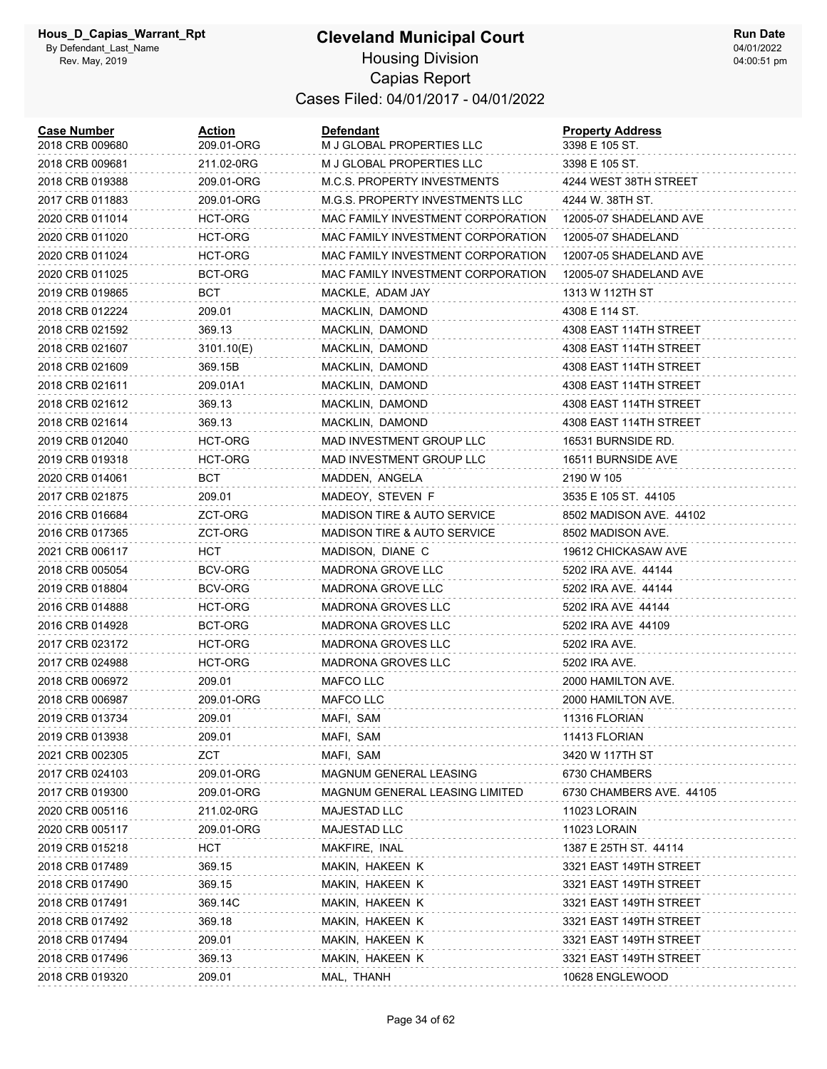#### **Cleveland Municipal Court** Housing Division Capias Report Cases Filed: 04/01/2017 - 04/01/2022

| <b>Case Number</b><br>2018 CRB 009680 | Action<br>209.01-ORG | <b>Defendant</b><br>M J GLOBAL PROPERTIES LLC | <b>Property Address</b><br>3398 E 105 ST. |
|---------------------------------------|----------------------|-----------------------------------------------|-------------------------------------------|
| 2018 CRB 009681                       | 211.02-0RG           | M J GLOBAL PROPERTIES LLC                     | 3398 E 105 ST.                            |
| 2018 CRB 019388                       | 209.01-ORG           | <b>M.C.S. PROPERTY INVESTMENTS</b>            | 4244 WEST 38TH STREET                     |
| 2017 CRB 011883                       | 209.01-ORG           | M.G.S. PROPERTY INVESTMENTS LLC               | 4244 W. 38TH ST.                          |
| 2020 CRB 011014                       | <b>HCT-ORG</b>       | MAC FAMILY INVESTMENT CORPORATION             | 12005-07 SHADELAND AVE                    |
| 2020 CRB 011020                       | <b>HCT-ORG</b>       | MAC FAMILY INVESTMENT CORPORATION             | 12005-07 SHADELAND                        |
| 2020 CRB 011024                       | HCT-ORG              | MAC FAMILY INVESTMENT CORPORATION             | 12007-05 SHADELAND AVE                    |
| 2020 CRB 011025                       | BCT-ORG              | MAC FAMILY INVESTMENT CORPORATION             | 12005-07 SHADELAND AVE                    |
| 2019 CRB 019865                       | BCT                  | MACKLE, ADAM JAY                              | 1313 W 112TH ST                           |
| 2018 CRB 012224                       | 209.01               | MACKLIN, DAMOND                               | 4308 E 114 ST.                            |
| 2018 CRB 021592                       | 369.13               | MACKLIN, DAMOND                               | 4308 EAST 114TH STREET                    |
| 2018 CRB 021607                       | 3101.10(E)           | MACKLIN, DAMOND                               | 4308 EAST 114TH STREET                    |
| 2018 CRB 021609                       | 369.15B              | MACKLIN, DAMOND                               | 4308 EAST 114TH STREET                    |
| 2018 CRB 021611                       | 209.01A1             | MACKLIN, DAMOND                               | 4308 EAST 114TH STREET                    |
| 2018 CRB 021612                       | 369.13               | MACKLIN, DAMOND                               | 4308 EAST 114TH STREET                    |
| 2018 CRB 021614                       | 369.13               | MACKLIN, DAMOND                               | 4308 EAST 114TH STREET                    |
| 2019 CRB 012040                       | HCT-ORG              | MAD INVESTMENT GROUP LLC                      | 16531 BURNSIDE RD.                        |
| 2019 CRB 019318                       | HCT-ORG              | MAD INVESTMENT GROUP LLC                      | 16511 BURNSIDE AVE                        |
| 2020 CRB 014061                       | BCT                  | MADDEN, ANGELA                                | 2190 W 105                                |
| 2017 CRB 021875                       | 209.01               | MADEOY, STEVEN F                              | 3535 E 105 ST. 44105                      |
| 2016 CRB 016684                       | ZCT-ORG              | <b>MADISON TIRE &amp; AUTO SERVICE</b>        | 8502 MADISON AVE. 44102                   |
| 2016 CRB 017365                       | ZCT-ORG              | <b>MADISON TIRE &amp; AUTO SERVICE</b>        | 8502 MADISON AVE.                         |
| 2021 CRB 006117                       | HCT                  | MADISON, DIANE C                              | 19612 CHICKASAW AVE                       |
| 2018 CRB 005054                       | <b>BCV-ORG</b>       | MADRONA GROVE LLC                             | 5202 IRA AVE. 44144                       |
| 2019 CRB 018804                       | BCV-ORG              | MADRONA GROVE LLC                             | 5202 IRA AVE. 44144                       |
| 2016 CRB 014888                       | HCT-ORG              | <b>MADRONA GROVES LLC</b>                     | 5202 IRA AVE 44144                        |
| 2016 CRB 014928                       | BCT-ORG              | <b>MADRONA GROVES LLC</b>                     | 5202 IRA AVE 44109                        |
| 2017 CRB 023172                       | HCT-ORG              | <b>MADRONA GROVES LLC</b>                     | 5202 IRA AVE.                             |
| 2017 CRB 024988                       | HCT-ORG              | <b>MADRONA GROVES LLC</b>                     | 5202 IRA AVE.                             |
| 2018 CRB 006972                       | 209.01               | MAFCO LLC                                     | 2000 HAMILTON AVE.                        |
| 2018 CRB 006987                       | 209.01-ORG           | MAFCO LLC                                     | 2000 HAMILTON AVE.                        |
| 2019 CRB 013734                       | 209.01               | MAFI, SAM                                     | 11316 FLORIAN                             |
| 2019 CRB 013938                       | 209.01               | MAFI, SAM                                     | 11413 FLORIAN                             |
| 2021 CRB 002305                       | ZCT                  | MAFI, SAM                                     | 3420 W 117TH ST                           |
| 2017 CRB 024103                       | 209.01-ORG           | MAGNUM GENERAL LEASING                        | 6730 CHAMBERS                             |
| 2017 CRB 019300                       | 209.01-ORG           | MAGNUM GENERAL LEASING LIMITED                | 6730 CHAMBERS AVE. 44105                  |
| 2020 CRB 005116                       | 211.02-0RG           | MAJESTAD LLC                                  | 11023 LORAIN                              |
| 2020 CRB 005117                       | 209.01-ORG           | MAJESTAD LLC                                  | 11023 LORAIN                              |
| 2019 CRB 015218                       | <b>HCT</b>           | MAKFIRE, INAL                                 | 1387 E 25TH ST. 44114                     |
| 2018 CRB 017489                       | 369.15               | MAKIN, HAKEEN K                               | 3321 EAST 149TH STREET                    |
| 2018 CRB 017490                       | 369.15               | MAKIN, HAKEEN K                               | 3321 EAST 149TH STREET                    |
| 2018 CRB 017491                       | 369.14C              | MAKIN, HAKEEN K                               | 3321 EAST 149TH STREET                    |
| 2018 CRB 017492                       | 369.18               | MAKIN, HAKEEN K                               | 3321 EAST 149TH STREET                    |
| 2018 CRB 017494                       | 209.01               | MAKIN, HAKEEN K                               | 3321 EAST 149TH STREET                    |
| 2018 CRB 017496                       | 369.13               | MAKIN, HAKEEN K                               | 3321 EAST 149TH STREET                    |
| 2018 CRB 019320                       | 209.01               | MAL, THANH                                    | 10628 ENGLEWOOD                           |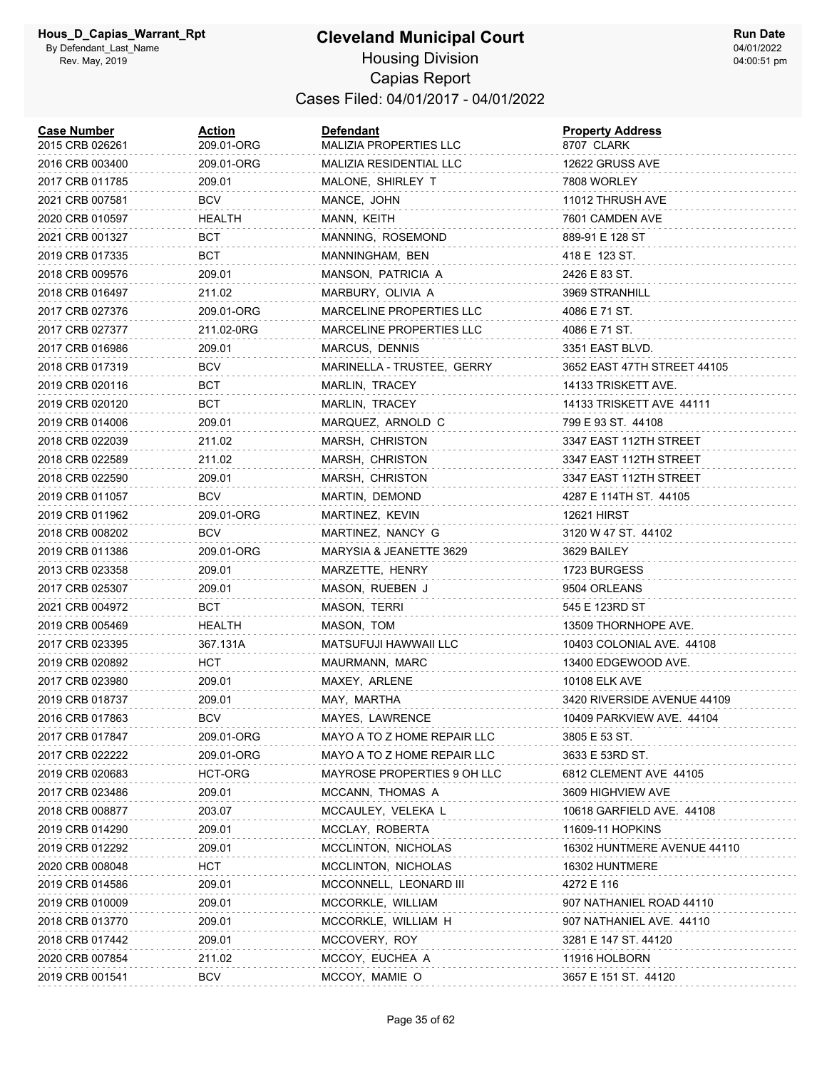| <b>Case Number</b><br>2015 CRB 026261 | Action<br>209.01-ORG | <b>Defendant</b><br>MALIZIA PROPERTIES LLC | <b>Property Address</b><br>8707 CLARK |
|---------------------------------------|----------------------|--------------------------------------------|---------------------------------------|
| 2016 CRB 003400                       | 209.01-ORG           | MALIZIA RESIDENTIAL LLC                    | 12622 GRUSS AVE                       |
| 2017 CRB 011785                       | 209.01               | MALONE, SHIRLEY T                          | 7808 WORLEY                           |
| 2021 CRB 007581                       | <b>BCV</b>           | MANCE, JOHN                                | 11012 THRUSH AVE                      |
| 2020 CRB 010597                       | HEALTH               | MANN, KEITH                                | 7601 CAMDEN AVE                       |
| 2021 CRB 001327                       | BCT                  | MANNING, ROSEMOND                          | 889-91 E 128 ST                       |
| 2019 CRB 017335                       | <b>BCT</b>           | MANNINGHAM, BEN                            | 418 E 123 ST.                         |
| 2018 CRB 009576                       | 209.01               | MANSON, PATRICIA A                         | 2426 E 83 ST.                         |
| 2018 CRB 016497                       | 211.02               | MARBURY, OLIVIA A                          | 3969 STRANHILL                        |
| 2017 CRB 027376                       | 209.01-ORG           | <b>MARCELINE PROPERTIES LLC</b>            | 4086 E 71 ST.                         |
| 2017 CRB 027377                       | 211.02-0RG           | MARCELINE PROPERTIES LLC                   | 4086 E 71 ST.                         |
| 2017 CRB 016986                       | 209.01               | MARCUS, DENNIS                             | 3351 EAST BLVD.                       |
| 2018 CRB 017319                       | BCV                  | MARINELLA - TRUSTEE, GERRY                 | 3652 EAST 47TH STREET 44105           |
| 2019 CRB 020116                       | BCT                  | MARLIN, TRACEY                             | 14133 TRISKETT AVE.                   |
| 2019 CRB 020120                       | BCT                  | MARLIN, TRACEY                             | 14133 TRISKETT AVE 44111              |
| 2019 CRB 014006                       | 209.01               | MARQUEZ, ARNOLD C                          | 799 E 93 ST. 44108                    |
| 2018 CRB 022039                       | 211.02               | MARSH, CHRISTON                            | 3347 EAST 112TH STREET                |
| 2018 CRB 022589                       | 211.02               | MARSH, CHRISTON                            | 3347 EAST 112TH STREET                |
| 2018 CRB 022590                       | 209.01               | MARSH, CHRISTON                            | 3347 EAST 112TH STREET                |
| 2019 CRB 011057                       | BCV                  | MARTIN, DEMOND                             | 4287 E 114TH ST. 44105                |
| 2019 CRB 011962                       | 209.01-ORG           | MARTINEZ, KEVIN                            | 12621 HIRST                           |
| 2018 CRB 008202                       | <b>BCV</b>           | MARTINEZ, NANCY G                          | 3120 W 47 ST. 44102                   |
| 2019 CRB 011386                       | 209.01-ORG           | MARYSIA & JEANETTE 3629                    | 3629 BAILEY                           |
| 2013 CRB 023358                       | 209.01               | MARZETTE, HENRY                            | 1723 BURGESS                          |
| 2017 CRB 025307                       | 209.01               | MASON, RUEBEN J                            | 9504 ORLEANS                          |
| 2021 CRB 004972                       | BCT                  | MASON, TERRI                               | 545 E 123RD ST                        |
| 2019 CRB 005469                       | HEALTH               | MASON, TOM                                 | 13509 THORNHOPE AVE.                  |
| 2017 CRB 023395                       | 367.131A             | MATSUFUJI HAWWAII LLC                      | 10403 COLONIAL AVE. 44108             |
| 2019 CRB 020892                       | <b>HCT</b>           | MAURMANN, MARC                             | 13400 EDGEWOOD AVE.                   |
| 2017 CRB 023980                       | 209.01               | MAXEY, ARLENE                              | 10108 ELK AVE                         |
| 2019 CRB 018737                       | 209.01               | MAY, MARTHA                                | 3420 RIVERSIDE AVENUE 44109           |
| 2016 CRB 017863                       | <b>BCV</b>           | MAYES, LAWRENCE                            | 10409 PARKVIEW AVE. 44104             |
| 2017 CRB 017847                       | 209.01-ORG           | MAYO A TO Z HOME REPAIR LLC                | 3805 E 53 ST.                         |
| 2017 CRB 022222                       | 209.01-ORG           | MAYO A TO Z HOME REPAIR LLC                | 3633 E 53RD ST.                       |
| 2019 CRB 020683                       | <b>HCT-ORG</b>       | MAYROSE PROPERTIES 9 OH LLC                | 6812 CLEMENT AVE 44105                |
| 2017 CRB 023486                       | 209.01               | MCCANN, THOMAS A                           | 3609 HIGHVIEW AVE                     |
| 2018 CRB 008877                       | 203.07               | MCCAULEY, VELEKA L                         | 10618 GARFIELD AVE. 44108             |
| 2019 CRB 014290                       | 209.01               | MCCLAY, ROBERTA                            | 11609-11 HOPKINS                      |
| 2019 CRB 012292                       | 209.01               | MCCLINTON, NICHOLAS                        | 16302 HUNTMERE AVENUE 44110           |
| 2020 CRB 008048                       | <b>HCT</b>           | MCCLINTON, NICHOLAS                        | 16302 HUNTMERE                        |
| 2019 CRB 014586                       | 209.01               | MCCONNELL, LEONARD III                     | 4272 E 116                            |
| 2019 CRB 010009                       | 209.01               | MCCORKLE, WILLIAM                          | 907 NATHANIEL ROAD 44110              |
| 2018 CRB 013770                       | 209.01               | MCCORKLE, WILLIAM H                        | 907 NATHANIEL AVE. 44110              |
| 2018 CRB 017442                       | 209.01               | MCCOVERY, ROY                              | 3281 E 147 ST. 44120                  |
| 2020 CRB 007854                       | 211.02               | MCCOY, EUCHEA A                            | 11916 HOLBORN                         |
| 2019 CRB 001541                       | <b>BCV</b>           | MCCOY, MAMIE O                             | 3657 E 151 ST. 44120                  |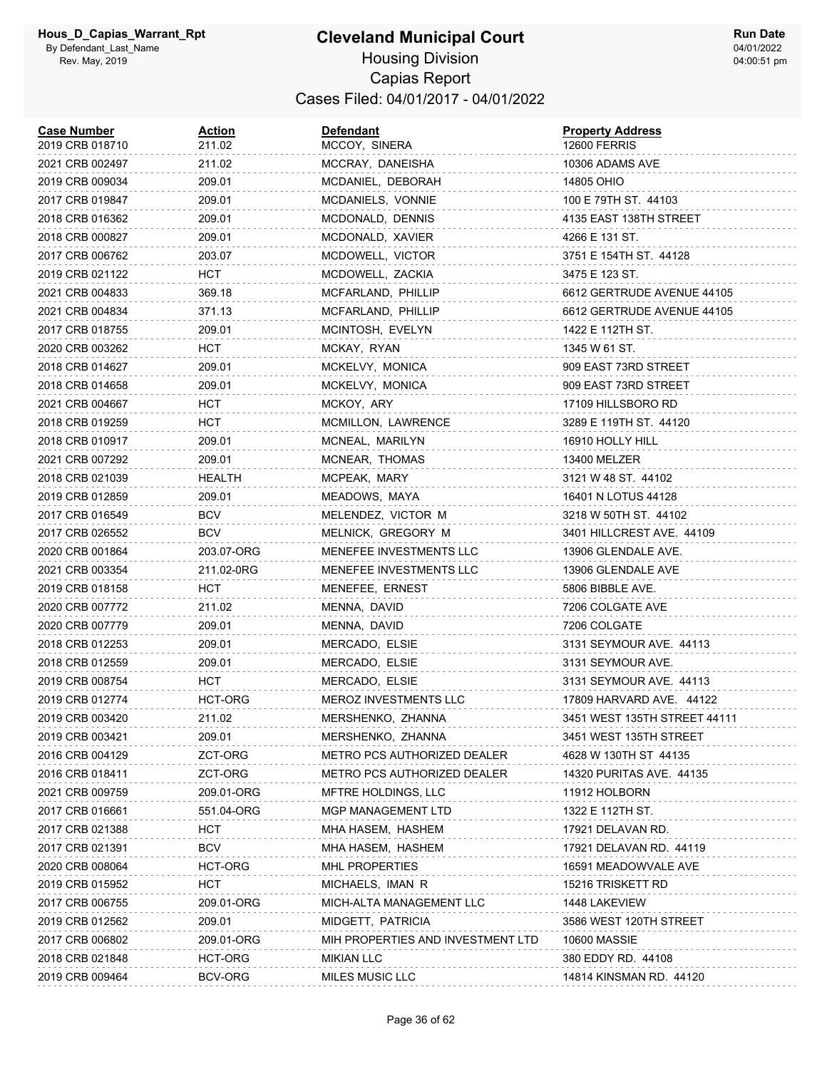| <b>Case Number</b><br>2019 CRB 018710 | <u>Action</u><br>211.02 | <b>Defendant</b><br>MCCOY, SINERA  | <b>Property Address</b><br><b>12600 FERRIS</b> |
|---------------------------------------|-------------------------|------------------------------------|------------------------------------------------|
| 2021 CRB 002497                       | 211.02                  | MCCRAY, DANEISHA                   | 10306 ADAMS AVE                                |
| 2019 CRB 009034                       | 209.01                  | MCDANIEL, DEBORAH                  | 14805 OHIO                                     |
| 2017 CRB 019847                       | 209.01                  | MCDANIELS, VONNIE                  | 100 E 79TH ST. 44103                           |
| 2018 CRB 016362                       | 209.01                  | MCDONALD, DENNIS                   | 4135 EAST 138TH STREET                         |
| 2018 CRB 000827                       | 209.01                  | MCDONALD, XAVIER                   | 4266 E 131 ST.                                 |
| 2017 CRB 006762                       | 203.07                  | MCDOWELL, VICTOR                   | 3751 E 154TH ST. 44128                         |
| 2019 CRB 021122                       | HCT                     | MCDOWELL, ZACKIA                   | 3475 E 123 ST.                                 |
| 2021 CRB 004833                       | 369.18                  | MCFARLAND, PHILLIP                 | 6612 GERTRUDE AVENUE 44105                     |
| 2021 CRB 004834                       | 371.13                  | MCFARLAND, PHILLIP                 | 6612 GERTRUDE AVENUE 44105                     |
| 2017 CRB 018755                       | 209.01                  | MCINTOSH, EVELYN                   | 1422 E 112TH ST.                               |
| 2020 CRB 003262                       | нст                     | MCKAY, RYAN                        | 1345 W 61 ST.                                  |
| 2018 CRB 014627                       | 209.01                  | MCKELVY, MONICA                    | 909 EAST 73RD STREET                           |
| 2018 CRB 014658                       | 209.01                  | MCKELVY, MONICA                    | 909 EAST 73RD STREET                           |
| 2021 CRB 004667                       | HCT.                    | MCKOY, ARY                         | 17109 HILLSBORO RD                             |
| 2018 CRB 019259                       | HCT                     | MCMILLON, LAWRENCE                 | 3289 E 119TH ST. 44120                         |
| 2018 CRB 010917                       | 209.01                  | MCNEAL, MARILYN                    | 16910 HOLLY HILL                               |
| 2021 CRB 007292                       | 209.01                  | MCNEAR, THOMAS                     | 13400 MELZER                                   |
| 2018 CRB 021039                       | HEALTH                  | MCPEAK, MARY                       | 3121 W 48 ST. 44102                            |
| 2019 CRB 012859                       | 209.01                  | MEADOWS, MAYA                      | 16401 N LOTUS 44128                            |
| 2017 CRB 016549                       | BCV                     | MELENDEZ, VICTOR M                 | 3218 W 50TH ST. 44102                          |
| 2017 CRB 026552                       | <b>BCV</b>              | MELNICK, GREGORY M                 | 3401 HILLCREST AVE. 44109                      |
| 2020 CRB 001864                       | 203.07-ORG              | MENEFEE INVESTMENTS LLC            | 13906 GLENDALE AVE.                            |
| 2021 CRB 003354                       | 211.02-0RG              | MENEFEE INVESTMENTS LLC            | 13906 GLENDALE AVE                             |
| 2019 CRB 018158                       | нст                     | MENEFEE, ERNEST                    | 5806 BIBBLE AVE.                               |
| 2020 CRB 007772                       | 211.02                  | MENNA, DAVID                       | 7206 COLGATE AVE                               |
| 2020 CRB 007779                       | 209.01                  | MENNA, DAVID                       | 7206 COLGATE                                   |
| 2018 CRB 012253                       | 209.01                  | MERCADO, ELSIE                     | 3131 SEYMOUR AVE. 44113                        |
| 2018 CRB 012559                       | 209.01                  | MERCADO, ELSIE                     | 3131 SEYMOUR AVE.                              |
| 2019 CRB 008754                       | HCT                     | MERCADO, ELSIE                     | 3131 SEYMOUR AVE. 44113                        |
| 2019 CRB 012774                       | HCT-ORG                 | MEROZ INVESTMENTS LLC              | 17809 HARVARD AVE. 44122                       |
| 2019 CRB 003420                       | 211.02                  | MERSHENKO, ZHANNA                  | 3451 WEST 135TH STREET 44111                   |
| 2019 CRB 003421                       | 209.01                  | MERSHENKO, ZHANNA                  | 3451 WEST 135TH STREET                         |
| 2016 CRB 004129                       | ZCT-ORG                 | <b>METRO PCS AUTHORIZED DEALER</b> | 4628 W 130TH ST 44135                          |
| 2016 CRB 018411                       | ZCT-ORG                 | <b>METRO PCS AUTHORIZED DEALER</b> | 14320 PURITAS AVE. 44135                       |
| 2021 CRB 009759                       | 209.01-ORG              | MFTRE HOLDINGS, LLC                | 11912 HOLBORN                                  |
| 2017 CRB 016661                       | 551.04-ORG              | MGP MANAGEMENT LTD                 | 1322 E 112TH ST.                               |
| 2017 CRB 021388                       | нст                     | MHA HASEM, HASHEM                  | 17921 DELAVAN RD.                              |
| 2017 CRB 021391                       | <b>BCV</b>              | MHA HASEM, HASHEM                  | 17921 DELAVAN RD. 44119                        |
| 2020 CRB 008064                       | HCT-ORG                 | MHL PROPERTIES                     | 16591 MEADOWVALE AVE                           |
| 2019 CRB 015952                       | HCT                     | MICHAELS, IMAN R                   | 15216 TRISKETT RD                              |
| 2017 CRB 006755                       | 209.01-ORG              | MICH-ALTA MANAGEMENT LLC           | 1448 LAKEVIEW                                  |
| 2019 CRB 012562                       | 209.01                  | MIDGETT, PATRICIA                  | 3586 WEST 120TH STREET                         |
| 2017 CRB 006802                       | 209.01-ORG              | MIH PROPERTIES AND INVESTMENT LTD  | <b>10600 MASSIE</b>                            |
| 2018 CRB 021848                       | HCT-ORG                 | <b>MIKIAN LLC</b>                  | 380 EDDY RD. 44108                             |
| 2019 CRB 009464                       | BCV-ORG                 | MILES MUSIC LLC                    | 14814 KINSMAN RD. 44120                        |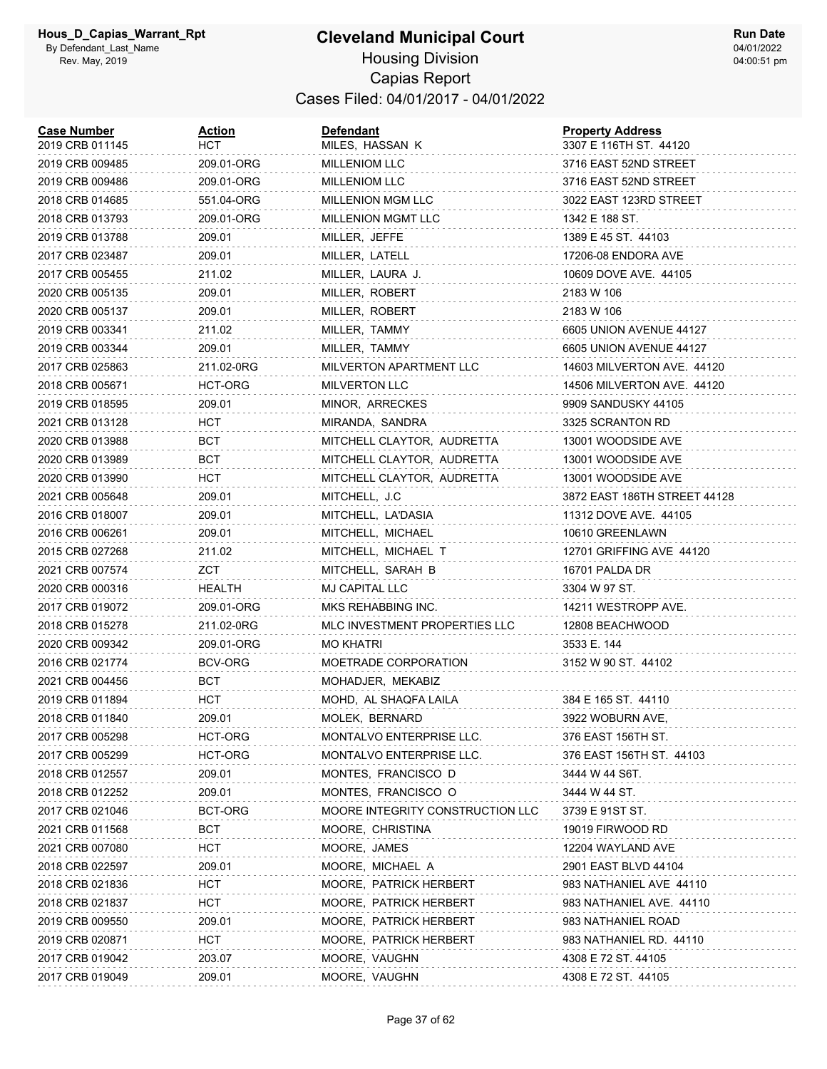| <b>Case Number</b><br>2019 CRB 011145 | <b>Action</b><br>нст | <b>Defendant</b><br>MILES, HASSAN K | <b>Property Address</b><br>3307 E 116TH ST. 44120 |
|---------------------------------------|----------------------|-------------------------------------|---------------------------------------------------|
| 2019 CRB 009485                       | 209.01-ORG           | <b>MILLENIOM LLC</b>                | 3716 EAST 52ND STREET                             |
| 2019 CRB 009486                       | 209.01-ORG           | <b>MILLENIOM LLC</b>                | 3716 EAST 52ND STREET                             |
| 2018 CRB 014685                       | 551.04-ORG           | <b>MILLENION MGM LLC</b>            | 3022 EAST 123RD STREET                            |
| 2018 CRB 013793                       | 209.01-ORG           | <b>MILLENION MGMT LLC</b>           | 1342 E 188 ST.                                    |
| 2019 CRB 013788                       | 209.01               | MILLER, JEFFE                       | 1389 E 45 ST. 44103                               |
| 2017 CRB 023487                       | 209.01               | MILLER, LATELL                      | 17206-08 ENDORA AVE                               |
| 2017 CRB 005455                       | 211.02               | MILLER, LAURA J.                    | 10609 DOVE AVE. 44105                             |
| 2020 CRB 005135                       | 209.01               | MILLER, ROBERT                      | 2183 W 106                                        |
| 2020 CRB 005137                       | 209.01               | MILLER, ROBERT                      | 2183 W 106                                        |
| 2019 CRB 003341                       | 211.02               | MILLER, TAMMY                       | 6605 UNION AVENUE 44127                           |
| 2019 CRB 003344                       | 209.01               | MILLER, TAMMY                       | 6605 UNION AVENUE 44127                           |
| 2017 CRB 025863                       | 211.02-0RG           | MILVERTON APARTMENT LLC             | 14603 MILVERTON AVE. 44120                        |
| 2018 CRB 005671                       | HCT-ORG              | <b>MILVERTON LLC</b>                | 14506 MILVERTON AVE. 44120                        |
| 2019 CRB 018595                       | 209.01               | MINOR, ARRECKES                     | 9909 SANDUSKY 44105                               |
| 2021 CRB 013128                       | HCT                  | MIRANDA, SANDRA                     | 3325 SCRANTON RD                                  |
| 2020 CRB 013988                       | BCT                  | MITCHELL CLAYTOR, AUDRETTA          | 13001 WOODSIDE AVE                                |
| 2020 CRB 013989                       | BCT                  | MITCHELL CLAYTOR, AUDRETTA          | 13001 WOODSIDE AVE                                |
| 2020 CRB 013990                       | HCT                  | MITCHELL CLAYTOR, AUDRETTA          | 13001 WOODSIDE AVE                                |
| 2021 CRB 005648                       | 209.01               | MITCHELL, J.C.                      | 3872 EAST 186TH STREET 44128                      |
| 2016 CRB 018007                       | 209.01               | MITCHELL, LA'DASIA                  | 11312 DOVE AVE. 44105                             |
| 2016 CRB 006261                       | 209.01               | MITCHELL, MICHAEL                   | 10610 GREENLAWN                                   |
| 2015 CRB 027268                       | 211.02               | MITCHELL, MICHAEL T                 | 12701 GRIFFING AVE 44120                          |
| 2021 CRB 007574                       | ZCT                  | MITCHELL, SARAH B                   | 16701 PALDA DR                                    |
| 2020 CRB 000316                       | HEALTH               | MJ CAPITAL LLC                      | 3304 W 97 ST.                                     |
| 2017 CRB 019072                       | 209.01-ORG           | MKS REHABBING INC.                  | 14211 WESTROPP AVE.                               |
| 2018 CRB 015278                       | 211.02-0RG           | MLC INVESTMENT PROPERTIES LLC       | 12808 BEACHWOOD                                   |
| 2020 CRB 009342                       | 209.01-ORG           | MO KHATRI                           | 3533 E. 144                                       |
| 2016 CRB 021774                       | BCV-ORG              | MOETRADE CORPORATION                | 3152 W 90 ST. 44102                               |
| 2021 CRB 004456                       | BCT                  | MOHADJER, MEKABIZ                   |                                                   |
| 2019 CRB 011894                       | HCT                  | MOHD, AL SHAQFA LAILA               | 384 E 165 ST. 44110                               |
| 2018 CRB 011840                       | 209.01               | MOLEK, BERNARD                      | 3922 WOBURN AVE,                                  |
| 2017 CRB 005298                       | HCT-ORG              | MONTALVO ENTERPRISE LLC.            | 376 EAST 156TH ST.                                |
| 2017 CRB 005299                       | HCT-ORG              | MONTALVO ENTERPRISE LLC.            | 376 EAST 156TH ST. 44103                          |
| 2018 CRB 012557                       | 209.01               | MONTES, FRANCISCO D                 | 3444 W 44 S6T.                                    |
| 2018 CRB 012252                       | 209.01               | MONTES, FRANCISCO O                 | 3444 W 44 ST.                                     |
| 2017 CRB 021046                       | BCT-ORG              | MOORE INTEGRITY CONSTRUCTION LLC    | 3739 E 91ST ST.                                   |
| 2021 CRB 011568                       | BCT                  | MOORE, CHRISTINA                    | 19019 FIRWOOD RD                                  |
| 2021 CRB 007080                       | HCT                  | MOORE, JAMES                        | 12204 WAYLAND AVE                                 |
| 2018 CRB 022597                       | 209.01               | MOORE, MICHAEL A                    | 2901 EAST BLVD 44104                              |
| 2018 CRB 021836                       | HCT                  | MOORE, PATRICK HERBERT              | 983 NATHANIEL AVE 44110                           |
| 2018 CRB 021837                       | HCT                  | MOORE, PATRICK HERBERT              | 983 NATHANIEL AVE. 44110                          |
| 2019 CRB 009550                       | 209.01               | MOORE, PATRICK HERBERT              | 983 NATHANIEL ROAD                                |
| 2019 CRB 020871                       | HCT                  | MOORE, PATRICK HERBERT              | 983 NATHANIEL RD. 44110                           |
| 2017 CRB 019042                       | 203.07               | MOORE, VAUGHN                       | 4308 E 72 ST. 44105                               |
| 2017 CRB 019049                       | 209.01               | MOORE, VAUGHN                       | 4308 E 72 ST. 44105                               |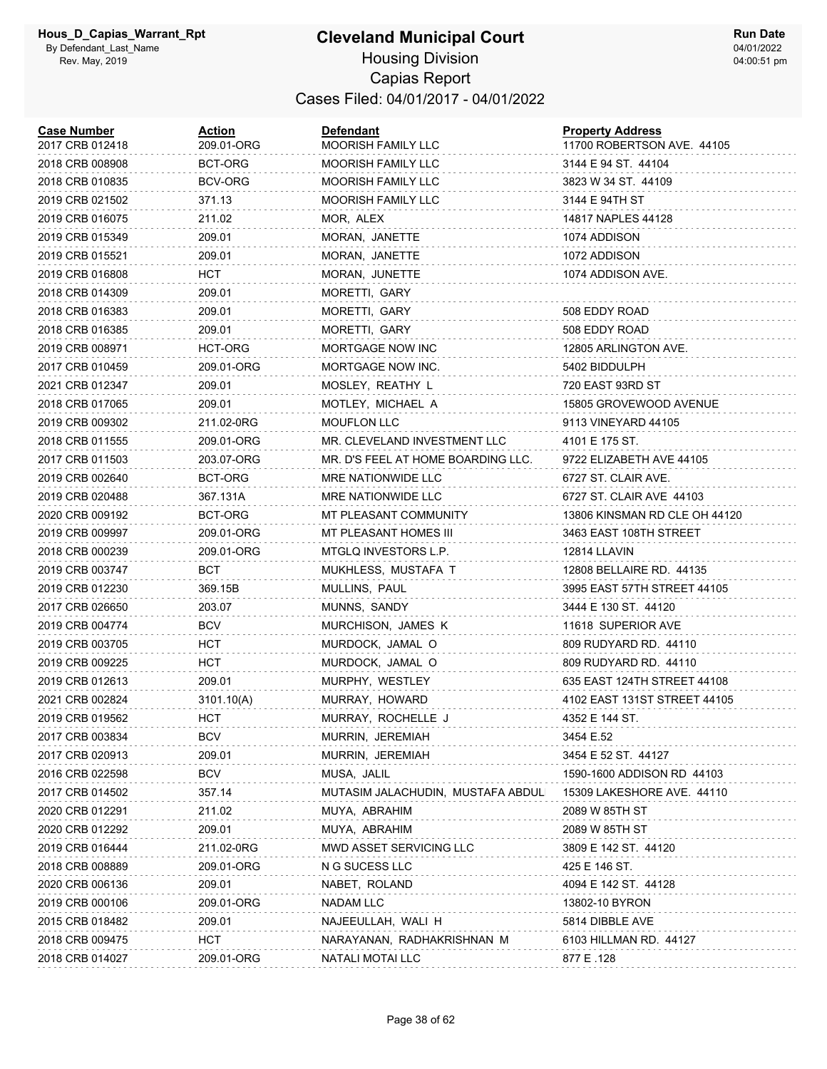#### **Cleveland Municipal Court** Housing Division Capias Report Cases Filed: 04/01/2017 - 04/01/2022

| <b>Case Number</b><br>2017 CRB 012418 | Action<br>209.01-ORG | <b>Defendant</b><br><b>MOORISH FAMILY LLC</b> | <b>Property Address</b><br>11700 ROBERTSON AVE. 44105 |
|---------------------------------------|----------------------|-----------------------------------------------|-------------------------------------------------------|
| 2018 CRB 008908                       | BCT-ORG              | <b>MOORISH FAMILY LLC</b>                     | 3144 E 94 ST. 44104                                   |
| 2018 CRB 010835                       | BCV-ORG              | <b>MOORISH FAMILY LLC</b>                     | 3823 W 34 ST. 44109                                   |
| 2019 CRB 021502                       | 371.13               | <b>MOORISH FAMILY LLC</b>                     | 3144 E 94TH ST                                        |
| 2019 CRB 016075                       | 211.02               | MOR, ALEX                                     | 14817 NAPLES 44128                                    |
| 2019 CRB 015349                       | 209.01               | MORAN, JANETTE                                | 1074 ADDISON                                          |
| 2019 CRB 015521                       | 209.01               | MORAN, JANETTE                                | 1072 ADDISON                                          |
| 2019 CRB 016808                       | HCT                  | MORAN, JUNETTE                                | 1074 ADDISON AVE.                                     |
| 2018 CRB 014309                       | 209.01               | MORETTI, GARY                                 |                                                       |
| 2018 CRB 016383                       | 209.01               | MORETTI, GARY                                 | 508 EDDY ROAD                                         |
| 2018 CRB 016385                       | 209.01               | MORETTI, GARY                                 | 508 EDDY ROAD                                         |
| 2019 CRB 008971                       | HCT-ORG              | MORTGAGE NOW INC                              | 12805 ARLINGTON AVE.                                  |
| 2017 CRB 010459                       | 209.01-ORG           | MORTGAGE NOW INC.                             | 5402 BIDDULPH                                         |
| 2021 CRB 012347                       | 209.01               | MOSLEY, REATHY L                              | 720 EAST 93RD ST                                      |
| 2018 CRB 017065                       | 209.01               | MOTLEY, MICHAEL A                             | 15805 GROVEWOOD AVENUE                                |
| 2019 CRB 009302                       | 211.02-0RG           | MOUFLON LLC                                   | 9113 VINEYARD 44105                                   |
| 2018 CRB 011555                       | 209.01-ORG           | MR. CLEVELAND INVESTMENT LLC                  | 4101 E 175 ST.                                        |
| 2017 CRB 011503                       | 203.07-ORG           | MR. D'S FEEL AT HOME BOARDING LLC.            | 9722 ELIZABETH AVE 44105                              |
| 2019 CRB 002640                       | BCT-ORG              | MRE NATIONWIDE LLC                            | 6727 ST. CLAIR AVE.                                   |
| 2019 CRB 020488                       | 367.131A             | MRE NATIONWIDE LLC                            | 6727 ST. CLAIR AVE 44103                              |
| 2020 CRB 009192                       | BCT-ORG              | MT PLEASANT COMMUNITY                         | 13806 KINSMAN RD CLE OH 44120                         |
| 2019 CRB 009997                       | 209.01-ORG           | MT PLEASANT HOMES III                         | 3463 EAST 108TH STREET                                |
| 2018 CRB 000239                       | 209.01-ORG           | MTGLQ INVESTORS L.P.                          | 12814 LLAVIN                                          |
| 2019 CRB 003747                       | BCT                  | MUKHLESS, MUSTAFA T                           | 12808 BELLAIRE RD. 44135                              |
| 2019 CRB 012230                       | 369.15B              | MULLINS, PAUL                                 | 3995 EAST 57TH STREET 44105                           |
| 2017 CRB 026650                       | 203.07               | MUNNS, SANDY                                  | 3444 E 130 ST. 44120                                  |
| 2019 CRB 004774                       | <b>BCV</b>           | MURCHISON, JAMES K                            | 11618 SUPERIOR AVE                                    |
| 2019 CRB 003705                       | HCT                  | MURDOCK, JAMAL O                              | 809 RUDYARD RD. 44110                                 |
| 2019 CRB 009225                       | HCT                  | MURDOCK, JAMAL O                              | 809 RUDYARD RD. 44110                                 |
| 2019 CRB 012613                       | 209.01               | MURPHY, WESTLEY                               | 635 EAST 124TH STREET 44108                           |
| 2021 CRB 002824                       | 3101.10(A)           | MURRAY, HOWARD                                | 4102 EAST 131ST STREET 44105                          |
| 2019 CRB 019562                       | HCT                  | MURRAY, ROCHELLE J                            | 4352 E 144 ST.                                        |
| 2017 CRB 003834                       | BCV                  | MURRIN, JEREMIAH                              | 3454 E.52                                             |
| 2017 CRB 020913                       | 209.01               | MURRIN, JEREMIAH                              | 3454 E 52 ST. 44127                                   |
| 2016 CRB 022598                       | BCV                  | MUSA, JALIL                                   | 1590-1600 ADDISON RD 44103                            |
| 2017 CRB 014502                       | 357.14               | MUTASIM JALACHUDIN, MUSTAFA ABDULI            | 15309 LAKESHORE AVE. 44110                            |
| 2020 CRB 012291                       | 211.02               | MUYA, ABRAHIM                                 | 2089 W 85TH ST                                        |
| 2020 CRB 012292                       | 209.01               | MUYA, ABRAHIM                                 | 2089 W 85TH ST                                        |
| 2019 CRB 016444                       | 211.02-0RG           | MWD ASSET SERVICING LLC                       | 3809 E 142 ST. 44120                                  |
| 2018 CRB 008889                       | 209.01-ORG           | N G SUCESS LLC                                | 425 E 146 ST.                                         |
| 2020 CRB 006136                       | 209.01               | NABET, ROLAND                                 | 4094 E 142 ST. 44128                                  |
| 2019 CRB 000106                       | 209.01-ORG           | <b>NADAM LLC</b>                              | 13802-10 BYRON                                        |
| 2015 CRB 018482                       | 209.01               | NAJEEULLAH, WALI H                            | 5814 DIBBLE AVE                                       |
| 2018 CRB 009475                       | <b>HCT</b>           | NARAYANAN, RADHAKRISHNAN M                    | 6103 HILLMAN RD. 44127                                |
| 2018 CRB 014027                       | 209.01-ORG           | NATALI MOTAI LLC                              | 877 E .128                                            |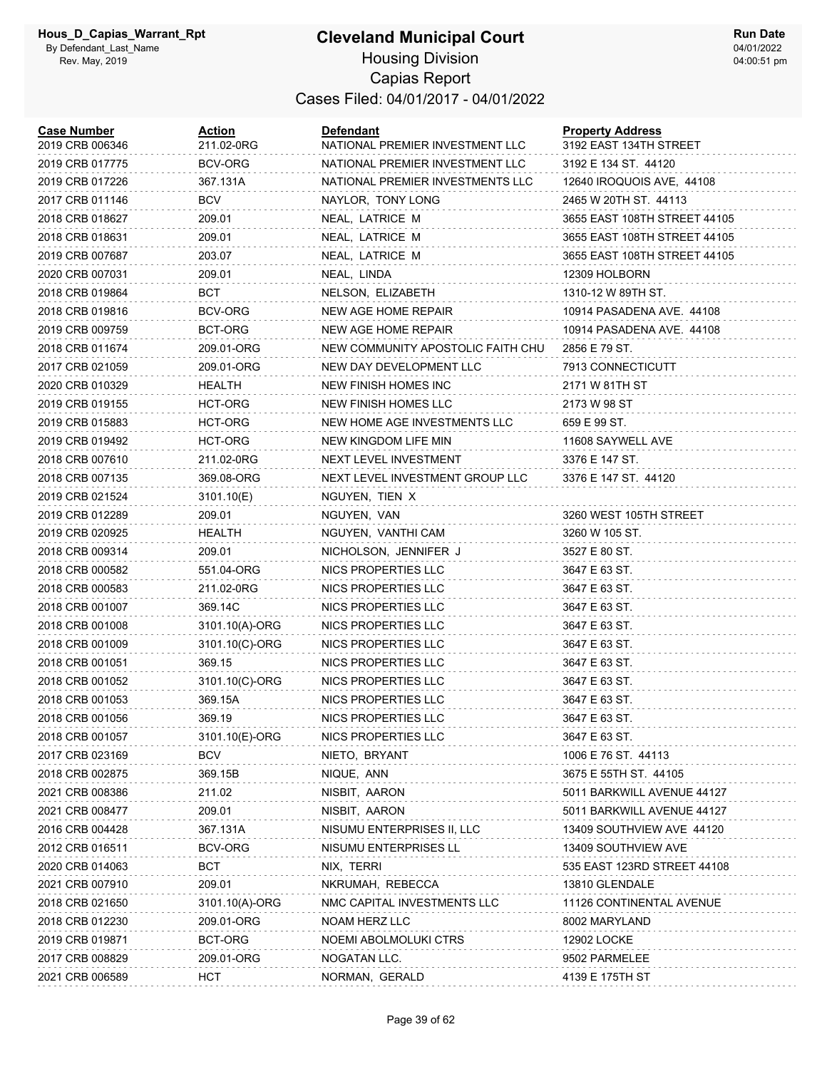#### **Cleveland Municipal Court** Housing Division

**Run Date** 04/01/2022 04:00:51 pm

## Capias Report Cases Filed: 04/01/2017 - 04/01/2022

| <b>Case Number</b><br>2019 CRB 006346 | <b>Action</b><br>211.02-0RG | <b>Defendant</b><br>NATIONAL PREMIER INVESTMENT LLC | <b>Property Address</b><br>3192 EAST 134TH STREET |
|---------------------------------------|-----------------------------|-----------------------------------------------------|---------------------------------------------------|
| 2019 CRB 017775                       | BCV-ORG                     | NATIONAL PREMIER INVESTMENT LLC                     | 3192 E 134 ST. 44120                              |
| 2019 CRB 017226                       | 367.131A                    | NATIONAL PREMIER INVESTMENTS LLC                    | 12640 IROQUOIS AVE, 44108                         |
| 2017 CRB 011146                       | BCV                         | NAYLOR, TONY LONG                                   | 2465 W 20TH ST. 44113                             |
| 2018 CRB 018627                       | 209.01                      | NEAL, LATRICE M                                     | 3655 EAST 108TH STREET 44105                      |
| 2018 CRB 018631                       | 209.01                      | NEAL, LATRICE M                                     | 3655 EAST 108TH STREET 44105                      |
| 2019 CRB 007687                       | 203.07                      | NEAL, LATRICE M                                     | 3655 EAST 108TH STREET 44105                      |
| 2020 CRB 007031                       | 209.01                      | NEAL, LINDA                                         | 12309 HOLBORN                                     |
| 2018 CRB 019864                       | BCT                         | NELSON, ELIZABETH                                   | 1310-12 W 89TH ST.                                |
| 2018 CRB 019816                       | BCV-ORG                     | NEW AGE HOME REPAIR                                 | 10914 PASADENA AVE. 44108                         |
| 2019 CRB 009759                       | BCT-ORG                     | NEW AGE HOME REPAIR                                 | 10914 PASADENA AVE. 44108                         |
| 2018 CRB 011674                       | 209.01-ORG                  | NEW COMMUNITY APOSTOLIC FAITH CHU                   | 2856 E 79 ST.                                     |
| 2017 CRB 021059                       | 209.01-ORG                  | NEW DAY DEVELOPMENT LLC                             | 7913 CONNECTICUTT                                 |
| 2020 CRB 010329                       | HEALTH                      | NEW FINISH HOMES INC                                | 2171 W 81TH ST                                    |
| 2019 CRB 019155                       | HCT-ORG                     | NEW FINISH HOMES LLC                                | 2173 W 98 ST                                      |
| 2019 CRB 015883                       | <b>HCT-ORG</b>              | NEW HOME AGE INVESTMENTS LLC                        | 659 E 99 ST.                                      |
| 2019 CRB 019492                       | HCT-ORG                     | NEW KINGDOM LIFE MIN                                | 11608 SAYWELL AVE                                 |
| 2018 CRB 007610                       | 211.02-0RG                  | NEXT LEVEL INVESTMENT                               | 3376 E 147 ST.                                    |
| 2018 CRB 007135                       | 369.08-ORG                  | NEXT LEVEL INVESTMENT GROUP LLC                     | 3376 E 147 ST. 44120                              |
| 2019 CRB 021524                       | 3101.10(E)                  | NGUYEN, TIEN X                                      |                                                   |
| 2019 CRB 012289                       | 209.01                      | NGUYEN, VAN                                         | 3260 WEST 105TH STREET                            |
| 2019 CRB 020925                       | HEALTH                      | NGUYEN, VANTHI CAM                                  | 3260 W 105 ST.                                    |
| 2018 CRB 009314                       | 209.01                      | NICHOLSON, JENNIFER J                               | 3527 E 80 ST.                                     |
| 2018 CRB 000582                       | 551.04-ORG                  | NICS PROPERTIES LLC                                 | 3647 E 63 ST.                                     |
| 2018 CRB 000583                       | 211.02-0RG                  | NICS PROPERTIES LLC                                 | 3647 E 63 ST.                                     |
| 2018 CRB 001007                       | 369.14C                     | NICS PROPERTIES LLC                                 | 3647 E 63 ST.                                     |
| 2018 CRB 001008                       | 3101.10(A)-ORG              | NICS PROPERTIES LLC                                 | 3647 E 63 ST.                                     |
| 2018 CRB 001009                       | 3101.10(C)-ORG              | NICS PROPERTIES LLC                                 | 3647 E 63 ST.                                     |
| 2018 CRB 001051                       | 369.15                      | NICS PROPERTIES LLC                                 | 3647 E 63 ST.                                     |
| 2018 CRB 001052                       | 3101.10(C)-ORG              | NICS PROPERTIES LLC                                 | 3647 E 63 ST.                                     |
| 2018 CRB 001053                       | 369.15A                     | NICS PROPERTIES LLC                                 | 3647 E 63 ST.                                     |
| 2018 CRB 001056                       | 369.19                      | NICS PROPERTIES LLC                                 | 3647 E 63 ST.                                     |
| 2018 CRB 001057                       | 3101.10(E)-ORG              | NICS PROPERTIES LLC                                 | 3647 E 63 ST.                                     |
| 2017 CRB 023169                       | BCV                         | NIETO, BRYANT                                       | 1006 E 76 ST. 44113                               |
| 2018 CRB 002875                       | 369.15B                     | NIQUE, ANN                                          | 3675 E 55TH ST. 44105                             |
| 2021 CRB 008386                       | 211.02                      | NISBIT, AARON                                       | 5011 BARKWILL AVENUE 44127                        |
| 2021 CRB 008477                       | 209.01                      | NISBIT, AARON                                       | 5011 BARKWILL AVENUE 44127                        |
| 2016 CRB 004428                       | 367.131A                    | NISUMU ENTERPRISES II, LLC                          | 13409 SOUTHVIEW AVE 44120                         |
| 2012 CRB 016511                       | BCV-ORG                     | NISUMU ENTERPRISES LL                               | 13409 SOUTHVIEW AVE                               |
| 2020 CRB 014063                       | <b>BCT</b>                  | NIX, TERRI                                          | 535 EAST 123RD STREET 44108                       |
| 2021 CRB 007910                       | 209.01                      | NKRUMAH, REBECCA                                    | 13810 GLENDALE                                    |
| 2018 CRB 021650                       | 3101.10(A)-ORG              | NMC CAPITAL INVESTMENTS LLC                         | 11126 CONTINENTAL AVENUE                          |
| 2018 CRB 012230                       | 209.01-ORG                  | NOAM HERZ LLC                                       | 8002 MARYLAND                                     |
| 2019 CRB 019871                       | BCT-ORG                     | NOEMI ABOLMOLUKI CTRS                               | 12902 LOCKE                                       |
| 2017 CRB 008829                       | 209.01-ORG                  | NOGATAN LLC.                                        | 9502 PARMELEE                                     |
| 2021 CRB 006589                       | HCT                         | NORMAN, GERALD                                      | 4139 E 175TH ST                                   |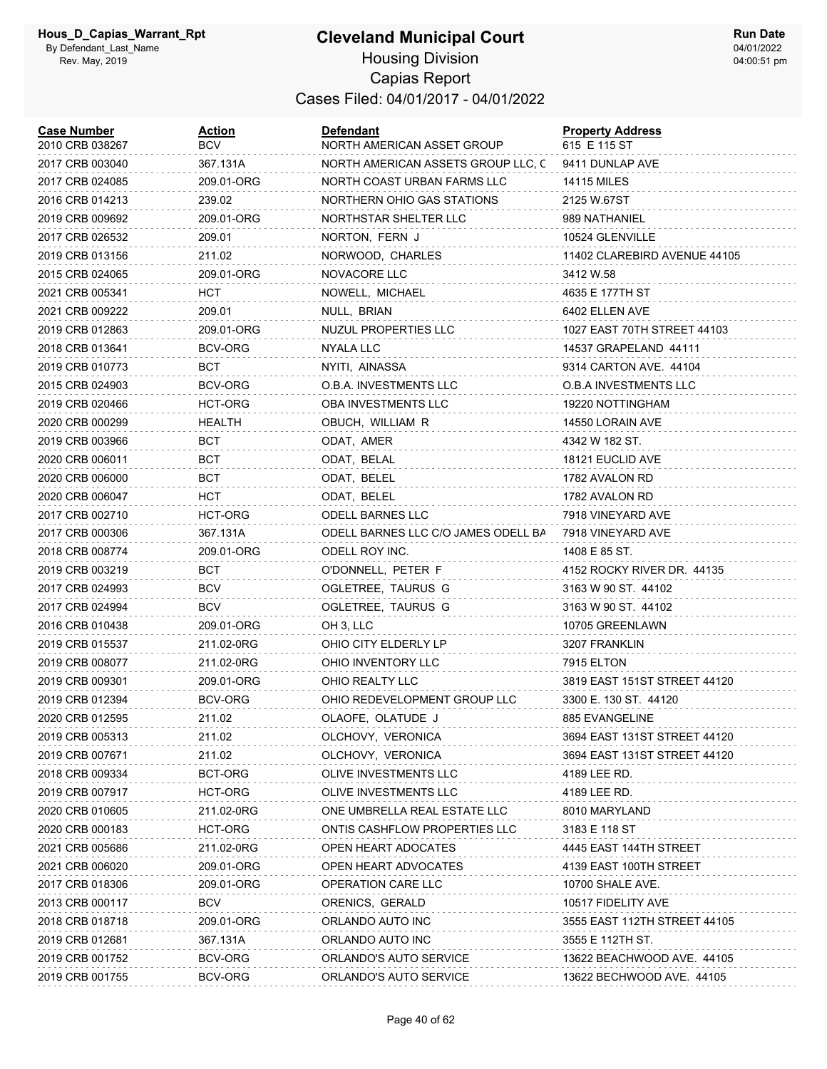| <b>Case Number</b><br>2010 CRB 038267 | Action<br><b>BCV</b> | Defendant<br>NORTH AMERICAN ASSET GROUP | <b>Property Address</b><br>615 E 115 ST |
|---------------------------------------|----------------------|-----------------------------------------|-----------------------------------------|
| 2017 CRB 003040                       | 367.131A             | NORTH AMERICAN ASSETS GROUP LLC, C      | 9411 DUNLAP AVE                         |
| 2017 CRB 024085                       | 209.01-ORG           | NORTH COAST URBAN FARMS LLC             | 14115 MILES                             |
| 2016 CRB 014213                       | 239.02               | NORTHERN OHIO GAS STATIONS              | 2125 W.67ST                             |
| 2019 CRB 009692                       | 209.01-ORG           | NORTHSTAR SHELTER LLC                   | 989 NATHANIEL                           |
| 2017 CRB 026532                       | 209.01               | NORTON, FERN J                          | 10524 GLENVILLE                         |
| 2019 CRB 013156                       | 211.02               | NORWOOD, CHARLES                        | 11402 CLAREBIRD AVENUE 44105            |
| 2015 CRB 024065                       | 209.01-ORG           | NOVACORE LLC                            | 3412 W.58                               |
| 2021 CRB 005341                       | HCT                  | NOWELL, MICHAEL                         | 4635 E 177TH ST                         |
| 2021 CRB 009222                       | 209.01               | NULL, BRIAN                             | 6402 ELLEN AVE                          |
| 2019 CRB 012863                       | 209.01-ORG           | NUZUL PROPERTIES LLC                    | 1027 EAST 70TH STREET 44103             |
| 2018 CRB 013641                       | BCV-ORG              | NYALA LLC                               | 14537 GRAPELAND 44111                   |
| 2019 CRB 010773                       | BCT                  | NYITI, AINASSA                          | 9314 CARTON AVE. 44104                  |
| 2015 CRB 024903                       | BCV-ORG              | <b>O.B.A. INVESTMENTS LLC</b>           | O.B.A INVESTMENTS LLC                   |
| 2019 CRB 020466                       | HCT-ORG              | OBA INVESTMENTS LLC                     | 19220 NOTTINGHAM                        |
| 2020 CRB 000299                       | HEALTH               | OBUCH, WILLIAM R                        | 14550 LORAIN AVE                        |
| 2019 CRB 003966                       | BCT                  | ODAT, AMER                              | 4342 W 182 ST.                          |
| 2020 CRB 006011                       | <b>BCT</b>           | ODAT, BELAL                             | 18121 EUCLID AVE                        |
| 2020 CRB 006000                       | <b>BCT</b>           | ODAT, BELEL                             | 1782 AVALON RD                          |
| 2020 CRB 006047                       | HCT                  | ODAT, BELEL                             | 1782 AVALON RD                          |
| 2017 CRB 002710                       | HCT-ORG              | <b>ODELL BARNES LLC</b>                 | 7918 VINEYARD AVE                       |
| 2017 CRB 000306                       | 367.131A             | ODELL BARNES LLC C/O JAMES ODELL BA     | 7918 VINEYARD AVE                       |
| 2018 CRB 008774                       | 209.01-ORG           | ODELL ROY INC.                          | 1408 E 85 ST.                           |
| 2019 CRB 003219                       | <b>BCT</b>           | O'DONNELL, PETER F                      | 4152 ROCKY RIVER DR. 44135              |
| 2017 CRB 024993                       | <b>BCV</b>           | OGLETREE, TAURUS G                      | 3163 W 90 ST. 44102                     |
| 2017 CRB 024994                       | <b>BCV</b>           | OGLETREE, TAURUS G                      | 3163 W 90 ST. 44102                     |
| 2016 CRB 010438                       | 209.01-ORG           | OH 3, LLC                               | 10705 GREENLAWN                         |
| 2019 CRB 015537                       | 211.02-0RG           | OHIO CITY ELDERLY LP                    | 3207 FRANKLIN                           |
| 2019 CRB 008077                       | 211.02-0RG           | OHIO INVENTORY LLC                      | 7915 ELTON                              |
| 2019 CRB 009301                       | 209.01-ORG           | OHIO REALTY LLC                         | 3819 EAST 151ST STREET 44120            |
| 2019 CRB 012394                       | BCV-ORG              | OHIO REDEVELOPMENT GROUP LLC            | 3300 E. 130 ST. 44120                   |
| 2020 CRB 012595                       | 211.02               | OLAOFE, OLATUDE J                       | 885 EVANGELINE                          |
| 2019 CRB 005313                       | 211.02               | OLCHOVY, VERONICA                       | 3694 EAST 131ST STREET 44120            |
| 2019 CRB 007671                       | 211.02               | OLCHOVY, VERONICA                       | 3694 EAST 131ST STREET 44120            |
| 2018 CRB 009334                       | BCT-ORG              | OLIVE INVESTMENTS LLC                   | 4189 LEE RD.                            |
| 2019 CRB 007917                       | HCT-ORG              | OLIVE INVESTMENTS LLC                   | 4189 LEE RD.                            |
| 2020 CRB 010605                       | 211.02-0RG           | ONE UMBRELLA REAL ESTATE LLC            | 8010 MARYLAND                           |
| 2020 CRB 000183                       | HCT-ORG              | ONTIS CASHFLOW PROPERTIES LLC           | 3183 E 118 ST                           |
| 2021 CRB 005686                       | 211.02-0RG           | OPEN HEART ADOCATES                     | 4445 EAST 144TH STREET                  |
| 2021 CRB 006020                       | 209.01-ORG           | OPEN HEART ADVOCATES                    | 4139 EAST 100TH STREET                  |
| 2017 CRB 018306                       | 209.01-ORG           | OPERATION CARE LLC                      | 10700 SHALE AVE.                        |
| 2013 CRB 000117                       | BCV                  | ORENICS, GERALD                         | 10517 FIDELITY AVE                      |
| 2018 CRB 018718                       | 209.01-ORG           | ORLANDO AUTO INC                        | 3555 EAST 112TH STREET 44105            |
| 2019 CRB 012681                       | 367.131A             | ORLANDO AUTO INC                        | 3555 E 112TH ST.                        |
| 2019 CRB 001752                       | BCV-ORG              | ORLANDO'S AUTO SERVICE                  | 13622 BEACHWOOD AVE. 44105              |
| 2019 CRB 001755                       | BCV-ORG              | ORLANDO'S AUTO SERVICE                  | 13622 BECHWOOD AVE. 44105               |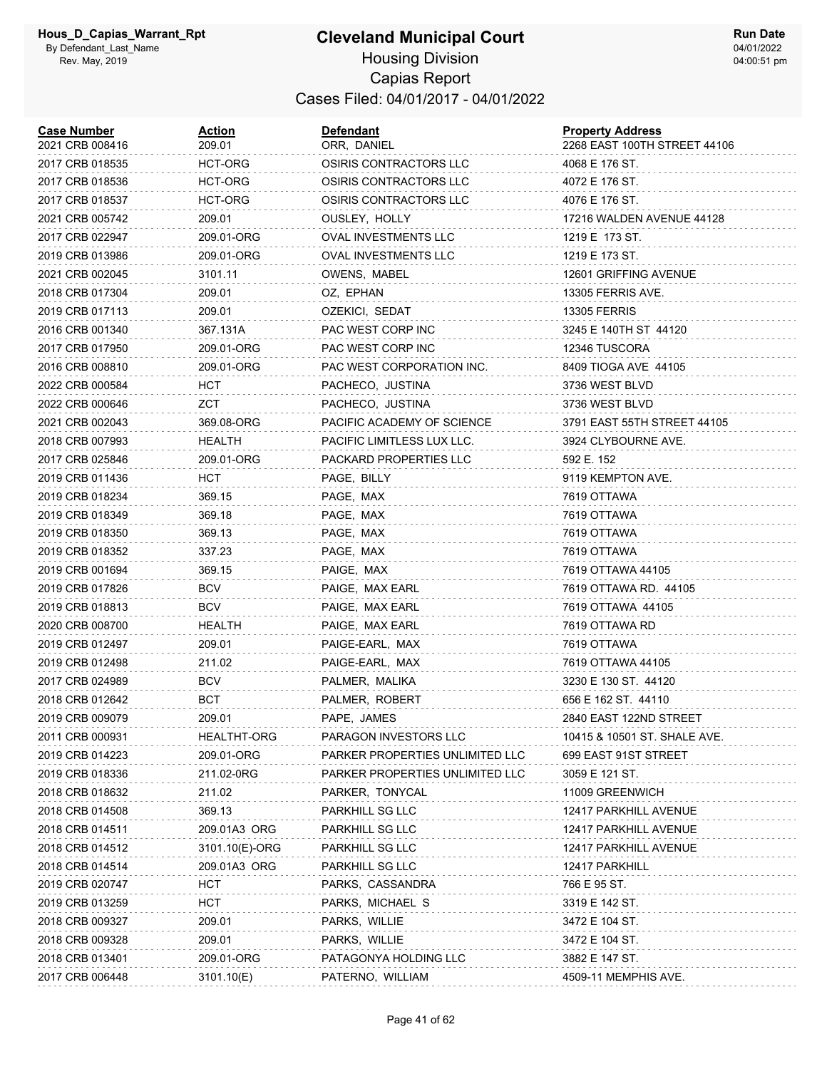| <b>Case Number</b><br>2021 CRB 008416 | <b>Action</b><br>209.01 | <b>Defendant</b><br>ORR, DANIEL | <b>Property Address</b><br>2268 EAST 100TH STREET 44106 |
|---------------------------------------|-------------------------|---------------------------------|---------------------------------------------------------|
| 2017 CRB 018535                       | HCT-ORG                 | OSIRIS CONTRACTORS LLC          | 4068 E 176 ST.                                          |
| 2017 CRB 018536                       | HCT-ORG                 | OSIRIS CONTRACTORS LLC          | 4072 E 176 ST.                                          |
| 2017 CRB 018537                       | HCT-ORG                 | OSIRIS CONTRACTORS LLC          | 4076 E 176 ST.                                          |
| 2021 CRB 005742                       | 209.01                  | OUSLEY, HOLLY                   | 17216 WALDEN AVENUE 44128                               |
| 2017 CRB 022947                       | 209.01-ORG              | <b>OVAL INVESTMENTS LLC</b>     | 1219 E 173 ST.                                          |
| 2019 CRB 013986                       | 209.01-ORG              | OVAL INVESTMENTS LLC            | 1219 E 173 ST.                                          |
| 2021 CRB 002045                       | 3101.11                 | OWENS, MABEL                    | 12601 GRIFFING AVENUE                                   |
| 2018 CRB 017304                       | 209.01                  | OZ, EPHAN                       | 13305 FERRIS AVE.                                       |
| 2019 CRB 017113                       | 209.01                  | OZEKICI, SEDAT                  | <b>13305 FERRIS</b>                                     |
| 2016 CRB 001340                       | 367.131A                | PAC WEST CORP INC               | 3245 E 140TH ST 44120                                   |
| 2017 CRB 017950                       | 209.01-ORG              | PAC WEST CORP INC               | 12346 TUSCORA                                           |
| 2016 CRB 008810                       | 209.01-ORG              | PAC WEST CORPORATION INC.       | 8409 TIOGA AVE 44105                                    |
| 2022 CRB 000584                       | HCT                     | PACHECO, JUSTINA                | 3736 WEST BLVD                                          |
| 2022 CRB 000646                       | ZCT                     | PACHECO, JUSTINA                | 3736 WEST BLVD                                          |
| 2021 CRB 002043                       | 369.08-ORG              | PACIFIC ACADEMY OF SCIENCE      | 3791 EAST 55TH STREET 44105                             |
| 2018 CRB 007993                       | HEALTH                  | PACIFIC LIMITLESS LUX LLC.      | 3924 CLYBOURNE AVE.                                     |
| 2017 CRB 025846                       | 209.01-ORG              | PACKARD PROPERTIES LLC          | 592 E. 152                                              |
| 2019 CRB 011436                       | HCT                     | PAGE, BILLY                     | 9119 KEMPTON AVE.                                       |
| 2019 CRB 018234                       | 369.15                  | PAGE, MAX                       | 7619 OTTAWA                                             |
| 2019 CRB 018349                       | 369.18                  | PAGE, MAX                       | 7619 OTTAWA                                             |
| 2019 CRB 018350                       | 369.13                  | PAGE, MAX                       | 7619 OTTAWA                                             |
| 2019 CRB 018352                       | 337.23                  | PAGE, MAX                       | 7619 OTTAWA                                             |
| 2019 CRB 001694                       | 369.15                  | PAIGE, MAX                      | 7619 OTTAWA 44105                                       |
| 2019 CRB 017826                       | BCV                     | PAIGE, MAX EARL                 | 7619 OTTAWA RD. 44105                                   |
| 2019 CRB 018813                       | <b>BCV</b>              | PAIGE, MAX EARL                 | 7619 OTTAWA 44105                                       |
| 2020 CRB 008700                       | HEALTH                  | PAIGE, MAX EARL                 | 7619 OTTAWA RD                                          |
| 2019 CRB 012497                       | 209.01                  | PAIGE-EARL, MAX                 | 7619 OTTAWA                                             |
| 2019 CRB 012498                       | 211.02                  | PAIGE-EARL, MAX                 | 7619 OTTAWA 44105                                       |
| 2017 CRB 024989                       | <b>BCV</b>              | PALMER, MALIKA                  | 3230 E 130 ST. 44120                                    |
| 2018 CRB 012642                       | BCT                     | PALMER, ROBERT                  | 656 E 162 ST. 44110                                     |
| 2019 CRB 009079                       | 209.01                  | PAPE, JAMES                     | 2840 EAST 122ND STREET                                  |
| 2011 CRB 000931                       | <b>HEALTHT-ORG</b>      | PARAGON INVESTORS LLC           | 10415 & 10501 ST. SHALE AVE.                            |
| 2019 CRB 014223                       | 209.01-ORG              | PARKER PROPERTIES UNLIMITED LLC | 699 EAST 91ST STREET                                    |
| 2019 CRB 018336                       | 211.02-0RG              | PARKER PROPERTIES UNLIMITED LLC | 3059 E 121 ST.                                          |
| 2018 CRB 018632                       | 211.02                  | PARKER, TONYCAL                 | 11009 GREENWICH                                         |
| 2018 CRB 014508                       | 369.13                  | PARKHILL SG LLC                 | 12417 PARKHILL AVENUE                                   |
| 2018 CRB 014511                       | 209.01A3 ORG            | PARKHILL SG LLC                 | 12417 PARKHILL AVENUE                                   |
| 2018 CRB 014512                       | 3101.10(E)-ORG          | PARKHILL SG LLC                 | 12417 PARKHILL AVENUE                                   |
| 2018 CRB 014514                       | 209.01A3 ORG            | PARKHILL SG LLC                 | 12417 PARKHILL                                          |
| 2019 CRB 020747                       | <b>HCT</b>              | PARKS, CASSANDRA                | 766 E 95 ST.                                            |
| 2019 CRB 013259                       | <b>HCT</b>              | PARKS, MICHAEL S                | 3319 E 142 ST.                                          |
| 2018 CRB 009327                       | 209.01                  | PARKS, WILLIE                   | 3472 E 104 ST.                                          |
| 2018 CRB 009328                       | 209.01                  | PARKS, WILLIE                   | 3472 E 104 ST.                                          |
| 2018 CRB 013401                       | 209.01-ORG              | PATAGONYA HOLDING LLC           | 3882 E 147 ST.                                          |
| 2017 CRB 006448                       | 3101.10(E)              | PATERNO, WILLIAM                | 4509-11 MEMPHIS AVE.                                    |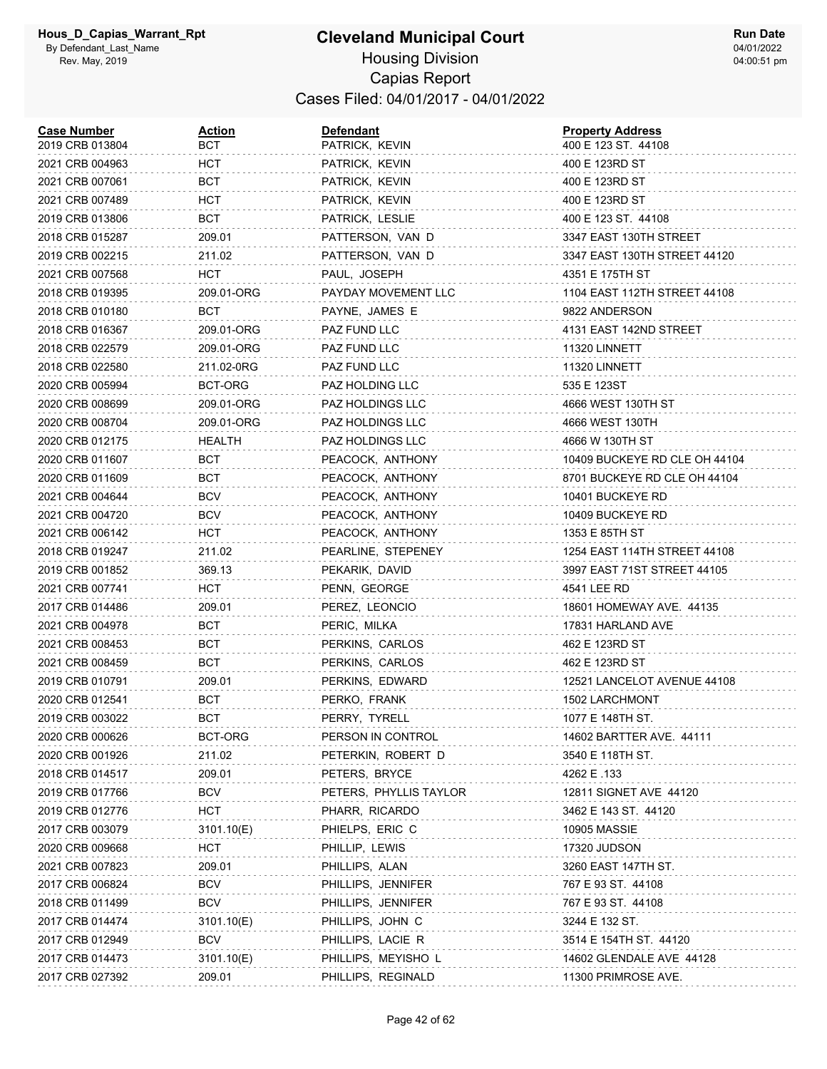| <b>Case Number</b><br>2019 CRB 013804 | <u>Action</u><br>BCT | <b>Defendant</b><br>PATRICK, KEVIN | <b>Property Address</b><br>400 E 123 ST. 44108 |
|---------------------------------------|----------------------|------------------------------------|------------------------------------------------|
| 2021 CRB 004963                       | <b>HCT</b>           | PATRICK, KEVIN                     | 400 E 123RD ST                                 |
| 2021 CRB 007061                       | BCT                  | PATRICK, KEVIN                     | 400 E 123RD ST                                 |
| 2021 CRB 007489                       | HCT                  | PATRICK, KEVIN                     | 400 E 123RD ST                                 |
| 2019 CRB 013806                       | BCT                  | PATRICK, LESLIE                    | 400 E 123 ST. 44108                            |
| 2018 CRB 015287                       | 209.01               | PATTERSON, VAN D                   | 3347 EAST 130TH STREET                         |
| 2019 CRB 002215                       | 211.02               | PATTERSON, VAN D                   | 3347 EAST 130TH STREET 44120                   |
| 2021 CRB 007568                       | HCT.                 | PAUL, JOSEPH                       | 4351 E 175TH ST                                |
| 2018 CRB 019395                       | 209.01-ORG           | PAYDAY MOVEMENT LLC                | 1104 EAST 112TH STREET 44108                   |
| 2018 CRB 010180                       | BCT                  | PAYNE, JAMES E                     | 9822 ANDERSON                                  |
| 2018 CRB 016367                       | 209.01-ORG           | PAZ FUND LLC                       | 4131 EAST 142ND STREET                         |
| 2018 CRB 022579                       | 209.01-ORG           | PAZ FUND LLC                       | 11320 LINNETT                                  |
| 2018 CRB 022580                       | 211.02-0RG           | PAZ FUND LLC                       | 11320 LINNETT                                  |
| 2020 CRB 005994                       | BCT-ORG              | PAZ HOLDING LLC                    | 535 E 123ST                                    |
| 2020 CRB 008699                       | 209.01-ORG           | PAZ HOLDINGS LLC                   | 4666 WEST 130TH ST                             |
| 2020 CRB 008704                       | 209.01-ORG           | PAZ HOLDINGS LLC                   | 4666 WEST 130TH                                |
| 2020 CRB 012175                       | HEALTH               | PAZ HOLDINGS LLC                   | 4666 W 130TH ST                                |
| 2020 CRB 011607                       | BCT                  | PEACOCK, ANTHONY                   | 10409 BUCKEYE RD CLE OH 44104                  |
| 2020 CRB 011609                       | <b>BCT</b>           | PEACOCK, ANTHONY                   | 8701 BUCKEYE RD CLE OH 44104                   |
| 2021 CRB 004644                       | <b>BCV</b>           | PEACOCK, ANTHONY                   | 10401 BUCKEYE RD                               |
| 2021 CRB 004720                       | <b>BCV</b>           | PEACOCK, ANTHONY                   | 10409 BUCKEYE RD                               |
| 2021 CRB 006142                       | <b>HCT</b>           | PEACOCK, ANTHONY                   | 1353 E 85TH ST                                 |
| 2018 CRB 019247                       | 211.02               | PEARLINE, STEPENEY                 | 1254 EAST 114TH STREET 44108                   |
| 2019 CRB 001852                       | 369.13               | PEKARIK, DAVID                     | 3997 EAST 71ST STREET 44105                    |
| 2021 CRB 007741                       | HCT                  | PENN, GEORGE                       | 4541 LEE RD                                    |
| 2017 CRB 014486                       | 209.01               | PEREZ, LEONCIO                     | 18601 HOMEWAY AVE. 44135                       |
| 2021 CRB 004978                       | BCT                  | PERIC, MILKA                       | 17831 HARLAND AVE                              |
| 2021 CRB 008453                       | BCT                  | PERKINS, CARLOS                    | 462 E 123RD ST                                 |
| 2021 CRB 008459                       | BCT                  | PERKINS, CARLOS                    | 462 E 123RD ST                                 |
| 2019 CRB 010791                       | 209.01               | PERKINS, EDWARD                    | 12521 LANCELOT AVENUE 44108                    |
| 2020 CRB 012541                       | BCT                  | PERKO, FRANK                       | 1502 LARCHMONT                                 |
| 2019 CRB 003022                       | BCT                  | PERRY, TYRELL                      | 1077 E 148TH ST.                               |
| 2020 CRB 000626                       | BCT-ORG              | PERSON IN CONTROL                  | 14602 BARTTER AVE. 44111                       |
| 2020 CRB 001926                       | 211.02               | PETERKIN, ROBERT D                 | 3540 E 118TH ST.                               |
| 2018 CRB 014517                       | 209.01               | PETERS, BRYCE                      | 4262 E .133                                    |
| 2019 CRB 017766                       | BCV                  | PETERS, PHYLLIS TAYLOR             | 12811 SIGNET AVE 44120                         |
| 2019 CRB 012776                       | HCT                  | PHARR, RICARDO                     | 3462 E 143 ST. 44120                           |
| 2017 CRB 003079                       | 3101.10(E)           | PHIELPS, ERIC C                    | <b>10905 MASSIE</b>                            |
| 2020 CRB 009668                       | <b>HCT</b>           | PHILLIP, LEWIS                     | 17320 JUDSON                                   |
| 2021 CRB 007823                       | 209.01               | PHILLIPS, ALAN                     | 3260 EAST 147TH ST.                            |
| 2017 CRB 006824                       | <b>BCV</b>           | PHILLIPS, JENNIFER                 | 767 E 93 ST. 44108                             |
| 2018 CRB 011499                       | <b>BCV</b>           | PHILLIPS, JENNIFER                 | 767 E 93 ST. 44108                             |
| 2017 CRB 014474                       | 3101.10(E)           | PHILLIPS, JOHN C                   | 3244 E 132 ST.                                 |
| 2017 CRB 012949                       | <b>BCV</b>           | PHILLIPS, LACIE R                  | 3514 E 154TH ST. 44120                         |
| 2017 CRB 014473                       | 3101.10(E)           | PHILLIPS, MEYISHO L                | 14602 GLENDALE AVE 44128                       |
| 2017 CRB 027392                       | 209.01               | PHILLIPS, REGINALD                 | 11300 PRIMROSE AVE.                            |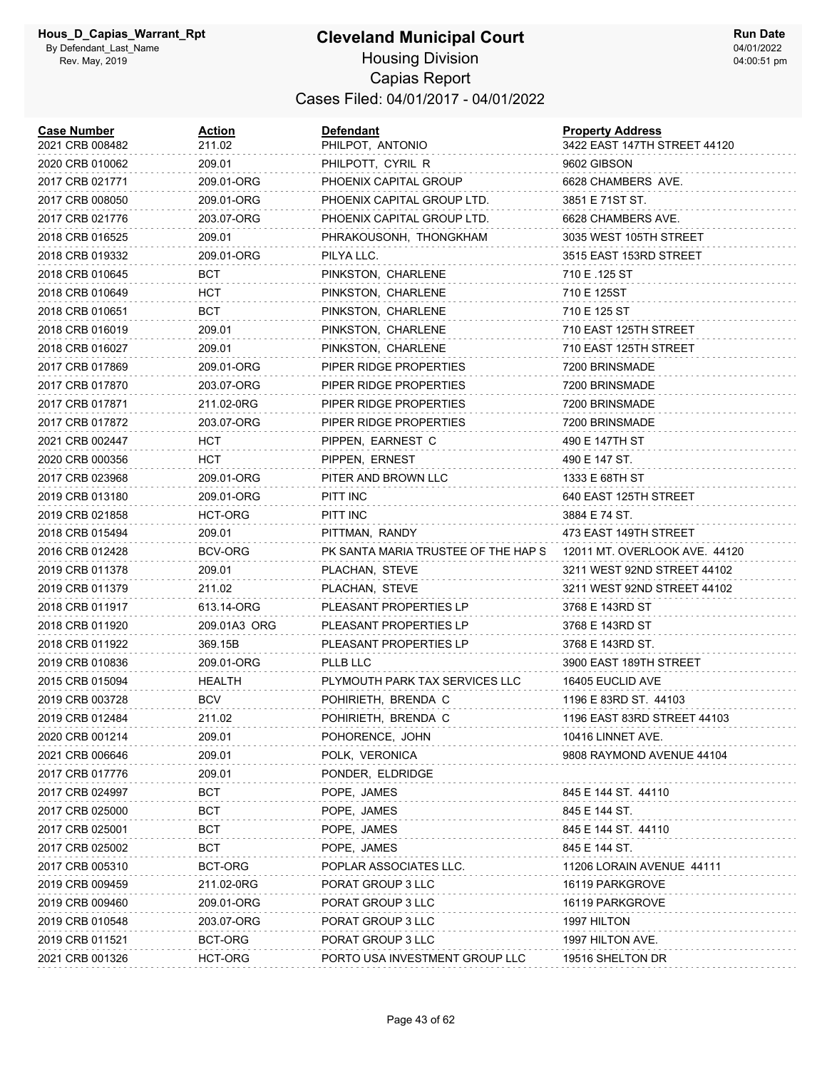## **Cleveland Municipal Court**

**Run Date** 04/01/2022 04:00:51 pm

#### Housing Division Capias Report Cases Filed: 04/01/2017 - 04/01/2022

| <b>Case Number</b><br>2021 CRB 008482 | <b>Action</b><br>211.02 | <b>Defendant</b><br>PHILPOT, ANTONIO | <b>Property Address</b><br>3422 EAST 147TH STREET 44120 |
|---------------------------------------|-------------------------|--------------------------------------|---------------------------------------------------------|
| 2020 CRB 010062                       | 209.01                  | PHILPOTT, CYRIL R                    | 9602 GIBSON                                             |
| 2017 CRB 021771                       | 209.01-ORG              | PHOENIX CAPITAL GROUP                | 6628 CHAMBERS AVE.                                      |
| 2017 CRB 008050                       | 209.01-ORG              | PHOENIX CAPITAL GROUP LTD.           | 3851 E 71ST ST.                                         |
| 2017 CRB 021776                       | 203.07-ORG              | PHOENIX CAPITAL GROUP LTD.           | 6628 CHAMBERS AVE.                                      |
| 2018 CRB 016525                       | 209.01                  | PHRAKOUSONH, THONGKHAM               | 3035 WEST 105TH STREET                                  |
| 2018 CRB 019332                       | 209.01-ORG              | PILYA LLC.                           | 3515 EAST 153RD STREET                                  |
| 2018 CRB 010645                       | BCT                     | PINKSTON, CHARLENE                   | 710 E .125 ST                                           |
| 2018 CRB 010649                       | HCT                     | PINKSTON, CHARLENE                   | 710 E 125ST                                             |
| 2018 CRB 010651                       | BCT                     | PINKSTON, CHARLENE                   | 710 E 125 ST                                            |
| 2018 CRB 016019                       | 209.01                  | PINKSTON, CHARLENE                   | 710 EAST 125TH STREET                                   |
| 2018 CRB 016027                       | 209.01                  | PINKSTON, CHARLENE                   | 710 EAST 125TH STREET                                   |
| 2017 CRB 017869                       | 209.01-ORG              | PIPER RIDGE PROPERTIES               | 7200 BRINSMADE                                          |
| 2017 CRB 017870                       | 203.07-ORG              | PIPER RIDGE PROPERTIES               | 7200 BRINSMADE                                          |
| 2017 CRB 017871                       | 211.02-0RG              | PIPER RIDGE PROPERTIES               | 7200 BRINSMADE                                          |
| 2017 CRB 017872                       | 203.07-ORG              | PIPER RIDGE PROPERTIES               | 7200 BRINSMADE                                          |
| 2021 CRB 002447                       | <b>HCT</b>              | PIPPEN, EARNEST C                    | 490 E 147TH ST                                          |
| 2020 CRB 000356                       | HCT                     | PIPPEN, ERNEST                       | 490 E 147 ST.                                           |
| 2017 CRB 023968                       | 209.01-ORG              | PITER AND BROWN LLC                  | 1333 E 68TH ST                                          |
| 2019 CRB 013180                       | 209.01-ORG              | PITT INC                             | 640 EAST 125TH STREET                                   |
| 2019 CRB 021858                       | HCT-ORG                 | PITT INC                             | 3884 E 74 ST.                                           |
| 2018 CRB 015494                       | 209.01                  | PITTMAN, RANDY                       | 473 EAST 149TH STREET                                   |
| 2016 CRB 012428                       | BCV-ORG                 | PK SANTA MARIA TRUSTEE OF THE HAP S  | 12011 MT. OVERLOOK AVE. 44120                           |
| 2019 CRB 011378                       | 209.01                  | PLACHAN, STEVE                       | 3211 WEST 92ND STREET 44102                             |
| 2019 CRB 011379                       | 211.02                  | PLACHAN, STEVE                       | 3211 WEST 92ND STREET 44102                             |
| 2018 CRB 011917                       | 613.14-ORG              | PLEASANT PROPERTIES LP               | 3768 E 143RD ST                                         |
| 2018 CRB 011920                       | 209.01A3 ORG            | PLEASANT PROPERTIES LP               | 3768 E 143RD ST                                         |
| 2018 CRB 011922                       | 369.15B                 | PLEASANT PROPERTIES LP               | 3768 E 143RD ST.                                        |
| 2019 CRB 010836                       | 209.01-ORG              | PLLB LLC                             | 3900 EAST 189TH STREET                                  |
| 2015 CRB 015094                       | <b>HEALTH</b>           | PLYMOUTH PARK TAX SERVICES LLC       | 16405 EUCLID AVE                                        |
| 2019 CRB 003728                       | <b>BCV</b>              | POHIRIETH, BRENDA C                  | 1196 E 83RD ST. 44103                                   |
| 2019 CRB 012484                       | 211.02                  | POHIRIETH, BRENDA C                  | 1196 EAST 83RD STREET 44103                             |
| 2020 CRB 001214                       | 209.01                  | POHORENCE, JOHN                      | 10416 LINNET AVE.                                       |
| 2021 CRB 006646                       | 209.01                  | POLK, VERONICA                       | 9808 RAYMOND AVENUE 44104                               |
| 2017 CRB 017776                       | 209.01                  | PONDER, ELDRIDGE                     |                                                         |
| 2017 CRB 024997                       | BCT                     | POPE, JAMES                          | 845 E 144 ST. 44110                                     |
| 2017 CRB 025000                       | BCT                     | POPE, JAMES                          | 845 E 144 ST.                                           |
| 2017 CRB 025001                       | BCT                     | POPE, JAMES                          | 845 E 144 ST. 44110                                     |
| 2017 CRB 025002                       | BCT                     | POPE, JAMES                          | 845 E 144 ST.                                           |
| 2017 CRB 005310                       | BCT-ORG                 | POPLAR ASSOCIATES LLC.               | 11206 LORAIN AVENUE 44111                               |
| 2019 CRB 009459                       | 211.02-0RG              | PORAT GROUP 3 LLC                    | 16119 PARKGROVE                                         |
| 2019 CRB 009460                       | 209.01-ORG              | PORAT GROUP 3 LLC                    | 16119 PARKGROVE                                         |
| 2019 CRB 010548                       | 203.07-ORG              | PORAT GROUP 3 LLC                    | 1997 HILTON                                             |
| 2019 CRB 011521                       | BCT-ORG                 | PORAT GROUP 3 LLC                    | 1997 HILTON AVE.                                        |
| 2021 CRB 001326                       | HCT-ORG                 | PORTO USA INVESTMENT GROUP LLC       | 19516 SHELTON DR                                        |
|                                       |                         |                                      |                                                         |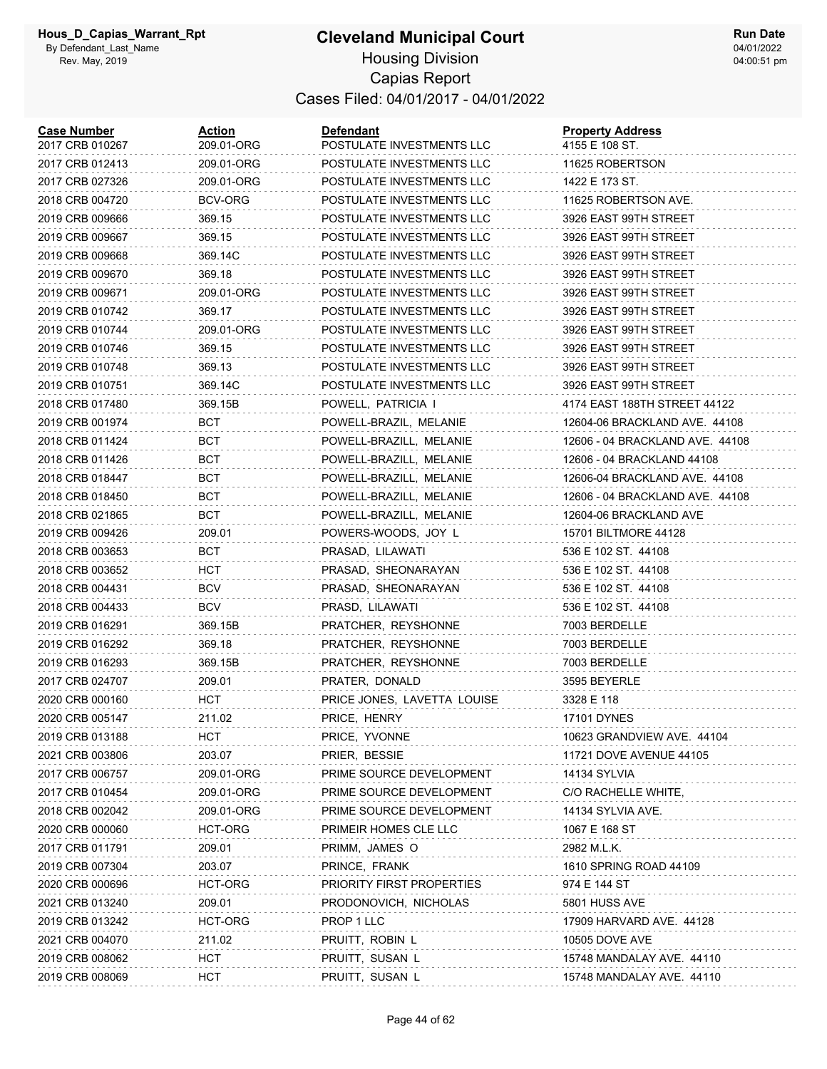#### **Cleveland Municipal Court**

**Run Date** 04/01/2022 04:00:51 pm

Housing Division Capias Report Cases Filed: 04/01/2017 - 04/01/2022

| <b>Case Number</b><br>2017 CRB 010267 | Action<br>209.01-ORG | <b>Defendant</b><br>POSTULATE INVESTMENTS LLC | <b>Property Address</b><br>4155 E 108 ST. |
|---------------------------------------|----------------------|-----------------------------------------------|-------------------------------------------|
| 2017 CRB 012413                       | 209.01-ORG           | POSTULATE INVESTMENTS LLC                     | 11625 ROBERTSON                           |
| 2017 CRB 027326                       | 209.01-ORG           | POSTULATE INVESTMENTS LLC                     | 1422 E 173 ST.                            |
| 2018 CRB 004720                       | BCV-ORG              | POSTULATE INVESTMENTS LLC                     | 11625 ROBERTSON AVE.                      |
| 2019 CRB 009666                       | 369.15               | POSTULATE INVESTMENTS LLC                     | 3926 EAST 99TH STREET                     |
| 2019 CRB 009667                       | 369.15               | POSTULATE INVESTMENTS LLC                     | 3926 EAST 99TH STREET                     |
| 2019 CRB 009668                       | 369.14C              | POSTULATE INVESTMENTS LLC                     | 3926 EAST 99TH STREET                     |
| 2019 CRB 009670                       | 369.18               | POSTULATE INVESTMENTS LLC                     | 3926 EAST 99TH STREET                     |
| 2019 CRB 009671                       | 209.01-ORG           | POSTULATE INVESTMENTS LLC                     | 3926 EAST 99TH STREET                     |
| 2019 CRB 010742                       | 369.17               | POSTULATE INVESTMENTS LLC                     | 3926 EAST 99TH STREET                     |
| 2019 CRB 010744                       | 209.01-ORG           | POSTULATE INVESTMENTS LLC                     | 3926 EAST 99TH STREET                     |
| 2019 CRB 010746                       | 369.15               | POSTULATE INVESTMENTS LLC                     | 3926 EAST 99TH STREET                     |
| 2019 CRB 010748                       | 369.13               | POSTULATE INVESTMENTS LLC                     | 3926 EAST 99TH STREET                     |
| 2019 CRB 010751                       | 369.14C              | POSTULATE INVESTMENTS LLC                     | 3926 EAST 99TH STREET                     |
| 2018 CRB 017480                       | 369.15B              | POWELL, PATRICIA I                            | 4174 EAST 188TH STREET 44122              |
| 2019 CRB 001974                       | BCT                  | POWELL-BRAZIL, MELANIE                        | 12604-06 BRACKLAND AVE. 44108             |
| 2018 CRB 011424                       | BCT                  | POWELL-BRAZILL, MELANIE                       | 12606 - 04 BRACKLAND AVE. 44108           |
| 2018 CRB 011426                       | BCT                  | POWELL-BRAZILL, MELANIE                       | 12606 - 04 BRACKLAND 44108                |
| 2018 CRB 018447                       | <b>BCT</b>           | POWELL-BRAZILL, MELANIE                       | 12606-04 BRACKLAND AVE. 44108             |
| 2018 CRB 018450                       | BCT                  | POWELL-BRAZILL, MELANIE                       | 12606 - 04 BRACKLAND AVE. 44108           |
| 2018 CRB 021865                       | BCT                  | POWELL-BRAZILL, MELANIE                       | 12604-06 BRACKLAND AVE                    |
| 2019 CRB 009426                       | 209.01               | POWERS-WOODS, JOY L                           | 15701 BILTMORE 44128                      |
| 2018 CRB 003653                       | BCT                  | PRASAD, LILAWATI                              | 536 E 102 ST. 44108                       |
| 2018 CRB 003652                       | HCT                  | PRASAD, SHEONARAYAN                           | 536 E 102 ST. 44108                       |
| 2018 CRB 004431                       | <b>BCV</b>           | PRASAD, SHEONARAYAN                           | 536 E 102 ST. 44108                       |
| 2018 CRB 004433                       | <b>BCV</b>           | PRASD, LILAWATI                               | 536 E 102 ST. 44108                       |
| 2019 CRB 016291                       | 369.15B              | PRATCHER, REYSHONNE                           | 7003 BERDELLE                             |
| 2019 CRB 016292                       | 369.18               | PRATCHER, REYSHONNE                           | 7003 BERDELLE                             |
| 2019 CRB 016293                       | 369.15B              | PRATCHER, REYSHONNE                           | 7003 BERDELLE                             |
| 2017 CRB 024707                       | 209.01               | PRATER, DONALD                                | 3595 BEYERLE                              |
| 2020 CRB 000160                       | HCT                  | PRICE JONES, LAVETTA LOUISE                   | 3328 E 118                                |
| 2020 CRB 005147                       | 211.02               | PRICE, HENRY                                  | <b>17101 DYNES</b>                        |
| 2019 CRB 013188                       | HCT                  | PRICE, YVONNE                                 | 10623 GRANDVIEW AVE. 44104                |
| 2021 CRB 003806                       | 203.07               | PRIER, BESSIE                                 | 11721 DOVE AVENUE 44105                   |
| 2017 CRB 006757                       | 209.01-ORG           | PRIME SOURCE DEVELOPMENT                      | 14134 SYLVIA                              |
| 2017 CRB 010454                       | 209.01-ORG           | PRIME SOURCE DEVELOPMENT                      | C/O RACHELLE WHITE,                       |
| 2018 CRB 002042                       | 209.01-ORG           | PRIME SOURCE DEVELOPMENT                      | 14134 SYLVIA AVE.                         |
| 2020 CRB 000060                       | HCT-ORG              | PRIMEIR HOMES CLE LLC                         | 1067 E 168 ST                             |
| 2017 CRB 011791                       | 209.01               | PRIMM, JAMES O                                | 2982 M.L.K.                               |
| 2019 CRB 007304                       | 203.07               | PRINCE, FRANK                                 | 1610 SPRING ROAD 44109                    |
| 2020 CRB 000696                       | HCT-ORG              | PRIORITY FIRST PROPERTIES                     | 974 E 144 ST                              |
| 2021 CRB 013240                       | 209.01               | PRODONOVICH, NICHOLAS                         | 5801 HUSS AVE                             |
| 2019 CRB 013242                       | HCT-ORG              | PROP 1 LLC                                    | 17909 HARVARD AVE. 44128                  |
| 2021 CRB 004070                       | 211.02               | PRUITT, ROBIN L                               | <b>10505 DOVE AVE</b>                     |
| 2019 CRB 008062                       | <b>HCT</b>           | PRUITT, SUSAN L                               | 15748 MANDALAY AVE. 44110                 |
| 2019 CRB 008069                       | <b>HCT</b>           | PRUITT, SUSAN L                               | 15748 MANDALAY AVE. 44110                 |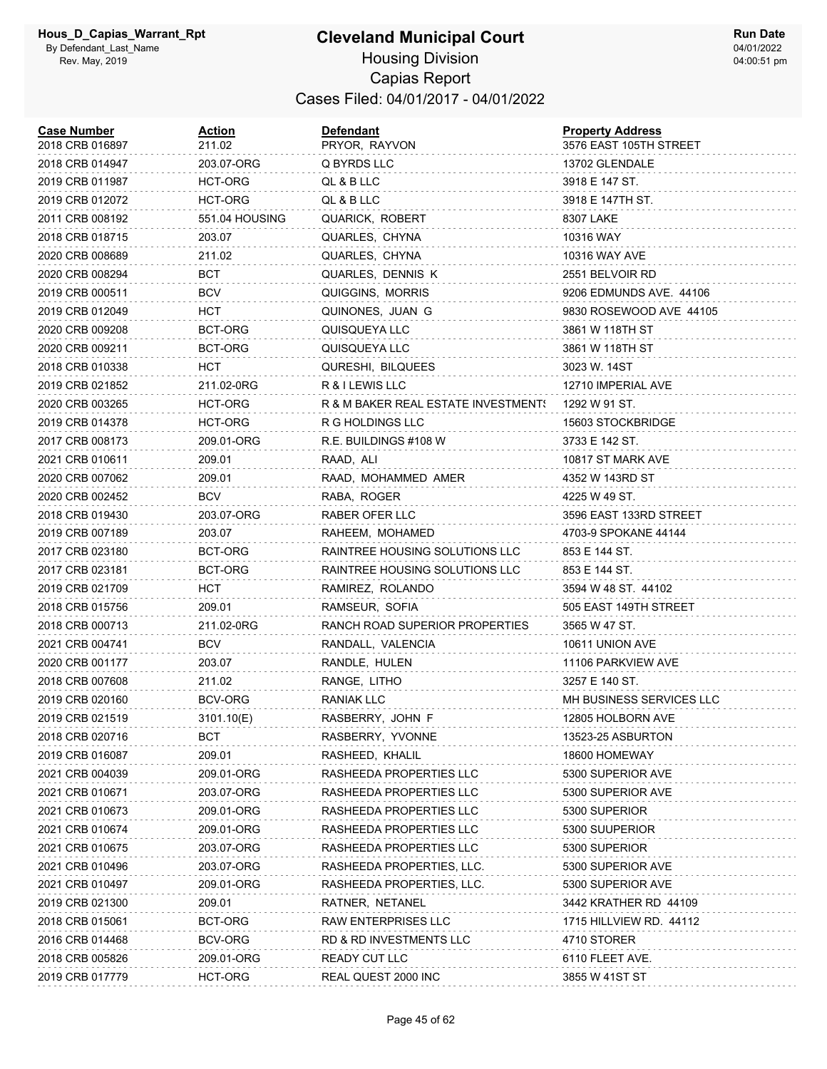| <b>Case Number</b><br>2018 CRB 016897 | <b>Action</b><br>211.02 | <b>Defendant</b><br>PRYOR, RAYVON   | <b>Property Address</b><br>3576 EAST 105TH STREET |
|---------------------------------------|-------------------------|-------------------------------------|---------------------------------------------------|
| 2018 CRB 014947                       | 203.07-ORG              | Q BYRDS LLC                         | 13702 GLENDALE                                    |
| 2019 CRB 011987                       | HCT-ORG                 | QL & B LLC                          | 3918 E 147 ST.                                    |
| 2019 CRB 012072                       | HCT-ORG                 | QL & B LLC                          | 3918 E 147TH ST.                                  |
| 2011 CRB 008192                       | 551.04 HOUSING          | QUARICK, ROBERT                     | 8307 LAKE                                         |
| 2018 CRB 018715                       | 203.07                  | QUARLES, CHYNA                      | 10316 WAY                                         |
| 2020 CRB 008689                       | 211.02                  | QUARLES, CHYNA                      | 10316 WAY AVE                                     |
| 2020 CRB 008294                       | BCT                     | QUARLES, DENNIS K                   | 2551 BELVOIR RD                                   |
| 2019 CRB 000511                       | <b>BCV</b>              | QUIGGINS, MORRIS                    | 9206 EDMUNDS AVE. 44106                           |
| 2019 CRB 012049                       | HCT                     | QUINONES, JUAN G                    | 9830 ROSEWOOD AVE 44105                           |
| 2020 CRB 009208                       | BCT-ORG                 | QUISQUEYA LLC                       | 3861 W 118TH ST                                   |
| 2020 CRB 009211                       | BCT-ORG                 | QUISQUEYA LLC                       | 3861 W 118TH ST                                   |
| 2018 CRB 010338                       | HCT                     | QURESHI, BILQUEES                   | 3023 W. 14ST                                      |
| 2019 CRB 021852                       | 211.02-0RG              | R & I LEWIS LLC                     | 12710 IMPERIAL AVE                                |
| 2020 CRB 003265                       | HCT-ORG                 | R & M BAKER REAL ESTATE INVESTMENT! | 1292 W 91 ST.                                     |
| 2019 CRB 014378                       | HCT-ORG                 | R G HOLDINGS LLC                    | 15603 STOCKBRIDGE                                 |
| 2017 CRB 008173                       | 209.01-ORG              | R.E. BUILDINGS #108 W               | 3733 E 142 ST.                                    |
| 2021 CRB 010611                       | 209.01                  | RAAD, ALI                           | 10817 ST MARK AVE                                 |
| 2020 CRB 007062                       | 209.01                  | RAAD, MOHAMMED AMER                 | 4352 W 143RD ST                                   |
| 2020 CRB 002452                       | BCV                     | RABA, ROGER                         | 4225 W 49 ST.                                     |
| 2018 CRB 019430                       | 203.07-ORG              | RABER OFER LLC                      | 3596 EAST 133RD STREET                            |
| 2019 CRB 007189                       | 203.07                  | RAHEEM, MOHAMED                     | 4703-9 SPOKANE 44144                              |
| 2017 CRB 023180                       | BCT-ORG                 | RAINTREE HOUSING SOLUTIONS LLC      | 853 E 144 ST.                                     |
| 2017 CRB 023181                       | BCT-ORG                 | RAINTREE HOUSING SOLUTIONS LLC      | 853 E 144 ST.                                     |
| 2019 CRB 021709                       | HCT.                    | RAMIREZ, ROLANDO                    | 3594 W 48 ST. 44102                               |
| 2018 CRB 015756                       | 209.01                  | RAMSEUR, SOFIA                      | 505 EAST 149TH STREET                             |
| 2018 CRB 000713                       | 211.02-0RG              | RANCH ROAD SUPERIOR PROPERTIES      | 3565 W 47 ST.                                     |
| 2021 CRB 004741                       | BCV                     | RANDALL, VALENCIA                   | 10611 UNION AVE                                   |
| 2020 CRB 001177                       | 203.07                  | RANDLE, HULEN                       | 11106 PARKVIEW AVE                                |
| 2018 CRB 007608                       | 211.02                  | RANGE, LITHO                        | 3257 E 140 ST.                                    |
| 2019 CRB 020160                       | BCV-ORG                 | RANIAK LLC                          | MH BUSINESS SERVICES LLC                          |
| 2019 CRB 021519                       | 3101.10(E)              | RASBERRY, JOHN F                    | 12805 HOLBORN AVE                                 |
| 2018 CRB 020716                       | <b>BCT</b>              | RASBERRY, YVONNE                    | 13523-25 ASBURTON                                 |
| 2019 CRB 016087                       | 209.01                  | RASHEED, KHALIL                     | 18600 HOMEWAY                                     |
| 2021 CRB 004039                       | 209.01-ORG              | RASHEEDA PROPERTIES LLC             | 5300 SUPERIOR AVE                                 |
| 2021 CRB 010671                       | 203.07-ORG              | RASHEEDA PROPERTIES LLC             | 5300 SUPERIOR AVE                                 |
| 2021 CRB 010673                       | 209.01-ORG              | RASHEEDA PROPERTIES LLC             | 5300 SUPERIOR                                     |
| 2021 CRB 010674                       | 209.01-ORG              | RASHEEDA PROPERTIES LLC             | 5300 SUUPERIOR                                    |
| 2021 CRB 010675                       | 203.07-ORG              | RASHEEDA PROPERTIES LLC             | 5300 SUPERIOR                                     |
| 2021 CRB 010496                       | 203.07-ORG              | RASHEEDA PROPERTIES, LLC.           | 5300 SUPERIOR AVE                                 |
| 2021 CRB 010497                       | 209.01-ORG              | RASHEEDA PROPERTIES, LLC.           | 5300 SUPERIOR AVE                                 |
| 2019 CRB 021300                       | 209.01                  | RATNER, NETANEL                     | 3442 KRATHER RD 44109                             |
| 2018 CRB 015061                       | BCT-ORG                 | RAW ENTERPRISES LLC                 | 1715 HILLVIEW RD. 44112                           |
| 2016 CRB 014468                       | BCV-ORG                 | RD & RD INVESTMENTS LLC             | 4710 STORER                                       |
| 2018 CRB 005826                       | 209.01-ORG              | <b>READY CUT LLC</b>                | 6110 FLEET AVE.                                   |
| 2019 CRB 017779                       | HCT-ORG                 | REAL QUEST 2000 INC                 | 3855 W 41ST ST                                    |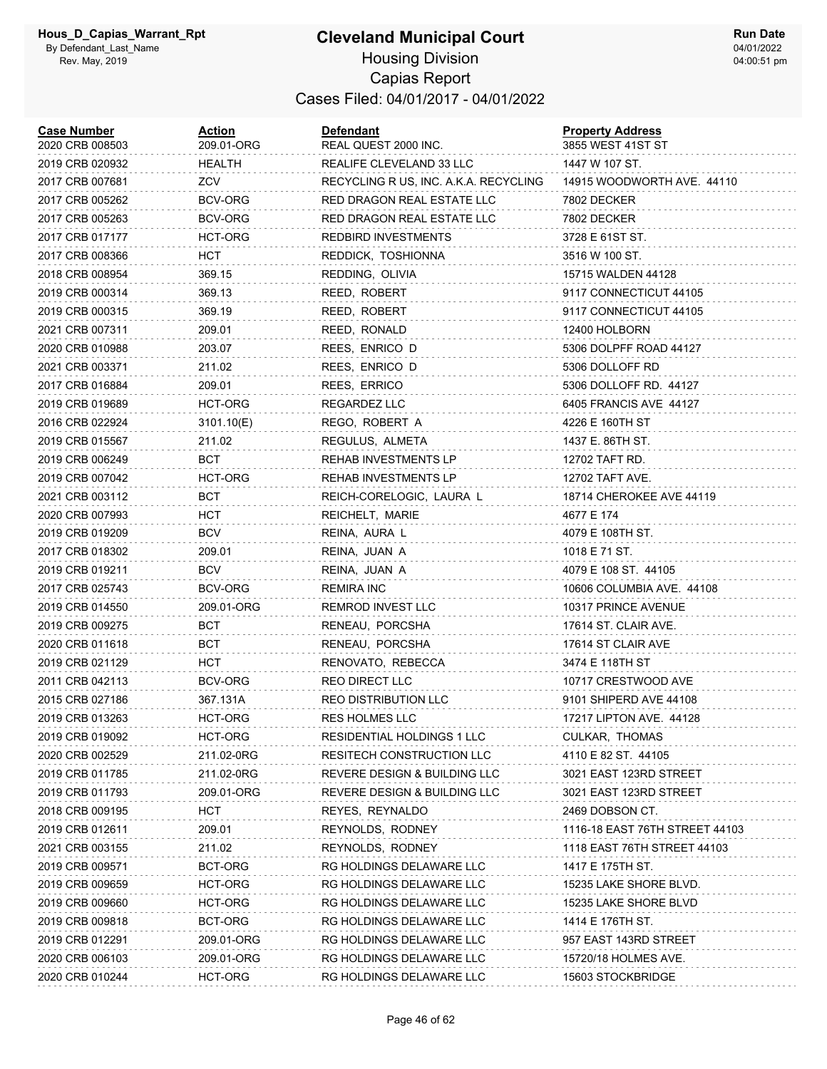#### **Cleveland Municipal Court** Housing Division Capias Report Cases Filed: 04/01/2017 - 04/01/2022

| <b>Case Number</b><br>2020 CRB 008503 | Action<br>209.01-ORG | <b>Defendant</b><br>REAL QUEST 2000 INC. | <b>Property Address</b><br>3855 WEST 41ST ST |
|---------------------------------------|----------------------|------------------------------------------|----------------------------------------------|
| 2019 CRB 020932                       | <b>HEALTH</b>        | REALIFE CLEVELAND 33 LLC                 | 1447 W 107 ST.                               |
| 2017 CRB 007681                       | ZCV                  | RECYCLING R US, INC. A.K.A. RECYCLING    | 14915 WOODWORTH AVE. 44110                   |
| 2017 CRB 005262                       | BCV-ORG              | RED DRAGON REAL ESTATE LLC               | 7802 DECKER                                  |
| 2017 CRB 005263                       | BCV-ORG              | RED DRAGON REAL ESTATE LLC               | 7802 DECKER                                  |
| 2017 CRB 017177                       | HCT-ORG              | <b>REDBIRD INVESTMENTS</b>               | 3728 E 61ST ST.                              |
| 2017 CRB 008366                       | HCT                  | REDDICK, TOSHIONNA                       | 3516 W 100 ST.                               |
| 2018 CRB 008954                       | 369.15               | REDDING, OLIVIA                          | 15715 WALDEN 44128                           |
| 2019 CRB 000314                       | 369.13               | REED, ROBERT                             | 9117 CONNECTICUT 44105                       |
| 2019 CRB 000315                       | 369.19               | REED, ROBERT                             | 9117 CONNECTICUT 44105                       |
| 2021 CRB 007311                       | 209.01               | REED, RONALD                             | 12400 HOLBORN                                |
| 2020 CRB 010988                       | 203.07               | REES, ENRICO D                           | 5306 DOLPFF ROAD 44127                       |
| 2021 CRB 003371                       | 211.02               | REES, ENRICO D                           | 5306 DOLLOFF RD                              |
| 2017 CRB 016884                       | 209.01               | REES, ERRICO                             | 5306 DOLLOFF RD. 44127                       |
| 2019 CRB 019689                       | HCT-ORG              | REGARDEZ LLC                             | 6405 FRANCIS AVE 44127                       |
| 2016 CRB 022924                       | 3101.10(E)           | REGO, ROBERT A                           | 4226 E 160TH ST                              |
| 2019 CRB 015567                       | 211.02               | REGULUS, ALMETA                          | 1437 E. 86TH ST.                             |
| 2019 CRB 006249                       | BCT                  | REHAB INVESTMENTS LP                     | 12702 TAFT RD.                               |
| 2019 CRB 007042                       | HCT-ORG              | <b>REHAB INVESTMENTS LP</b>              | 12702 TAFT AVE.                              |
| 2021 CRB 003112                       | <b>BCT</b>           | REICH-CORELOGIC, LAURA L                 | 18714 CHEROKEE AVE 44119                     |
| 2020 CRB 007993                       | HCT                  | REICHELT, MARIE                          | 4677 E 174                                   |
| 2019 CRB 019209                       | <b>BCV</b>           | REINA, AURA L                            | 4079 E 108TH ST.                             |
| 2017 CRB 018302                       | 209.01               | REINA, JUAN A                            | 1018 E 71 ST.                                |
| 2019 CRB 019211                       | <b>BCV</b>           | REINA, JUAN A                            | 4079 E 108 ST. 44105                         |
| 2017 CRB 025743                       | BCV-ORG              | <b>REMIRA INC</b>                        | 10606 COLUMBIA AVE. 44108                    |
| 2019 CRB 014550                       | 209.01-ORG           | REMROD INVEST LLC                        | 10317 PRINCE AVENUE                          |
| 2019 CRB 009275                       | BCT                  | RENEAU, PORCSHA                          | 17614 ST. CLAIR AVE.                         |
| 2020 CRB 011618                       | BCT                  | RENEAU, PORCSHA                          | 17614 ST CLAIR AVE                           |
| 2019 CRB 021129                       | <b>HCT</b>           | RENOVATO, REBECCA                        | 3474 E 118TH ST                              |
| 2011 CRB 042113                       | BCV-ORG              | REO DIRECT LLC                           | 10717 CRESTWOOD AVE                          |
| 2015 CRB 027186                       | 367.131A             | REO DISTRIBUTION LLC                     | 9101 SHIPERD AVE 44108                       |
| 2019 CRB 013263                       | HCT-ORG              | RES HOLMES LLC                           | 17217 LIPTON AVE. 44128                      |
| 2019 CRB 019092                       | HCT-ORG              | RESIDENTIAL HOLDINGS 1 LLC               | CULKAR, THOMAS                               |
| 2020 CRB 002529                       | 211.02-0RG           | RESITECH CONSTRUCTION LLC                | 4110 E 82 ST. 44105                          |
| 2019 CRB 011785                       | 211.02-0RG           | REVERE DESIGN & BUILDING LLC             | 3021 EAST 123RD STREET                       |
| 2019 CRB 011793                       | 209.01-ORG           | REVERE DESIGN & BUILDING LLC             | 3021 EAST 123RD STREET                       |
| 2018 CRB 009195                       | <b>HCT</b>           | REYES, REYNALDO                          | 2469 DOBSON CT.                              |
| 2019 CRB 012611                       | 209.01               | REYNOLDS, RODNEY                         | 1116-18 EAST 76TH STREET 44103               |
| 2021 CRB 003155                       | 211.02               | REYNOLDS, RODNEY                         | 1118 EAST 76TH STREET 44103                  |
| 2019 CRB 009571                       | BCT-ORG              | RG HOLDINGS DELAWARE LLC                 | 1417 E 175TH ST.                             |
| 2019 CRB 009659                       | HCT-ORG              | RG HOLDINGS DELAWARE LLC                 | 15235 LAKE SHORE BLVD.                       |
| 2019 CRB 009660                       | HCT-ORG              | RG HOLDINGS DELAWARE LLC                 | 15235 LAKE SHORE BLVD                        |
| 2019 CRB 009818                       | BCT-ORG              | RG HOLDINGS DELAWARE LLC                 | 1414 E 176TH ST.                             |
| 2019 CRB 012291                       | 209.01-ORG           | RG HOLDINGS DELAWARE LLC                 | 957 EAST 143RD STREET                        |
| 2020 CRB 006103                       | 209.01-ORG           | RG HOLDINGS DELAWARE LLC                 | 15720/18 HOLMES AVE.                         |
| 2020 CRB 010244                       | HCT-ORG              | RG HOLDINGS DELAWARE LLC                 | 15603 STOCKBRIDGE                            |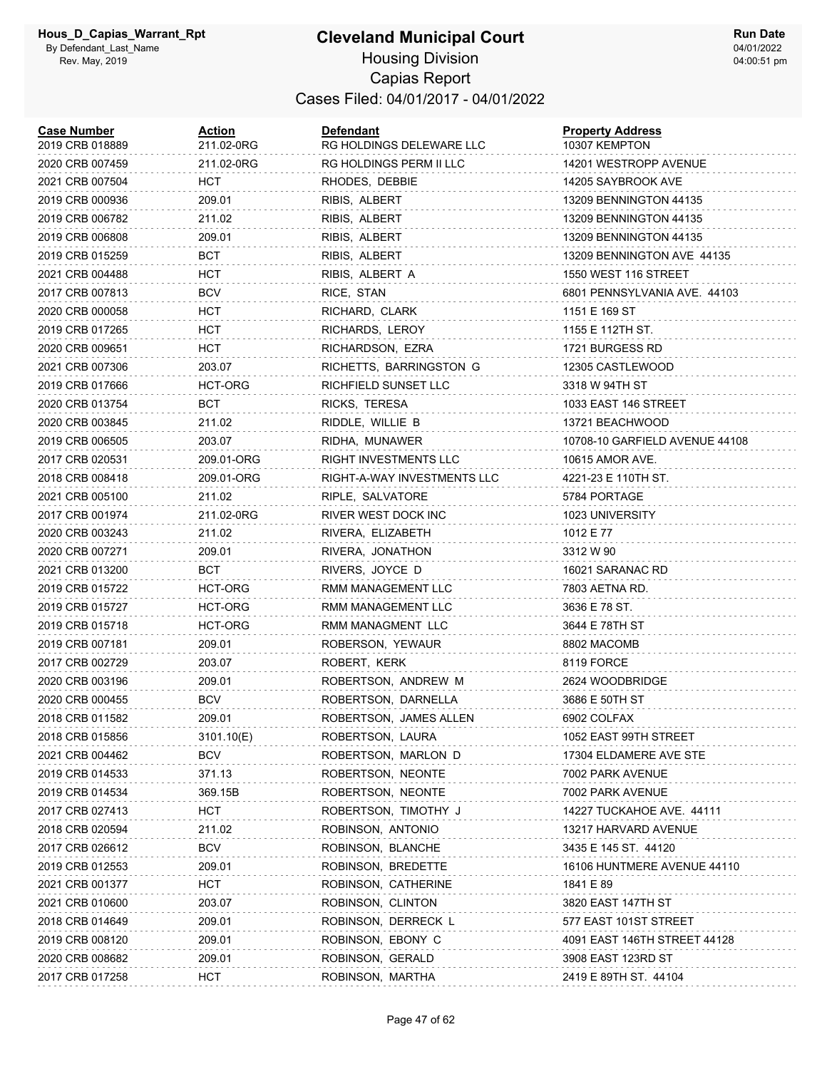| <b>Case Number</b><br>2019 CRB 018889 | Action<br>211.02-0RG | Defendant<br>RG HOLDINGS DELEWARE LLC | <b>Property Address</b><br>10307 KEMPTON |
|---------------------------------------|----------------------|---------------------------------------|------------------------------------------|
| 2020 CRB 007459                       | 211.02-0RG           | RG HOLDINGS PERM II LLC               | 14201 WESTROPP AVENUE                    |
| 2021 CRB 007504                       | HCT                  | RHODES, DEBBIE                        | 14205 SAYBROOK AVE                       |
| 2019 CRB 000936                       | 209.01               | RIBIS, ALBERT                         | 13209 BENNINGTON 44135                   |
| 2019 CRB 006782                       | 211.02               | RIBIS, ALBERT                         | 13209 BENNINGTON 44135                   |
| 2019 CRB 006808                       | 209.01               | RIBIS, ALBERT                         | 13209 BENNINGTON 44135                   |
| 2019 CRB 015259                       | BCT                  | RIBIS, ALBERT                         | 13209 BENNINGTON AVE 44135               |
| 2021 CRB 004488                       | HCT                  | RIBIS, ALBERT A                       | 1550 WEST 116 STREET                     |
| 2017 CRB 007813                       | <b>BCV</b>           | RICE, STAN                            | 6801 PENNSYLVANIA AVE. 44103             |
| 2020 CRB 000058                       | HCT                  | RICHARD, CLARK                        | 1151 E 169 ST                            |
| 2019 CRB 017265                       | <b>HCT</b>           | RICHARDS, LEROY                       | 1155 E 112TH ST.                         |
| 2020 CRB 009651                       | <b>HCT</b>           | RICHARDSON, EZRA                      | 1721 BURGESS RD                          |
| 2021 CRB 007306                       | 203.07               | RICHETTS, BARRINGSTON G               | 12305 CASTLEWOOD                         |
| 2019 CRB 017666                       | HCT-ORG              | RICHFIELD SUNSET LLC                  | 3318 W 94TH ST                           |
| 2020 CRB 013754                       | BCT                  | RICKS, TERESA                         | 1033 EAST 146 STREET                     |
| 2020 CRB 003845                       | 211.02               | RIDDLE, WILLIE B                      | 13721 BEACHWOOD                          |
| 2019 CRB 006505                       | 203.07               | RIDHA, MUNAWER                        | 10708-10 GARFIELD AVENUE 44108           |
| 2017 CRB 020531                       | 209.01-ORG           | RIGHT INVESTMENTS LLC                 | 10615 AMOR AVE.                          |
| 2018 CRB 008418                       | 209.01-ORG           | RIGHT-A-WAY INVESTMENTS LLC           | 4221-23 E 110TH ST.                      |
| 2021 CRB 005100                       | 211.02               | RIPLE, SALVATORE                      | 5784 PORTAGE                             |
| 2017 CRB 001974                       | 211.02-0RG           | RIVER WEST DOCK INC                   | 1023 UNIVERSITY                          |
| 2020 CRB 003243                       | 211.02               | RIVERA, ELIZABETH                     | 1012 E 77                                |
| 2020 CRB 007271                       | 209.01               | RIVERA, JONATHON                      | 3312 W 90                                |
| 2021 CRB 013200                       | BCT                  | RIVERS, JOYCE D                       | 16021 SARANAC RD                         |
| 2019 CRB 015722                       | HCT-ORG              | RMM MANAGEMENT LLC                    | 7803 AETNA RD.                           |
| 2019 CRB 015727                       | HCT-ORG              | RMM MANAGEMENT LLC                    | 3636 E 78 ST.                            |
| 2019 CRB 015718                       | HCT-ORG              | RMM MANAGMENT LLC                     | 3644 E 78TH ST                           |
| 2019 CRB 007181                       | 209.01               | ROBERSON, YEWAUR                      | 8802 MACOMB                              |
| 2017 CRB 002729                       | 203.07               | ROBERT, KERK                          | 8119 FORCE                               |
| 2020 CRB 003196                       | 209.01               | ROBERTSON, ANDREW M                   | 2624 WOODBRIDGE                          |
| 2020 CRB 000455                       | BCV                  | ROBERTSON, DARNELLA                   | 3686 E 50TH ST                           |
| 2018 CRB 011582                       | 209.01               | ROBERTSON, JAMES ALLEN                | 6902 COLFAX                              |
| 2018 CRB 015856                       | 3101.10(E)           | ROBERTSON, LAURA                      | 1052 EAST 99TH STREET                    |
| 2021 CRB 004462                       | BCV                  | ROBERTSON, MARLON D                   | 17304 ELDAMERE AVE STE                   |
| 2019 CRB 014533                       | 371.13               | ROBERTSON, NEONTE                     | 7002 PARK AVENUE                         |
| 2019 CRB 014534                       | 369.15B              | ROBERTSON, NEONTE                     | 7002 PARK AVENUE                         |
| 2017 CRB 027413                       | HCT                  | ROBERTSON, TIMOTHY J                  | 14227 TUCKAHOE AVE. 44111                |
| 2018 CRB 020594                       | 211.02               | ROBINSON, ANTONIO                     | 13217 HARVARD AVENUE                     |
| 2017 CRB 026612                       | BCV                  | ROBINSON, BLANCHE                     | 3435 E 145 ST. 44120                     |
| 2019 CRB 012553                       | 209.01               | ROBINSON, BREDETTE                    | 16106 HUNTMERE AVENUE 44110              |
| 2021 CRB 001377                       | <b>HCT</b>           | ROBINSON, CATHERINE                   | 1841 E 89                                |
| 2021 CRB 010600                       | 203.07               | ROBINSON, CLINTON                     | 3820 EAST 147TH ST                       |
| 2018 CRB 014649                       | 209.01               | ROBINSON, DERRECK L                   | 577 EAST 101ST STREET                    |
| 2019 CRB 008120                       | 209.01               | ROBINSON, EBONY C                     | 4091 EAST 146TH STREET 44128             |
| 2020 CRB 008682                       | 209.01               | ROBINSON, GERALD                      | 3908 EAST 123RD ST                       |
| 2017 CRB 017258                       | <b>HCT</b>           | ROBINSON, MARTHA                      | 2419 E 89TH ST. 44104                    |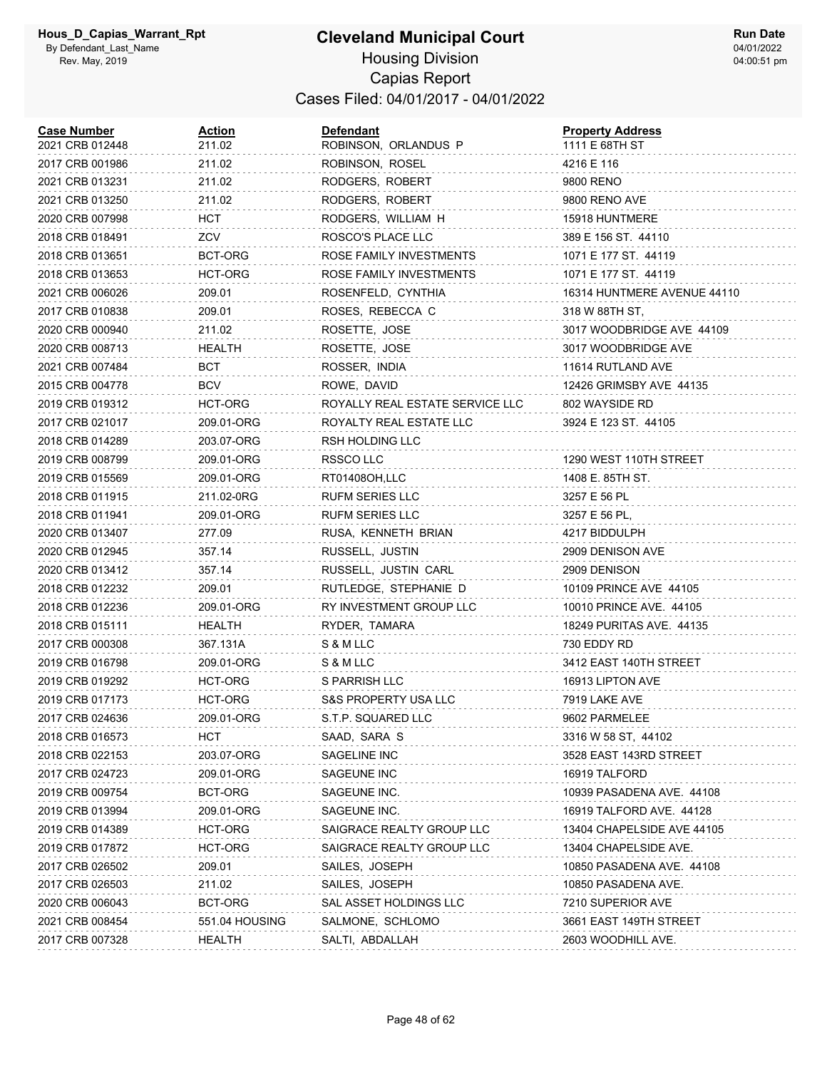| <b>Case Number</b><br>2021 CRB 012448 | <u>Action</u><br>211.02 | Defendant<br>ROBINSON, ORLANDUS P | <b>Property Address</b><br>1111 E 68TH ST |
|---------------------------------------|-------------------------|-----------------------------------|-------------------------------------------|
| 2017 CRB 001986                       | 211.02                  | ROBINSON, ROSEL                   | 4216 E 116                                |
| 2021 CRB 013231                       | 211.02                  | RODGERS, ROBERT                   | 9800 RENO                                 |
| 2021 CRB 013250                       | 211.02                  | RODGERS, ROBERT                   | 9800 RENO AVE                             |
| 2020 CRB 007998                       | HCT                     | RODGERS, WILLIAM H                | 15918 HUNTMERE                            |
| 2018 CRB 018491                       | ZCV                     | ROSCO'S PLACE LLC                 | 389 E 156 ST. 44110                       |
| 2018 CRB 013651                       | BCT-ORG                 | ROSE FAMILY INVESTMENTS           | 1071 E 177 ST. 44119                      |
| 2018 CRB 013653                       | HCT-ORG                 | ROSE FAMILY INVESTMENTS           | 1071 E 177 ST. 44119                      |
| 2021 CRB 006026                       | 209.01                  | ROSENFELD, CYNTHIA                | 16314 HUNTMERE AVENUE 44110               |
| 2017 CRB 010838                       | 209.01                  | ROSES, REBECCA C                  | 318 W 88TH ST,                            |
| 2020 CRB 000940                       | 211.02                  | ROSETTE, JOSE                     | 3017 WOODBRIDGE AVE 44109                 |
| 2020 CRB 008713                       | <b>HEALTH</b>           | ROSETTE, JOSE                     | 3017 WOODBRIDGE AVE                       |
| 2021 CRB 007484                       | BCT                     | ROSSER, INDIA                     | 11614 RUTLAND AVE                         |
| 2015 CRB 004778                       | <b>BCV</b>              | ROWE, DAVID                       | 12426 GRIMSBY AVE 44135                   |
| 2019 CRB 019312                       | HCT-ORG                 | ROYALLY REAL ESTATE SERVICE LLC   | 802 WAYSIDE RD                            |
| 2017 CRB 021017                       | 209.01-ORG              | ROYALTY REAL ESTATE LLC           | 3924 E 123 ST. 44105                      |
| 2018 CRB 014289                       | 203.07-ORG              | RSH HOLDING LLC                   |                                           |
| 2019 CRB 008799                       | 209.01-ORG              | RSSCO LLC                         | 1290 WEST 110TH STREET                    |
| 2019 CRB 015569                       | 209.01-ORG              | RT01408OH,LLC                     | 1408 E. 85TH ST.                          |
| 2018 CRB 011915                       | 211.02-0RG              | RUFM SERIES LLC                   | 3257 E 56 PL                              |
| 2018 CRB 011941                       | 209.01-ORG              | <b>RUFM SERIES LLC</b>            | 3257 E 56 PL,                             |
| 2020 CRB 013407                       | 277.09                  | RUSA, KENNETH BRIAN               | 4217 BIDDULPH                             |
| 2020 CRB 012945                       | 357.14                  | RUSSELL, JUSTIN                   | 2909 DENISON AVE                          |
| 2020 CRB 013412                       | 357.14                  | RUSSELL, JUSTIN CARL              | 2909 DENISON                              |
| 2018 CRB 012232                       | 209.01                  | RUTLEDGE, STEPHANIE D             | 10109 PRINCE AVE 44105                    |
| 2018 CRB 012236                       | 209.01-ORG              | RY INVESTMENT GROUP LLC           | 10010 PRINCE AVE. 44105                   |
| 2018 CRB 015111                       | HEALTH                  | RYDER, TAMARA                     | 18249 PURITAS AVE. 44135                  |
| 2017 CRB 000308                       | 367.131A                | S & M LLC                         | 730 EDDY RD                               |
| 2019 CRB 016798                       | 209.01-ORG              | S & M LLC                         | 3412 EAST 140TH STREET                    |
| 2019 CRB 019292                       | HCT-ORG                 | S PARRISH LLC                     | 16913 LIPTON AVE                          |
| 2019 CRB 017173                       | HCT-ORG                 | S&S PROPERTY USA LLC              | 7919 LAKE AVE                             |
| 2017 CRB 024636                       | 209.01-ORG              | S.T.P. SQUARED LLC                | 9602 PARMELEE                             |
| 2018 CRB 016573                       | <b>HCT</b>              | SAAD, SARA S                      | 3316 W 58 ST, 44102                       |
| 2018 CRB 022153                       | 203.07-ORG              | SAGELINE INC                      | 3528 EAST 143RD STREET                    |
| 2017 CRB 024723                       | 209.01-ORG              | SAGEUNE INC                       | 16919 TALFORD                             |
| 2019 CRB 009754                       | BCT-ORG                 | SAGEUNE INC.                      | 10939 PASADENA AVE. 44108                 |
| 2019 CRB 013994                       | 209.01-ORG              | SAGEUNE INC.                      | 16919 TALFORD AVE. 44128                  |
| 2019 CRB 014389                       | HCT-ORG                 | SAIGRACE REALTY GROUP LLC         | 13404 CHAPELSIDE AVE 44105                |
| 2019 CRB 017872                       | HCT-ORG                 | SAIGRACE REALTY GROUP LLC         | 13404 CHAPELSIDE AVE.                     |
| 2017 CRB 026502                       | 209.01                  | SAILES, JOSEPH                    | 10850 PASADENA AVE. 44108                 |
| 2017 CRB 026503                       | 211.02                  | SAILES, JOSEPH                    | 10850 PASADENA AVE.                       |
| 2020 CRB 006043                       | BCT-ORG                 | SAL ASSET HOLDINGS LLC            | 7210 SUPERIOR AVE                         |
| 2021 CRB 008454                       | 551.04 HOUSING          | SALMONE, SCHLOMO                  | 3661 EAST 149TH STREET                    |
| 2017 CRB 007328                       | HEALTH                  | SALTI, ABDALLAH                   | 2603 WOODHILL AVE.                        |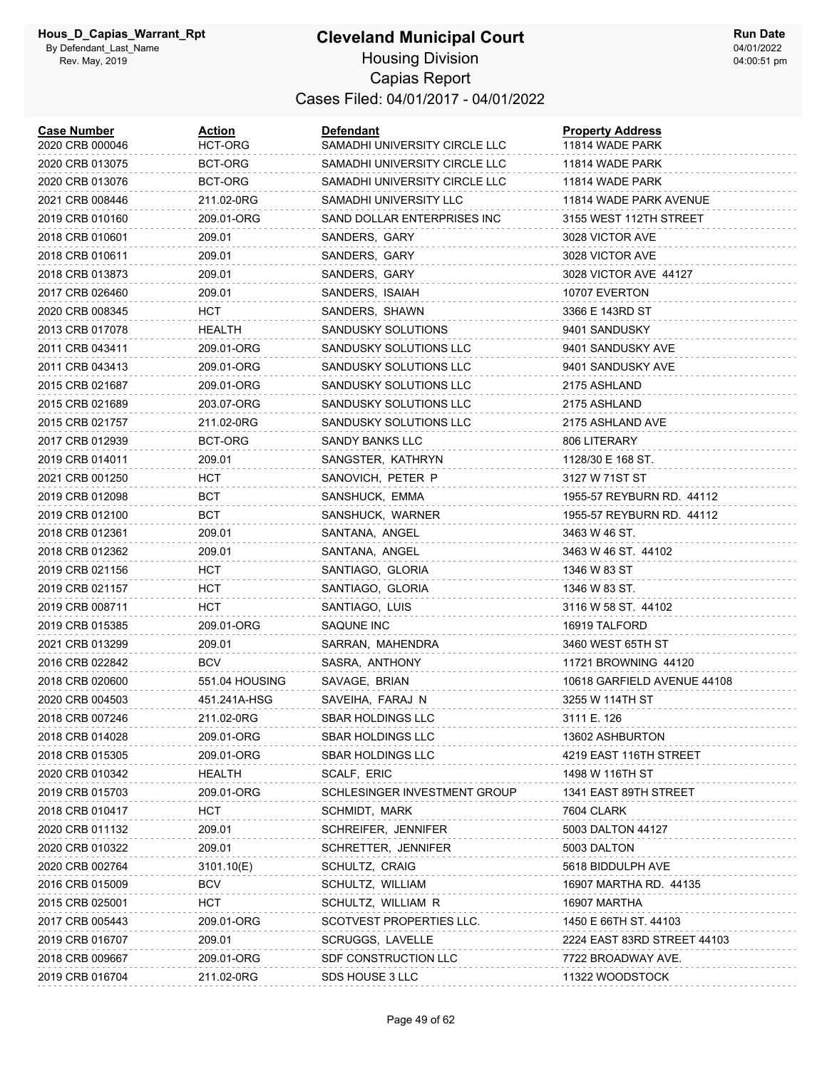| <b>Case Number</b><br>2020 CRB 000046 | Action<br>HCT-ORG | Defendant<br>SAMADHI UNIVERSITY CIRCLE LLC | <b>Property Address</b><br>11814 WADE PARK |
|---------------------------------------|-------------------|--------------------------------------------|--------------------------------------------|
| 2020 CRB 013075                       | BCT-ORG           | SAMADHI UNIVERSITY CIRCLE LLC              | 11814 WADE PARK                            |
| 2020 CRB 013076                       | BCT-ORG           | SAMADHI UNIVERSITY CIRCLE LLC              | 11814 WADE PARK                            |
| 2021 CRB 008446                       | 211.02-0RG        | SAMADHI UNIVERSITY LLC                     | 11814 WADE PARK AVENUE                     |
| 2019 CRB 010160                       | 209.01-ORG        | SAND DOLLAR ENTERPRISES INC                | 3155 WEST 112TH STREET                     |
| 2018 CRB 010601                       | 209.01            | SANDERS, GARY                              | 3028 VICTOR AVE                            |
| 2018 CRB 010611                       | 209.01            | SANDERS, GARY                              | 3028 VICTOR AVE                            |
| 2018 CRB 013873                       | 209.01            | SANDERS, GARY                              | 3028 VICTOR AVE 44127                      |
| 2017 CRB 026460                       | 209.01            | SANDERS, ISAIAH                            | 10707 EVERTON                              |
| 2020 CRB 008345                       | HCT               | SANDERS, SHAWN                             | 3366 E 143RD ST                            |
| 2013 CRB 017078                       | HEALTH            | SANDUSKY SOLUTIONS                         | 9401 SANDUSKY                              |
| 2011 CRB 043411                       | 209.01-ORG        | SANDUSKY SOLUTIONS LLC                     | 9401 SANDUSKY AVE                          |
| 2011 CRB 043413                       | 209.01-ORG        | SANDUSKY SOLUTIONS LLC                     | 9401 SANDUSKY AVE                          |
| 2015 CRB 021687                       | 209.01-ORG        | SANDUSKY SOLUTIONS LLC                     | 2175 ASHLAND                               |
| 2015 CRB 021689                       | 203.07-ORG        | SANDUSKY SOLUTIONS LLC                     | 2175 ASHLAND                               |
| 2015 CRB 021757                       | 211.02-0RG        | SANDUSKY SOLUTIONS LLC                     | 2175 ASHLAND AVE                           |
| 2017 CRB 012939                       | BCT-ORG           | <b>SANDY BANKS LLC</b>                     | 806 LITERARY                               |
| 2019 CRB 014011                       | 209.01            | SANGSTER, KATHRYN                          | 1128/30 E 168 ST.                          |
| 2021 CRB 001250                       | HCT               | SANOVICH, PETER P                          | 3127 W 71ST ST                             |
| 2019 CRB 012098                       | BCT               | SANSHUCK, EMMA                             | 1955-57 REYBURN RD. 44112                  |
| 2019 CRB 012100                       | <b>BCT</b>        | SANSHUCK, WARNER                           | 1955-57 REYBURN RD. 44112                  |
| 2018 CRB 012361                       | 209.01            | SANTANA, ANGEL                             | 3463 W 46 ST.                              |
| 2018 CRB 012362                       | 209.01            | SANTANA, ANGEL                             | 3463 W 46 ST. 44102                        |
| 2019 CRB 021156                       | HCT               | SANTIAGO, GLORIA                           | 1346 W 83 ST                               |
| 2019 CRB 021157                       | HCT               | SANTIAGO, GLORIA                           | 1346 W 83 ST.                              |
| 2019 CRB 008711                       | HCT               | SANTIAGO, LUIS                             | 3116 W 58 ST. 44102                        |
| 2019 CRB 015385                       | 209.01-ORG        | SAQUNE INC                                 | 16919 TALFORD                              |
| 2021 CRB 013299                       | 209.01            | SARRAN, MAHENDRA                           | 3460 WEST 65TH ST                          |
| 2016 CRB 022842                       | <b>BCV</b>        | SASRA, ANTHONY                             | 11721 BROWNING 44120                       |
| 2018 CRB 020600                       | 551.04 HOUSING    | SAVAGE, BRIAN                              | 10618 GARFIELD AVENUE 44108                |
| 2020 CRB 004503                       | 451.241A-HSG      | SAVEIHA, FARAJ N                           | 3255 W 114TH ST                            |
| 2018 CRB 007246                       | 211.02-0RG        | <b>SBAR HOLDINGS LLC</b>                   | 3111 E. 126                                |
| 2018 CRB 014028                       | 209.01-ORG        | <b>SBAR HOLDINGS LLC</b>                   | 13602 ASHBURTON                            |
| 2018 CRB 015305                       | 209.01-ORG        | <b>SBAR HOLDINGS LLC</b>                   | 4219 EAST 116TH STREET                     |
| 2020 CRB 010342                       | <b>HEALTH</b>     | SCALF, ERIC                                | 1498 W 116TH ST                            |
| 2019 CRB 015703                       | 209.01-ORG        | SCHLESINGER INVESTMENT GROUP               | 1341 EAST 89TH STREET                      |
| 2018 CRB 010417                       | <b>HCT</b>        | SCHMIDT, MARK                              | 7604 CLARK                                 |
| 2020 CRB 011132                       | 209.01            | SCHREIFER, JENNIFER                        | 5003 DALTON 44127                          |
| 2020 CRB 010322                       | 209.01            | SCHRETTER, JENNIFER                        | 5003 DALTON                                |
| 2020 CRB 002764                       | 3101.10(E)        | SCHULTZ, CRAIG                             | 5618 BIDDULPH AVE                          |
| 2016 CRB 015009                       | <b>BCV</b>        | SCHULTZ, WILLIAM                           | 16907 MARTHA RD. 44135                     |
| 2015 CRB 025001                       | HCT               | SCHULTZ, WILLIAM R                         | 16907 MARTHA                               |
| 2017 CRB 005443                       | 209.01-ORG        | SCOTVEST PROPERTIES LLC.                   | 1450 E 66TH ST. 44103                      |
| 2019 CRB 016707                       | 209.01            | SCRUGGS, LAVELLE                           | 2224 EAST 83RD STREET 44103                |
| 2018 CRB 009667                       | 209.01-ORG        | SDF CONSTRUCTION LLC                       | 7722 BROADWAY AVE.                         |
| 2019 CRB 016704                       | 211.02-0RG        | SDS HOUSE 3 LLC                            | 11322 WOODSTOCK                            |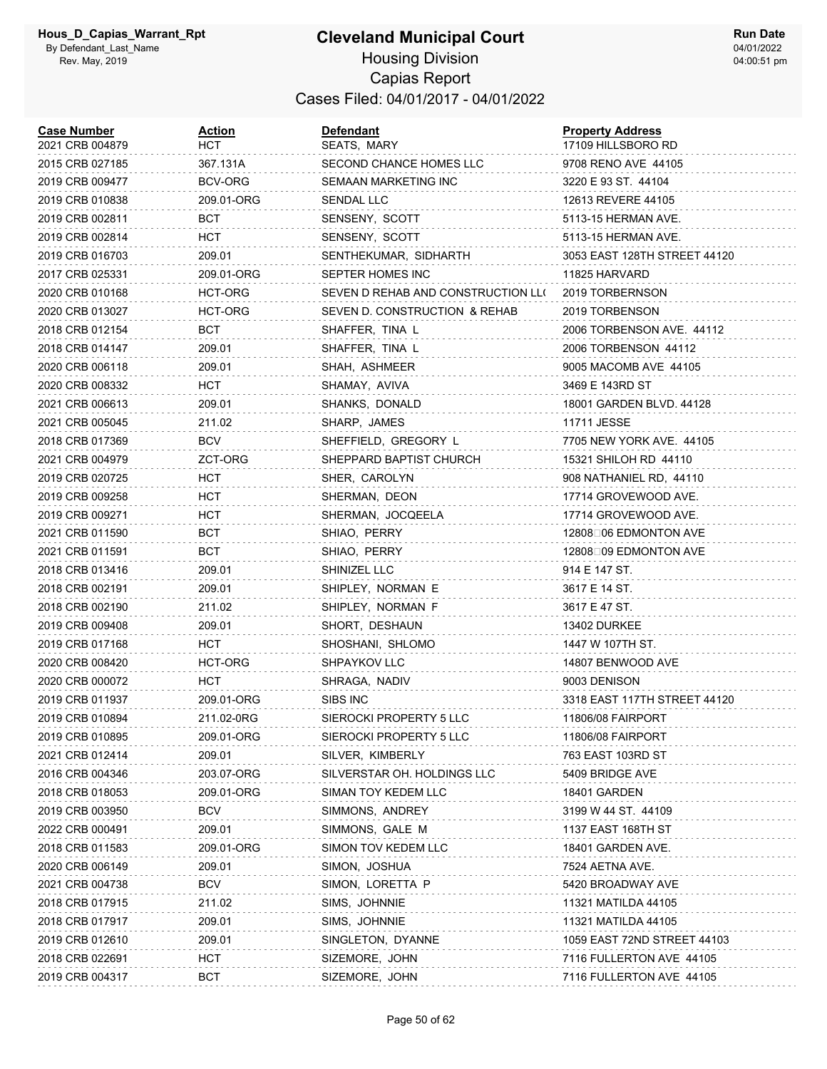| <b>Case Number</b><br>2021 CRB 004879 | <b>Action</b><br>нст | Defendant<br>SEATS, MARY           | <b>Property Address</b><br>17109 HILLSBORO RD |
|---------------------------------------|----------------------|------------------------------------|-----------------------------------------------|
| 2015 CRB 027185                       | 367.131A             | SECOND CHANCE HOMES LLC            | 9708 RENO AVE 44105                           |
| 2019 CRB 009477                       | BCV-ORG              | SEMAAN MARKETING INC               | 3220 E 93 ST. 44104                           |
| 2019 CRB 010838                       | 209.01-ORG           | SENDAL LLC                         | 12613 REVERE 44105                            |
| 2019 CRB 002811                       | BCT                  | SENSENY, SCOTT                     | 5113-15 HERMAN AVE.                           |
| 2019 CRB 002814                       | HCT                  | SENSENY, SCOTT                     | 5113-15 HERMAN AVE.                           |
| 2019 CRB 016703                       | 209.01               | SENTHEKUMAR, SIDHARTH              | 3053 EAST 128TH STREET 44120                  |
| 2017 CRB 025331                       | 209.01-ORG           | SEPTER HOMES INC                   | 11825 HARVARD                                 |
| 2020 CRB 010168                       | HCT-ORG              | SEVEN D REHAB AND CONSTRUCTION LLO | 2019 TORBERNSON                               |
| 2020 CRB 013027                       | HCT-ORG              | SEVEN D. CONSTRUCTION & REHAB      | 2019 TORBENSON                                |
| 2018 CRB 012154                       | BCT                  | SHAFFER, TINA L                    | 2006 TORBENSON AVE. 44112                     |
| 2018 CRB 014147                       | 209.01               | SHAFFER, TINA L                    | 2006 TORBENSON 44112                          |
| 2020 CRB 006118                       | 209.01               | SHAH, ASHMEER                      | 9005 MACOMB AVE 44105                         |
| 2020 CRB 008332                       | нст                  | SHAMAY, AVIVA                      | 3469 E 143RD ST                               |
| 2021 CRB 006613                       | 209.01               | SHANKS, DONALD                     | 18001 GARDEN BLVD. 44128                      |
| 2021 CRB 005045                       | 211.02               | SHARP, JAMES                       | 11711 JESSE                                   |
| 2018 CRB 017369                       | BCV                  | SHEFFIELD, GREGORY L               | 7705 NEW YORK AVE. 44105                      |
| 2021 CRB 004979                       | ZCT-ORG              | SHEPPARD BAPTIST CHURCH            | 15321 SHILOH RD 44110                         |
| 2019 CRB 020725                       | HCT                  | SHER, CAROLYN                      | 908 NATHANIEL RD, 44110                       |
| 2019 CRB 009258                       | HCT                  | SHERMAN, DEON                      | 17714 GROVEWOOD AVE.                          |
| 2019 CRB 009271                       | HCT                  | SHERMAN, JOCQEELA                  | 17714 GROVEWOOD AVE.                          |
| 2021 CRB 011590                       | BCT                  | SHIAO, PERRY                       | 12808□06 EDMONTON AVE                         |
| 2021 CRB 011591                       | BCT                  | SHIAO, PERRY                       | 12808□09 EDMONTON AVE                         |
| 2018 CRB 013416                       | 209.01               | SHINIZEL LLC                       | 914 E 147 ST.                                 |
| 2018 CRB 002191                       | 209.01               | SHIPLEY, NORMAN E                  | 3617 E 14 ST.                                 |
| 2018 CRB 002190                       | 211.02               | SHIPLEY, NORMAN F                  | 3617 E 47 ST.                                 |
| 2019 CRB 009408                       | 209.01               | SHORT, DESHAUN                     | 13402 DURKEE                                  |
| 2019 CRB 017168                       | HCT                  | SHOSHANI, SHLOMO                   | 1447 W 107TH ST.                              |
| 2020 CRB 008420                       | HCT-ORG              | SHPAYKOV LLC                       | 14807 BENWOOD AVE                             |
| 2020 CRB 000072                       | HCT                  | SHRAGA, NADIV                      | 9003 DENISON                                  |
| 2019 CRB 011937                       | 209.01-ORG           | SIBS INC                           | 3318 EAST 117TH STREET 44120                  |
| 2019 CRB 010894                       | 211.02-0RG           | SIEROCKI PROPERTY 5 LLC            | 11806/08 FAIRPORT                             |
| 2019 CRB 010895                       | 209.01-ORG           | SIEROCKI PROPERTY 5 LLC            | 11806/08 FAIRPORT                             |
| 2021 CRB 012414                       | 209.01               | SILVER, KIMBERLY                   | 763 EAST 103RD ST                             |
| 2016 CRB 004346                       | 203.07-ORG           | SILVERSTAR OH. HOLDINGS LLC        | 5409 BRIDGE AVE                               |
| 2018 CRB 018053                       | 209.01-ORG           | SIMAN TOY KEDEM LLC                | 18401 GARDEN                                  |
| 2019 CRB 003950                       | <b>BCV</b>           | SIMMONS, ANDREY                    | 3199 W 44 ST. 44109                           |
| 2022 CRB 000491                       | 209.01               | SIMMONS, GALE M                    | 1137 EAST 168TH ST                            |
| 2018 CRB 011583                       | 209.01-ORG           | SIMON TOV KEDEM LLC                | 18401 GARDEN AVE.                             |
| 2020 CRB 006149                       | 209.01               | SIMON, JOSHUA                      | 7524 AETNA AVE.                               |
| 2021 CRB 004738                       | <b>BCV</b>           | SIMON, LORETTA P                   | 5420 BROADWAY AVE                             |
| 2018 CRB 017915                       | 211.02               | SIMS, JOHNNIE                      | 11321 MATILDA 44105                           |
| 2018 CRB 017917                       | 209.01               | SIMS, JOHNNIE                      | 11321 MATILDA 44105                           |
| 2019 CRB 012610                       | 209.01               | SINGLETON, DYANNE                  | 1059 EAST 72ND STREET 44103                   |
| 2018 CRB 022691                       | <b>HCT</b>           | SIZEMORE, JOHN                     | 7116 FULLERTON AVE 44105                      |
| 2019 CRB 004317                       | BCT                  | SIZEMORE, JOHN                     | 7116 FULLERTON AVE 44105                      |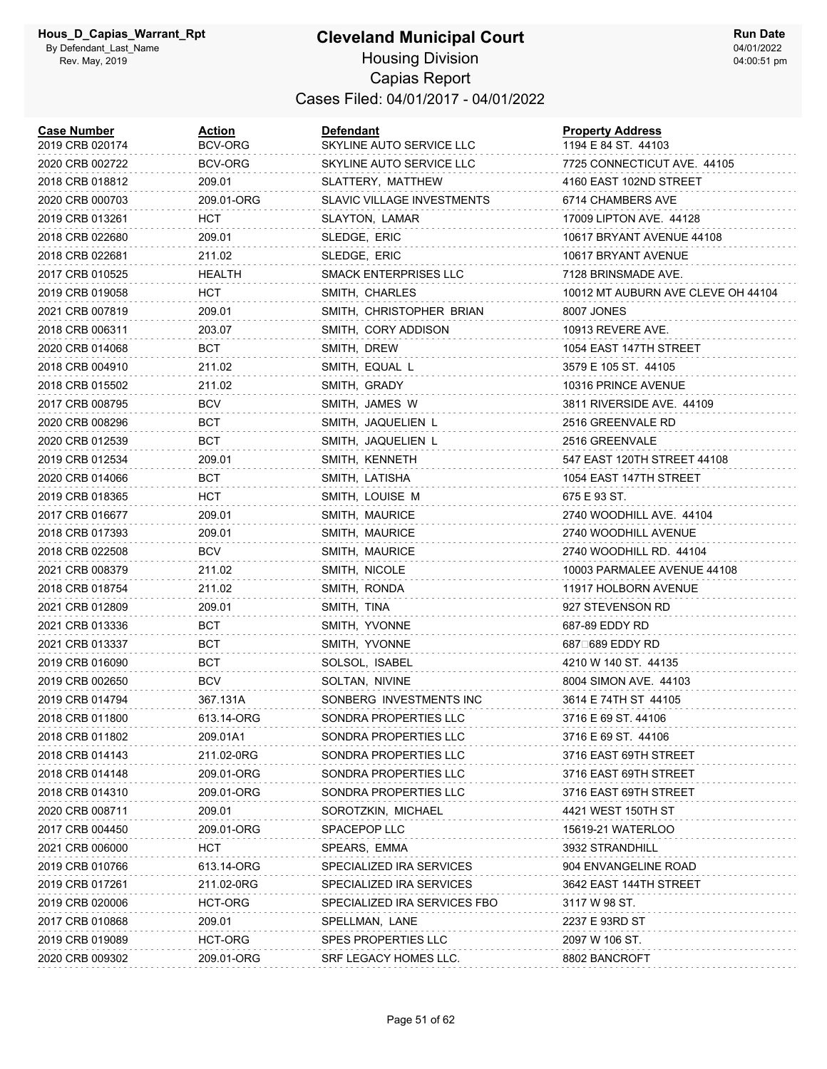#### **Cleveland Municipal Court** Housing Division Capias Report Cases Filed: 04/01/2017 - 04/01/2022

| <b>Case Number</b><br>2019 CRB 020174 | <u>Action</u><br>BCV-ORG | Defendant<br>SKYLINE AUTO SERVICE LLC | <b>Property Address</b><br>1194 E 84 ST. 44103 |
|---------------------------------------|--------------------------|---------------------------------------|------------------------------------------------|
| 2020 CRB 002722                       | BCV-ORG                  | SKYLINE AUTO SERVICE LLC              | 7725 CONNECTICUT AVE. 44105                    |
| 2018 CRB 018812                       | 209.01                   | SLATTERY, MATTHEW                     | 4160 EAST 102ND STREET                         |
| 2020 CRB 000703                       | 209.01-ORG               | <b>SLAVIC VILLAGE INVESTMENTS</b>     | 6714 CHAMBERS AVE                              |
| 2019 CRB 013261                       | HCT                      | SLAYTON, LAMAR                        | 17009 LIPTON AVE. 44128                        |
| 2018 CRB 022680                       | 209.01                   | SLEDGE, ERIC                          | 10617 BRYANT AVENUE 44108                      |
| 2018 CRB 022681                       | 211.02                   | SLEDGE, ERIC                          | 10617 BRYANT AVENUE                            |
| 2017 CRB 010525                       | HEALTH                   | SMACK ENTERPRISES LLC                 | 7128 BRINSMADE AVE.                            |
| 2019 CRB 019058                       | HCT                      | SMITH, CHARLES                        | 10012 MT AUBURN AVE CLEVE OH 44104             |
| 2021 CRB 007819                       | 209.01                   | SMITH, CHRISTOPHER BRIAN              | 8007 JONES                                     |
| 2018 CRB 006311                       | 203.07                   | SMITH, CORY ADDISON                   | 10913 REVERE AVE.                              |
| 2020 CRB 014068                       | BCT                      | SMITH, DREW                           | 1054 EAST 147TH STREET                         |
| 2018 CRB 004910                       | 211.02                   | SMITH, EQUAL L                        | 3579 E 105 ST. 44105                           |
| 2018 CRB 015502                       | 211.02                   | SMITH, GRADY                          | 10316 PRINCE AVENUE                            |
| 2017 CRB 008795                       | <b>BCV</b>               | SMITH, JAMES W                        | 3811 RIVERSIDE AVE. 44109                      |
| 2020 CRB 008296                       | BCT                      | SMITH, JAQUELIEN L                    | 2516 GREENVALE RD                              |
| 2020 CRB 012539                       | BCT                      | SMITH, JAQUELIEN L                    | 2516 GREENVALE                                 |
| 2019 CRB 012534                       | 209.01                   | SMITH, KENNETH                        | 547 EAST 120TH STREET 44108                    |
| 2020 CRB 014066                       | BCT                      | SMITH, LATISHA                        | 1054 EAST 147TH STREET                         |
| 2019 CRB 018365                       | HCT                      | SMITH, LOUISE M                       | 675 E 93 ST.                                   |
| 2017 CRB 016677                       | 209.01                   | SMITH, MAURICE                        | 2740 WOODHILL AVE. 44104                       |
| 2018 CRB 017393                       | 209.01                   | SMITH, MAURICE                        | 2740 WOODHILL AVENUE                           |
| 2018 CRB 022508                       | <b>BCV</b>               | SMITH, MAURICE                        | 2740 WOODHILL RD. 44104                        |
| 2021 CRB 008379                       | 211.02                   | SMITH, NICOLE                         | 10003 PARMALEE AVENUE 44108                    |
| 2018 CRB 018754                       | 211.02                   | SMITH, RONDA                          | 11917 HOLBORN AVENUE                           |
| 2021 CRB 012809                       | 209.01                   | SMITH, TINA                           | 927 STEVENSON RD                               |
| 2021 CRB 013336                       | BCT                      | SMITH, YVONNE                         | 687-89 EDDY RD                                 |
| 2021 CRB 013337                       | BCT                      | SMITH, YVONNE                         | 687□689 EDDY RD                                |
| 2019 CRB 016090                       | BCT                      | SOLSOL, ISABEL                        | 4210 W 140 ST. 44135                           |
| 2019 CRB 002650                       | <b>BCV</b>               | SOLTAN, NIVINE                        | 8004 SIMON AVE. 44103                          |
| 2019 CRB 014794                       | 367.131A                 | SONBERG INVESTMENTS INC               | 3614 E 74TH ST 44105                           |
| 2018 CRB 011800                       | 613.14-ORG               | SONDRA PROPERTIES LLC                 | 3716 E 69 ST. 44106                            |
| 2018 CRB 011802                       | 209.01A1                 | SONDRA PROPERTIES LLC                 | 3716 E 69 ST. 44106                            |
| 2018 CRB 014143                       | 211.02-0RG               | SONDRA PROPERTIES LLC                 | 3716 EAST 69TH STREET                          |
| 2018 CRB 014148                       | 209.01-ORG               | SONDRA PROPERTIES LLC                 | 3716 EAST 69TH STREET                          |
| 2018 CRB 014310                       | 209.01-ORG               | SONDRA PROPERTIES LLC                 | 3716 EAST 69TH STREET                          |
| 2020 CRB 008711                       | 209.01                   | SOROTZKIN, MICHAEL                    | 4421 WEST 150TH ST                             |
| 2017 CRB 004450                       | 209.01-ORG               | SPACEPOP LLC                          | 15619-21 WATERLOO                              |
| 2021 CRB 006000                       | <b>HCT</b>               | SPEARS, EMMA                          | 3932 STRANDHILL                                |
| 2019 CRB 010766                       | 613.14-ORG               | SPECIALIZED IRA SERVICES              | 904 ENVANGELINE ROAD                           |
| 2019 CRB 017261                       | 211.02-0RG               | SPECIALIZED IRA SERVICES              | 3642 EAST 144TH STREET                         |
| 2019 CRB 020006                       | HCT-ORG                  | SPECIALIZED IRA SERVICES FBO          | 3117 W 98 ST.                                  |
| 2017 CRB 010868                       | 209.01                   | SPELLMAN, LANE                        | 2237 E 93RD ST                                 |
| 2019 CRB 019089                       | HCT-ORG                  | <b>SPES PROPERTIES LLC</b>            | 2097 W 106 ST.                                 |
| 2020 CRB 009302                       | 209.01-ORG               | SRF LEGACY HOMES LLC.                 | 8802 BANCROFT                                  |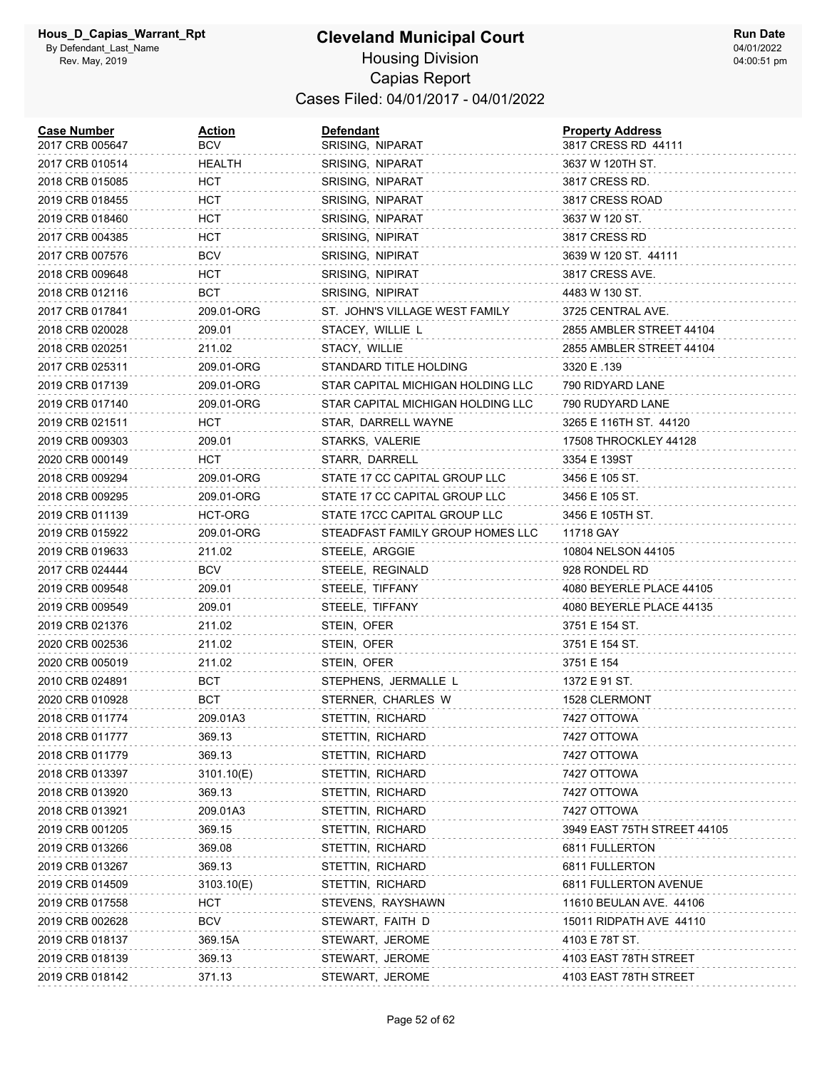| <b>Case Number</b><br>2017 CRB 005647 | Action<br><b>BCV</b> | <b>Defendant</b><br>SRISING, NIPARAT | <b>Property Address</b><br>3817 CRESS RD 44111 |
|---------------------------------------|----------------------|--------------------------------------|------------------------------------------------|
| 2017 CRB 010514                       | <b>HEALTH</b>        | SRISING, NIPARAT                     | 3637 W 120TH ST.                               |
| 2018 CRB 015085                       | HCT                  | SRISING, NIPARAT                     | 3817 CRESS RD.                                 |
| 2019 CRB 018455                       | HCT                  | SRISING, NIPARAT                     | 3817 CRESS ROAD                                |
| 2019 CRB 018460                       | HCT                  | SRISING, NIPARAT                     | 3637 W 120 ST.                                 |
| 2017 CRB 004385                       | HCT                  | SRISING, NIPIRAT                     | 3817 CRESS RD                                  |
| 2017 CRB 007576                       | <b>BCV</b>           | <b>SRISING, NIPIRAT</b>              | 3639 W 120 ST. 44111                           |
| 2018 CRB 009648                       | HCT                  | SRISING, NIPIRAT                     | 3817 CRESS AVE.                                |
| 2018 CRB 012116                       | BCT                  | SRISING, NIPIRAT                     | 4483 W 130 ST.                                 |
| 2017 CRB 017841                       | 209.01-ORG           | ST. JOHN'S VILLAGE WEST FAMILY       | 3725 CENTRAL AVE.                              |
| 2018 CRB 020028                       | 209.01               | STACEY, WILLIE L                     | 2855 AMBLER STREET 44104                       |
| 2018 CRB 020251                       | 211.02               | STACY, WILLIE                        | 2855 AMBLER STREET 44104                       |
| 2017 CRB 025311                       | 209.01-ORG           | STANDARD TITLE HOLDING               | 3320 E .139                                    |
| 2019 CRB 017139                       | 209.01-ORG           | STAR CAPITAL MICHIGAN HOLDING LLC    | 790 RIDYARD LANE                               |
| 2019 CRB 017140                       | 209.01-ORG           | STAR CAPITAL MICHIGAN HOLDING LLC    | 790 RUDYARD LANE                               |
| 2019 CRB 021511                       | нст                  | STAR, DARRELL WAYNE                  | 3265 E 116TH ST. 44120                         |
| 2019 CRB 009303                       | 209.01               | STARKS, VALERIE                      | 17508 THROCKLEY 44128                          |
| 2020 CRB 000149                       | HCT                  | STARR, DARRELL                       | 3354 E 139ST                                   |
| 2018 CRB 009294                       | 209.01-ORG           | STATE 17 CC CAPITAL GROUP LLC        | 3456 E 105 ST.                                 |
| 2018 CRB 009295                       | 209.01-ORG           | STATE 17 CC CAPITAL GROUP LLC        | 3456 E 105 ST.                                 |
| 2019 CRB 011139                       | HCT-ORG              | STATE 17CC CAPITAL GROUP LLC         | 3456 E 105TH ST.                               |
| 2019 CRB 015922                       | 209.01-ORG           | STEADFAST FAMILY GROUP HOMES LLC     | 11718 GAY                                      |
| 2019 CRB 019633                       | 211.02               | STEELE, ARGGIE                       | 10804 NELSON 44105                             |
| 2017 CRB 024444                       | BCV                  | STEELE, REGINALD                     | 928 RONDEL RD                                  |
| 2019 CRB 009548                       | 209.01               | STEELE, TIFFANY                      | 4080 BEYERLE PLACE 44105                       |
| 2019 CRB 009549                       | 209.01               | STEELE, TIFFANY                      | 4080 BEYERLE PLACE 44135                       |
| 2019 CRB 021376                       | 211.02               | STEIN, OFER                          | 3751 E 154 ST.                                 |
| 2020 CRB 002536                       | 211.02               | STEIN, OFER                          | 3751 E 154 ST.                                 |
| 2020 CRB 005019                       | 211.02               | STEIN, OFER                          | 3751 E 154                                     |
| 2010 CRB 024891                       | BCT                  | STEPHENS, JERMALLE L                 | 1372 E 91 ST.                                  |
| 2020 CRB 010928                       | <b>BCT</b>           | STERNER, CHARLES W                   | 1528 CLERMONT                                  |
| 2018 CRB 011774                       | 209.01A3             | STETTIN, RICHARD                     | 7427 OTTOWA                                    |
| 2018 CRB 011777                       | 369.13               | STETTIN, RICHARD                     | 7427 OTTOWA                                    |
| 2018 CRB 011779                       | 369.13               | STETTIN, RICHARD                     | 7427 OTTOWA                                    |
| 2018 CRB 013397                       | 3101.10(E)           | STETTIN, RICHARD                     | 7427 OTTOWA                                    |
| 2018 CRB 013920                       | 369.13               | STETTIN, RICHARD                     | 7427 OTTOWA                                    |
| 2018 CRB 013921                       | 209.01A3             | STETTIN, RICHARD                     | 7427 OTTOWA                                    |
| 2019 CRB 001205                       | 369.15               | STETTIN, RICHARD                     | 3949 EAST 75TH STREET 44105                    |
| 2019 CRB 013266                       | 369.08               | STETTIN, RICHARD                     | 6811 FULLERTON                                 |
| 2019 CRB 013267                       | 369.13               | STETTIN, RICHARD                     | 6811 FULLERTON                                 |
| 2019 CRB 014509                       | 3103.10(E)           | STETTIN, RICHARD                     | 6811 FULLERTON AVENUE                          |
| 2019 CRB 017558                       | нст                  | STEVENS, RAYSHAWN                    | 11610 BEULAN AVE. 44106                        |
| 2019 CRB 002628                       | <b>BCV</b>           | STEWART, FAITH D                     | 15011 RIDPATH AVE 44110                        |
| 2019 CRB 018137                       | 369.15A              | STEWART, JEROME                      | 4103 E 78T ST.                                 |
| 2019 CRB 018139                       | 369.13               | STEWART, JEROME                      | 4103 EAST 78TH STREET                          |
| 2019 CRB 018142                       | 371.13               | STEWART, JEROME                      | 4103 EAST 78TH STREET                          |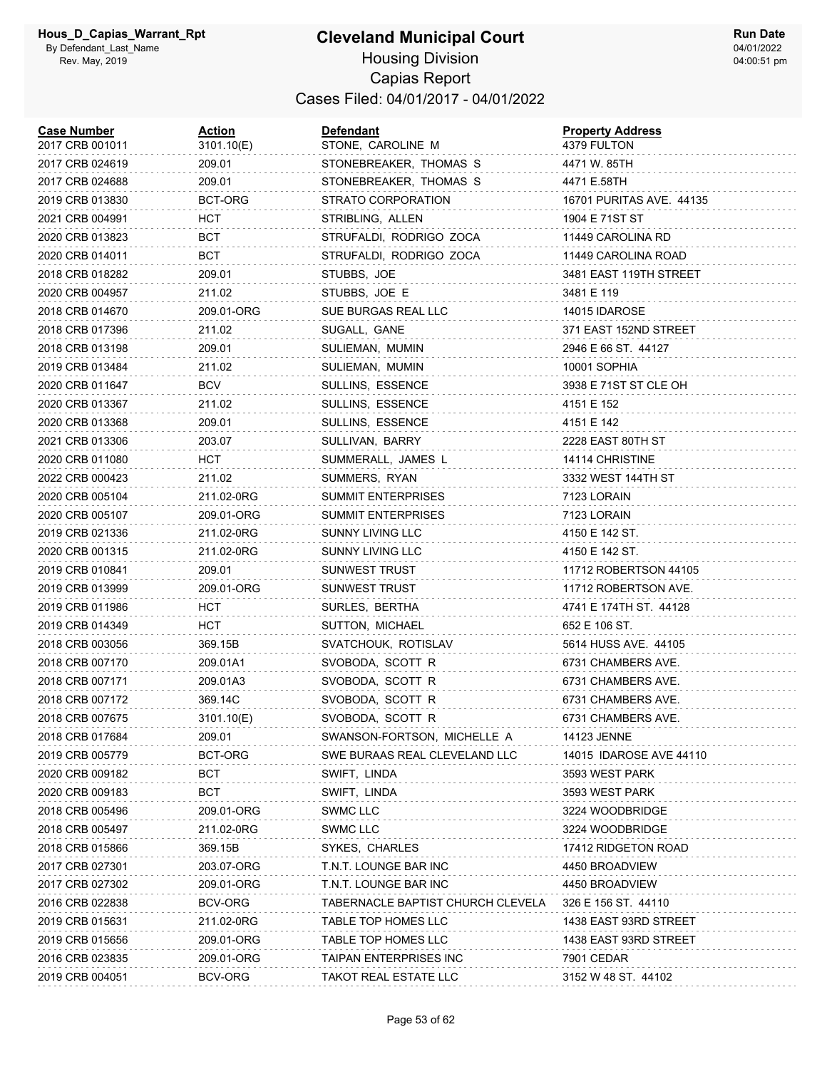| <b>Case Number</b><br>2017 CRB 001011 | <u>Action</u><br>3101.10(E) | Defendant<br>STONE, CAROLINE M    | <b>Property Address</b><br>4379 FULTON |
|---------------------------------------|-----------------------------|-----------------------------------|----------------------------------------|
| 2017 CRB 024619                       | 209.01                      | STONEBREAKER, THOMAS S            | 4471 W. 85TH                           |
| 2017 CRB 024688                       | 209.01                      | STONEBREAKER, THOMAS S            | 4471 E.58TH                            |
| 2019 CRB 013830                       | BCT-ORG                     | STRATO CORPORATION                | 16701 PURITAS AVE. 44135               |
| 2021 CRB 004991                       | HCT                         | STRIBLING, ALLEN                  | 1904 E 71ST ST                         |
| 2020 CRB 013823                       | BCT                         | STRUFALDI, RODRIGO ZOCA           | 11449 CAROLINA RD                      |
| 2020 CRB 014011                       | BCT                         | STRUFALDI, RODRIGO ZOCA           | 11449 CAROLINA ROAD                    |
| 2018 CRB 018282                       | 209.01                      | STUBBS, JOE                       | 3481 EAST 119TH STREET                 |
| 2020 CRB 004957                       | 211.02                      | STUBBS, JOE E                     | 3481 E 119                             |
| 2018 CRB 014670                       | 209.01-ORG                  | SUE BURGAS REAL LLC               | 14015 IDAROSE                          |
| 2018 CRB 017396                       | 211.02                      | SUGALL, GANE                      | 371 EAST 152ND STREET                  |
| 2018 CRB 013198                       | 209.01                      | SULIEMAN, MUMIN                   | 2946 E 66 ST. 44127                    |
| 2019 CRB 013484                       | 211.02                      | SULIEMAN, MUMIN                   | 10001 SOPHIA                           |
| 2020 CRB 011647                       | BCV                         | SULLINS, ESSENCE                  | 3938 E 71ST ST CLE OH                  |
| 2020 CRB 013367                       | 211.02                      | <b>SULLINS, ESSENCE</b>           | 4151 E 152                             |
| 2020 CRB 013368                       | 209.01                      | SULLINS, ESSENCE                  | 4151 E 142                             |
| 2021 CRB 013306                       | 203.07                      | SULLIVAN, BARRY                   | 2228 EAST 80TH ST                      |
| 2020 CRB 011080                       | HCT                         | SUMMERALL, JAMES L                | 14114 CHRISTINE                        |
| 2022 CRB 000423                       | 211.02                      | SUMMERS, RYAN                     | 3332 WEST 144TH ST                     |
| 2020 CRB 005104                       | 211.02-0RG                  | <b>SUMMIT ENTERPRISES</b>         | 7123 LORAIN                            |
| 2020 CRB 005107                       | 209.01-ORG                  | <b>SUMMIT ENTERPRISES</b>         | 7123 LORAIN                            |
| 2019 CRB 021336                       | 211.02-0RG                  | SUNNY LIVING LLC                  | 4150 E 142 ST.                         |
| 2020 CRB 001315                       | 211.02-0RG                  | SUNNY LIVING LLC                  | 4150 E 142 ST.                         |
| 2019 CRB 010841                       | 209.01                      | SUNWEST TRUST                     | 11712 ROBERTSON 44105                  |
| 2019 CRB 013999                       | 209.01-ORG                  | SUNWEST TRUST                     | 11712 ROBERTSON AVE.                   |
| 2019 CRB 011986                       | HCT                         | SURLES, BERTHA                    | 4741 E 174TH ST. 44128                 |
| 2019 CRB 014349                       | HCT                         | SUTTON, MICHAEL                   | 652 E 106 ST.                          |
| 2018 CRB 003056                       | 369.15B                     | SVATCHOUK, ROTISLAV               | 5614 HUSS AVE, 44105                   |
| 2018 CRB 007170                       | 209.01A1                    | SVOBODA, SCOTT R                  | 6731 CHAMBERS AVE.                     |
| 2018 CRB 007171                       | 209.01A3                    | SVOBODA, SCOTT R                  | 6731 CHAMBERS AVE.                     |
| 2018 CRB 007172                       | 369.14C                     | SVOBODA, SCOTT R                  | 6731 CHAMBERS AVE.                     |
| 2018 CRB 007675                       | 3101.10(E)                  | SVOBODA, SCOTT R                  | 6731 CHAMBERS AVE.                     |
| 2018 CRB 017684                       | 209.01                      | SWANSON-FORTSON, MICHELLE A       | 14123 JENNE                            |
| 2019 CRB 005779                       | BCT-ORG                     | SWE BURAAS REAL CLEVELAND LLC     | 14015 IDAROSE AVE 44110                |
| 2020 CRB 009182                       | BCT                         | SWIFT, LINDA                      | 3593 WEST PARK                         |
| 2020 CRB 009183                       | BCT                         | SWIFT, LINDA                      | 3593 WEST PARK                         |
| 2018 CRB 005496                       | 209.01-ORG                  | <b>SWMC LLC</b>                   | 3224 WOODBRIDGE                        |
| 2018 CRB 005497                       | 211.02-0RG                  | <b>SWMC LLC</b>                   | 3224 WOODBRIDGE                        |
| 2018 CRB 015866                       | 369.15B                     | SYKES, CHARLES                    | 17412 RIDGETON ROAD                    |
| 2017 CRB 027301                       | 203.07-ORG                  | T.N.T. LOUNGE BAR INC             | 4450 BROADVIEW                         |
| 2017 CRB 027302                       | 209.01-ORG                  | T.N.T. LOUNGE BAR INC             | 4450 BROADVIEW                         |
| 2016 CRB 022838                       | BCV-ORG                     | TABERNACLE BAPTIST CHURCH CLEVELA | 326 E 156 ST. 44110                    |
| 2019 CRB 015631                       | 211.02-0RG                  | TABLE TOP HOMES LLC               | 1438 EAST 93RD STREET                  |
| 2019 CRB 015656                       | 209.01-ORG                  | TABLE TOP HOMES LLC               | 1438 EAST 93RD STREET                  |
| 2016 CRB 023835                       | 209.01-ORG                  | TAIPAN ENTERPRISES INC            | 7901 CEDAR                             |
| 2019 CRB 004051                       | BCV-ORG                     | TAKOT REAL ESTATE LLC             | 3152 W 48 ST. 44102                    |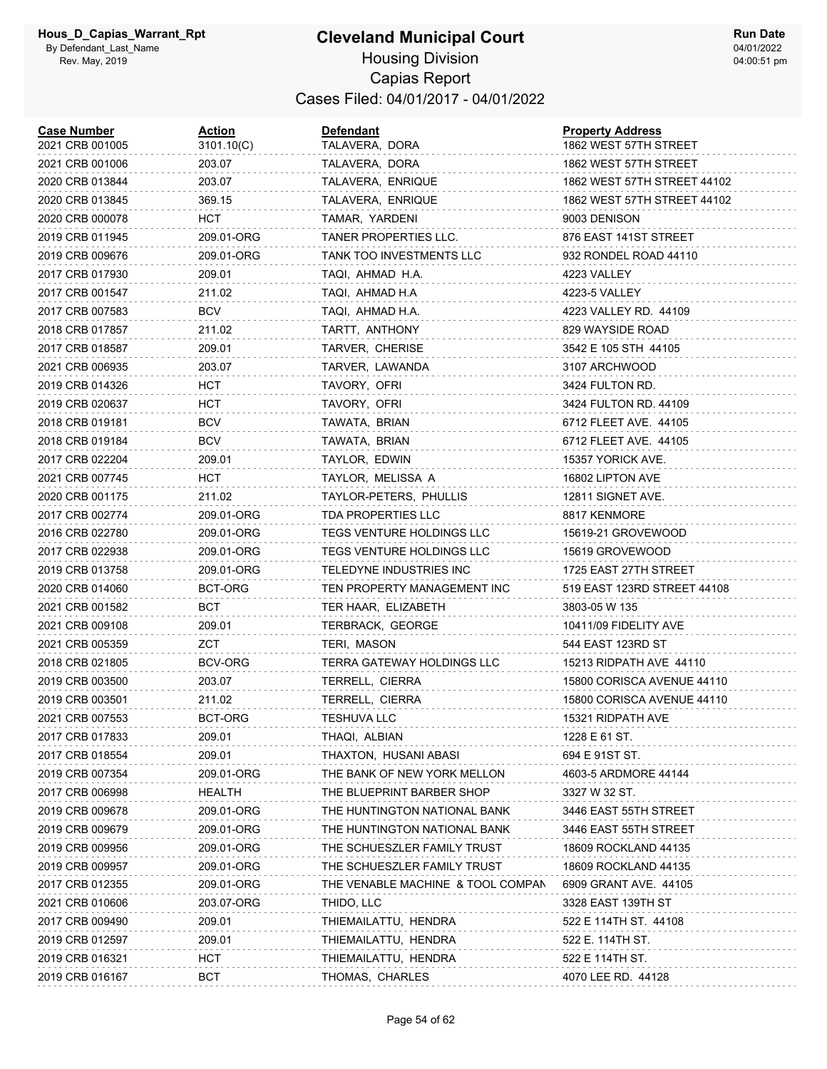#### **Cleveland Municipal Court** Housing Division Capias Report Cases Filed: 04/01/2017 - 04/01/2022

| <b>Case Number</b><br>2021 CRB 001005 | <b>Action</b><br>3101.10(C) | <b>Defendant</b><br>TALAVERA, DORA | <b>Property Address</b><br>1862 WEST 57TH STREET |
|---------------------------------------|-----------------------------|------------------------------------|--------------------------------------------------|
| 2021 CRB 001006                       | 203.07                      | TALAVERA, DORA                     | 1862 WEST 57TH STREET                            |
| 2020 CRB 013844                       | 203.07                      | TALAVERA, ENRIQUE                  | 1862 WEST 57TH STREET 44102                      |
| 2020 CRB 013845                       | 369.15                      | TALAVERA, ENRIQUE                  | 1862 WEST 57TH STREET 44102                      |
| 2020 CRB 000078                       | <b>HCT</b>                  | TAMAR, YARDENI                     | 9003 DENISON                                     |
| 2019 CRB 011945                       | 209.01-ORG                  | TANER PROPERTIES LLC.              | 876 EAST 141ST STREET                            |
| 2019 CRB 009676                       | 209.01-ORG                  | TANK TOO INVESTMENTS LLC           | 932 RONDEL ROAD 44110                            |
| 2017 CRB 017930                       | 209.01                      | TAQI, AHMAD H.A.                   | 4223 VALLEY                                      |
| 2017 CRB 001547                       | 211.02                      | TAQI, AHMAD H.A                    | 4223-5 VALLEY                                    |
| 2017 CRB 007583                       | BCV                         | TAQI, AHMAD H.A.                   | 4223 VALLEY RD. 44109                            |
| 2018 CRB 017857                       | 211.02                      | TARTT, ANTHONY                     | 829 WAYSIDE ROAD                                 |
| 2017 CRB 018587                       | 209.01                      | TARVER, CHERISE                    | 3542 E 105 STH 44105                             |
| 2021 CRB 006935                       | 203.07                      | TARVER, LAWANDA                    | 3107 ARCHWOOD                                    |
| 2019 CRB 014326                       | нст                         | TAVORY, OFRI                       | 3424 FULTON RD.                                  |
| 2019 CRB 020637                       | HCT                         | TAVORY, OFRI                       | 3424 FULTON RD, 44109                            |
| 2018 CRB 019181                       | <b>BCV</b>                  | TAWATA, BRIAN                      | 6712 FLEET AVE. 44105                            |
| 2018 CRB 019184                       | BCV                         | TAWATA, BRIAN                      | 6712 FLEET AVE. 44105                            |
| 2017 CRB 022204                       | 209.01                      | TAYLOR, EDWIN                      | 15357 YORICK AVE.                                |
| 2021 CRB 007745                       | HCT                         | TAYLOR, MELISSA A                  | 16802 LIPTON AVE                                 |
| 2020 CRB 001175                       | 211.02                      | TAYLOR-PETERS, PHULLIS             | 12811 SIGNET AVE.                                |
| 2017 CRB 002774                       | 209.01-ORG                  | TDA PROPERTIES LLC                 | 8817 KENMORE                                     |
| 2016 CRB 022780                       | 209.01-ORG                  | TEGS VENTURE HOLDINGS LLC          | 15619-21 GROVEWOOD                               |
| 2017 CRB 022938                       | 209.01-ORG                  | TEGS VENTURE HOLDINGS LLC          | 15619 GROVEWOOD                                  |
| 2019 CRB 013758                       | 209.01-ORG                  | TELEDYNE INDUSTRIES INC            | 1725 EAST 27TH STREET                            |
| 2020 CRB 014060                       | BCT-ORG                     | TEN PROPERTY MANAGEMENT INC        | 519 EAST 123RD STREET 44108                      |
| 2021 CRB 001582                       | BCT                         | TER HAAR, ELIZABETH                | 3803-05 W 135                                    |
| 2021 CRB 009108                       | 209.01                      | TERBRACK, GEORGE                   | 10411/09 FIDELITY AVE                            |
| 2021 CRB 005359                       | ZCT                         | TERI, MASON                        | 544 EAST 123RD ST                                |
| 2018 CRB 021805                       | BCV-ORG                     | TERRA GATEWAY HOLDINGS LLC         | 15213 RIDPATH AVE 44110                          |
| 2019 CRB 003500                       | 203.07                      | TERRELL, CIERRA                    | 15800 CORISCA AVENUE 44110                       |
| 2019 CRB 003501                       | 211.02                      | TERRELL, CIERRA                    | 15800 CORISCA AVENUE 44110                       |
| 2021 CRB 007553                       | BCT-ORG                     | <b>TESHUVA LLC</b>                 | 15321 RIDPATH AVE                                |
| 2017 CRB 017833                       | 209.01                      | THAQI, ALBIAN                      | 1228 E 61 ST.                                    |
| 2017 CRB 018554                       | 209.01                      | THAXTON, HUSANI ABASI              | 694 E 91ST ST.                                   |
| 2019 CRB 007354                       | 209.01-ORG                  | THE BANK OF NEW YORK MELLON        | 4603-5 ARDMORE 44144                             |
| 2017 CRB 006998                       | HEALTH                      | THE BLUEPRINT BARBER SHOP          | 3327 W 32 ST.                                    |
| 2019 CRB 009678                       | 209.01-ORG                  | THE HUNTINGTON NATIONAL BANK       | 3446 EAST 55TH STREET                            |
| 2019 CRB 009679                       | 209.01-ORG                  | THE HUNTINGTON NATIONAL BANK       | 3446 EAST 55TH STREET                            |
| 2019 CRB 009956                       | 209.01-ORG                  | THE SCHUESZLER FAMILY TRUST        | 18609 ROCKLAND 44135                             |
| 2019 CRB 009957                       | 209.01-ORG                  | THE SCHUESZLER FAMILY TRUST        | 18609 ROCKLAND 44135                             |
| 2017 CRB 012355                       | 209.01-ORG                  | THE VENABLE MACHINE & TOOL COMPAN  | 6909 GRANT AVE. 44105                            |
| 2021 CRB 010606                       | 203.07-ORG                  | THIDO, LLC                         | 3328 EAST 139TH ST                               |
| 2017 CRB 009490                       | 209.01                      | THIEMAILATTU, HENDRA               | 522 E 114TH ST. 44108                            |
| 2019 CRB 012597                       | 209.01                      | THIEMAILATTU, HENDRA               | 522 E. 114TH ST.                                 |
| 2019 CRB 016321                       | HCT                         | THIEMAILATTU, HENDRA               | 522 E 114TH ST.                                  |
| 2019 CRB 016167                       | <b>BCT</b>                  | THOMAS, CHARLES                    | 4070 LEE RD. 44128                               |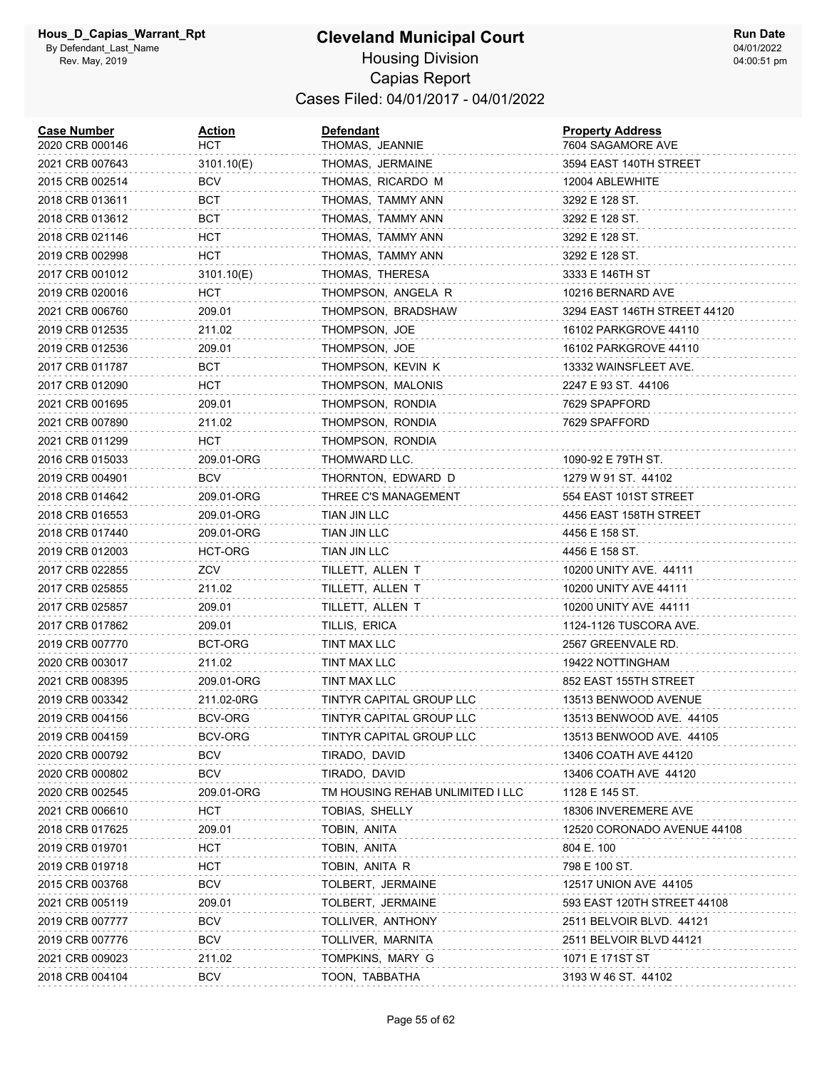#### **Cleveland Municipal Court** Housing Division Capias Report Cases Filed: 04/01/2017 - 04/01/2022

| <b>Case Number</b><br>2020 CRB 000146 | Action<br>HCT | <b>Defendant</b><br>THOMAS, JEANNIE | <b>Property Address</b><br>7604 SAGAMORE AVE |
|---------------------------------------|---------------|-------------------------------------|----------------------------------------------|
| 2021 CRB 007643                       | 3101.10(E)    | THOMAS, JERMAINE                    | 3594 EAST 140TH STREET                       |
| 2015 CRB 002514                       | BCV           | THOMAS, RICARDO M                   | 12004 ABLEWHITE                              |
| 2018 CRB 013611                       | BCT           | THOMAS, TAMMY ANN                   | 3292 E 128 ST.                               |
| 2018 CRB 013612                       | BCT           | THOMAS, TAMMY ANN                   | 3292 E 128 ST.                               |
| 2018 CRB 021146                       | HCT           | THOMAS, TAMMY ANN                   | 3292 E 128 ST.                               |
| 2019 CRB 002998                       | <b>HCT</b>    | THOMAS, TAMMY ANN                   | 3292 E 128 ST.                               |
| 2017 CRB 001012                       | 3101.10(E)    | THOMAS, THERESA                     | 3333 E 146TH ST                              |
| 2019 CRB 020016                       | HCT           | THOMPSON, ANGELA R                  | 10216 BERNARD AVE                            |
| 2021 CRB 006760                       | 209.01        | THOMPSON, BRADSHAW                  | 3294 EAST 146TH STREET 44120                 |
| 2019 CRB 012535                       | 211.02        | THOMPSON, JOE                       | 16102 PARKGROVE 44110                        |
| 2019 CRB 012536                       | 209.01        | THOMPSON, JOE                       | 16102 PARKGROVE 44110                        |
| 2017 CRB 011787                       | BCT           | THOMPSON, KEVIN K                   | 13332 WAINSFLEET AVE.                        |
| 2017 CRB 012090                       | HCT           | THOMPSON, MALONIS                   | 2247 E 93 ST. 44106                          |
| 2021 CRB 001695                       | 209.01        | THOMPSON, RONDIA                    | 7629 SPAPFORD                                |
| 2021 CRB 007890                       | 211.02        | THOMPSON, RONDIA                    | 7629 SPAFFORD                                |
| 2021 CRB 011299                       | HCT           | THOMPSON, RONDIA                    |                                              |
| 2016 CRB 015033                       | 209.01-ORG    | THOMWARD LLC.                       | 1090-92 E 79TH ST.                           |
| 2019 CRB 004901                       | BCV           | THORNTON, EDWARD D                  | 1279 W 91 ST. 44102                          |
| 2018 CRB 014642                       | 209.01-ORG    | THREE C'S MANAGEMENT                | 554 EAST 101ST STREET                        |
| 2018 CRB 016553                       | 209.01-ORG    | TIAN JIN LLC                        | 4456 EAST 158TH STREET                       |
| 2018 CRB 017440                       | 209.01-ORG    | TIAN JIN LLC                        | 4456 E 158 ST.                               |
| 2019 CRB 012003                       | HCT-ORG       | TIAN JIN LLC                        | 4456 E 158 ST.                               |
| 2017 CRB 022855                       | ZCV           | TILLETT, ALLEN T                    | 10200 UNITY AVE. 44111                       |
| 2017 CRB 025855                       | 211.02        | TILLETT, ALLEN T                    | 10200 UNITY AVE 44111                        |
| 2017 CRB 025857                       | 209.01        | TILLETT, ALLEN T                    | 10200 UNITY AVE 44111                        |
| 2017 CRB 017862                       | 209.01        | TILLIS, ERICA                       | 1124-1126 TUSCORA AVE.                       |
| 2019 CRB 007770                       | BCT-ORG       | TINT MAX LLC                        | 2567 GREENVALE RD.                           |
| 2020 CRB 003017                       | 211.02        | TINT MAX LLC                        | 19422 NOTTINGHAM                             |
| 2021 CRB 008395                       | 209.01-ORG    | TINT MAX LLC                        | 852 EAST 155TH STREET                        |
| 2019 CRB 003342                       | 211.02-0RG    | TINTYR CAPITAL GROUP LLC            | 13513 BENWOOD AVENUE                         |
| 2019 CRB 004156                       | BCV-ORG       | TINTYR CAPITAL GROUP LLC            | 13513 BENWOOD AVE. 44105                     |
| 2019 CRB 004159                       | BCV-ORG       | TINTYR CAPITAL GROUP LLC            | 13513 BENWOOD AVE. 44105                     |
| 2020 CRB 000792                       | <b>BCV</b>    | TIRADO, DAVID                       | 13406 COATH AVE 44120                        |
| 2020 CRB 000802                       | <b>BCV</b>    | TIRADO, DAVID                       | 13406 COATH AVE 44120                        |
| 2020 CRB 002545                       | 209.01-ORG    | TM HOUSING REHAB UNLIMITED I LLC    | 1128 E 145 ST.                               |
| 2021 CRB 006610                       | <b>HCT</b>    | TOBIAS, SHELLY                      | 18306 INVEREMERE AVE                         |
| 2018 CRB 017625                       | 209.01        | TOBIN, ANITA                        | 12520 CORONADO AVENUE 44108                  |
| 2019 CRB 019701                       | HCT           | TOBIN, ANITA                        | 804 E. 100                                   |
| 2019 CRB 019718                       | HCT           | TOBIN, ANITA R                      | 798 E 100 ST.                                |
| 2015 CRB 003768                       | <b>BCV</b>    | TOLBERT, JERMAINE                   | 12517 UNION AVE 44105                        |
| 2021 CRB 005119                       | 209.01        | TOLBERT, JERMAINE                   | 593 EAST 120TH STREET 44108                  |
| 2019 CRB 007777                       | BCV           | TOLLIVER, ANTHONY                   | 2511 BELVOIR BLVD. 44121                     |
| 2019 CRB 007776                       | BCV           | TOLLIVER, MARNITA                   | 2511 BELVOIR BLVD 44121                      |
| 2021 CRB 009023                       | 211.02        | TOMPKINS, MARY G                    | 1071 E 171ST ST                              |
| 2018 CRB 004104                       | <b>BCV</b>    | TOON, TABBATHA                      | 3193 W 46 ST. 44102                          |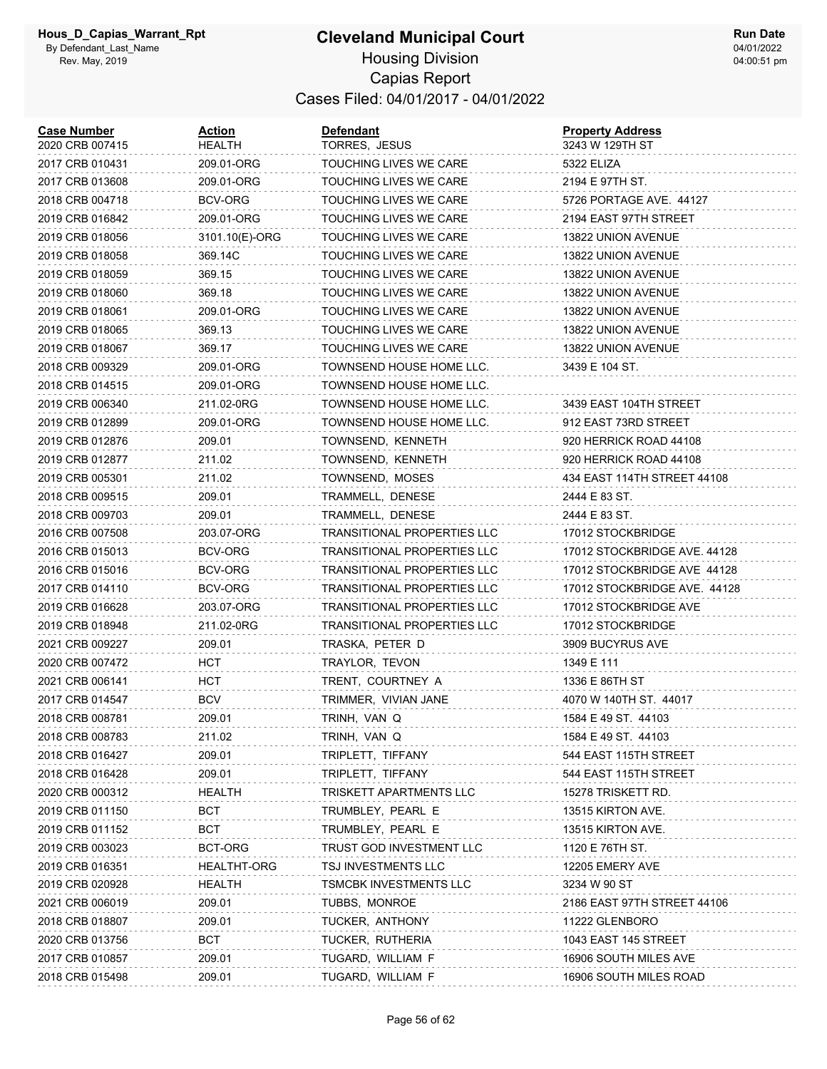#### **Cleveland Municipal Court** Housing Division Capias Report Cases Filed: 04/01/2017 - 04/01/2022

| <b>Case Number</b><br>2020 CRB 007415 | Action<br>HEALTH | <b>Defendant</b><br>TORRES, JESUS  | <b>Property Address</b><br>3243 W 129TH ST |
|---------------------------------------|------------------|------------------------------------|--------------------------------------------|
| 2017 CRB 010431                       | 209.01-ORG       | TOUCHING LIVES WE CARE             | 5322 ELIZA                                 |
| 2017 CRB 013608                       | 209.01-ORG       | TOUCHING LIVES WE CARE             | 2194 E 97TH ST.                            |
| 2018 CRB 004718                       | BCV-ORG          | TOUCHING LIVES WE CARE             | 5726 PORTAGE AVE 44127                     |
| 2019 CRB 016842                       | 209.01-ORG       | TOUCHING LIVES WE CARE             | 2194 EAST 97TH STREET                      |
| 2019 CRB 018056                       | 3101.10(E)-ORG   | TOUCHING LIVES WE CARE             | 13822 UNION AVENUE                         |
| 2019 CRB 018058                       | 369.14C          | TOUCHING LIVES WE CARE             | 13822 UNION AVENUE                         |
| 2019 CRB 018059                       | 369.15           | TOUCHING LIVES WE CARE             | 13822 UNION AVENUE                         |
| 2019 CRB 018060                       | 369.18           | <b>TOUCHING LIVES WE CARE</b>      | 13822 UNION AVENUE                         |
| 2019 CRB 018061                       | 209.01-ORG       | TOUCHING LIVES WE CARE             | 13822 UNION AVENUE                         |
| 2019 CRB 018065                       | 369.13           | TOUCHING LIVES WE CARE             | 13822 UNION AVENUE                         |
| 2019 CRB 018067                       | 369.17           | TOUCHING LIVES WE CARE             | 13822 UNION AVENUE                         |
| 2018 CRB 009329                       | 209.01-ORG       | TOWNSEND HOUSE HOME LLC.           | 3439 E 104 ST.                             |
| 2018 CRB 014515                       | 209.01-ORG       | TOWNSEND HOUSE HOME LLC.           |                                            |
| 2019 CRB 006340                       | 211.02-0RG       | TOWNSEND HOUSE HOME LLC.           | 3439 EAST 104TH STREET                     |
| 2019 CRB 012899                       | 209.01-ORG       | TOWNSEND HOUSE HOME LLC.           | 912 EAST 73RD STREET                       |
| 2019 CRB 012876                       | 209.01           | TOWNSEND, KENNETH                  | 920 HERRICK ROAD 44108                     |
| 2019 CRB 012877                       | 211.02           | TOWNSEND, KENNETH                  | 920 HERRICK ROAD 44108                     |
| 2019 CRB 005301                       | 211.02           | TOWNSEND, MOSES                    | 434 EAST 114TH STREET 44108                |
| 2018 CRB 009515                       | 209.01           | TRAMMELL, DENESE                   | 2444 E 83 ST.                              |
| 2018 CRB 009703                       | 209.01           | TRAMMELL, DENESE                   | 2444 E 83 ST.                              |
| 2016 CRB 007508                       | 203.07-ORG       | TRANSITIONAL PROPERTIES LLC        | 17012 STOCKBRIDGE                          |
| 2016 CRB 015013                       | BCV-ORG          | <b>TRANSITIONAL PROPERTIES LLC</b> | 17012 STOCKBRIDGE AVE. 44128               |
| 2016 CRB 015016                       | BCV-ORG          | <b>TRANSITIONAL PROPERTIES LLC</b> | 17012 STOCKBRIDGE AVE 44128                |
| 2017 CRB 014110                       | BCV-ORG          | <b>TRANSITIONAL PROPERTIES LLC</b> | 17012 STOCKBRIDGE AVE. 44128               |
| 2019 CRB 016628                       | 203.07-ORG       | <b>TRANSITIONAL PROPERTIES LLC</b> | 17012 STOCKBRIDGE AVE                      |
| 2019 CRB 018948                       | 211.02-0RG       | TRANSITIONAL PROPERTIES LLC        | 17012 STOCKBRIDGE                          |
| 2021 CRB 009227                       | 209.01           | TRASKA, PETER D                    | 3909 BUCYRUS AVE                           |
| 2020 CRB 007472                       | нст              | TRAYLOR, TEVON                     | 1349 E 111                                 |
| 2021 CRB 006141                       | HCT              | TRENT, COURTNEY A                  | 1336 E 86TH ST                             |
| 2017 CRB 014547                       | <b>BCV</b>       | TRIMMER, VIVIAN JANE               | 4070 W 140TH ST. 44017                     |
| 2018 CRB 008781                       | 209.01           | TRINH, VAN Q                       | 1584 E 49 ST. 44103                        |
| 2018 CRB 008783                       | 211.02           | TRINH, VAN Q                       | 1584 E 49 ST. 44103                        |
| 2018 CRB 016427                       | 209.01           | TRIPLETT, TIFFANY                  | 544 EAST 115TH STREET                      |
| 2018 CRB 016428                       | 209.01           | TRIPLETT, TIFFANY                  | 544 EAST 115TH STREET                      |
| 2020 CRB 000312                       | HEALTH           | TRISKETT APARTMENTS LLC            | 15278 TRISKETT RD.                         |
| 2019 CRB 011150                       | <b>BCT</b>       | TRUMBLEY, PEARL E                  | 13515 KIRTON AVE.                          |
| 2019 CRB 011152                       | <b>BCT</b>       | TRUMBLEY, PEARL E                  | 13515 KIRTON AVE.                          |
| 2019 CRB 003023                       | BCT-ORG          | TRUST GOD INVESTMENT LLC           | 1120 E 76TH ST.                            |
| 2019 CRB 016351                       | HEALTHT-ORG      | TSJ INVESTMENTS LLC                | 12205 EMERY AVE                            |
| 2019 CRB 020928                       | <b>HEALTH</b>    | TSMCBK INVESTMENTS LLC             | 3234 W 90 ST                               |
| 2021 CRB 006019                       | 209.01           | TUBBS, MONROE                      | 2186 EAST 97TH STREET 44106                |
| 2018 CRB 018807                       | 209.01           | TUCKER, ANTHONY                    | 11222 GLENBORO                             |
| 2020 CRB 013756                       | <b>BCT</b>       | TUCKER, RUTHERIA                   | 1043 EAST 145 STREET                       |
| 2017 CRB 010857                       | 209.01           | TUGARD, WILLIAM F                  | 16906 SOUTH MILES AVE                      |
| 2018 CRB 015498                       | 209.01           | TUGARD, WILLIAM F                  | 16906 SOUTH MILES ROAD                     |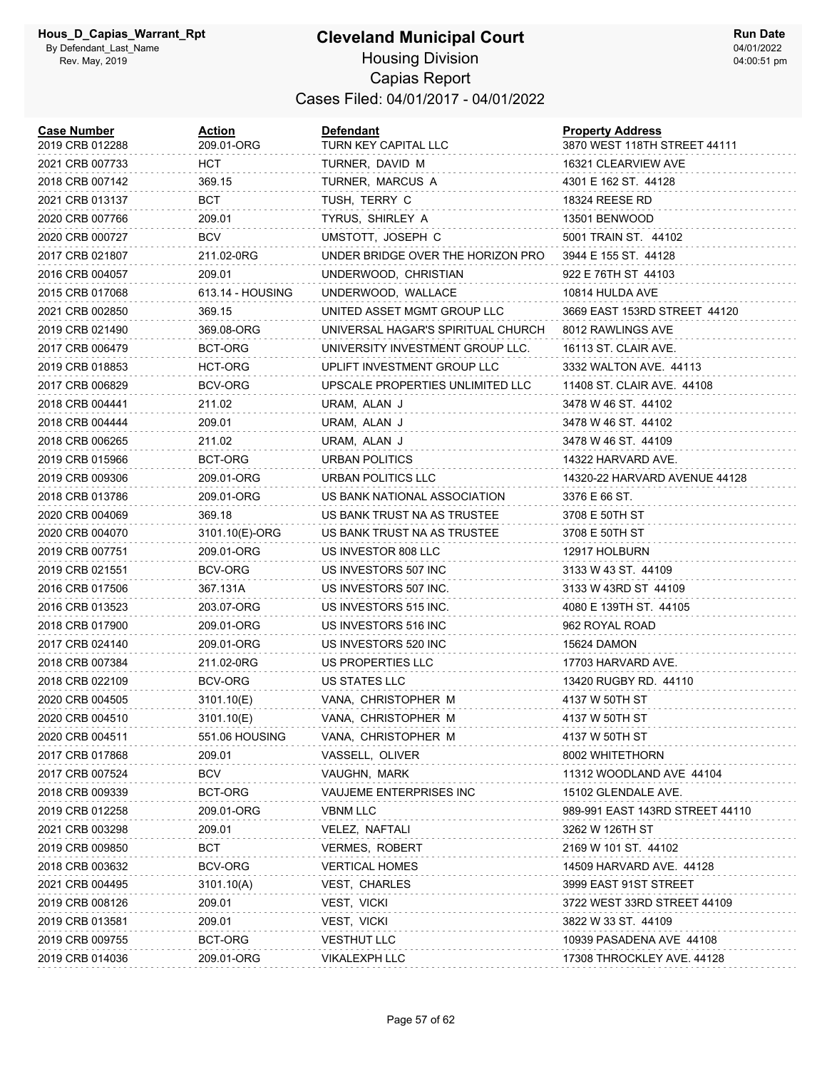| <b>Case Number</b><br>2019 CRB 012288 | <u>Action</u><br>209.01-ORG | Defendant<br>TURN KEY CAPITAL LLC  | <b>Property Address</b><br>3870 WEST 118TH STREET 44111 |
|---------------------------------------|-----------------------------|------------------------------------|---------------------------------------------------------|
| 2021 CRB 007733                       | HCT.                        | TURNER, DAVID M                    | 16321 CLEARVIEW AVE                                     |
| 2018 CRB 007142                       | 369.15                      | TURNER, MARCUS A                   | 4301 E 162 ST. 44128                                    |
| 2021 CRB 013137                       | BCT                         | TUSH, TERRY C                      | 18324 REESE RD                                          |
| 2020 CRB 007766                       | 209.01                      | TYRUS, SHIRLEY A                   | 13501 BENWOOD                                           |
| 2020 CRB 000727                       | BCV                         | UMSTOTT, JOSEPH C                  | 5001 TRAIN ST. 44102                                    |
| 2017 CRB 021807                       | 211.02-0RG                  | UNDER BRIDGE OVER THE HORIZON PRO  | 3944 E 155 ST. 44128                                    |
| 2016 CRB 004057                       | 209.01                      | UNDERWOOD, CHRISTIAN               | 922 E 76TH ST 44103                                     |
| 2015 CRB 017068                       | 613.14 - HOUSING            | UNDERWOOD, WALLACE                 | 10814 HULDA AVE                                         |
| 2021 CRB 002850                       | 369.15                      | UNITED ASSET MGMT GROUP LLC        | 3669 EAST 153RD STREET 44120                            |
| 2019 CRB 021490                       | 369.08-ORG                  | UNIVERSAL HAGAR'S SPIRITUAL CHURCH | 8012 RAWLINGS AVE                                       |
| 2017 CRB 006479                       | BCT-ORG                     | UNIVERSITY INVESTMENT GROUP LLC.   | 16113 ST. CLAIR AVE.                                    |
| 2019 CRB 018853                       | HCT-ORG                     | UPLIFT INVESTMENT GROUP LLC        | 3332 WALTON AVE. 44113                                  |
| 2017 CRB 006829                       | BCV-ORG                     | UPSCALE PROPERTIES UNLIMITED LLC   | 11408 ST. CLAIR AVE. 44108                              |
| 2018 CRB 004441                       | 211.02                      | URAM, ALAN J                       | 3478 W 46 ST. 44102                                     |
| 2018 CRB 004444                       | 209.01                      | URAM, ALAN J                       | 3478 W 46 ST. 44102                                     |
| 2018 CRB 006265                       | 211.02                      | URAM, ALAN J                       | 3478 W 46 ST. 44109                                     |
| 2019 CRB 015966                       | BCT-ORG                     | <b>URBAN POLITICS</b>              | 14322 HARVARD AVE.                                      |
| 2019 CRB 009306                       | 209.01-ORG                  | URBAN POLITICS LLC                 | 14320-22 HARVARD AVENUE 44128                           |
| 2018 CRB 013786                       | 209.01-ORG                  | US BANK NATIONAL ASSOCIATION       | 3376 E 66 ST.                                           |
| 2020 CRB 004069                       | 369.18                      | US BANK TRUST NA AS TRUSTEE        | 3708 E 50TH ST                                          |
| 2020 CRB 004070                       | 3101.10(E)-ORG              | US BANK TRUST NA AS TRUSTEE        | 3708 E 50TH ST                                          |
| 2019 CRB 007751                       | 209.01-ORG                  | US INVESTOR 808 LLC                | 12917 HOLBURN                                           |
| 2019 CRB 021551                       | BCV-ORG                     | US INVESTORS 507 INC               | 3133 W 43 ST. 44109                                     |
| 2016 CRB 017506                       | 367.131A                    | US INVESTORS 507 INC.              | 3133 W 43RD ST 44109                                    |
| 2016 CRB 013523                       | 203.07-ORG                  | US INVESTORS 515 INC.              | 4080 E 139TH ST. 44105                                  |
| 2018 CRB 017900                       | 209.01-ORG                  | US INVESTORS 516 INC               | 962 ROYAL ROAD                                          |
| 2017 CRB 024140                       | 209.01-ORG                  | US INVESTORS 520 INC               | 15624 DAMON                                             |
| 2018 CRB 007384                       | 211.02-0RG                  | US PROPERTIES LLC                  | 17703 HARVARD AVE.                                      |
| 2018 CRB 022109                       | BCV-ORG                     | US STATES LLC                      | 13420 RUGBY RD. 44110                                   |
| 2020 CRB 004505                       | 3101.10(E)                  | VANA, CHRISTOPHER M                | 4137 W 50TH ST                                          |
| 2020 CRB 004510                       | 3101.10(E)                  | VANA, CHRISTOPHER M                | 4137 W 50TH ST                                          |
| 2020 CRB 004511                       | 551.06 HOUSING              | VANA, CHRISTOPHER M                | 4137 W 50TH ST                                          |
| 2017 CRB 017868                       | 209.01                      | VASSELL, OLIVER                    | 8002 WHITETHORN                                         |
| 2017 CRB 007524                       | <b>BCV</b>                  | VAUGHN, MARK                       | 11312 WOODLAND AVE 44104                                |
| 2018 CRB 009339                       | BCT-ORG                     | VAUJEME ENTERPRISES INC            | 15102 GLENDALE AVE.                                     |
| 2019 CRB 012258                       | 209.01-ORG                  | <b>VBNM LLC</b>                    | 989-991 EAST 143RD STREET 44110                         |
| 2021 CRB 003298                       | 209.01                      | VELEZ, NAFTALI                     | 3262 W 126TH ST                                         |
| 2019 CRB 009850                       | <b>BCT</b>                  | VERMES, ROBERT                     | 2169 W 101 ST. 44102                                    |
| 2018 CRB 003632                       | <b>BCV-ORG</b>              | <b>VERTICAL HOMES</b>              | 14509 HARVARD AVE. 44128                                |
| 2021 CRB 004495                       | 3101.10(A)                  | VEST, CHARLES                      | 3999 EAST 91ST STREET                                   |
| 2019 CRB 008126                       | 209.01                      | VEST, VICKI                        | 3722 WEST 33RD STREET 44109                             |
| 2019 CRB 013581                       | 209.01                      | VEST, VICKI                        | 3822 W 33 ST. 44109                                     |
| 2019 CRB 009755                       | BCT-ORG                     | <b>VESTHUT LLC</b>                 | 10939 PASADENA AVE 44108                                |
| 2019 CRB 014036                       | 209.01-ORG                  | <b>VIKALEXPH LLC</b>               | 17308 THROCKLEY AVE. 44128                              |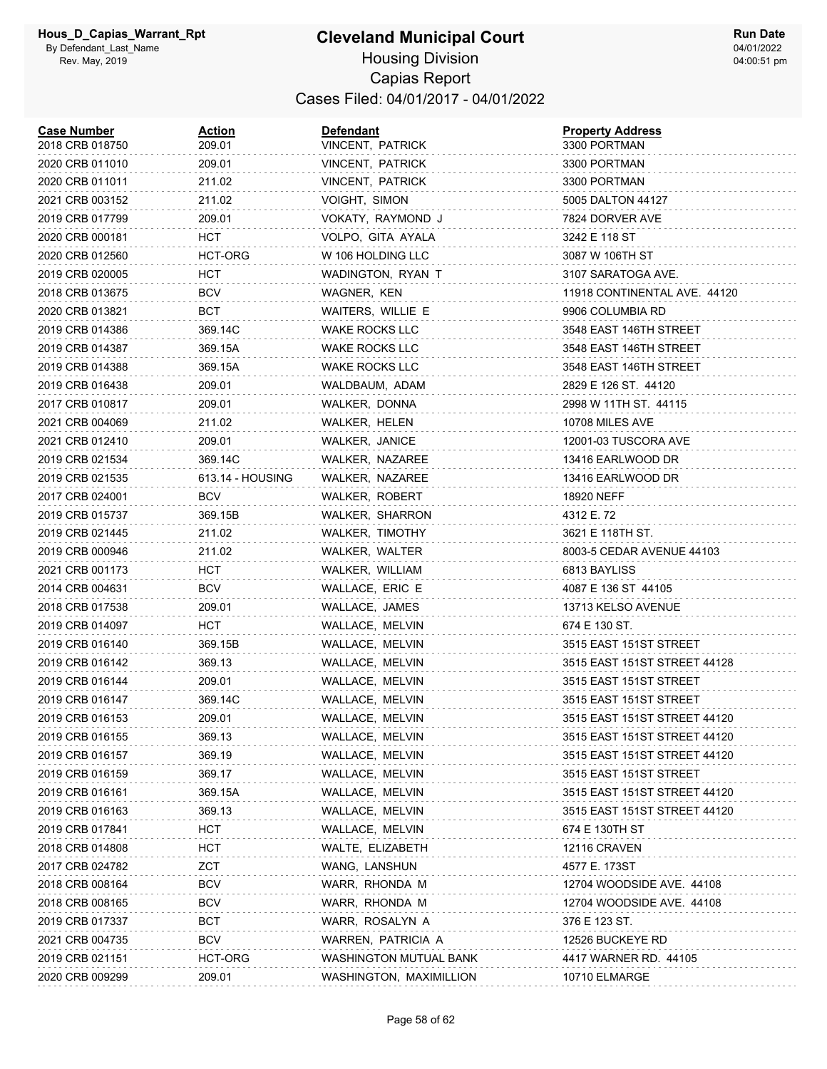| <b>Case Number</b><br>2018 CRB 018750 | Action<br>209.01 | <b>Defendant</b><br>VINCENT, PATRICK | <b>Property Address</b><br>3300 PORTMAN |
|---------------------------------------|------------------|--------------------------------------|-----------------------------------------|
| 2020 CRB 011010                       | 209.01           | VINCENT, PATRICK                     | 3300 PORTMAN                            |
| 2020 CRB 011011                       | 211.02           | VINCENT, PATRICK                     | 3300 PORTMAN                            |
| 2021 CRB 003152                       | 211.02           | VOIGHT, SIMON                        | 5005 DALTON 44127                       |
| 2019 CRB 017799                       | 209.01           | VOKATY, RAYMOND J                    | 7824 DORVER AVE                         |
| 2020 CRB 000181                       | нст              | VOLPO, GITA AYALA                    | 3242 E 118 ST                           |
| 2020 CRB 012560                       | HCT-ORG          | W 106 HOLDING LLC                    | 3087 W 106TH ST                         |
| 2019 CRB 020005                       | нст              | WADINGTON, RYAN T                    | 3107 SARATOGA AVE.                      |
| 2018 CRB 013675                       | <b>BCV</b>       | WAGNER, KEN                          | 11918 CONTINENTAL AVE. 44120            |
| 2020 CRB 013821                       | BCT              | WAITERS, WILLIE E                    | 9906 COLUMBIA RD                        |
| 2019 CRB 014386                       | 369.14C          | <b>WAKE ROCKS LLC</b>                | 3548 EAST 146TH STREET                  |
| 2019 CRB 014387                       | 369.15A          | WAKE ROCKS LLC                       | 3548 EAST 146TH STREET                  |
| 2019 CRB 014388                       | 369.15A          | <b>WAKE ROCKS LLC</b>                | 3548 EAST 146TH STREET                  |
| 2019 CRB 016438                       | 209.01           | WALDBAUM, ADAM                       | 2829 E 126 ST. 44120                    |
| 2017 CRB 010817                       | 209.01           | WALKER, DONNA                        | 2998 W 11TH ST. 44115                   |
| 2021 CRB 004069                       | 211.02           | WALKER, HELEN                        | 10708 MILES AVE                         |
| 2021 CRB 012410                       | 209.01           | WALKER, JANICE                       | 12001-03 TUSCORA AVE                    |
| 2019 CRB 021534                       | 369.14C          | WALKER, NAZAREE                      | 13416 EARLWOOD DR                       |
| 2019 CRB 021535                       | 613.14 - HOUSING | WALKER, NAZAREE                      | 13416 EARLWOOD DR                       |
| 2017 CRB 024001                       | BCV              | WALKER, ROBERT                       | 18920 NEFF                              |
| 2019 CRB 015737                       | 369.15B          | <b>WALKER, SHARRON</b>               | 4312 E. 72                              |
| 2019 CRB 021445                       | 211.02           | WALKER, TIMOTHY                      | 3621 E 118TH ST.                        |
| 2019 CRB 000946                       | 211.02           | WALKER, WALTER                       | 8003-5 CEDAR AVENUE 44103               |
| 2021 CRB 001173                       | нст              | WALKER, WILLIAM                      | 6813 BAYLISS                            |
| 2014 CRB 004631                       | BCV              | WALLACE, ERIC E                      | 4087 E 136 ST 44105                     |
| 2018 CRB 017538                       | 209.01           | WALLACE, JAMES                       | 13713 KELSO AVENUE                      |
| 2019 CRB 014097                       | HCT              | WALLACE, MELVIN                      | 674 E 130 ST.                           |
| 2019 CRB 016140                       | 369.15B          | WALLACE, MELVIN                      | 3515 EAST 151ST STREET                  |
| 2019 CRB 016142                       | 369.13           | WALLACE, MELVIN                      | 3515 EAST 151ST STREET 44128            |
| 2019 CRB 016144                       | 209.01           | WALLACE, MELVIN                      | 3515 EAST 151ST STREET                  |
| 2019 CRB 016147                       | 369.14C          | WALLACE, MELVIN                      | 3515 EAST 151ST STREET                  |
| 2019 CRB 016153                       | 209.01           | WALLACE, MELVIN                      | 3515 EAST 151ST STREET 44120            |
| 2019 CRB 016155                       | 369.13           | WALLACE, MELVIN                      | 3515 EAST 151ST STREET 44120            |
| 2019 CRB 016157                       | 369.19           | WALLACE, MELVIN                      | 3515 EAST 151ST STREET 44120            |
| 2019 CRB 016159                       | 369.17           | WALLACE, MELVIN                      | 3515 EAST 151ST STREET                  |
| 2019 CRB 016161                       | 369.15A          | WALLACE, MELVIN                      | 3515 EAST 151ST STREET 44120            |
| 2019 CRB 016163                       | 369.13           | WALLACE, MELVIN                      | 3515 EAST 151ST STREET 44120            |
| 2019 CRB 017841                       | нст              | WALLACE, MELVIN                      | 674 E 130TH ST                          |
| 2018 CRB 014808                       | нст              | WALTE, ELIZABETH                     | <b>12116 CRAVEN</b>                     |
| 2017 CRB 024782                       | ZCT              | WANG, LANSHUN                        | 4577 E. 173ST                           |
| 2018 CRB 008164                       | BCV              | WARR, RHONDA M                       | 12704 WOODSIDE AVE. 44108               |
| 2018 CRB 008165                       | BCV              | WARR, RHONDA M                       | 12704 WOODSIDE AVE. 44108               |
| 2019 CRB 017337                       | BCT              | WARR, ROSALYN A                      | 376 E 123 ST.                           |
| 2021 CRB 004735                       | BCV              | WARREN, PATRICIA A                   | 12526 BUCKEYE RD                        |
| 2019 CRB 021151                       | HCT-ORG          | WASHINGTON MUTUAL BANK               | 4417 WARNER RD. 44105                   |
| 2020 CRB 009299                       | 209.01           | WASHINGTON, MAXIMILLION              | 10710 ELMARGE                           |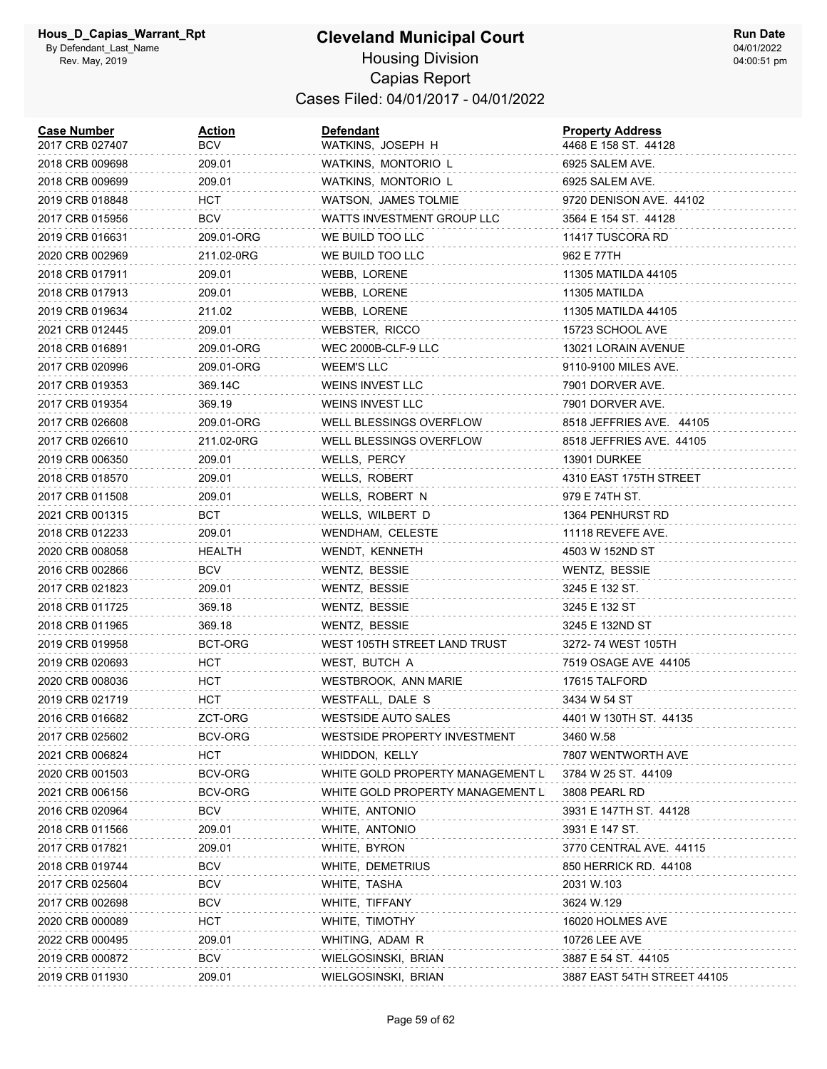| <b>Case Number</b><br>2017 CRB 027407 | <b>Action</b><br>BCV | Defendant<br>WATKINS, JOSEPH H   | <b>Property Address</b><br>4468 E 158 ST. 44128 |
|---------------------------------------|----------------------|----------------------------------|-------------------------------------------------|
| 2018 CRB 009698                       | 209.01               | WATKINS, MONTORIO L              | 6925 SALEM AVE.                                 |
| 2018 CRB 009699                       | 209.01               | WATKINS, MONTORIO L              | 6925 SALEM AVE.                                 |
| 2019 CRB 018848                       | <b>HCT</b>           | WATSON, JAMES TOLMIE             | 9720 DENISON AVE. 44102                         |
| 2017 CRB 015956                       | <b>BCV</b>           | WATTS INVESTMENT GROUP LLC       | 3564 E 154 ST. 44128                            |
| 2019 CRB 016631                       | 209.01-ORG           | WE BUILD TOO LLC                 | 11417 TUSCORA RD                                |
| 2020 CRB 002969                       | 211.02-0RG           | WE BUILD TOO LLC                 | 962 E 77TH                                      |
| 2018 CRB 017911                       | 209.01               | WEBB, LORENE                     | 11305 MATILDA 44105                             |
| 2018 CRB 017913                       | 209.01               | WEBB, LORENE                     | 11305 MATILDA                                   |
| 2019 CRB 019634                       | 211.02               | WEBB, LORENE                     | 11305 MATILDA 44105                             |
| 2021 CRB 012445                       | 209.01               | WEBSTER, RICCO                   | 15723 SCHOOL AVE                                |
| 2018 CRB 016891                       | 209.01-ORG           | WEC 2000B-CLF-9 LLC              | 13021 LORAIN AVENUE                             |
| 2017 CRB 020996                       | 209.01-ORG           | WEEM'S LLC                       | 9110-9100 MILES AVE.                            |
| 2017 CRB 019353                       | 369.14C              | <b>WEINS INVEST LLC</b>          | 7901 DORVER AVE.                                |
| 2017 CRB 019354                       | 369.19               | WEINS INVEST LLC                 | 7901 DORVER AVE.                                |
| 2017 CRB 026608                       | 209.01-ORG           | WELL BLESSINGS OVERFLOW          | 8518 JEFFRIES AVE. 44105                        |
| 2017 CRB 026610                       | 211.02-0RG           | WELL BLESSINGS OVERFLOW          | 8518 JEFFRIES AVE. 44105                        |
| 2019 CRB 006350                       | 209.01               | WELLS, PERCY                     | 13901 DURKEE                                    |
| 2018 CRB 018570                       | 209.01               | WELLS, ROBERT                    | 4310 EAST 175TH STREET                          |
| 2017 CRB 011508                       | 209.01               | WELLS, ROBERT N                  | 979 E 74TH ST.                                  |
| 2021 CRB 001315                       | BCT                  | WELLS, WILBERT D                 | 1364 PENHURST RD                                |
| 2018 CRB 012233                       | 209.01               | WENDHAM, CELESTE                 | 11118 REVEFE AVE.                               |
| 2020 CRB 008058                       | HEALTH               | WENDT, KENNETH                   | 4503 W 152ND ST                                 |
| 2016 CRB 002866                       | BCV                  | WENTZ, BESSIE                    | WENTZ, BESSIE                                   |
| 2017 CRB 021823                       | 209.01               | WENTZ, BESSIE                    | 3245 E 132 ST.                                  |
| 2018 CRB 011725                       | 369.18               | WENTZ, BESSIE                    | 3245 E 132 ST                                   |
| 2018 CRB 011965                       | 369.18               | WENTZ, BESSIE                    | 3245 E 132ND ST                                 |
| 2019 CRB 019958                       | BCT-ORG              | WEST 105TH STREET LAND TRUST     | 3272-74 WEST 105TH                              |
| 2019 CRB 020693                       | HCT                  | WEST, BUTCH A                    | 7519 OSAGE AVE 44105                            |
| 2020 CRB 008036                       | HCT                  | WESTBROOK, ANN MARIE             | 17615 TALFORD                                   |
| 2019 CRB 021719                       | HCT                  | WESTFALL, DALE S                 | 3434 W 54 ST                                    |
| 2016 CRB 016682                       | ZCT-ORG              | <b>WESTSIDE AUTO SALES</b>       | 4401 W 130TH ST. 44135                          |
| 2017 CRB 025602                       | BCV-ORG              | WESTSIDE PROPERTY INVESTMENT     | 3460 W.58                                       |
| 2021 CRB 006824                       | <b>HCT</b>           | WHIDDON, KELLY                   | 7807 WENTWORTH AVE                              |
| 2020 CRB 001503                       | BCV-ORG              | WHITE GOLD PROPERTY MANAGEMENT L | 3784 W 25 ST. 44109                             |
| 2021 CRB 006156                       | BCV-ORG              | WHITE GOLD PROPERTY MANAGEMENT L | 3808 PEARL RD                                   |
| 2016 CRB 020964                       | <b>BCV</b>           | WHITE, ANTONIO                   | 3931 E 147TH ST. 44128                          |
| 2018 CRB 011566                       | 209.01               | WHITE, ANTONIO                   | 3931 E 147 ST.                                  |
| 2017 CRB 017821                       | 209.01               | WHITE, BYRON                     | 3770 CENTRAL AVE. 44115                         |
| 2018 CRB 019744                       | <b>BCV</b>           | WHITE, DEMETRIUS                 | 850 HERRICK RD. 44108                           |
| 2017 CRB 025604                       | <b>BCV</b>           | WHITE, TASHA                     | 2031 W.103                                      |
| 2017 CRB 002698                       | <b>BCV</b>           | WHITE, TIFFANY                   | 3624 W.129                                      |
| 2020 CRB 000089                       | HCT                  | WHITE, TIMOTHY                   | 16020 HOLMES AVE                                |
| 2022 CRB 000495                       | 209.01               | WHITING, ADAM R                  | 10726 LEE AVE                                   |
| 2019 CRB 000872                       | <b>BCV</b>           | WIELGOSINSKI, BRIAN              | 3887 E 54 ST. 44105                             |
| 2019 CRB 011930                       | 209.01               | WIELGOSINSKI, BRIAN              | 3887 EAST 54TH STREET 44105                     |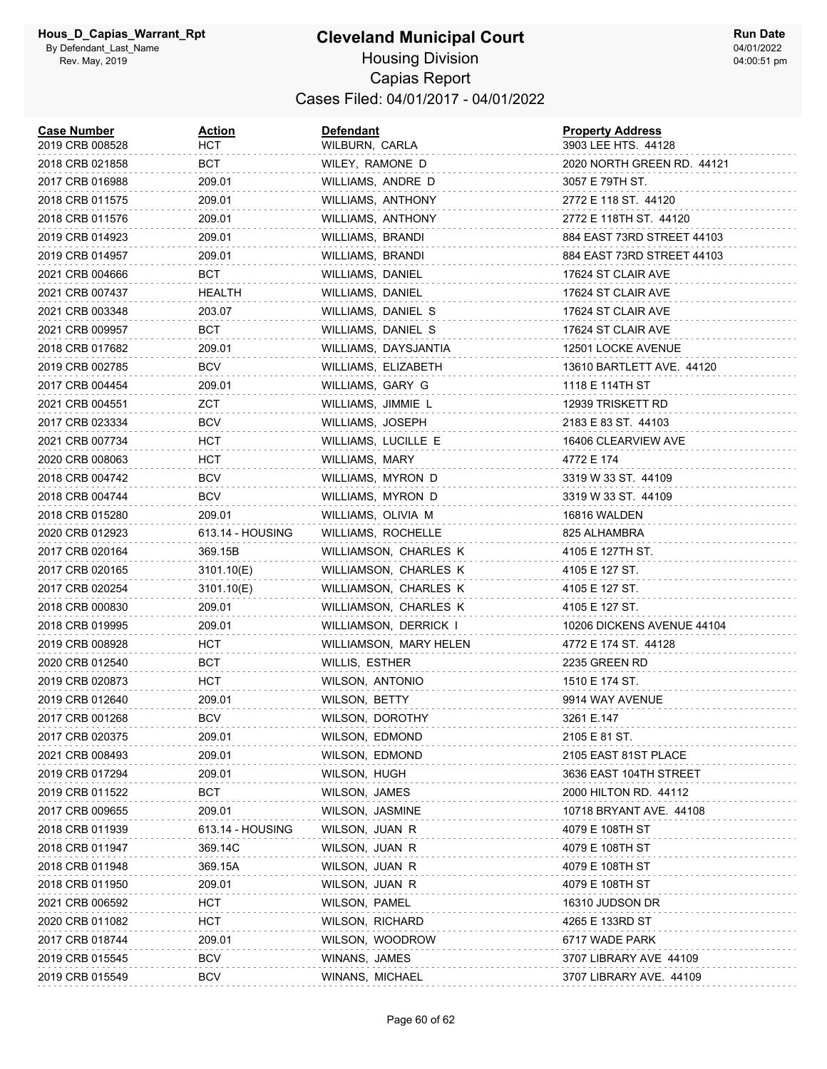| <b>Case Number</b><br>2019 CRB 008528 | <u>Action</u><br>нст | <b>Defendant</b><br>WILBURN, CARLA | <b>Property Address</b><br>3903 LEE HTS. 44128 |
|---------------------------------------|----------------------|------------------------------------|------------------------------------------------|
| 2018 CRB 021858                       | BCT                  | WILEY, RAMONE D                    | 2020 NORTH GREEN RD. 44121                     |
| 2017 CRB 016988                       | 209.01               | WILLIAMS, ANDRE D                  | 3057 E 79TH ST.                                |
| 2018 CRB 011575                       | 209.01               | WILLIAMS, ANTHONY                  | 2772 E 118 ST. 44120                           |
| 2018 CRB 011576                       | 209.01               | WILLIAMS, ANTHONY                  | 2772 E 118TH ST. 44120                         |
| 2019 CRB 014923                       | 209.01               | WILLIAMS, BRANDI                   | 884 EAST 73RD STREET 44103                     |
| 2019 CRB 014957                       | 209.01               | WILLIAMS, BRANDI                   | 884 EAST 73RD STREET 44103                     |
| 2021 CRB 004666                       | BCT                  | WILLIAMS, DANIEL                   | 17624 ST CLAIR AVE                             |
| 2021 CRB 007437                       | HEALTH               | WILLIAMS, DANIEL                   | 17624 ST CLAIR AVE                             |
| 2021 CRB 003348                       | 203.07               | WILLIAMS, DANIEL S                 | 17624 ST CLAIR AVE                             |
| 2021 CRB 009957                       | вст                  | WILLIAMS, DANIEL S                 | 17624 ST CLAIR AVE                             |
| 2018 CRB 017682                       | 209.01               | WILLIAMS, DAYSJANTIA               | 12501 LOCKE AVENUE                             |
| 2019 CRB 002785                       | <b>BCV</b>           | WILLIAMS, ELIZABETH                | 13610 BARTLETT AVE. 44120                      |
| 2017 CRB 004454                       | 209.01               | WILLIAMS, GARY G                   | 1118 E 114TH ST                                |
| 2021 CRB 004551                       | ZCT                  | WILLIAMS, JIMMIE L                 | 12939 TRISKETT RD                              |
| 2017 CRB 023334                       | BCV                  | WILLIAMS, JOSEPH                   | 2183 E 83 ST. 44103                            |
| 2021 CRB 007734                       | HCT.                 | WILLIAMS, LUCILLE E                | 16406 CLEARVIEW AVE                            |
| 2020 CRB 008063                       | HCT                  | WILLIAMS, MARY                     | 4772 E 174                                     |
| 2018 CRB 004742                       | <b>BCV</b>           | WILLIAMS, MYRON D                  | 3319 W 33 ST. 44109                            |
| 2018 CRB 004744                       | <b>BCV</b>           | WILLIAMS, MYRON D                  | 3319 W 33 ST. 44109                            |
| 2018 CRB 015280                       | 209.01               | WILLIAMS, OLIVIA M                 | 16816 WALDEN                                   |
| 2020 CRB 012923                       | 613.14 - HOUSING     | WILLIAMS, ROCHELLE                 | 825 ALHAMBRA                                   |
| 2017 CRB 020164                       | 369.15B              | WILLIAMSON, CHARLES K              | 4105 E 127TH ST.                               |
| 2017 CRB 020165                       | 3101.10(E)           | WILLIAMSON, CHARLES K              | 4105 E 127 ST.                                 |
| 2017 CRB 020254                       | 3101.10(E)           | WILLIAMSON, CHARLES K              | 4105 E 127 ST.                                 |
| 2018 CRB 000830                       | 209.01               | WILLIAMSON, CHARLES K              | 4105 E 127 ST.                                 |
| 2018 CRB 019995                       | 209.01               | WILLIAMSON, DERRICK I              | 10206 DICKENS AVENUE 44104                     |
| 2019 CRB 008928                       | HCT                  | WILLIAMSON, MARY HELEN             | 4772 E 174 ST. 44128                           |
| 2020 CRB 012540                       | BCT                  | WILLIS, ESTHER                     | 2235 GREEN RD                                  |
| 2019 CRB 020873                       | HCT                  | WILSON, ANTONIO                    | 1510 E 174 ST.                                 |
| 2019 CRB 012640                       | 209.01               | WILSON, BETTY                      | 9914 WAY AVENUE                                |
| 2017 CRB 001268                       | BCV                  | WILSON, DOROTHY                    | 3261 E.147                                     |
| 2017 CRB 020375                       | 209.01               | WILSON, EDMOND                     | 2105 E 81 ST.                                  |
| 2021 CRB 008493                       | 209.01               | WILSON, EDMOND                     | 2105 EAST 81ST PLACE                           |
| 2019 CRB 017294                       | 209.01               | WILSON, HUGH                       | 3636 EAST 104TH STREET                         |
| 2019 CRB 011522                       | BCT                  | <b>WILSON, JAMES</b>               | 2000 HILTON RD. 44112                          |
| 2017 CRB 009655                       | 209.01               | WILSON, JASMINE                    | 10718 BRYANT AVE. 44108                        |
| 2018 CRB 011939                       | 613.14 - HOUSING     | WILSON, JUAN R                     | 4079 E 108TH ST                                |
| 2018 CRB 011947                       | 369.14C              | WILSON, JUAN R                     | 4079 E 108TH ST                                |
| 2018 CRB 011948                       | 369.15A              | WILSON, JUAN R                     | 4079 E 108TH ST                                |
| 2018 CRB 011950                       | 209.01               | WILSON, JUAN R                     | 4079 E 108TH ST                                |
| 2021 CRB 006592                       | HCT                  | WILSON, PAMEL                      | 16310 JUDSON DR                                |
| 2020 CRB 011082                       | HCT                  | WILSON, RICHARD                    | 4265 E 133RD ST                                |
| 2017 CRB 018744                       | 209.01               | WILSON, WOODROW                    | 6717 WADE PARK                                 |
| 2019 CRB 015545                       | <b>BCV</b>           | WINANS, JAMES                      | 3707 LIBRARY AVE 44109                         |
| 2019 CRB 015549                       | <b>BCV</b>           | WINANS, MICHAEL                    | 3707 LIBRARY AVE. 44109                        |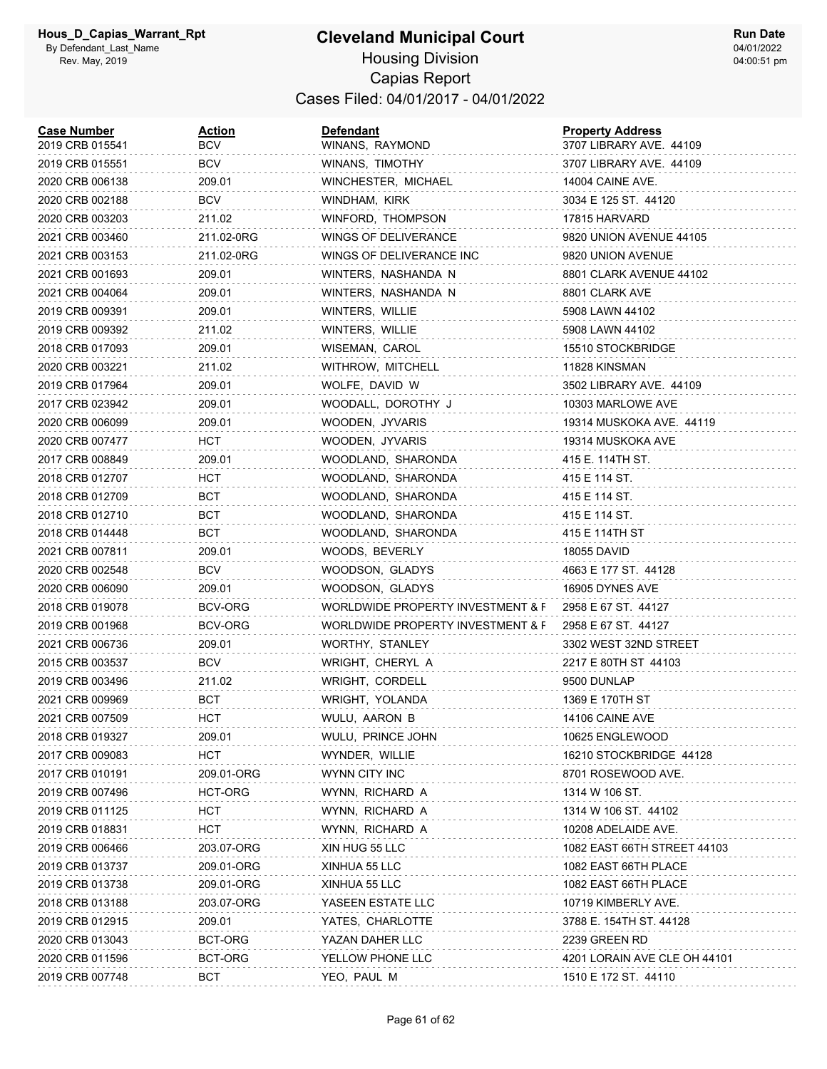| <b>Case Number</b><br>2019 CRB 015541 | <u>Action</u><br>BCV | <b>Defendant</b><br>WINANS, RAYMOND | <b>Property Address</b><br>3707 LIBRARY AVE. 44109 |
|---------------------------------------|----------------------|-------------------------------------|----------------------------------------------------|
| 2019 CRB 015551                       | BCV                  | WINANS, TIMOTHY                     | 3707 LIBRARY AVE. 44109                            |
| 2020 CRB 006138                       | 209.01               | WINCHESTER, MICHAEL                 | 14004 CAINE AVE.                                   |
| 2020 CRB 002188                       | <b>BCV</b>           | WINDHAM, KIRK                       | 3034 E 125 ST. 44120                               |
| 2020 CRB 003203                       | 211.02               | WINFORD, THOMPSON                   | 17815 HARVARD                                      |
| 2021 CRB 003460                       | 211.02-0RG           | WINGS OF DELIVERANCE                | 9820 UNION AVENUE 44105                            |
| 2021 CRB 003153                       | 211.02-0RG           | WINGS OF DELIVERANCE INC            | 9820 UNION AVENUE                                  |
| 2021 CRB 001693                       | 209.01               | WINTERS, NASHANDA N                 | 8801 CLARK AVENUE 44102                            |
| 2021 CRB 004064                       | 209.01               | WINTERS, NASHANDA N                 | 8801 CLARK AVE                                     |
| 2019 CRB 009391                       | 209.01               | WINTERS, WILLIE                     | 5908 LAWN 44102                                    |
| 2019 CRB 009392                       | 211.02               | WINTERS, WILLIE                     | 5908 LAWN 44102                                    |
| 2018 CRB 017093                       | 209.01               | WISEMAN, CAROL                      | 15510 STOCKBRIDGE                                  |
| 2020 CRB 003221                       | 211.02               | WITHROW, MITCHELL                   | 11828 KINSMAN                                      |
| 2019 CRB 017964                       | 209.01               | WOLFE, DAVID W                      | 3502 LIBRARY AVE. 44109                            |
| 2017 CRB 023942                       | 209.01               | WOODALL, DOROTHY J                  | 10303 MARLOWE AVE                                  |
| 2020 CRB 006099                       | 209.01               | WOODEN, JYVARIS                     | 19314 MUSKOKA AVE. 44119                           |
| 2020 CRB 007477                       | HCT                  | WOODEN, JYVARIS                     | 19314 MUSKOKA AVE                                  |
| 2017 CRB 008849                       | 209.01               | WOODLAND, SHARONDA                  | 415 E. 114TH ST.                                   |
| 2018 CRB 012707                       | HCT                  | WOODLAND, SHARONDA                  | 415 E 114 ST.                                      |
| 2018 CRB 012709                       | BCT                  | WOODLAND, SHARONDA                  | 415 E 114 ST.                                      |
| 2018 CRB 012710                       | BCT                  | WOODLAND, SHARONDA                  | 415 E 114 ST.                                      |
| 2018 CRB 014448                       | BCT                  | WOODLAND, SHARONDA                  | 415 E 114TH ST                                     |
| 2021 CRB 007811                       | 209.01               | WOODS, BEVERLY                      | 18055 DAVID                                        |
| 2020 CRB 002548                       | <b>BCV</b>           | WOODSON, GLADYS                     | 4663 E 177 ST. 44128                               |
| 2020 CRB 006090                       | 209.01               | WOODSON, GLADYS                     | 16905 DYNES AVE                                    |
| 2018 CRB 019078                       | BCV-ORG              | WORLDWIDE PROPERTY INVESTMENT & F   | 2958 E 67 ST. 44127                                |
| 2019 CRB 001968                       | BCV-ORG              | WORLDWIDE PROPERTY INVESTMENT & F   | 2958 E 67 ST. 44127                                |
| 2021 CRB 006736                       | 209.01               | WORTHY, STANLEY                     | 3302 WEST 32ND STREET                              |
| 2015 CRB 003537                       | <b>BCV</b>           | WRIGHT, CHERYL A                    | 2217 E 80TH ST 44103                               |
| 2019 CRB 003496                       | 211.02               | WRIGHT, CORDELL                     | 9500 DUNLAP                                        |
| 2021 CRB 009969                       | BCT                  | WRIGHT, YOLANDA                     | 1369 E 170TH ST                                    |
| 2021 CRB 007509                       | HCT                  | WULU, AARON B                       | 14106 CAINE AVE                                    |
| 2018 CRB 019327                       | 209.01               | WULU, PRINCE JOHN                   | 10625 ENGLEWOOD                                    |
| 2017 CRB 009083                       | HCT                  | WYNDER, WILLIE                      | 16210 STOCKBRIDGE 44128                            |
| 2017 CRB 010191                       | 209.01-ORG           | WYNN CITY INC                       | 8701 ROSEWOOD AVE.                                 |
| 2019 CRB 007496                       | HCT-ORG              | WYNN, RICHARD A                     | 1314 W 106 ST.                                     |
| 2019 CRB 011125                       | HCT                  | WYNN, RICHARD A                     | 1314 W 106 ST. 44102                               |
| 2019 CRB 018831                       | <b>HCT</b>           | WYNN, RICHARD A                     | 10208 ADELAIDE AVE.                                |
| 2019 CRB 006466                       | 203.07-ORG           | XIN HUG 55 LLC                      | 1082 EAST 66TH STREET 44103                        |
| 2019 CRB 013737                       | 209.01-ORG           | XINHUA 55 LLC                       | 1082 EAST 66TH PLACE                               |
| 2019 CRB 013738                       | 209.01-ORG           | XINHUA 55 LLC                       | 1082 EAST 66TH PLACE                               |
| 2018 CRB 013188                       | 203.07-ORG           | YASEEN ESTATE LLC                   | 10719 KIMBERLY AVE.                                |
| 2019 CRB 012915                       | 209.01               | YATES, CHARLOTTE                    | 3788 E. 154TH ST. 44128                            |
| 2020 CRB 013043                       | BCT-ORG              | YAZAN DAHER LLC                     | 2239 GREEN RD                                      |
| 2020 CRB 011596                       | BCT-ORG              | YELLOW PHONE LLC                    | 4201 LORAIN AVE CLE OH 44101                       |
| 2019 CRB 007748                       | <b>BCT</b>           | YEO, PAUL M                         | 1510 E 172 ST. 44110                               |